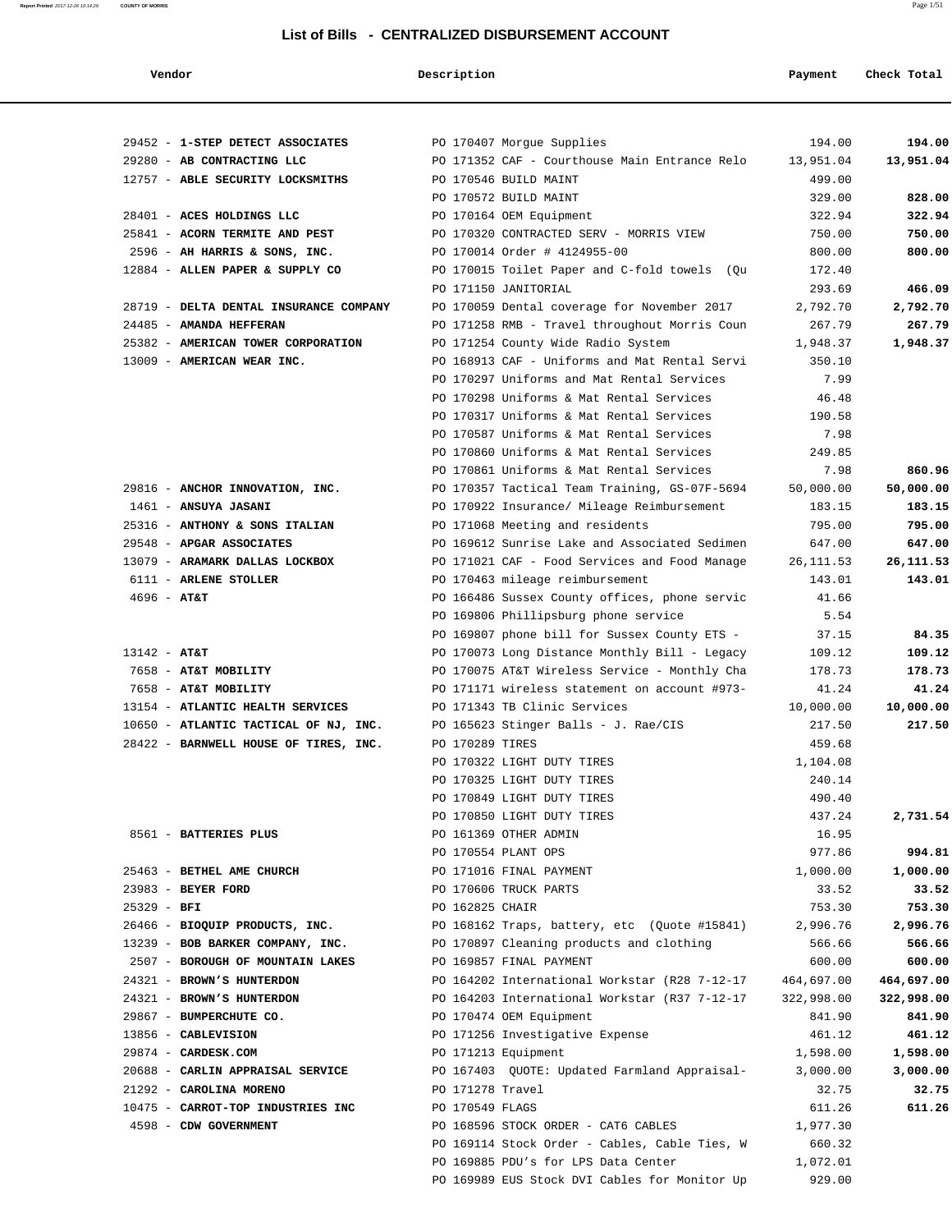**Vendor Payment** Check Total **Description Payment** Check Total

| 29452 - 1-STEP DETECT ASSOCIATES       |                                                                            | 194.00     | 194.00     |
|----------------------------------------|----------------------------------------------------------------------------|------------|------------|
| 29280 - AB CONTRACTING LLC             | PO 170407 Morgue Supplies<br>PO 171352 CAF - Courthouse Main Entrance Relo | 13,951.04  | 13,951.04  |
| 12757 - ABLE SECURITY LOCKSMITHS       | PO 170546 BUILD MAINT                                                      | 499.00     |            |
|                                        | PO 170572 BUILD MAINT                                                      | 329.00     | 828.00     |
| 28401 - ACES HOLDINGS LLC              | PO 170164 OEM Equipment                                                    | 322.94     | 322.94     |
| 25841 - ACORN TERMITE AND PEST         | PO 170320 CONTRACTED SERV - MORRIS VIEW                                    | 750.00     | 750.00     |
| 2596 - AH HARRIS & SONS, INC.          | PO 170014 Order # 4124955-00                                               | 800.00     | 800.00     |
| 12884 - ALLEN PAPER & SUPPLY CO        | PO 170015 Toilet Paper and C-fold towels (Qu                               | 172.40     |            |
|                                        | PO 171150 JANITORIAL                                                       | 293.69     | 466.09     |
| 28719 - DELTA DENTAL INSURANCE COMPANY | PO 170059 Dental coverage for November 2017                                | 2,792.70   | 2,792.70   |
| 24485 - AMANDA HEFFERAN                | PO 171258 RMB - Travel throughout Morris Coun                              | 267.79     | 267.79     |
| 25382 - AMERICAN TOWER CORPORATION     | PO 171254 County Wide Radio System                                         | 1,948.37   | 1,948.37   |
| 13009 - AMERICAN WEAR INC.             | PO 168913 CAF - Uniforms and Mat Rental Servi                              | 350.10     |            |
|                                        | PO 170297 Uniforms and Mat Rental Services                                 | 7.99       |            |
|                                        | PO 170298 Uniforms & Mat Rental Services                                   | 46.48      |            |
|                                        | PO 170317 Uniforms & Mat Rental Services                                   | 190.58     |            |
|                                        | PO 170587 Uniforms & Mat Rental Services                                   | 7.98       |            |
|                                        | PO 170860 Uniforms & Mat Rental Services                                   | 249.85     |            |
|                                        | PO 170861 Uniforms & Mat Rental Services                                   | 7.98       | 860.96     |
| 29816 - ANCHOR INNOVATION, INC.        | PO 170357 Tactical Team Training, GS-07F-5694                              | 50,000.00  | 50,000.00  |
| $1461$ - ANSUYA JASANI                 | PO 170922 Insurance/ Mileage Reimbursement                                 | 183.15     | 183.15     |
| 25316 - ANTHONY & SONS ITALIAN         | PO 171068 Meeting and residents                                            | 795.00     | 795.00     |
| 29548 - APGAR ASSOCIATES               | PO 169612 Sunrise Lake and Associated Sedimen                              | 647.00     | 647.00     |
| 13079 - ARAMARK DALLAS LOCKBOX         | PO 171021 CAF - Food Services and Food Manage                              | 26, 111.53 | 26,111.53  |
| 6111 - ARLENE STOLLER                  | PO 170463 mileage reimbursement                                            | 143.01     | 143.01     |
| $4696 - AT&T$                          | PO 166486 Sussex County offices, phone servic                              | 41.66      |            |
|                                        | PO 169806 Phillipsburg phone service                                       | 5.54       |            |
|                                        | PO 169807 phone bill for Sussex County ETS -                               | 37.15      | 84.35      |
| $13142 - AT&T$                         | PO 170073 Long Distance Monthly Bill - Legacy                              | 109.12     | 109.12     |
| 7658 - AT&T MOBILITY                   | PO 170075 AT&T Wireless Service - Monthly Cha                              | 178.73     | 178.73     |
| 7658 - AT&T MOBILITY                   | PO 171171 wireless statement on account #973-                              | 41.24      | 41.24      |
| 13154 - ATLANTIC HEALTH SERVICES       | PO 171343 TB Clinic Services                                               | 10,000.00  | 10,000.00  |
| 10650 - ATLANTIC TACTICAL OF NJ, INC.  | PO 165623 Stinger Balls - J. Rae/CIS                                       | 217.50     | 217.50     |
| 28422 - BARNWELL HOUSE OF TIRES, INC.  | PO 170289 TIRES                                                            | 459.68     |            |
|                                        | PO 170322 LIGHT DUTY TIRES                                                 | 1,104.08   |            |
|                                        | PO 170325 LIGHT DUTY TIRES                                                 | 240.14     |            |
|                                        | PO 170849 LIGHT DUTY TIRES                                                 | 490.40     |            |
|                                        | PO 170850 LIGHT DUTY TIRES                                                 | 437.24     | 2,731.54   |
| 8561 - BATTERIES PLUS                  | PO 161369 OTHER ADMIN                                                      | 16.95      |            |
|                                        | PO 170554 PLANT OPS                                                        | 977.86     | 994.81     |
| 25463 - BETHEL AME CHURCH              | PO 171016 FINAL PAYMENT                                                    | 1,000.00   | 1,000.00   |
| 23983 - BEYER FORD                     | PO 170606 TRUCK PARTS                                                      | 33.52      | 33.52      |
| $25329 - BFI$                          | PO 162825 CHAIR                                                            | 753.30     | 753.30     |
| 26466 - BIOQUIP PRODUCTS, INC.         | PO 168162 Traps, battery, etc (Quote #15841)                               | 2,996.76   | 2,996.76   |
| 13239 - BOB BARKER COMPANY, INC.       | PO 170897 Cleaning products and clothing                                   | 566.66     | 566.66     |
| 2507 - BOROUGH OF MOUNTAIN LAKES       | PO 169857 FINAL PAYMENT                                                    | 600.00     | 600.00     |
| 24321 - BROWN'S HUNTERDON              | PO 164202 International Workstar (R28 7-12-17                              | 464,697.00 | 464,697.00 |
| 24321 - BROWN'S HUNTERDON              | PO 164203 International Workstar (R37 7-12-17                              | 322,998.00 | 322,998.00 |
| 29867 - BUMPERCHUTE CO.                | PO 170474 OEM Equipment                                                    | 841.90     | 841.90     |
| 13856 - CABLEVISION                    | PO 171256 Investigative Expense                                            | 461.12     | 461.12     |
| 29874 - CARDESK.COM                    | PO 171213 Equipment                                                        | 1,598.00   | 1,598.00   |
| 20688 - CARLIN APPRAISAL SERVICE       | PO 167403 QUOTE: Updated Farmland Appraisal-                               | 3,000.00   | 3,000.00   |
| 21292 - CAROLINA MORENO                | PO 171278 Travel                                                           | 32.75      | 32.75      |
| 10475 - CARROT-TOP INDUSTRIES INC      | PO 170549 FLAGS                                                            | 611.26     | 611.26     |
| 4598 - CDW GOVERNMENT                  | PO 168596 STOCK ORDER - CAT6 CABLES                                        | 1,977.30   |            |
|                                        | PO 169114 Stock Order - Cables, Cable Ties, W                              | 660.32     |            |
|                                        | PO 169885 PDU's for LPS Data Center                                        | 1,072.01   |            |
|                                        | PO 169989 EUS Stock DVI Cables for Monitor Up                              | 929.00     |            |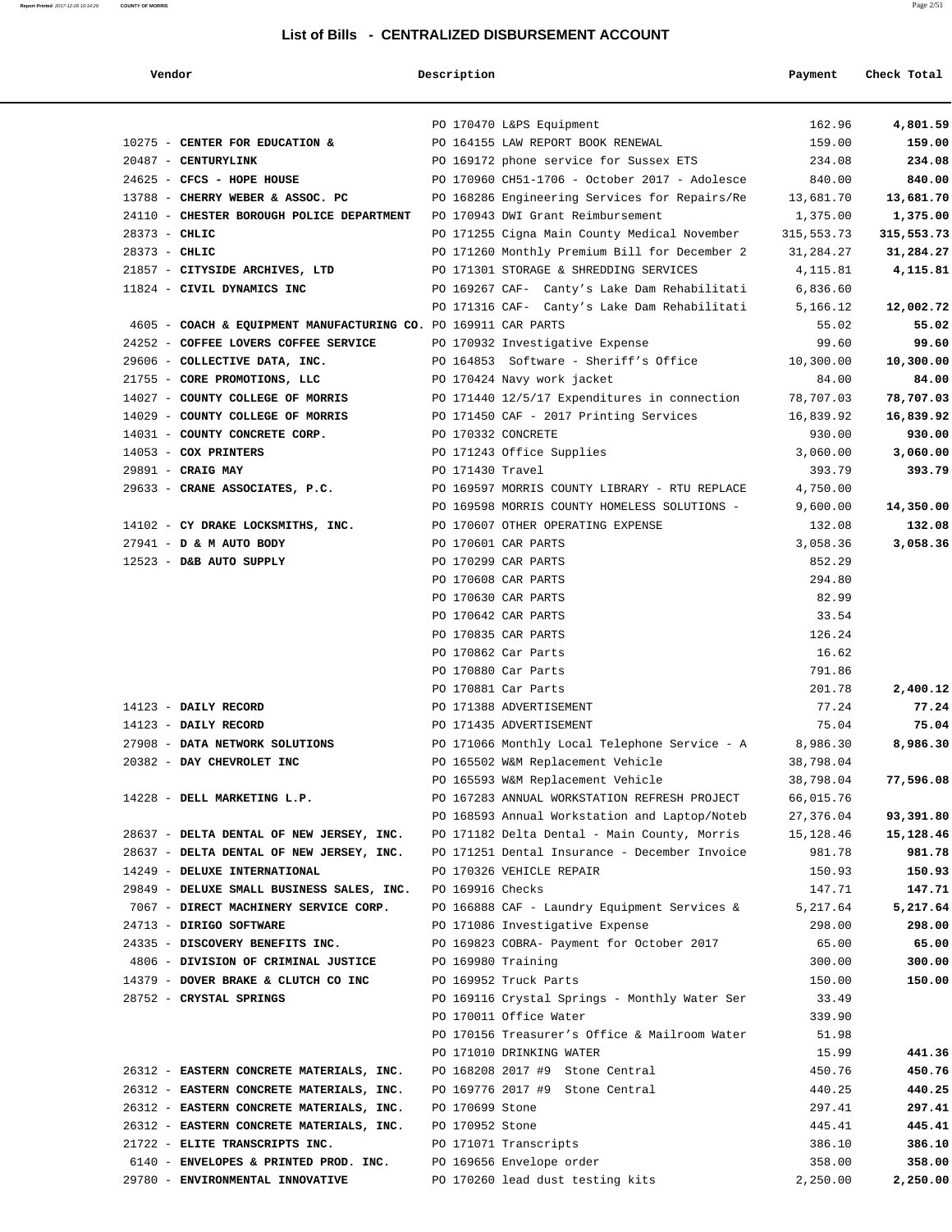| Vendor                                                                                | Description     |                                               | Payment         | Check Total |
|---------------------------------------------------------------------------------------|-----------------|-----------------------------------------------|-----------------|-------------|
|                                                                                       |                 | PO 170470 L&PS Equipment                      | 162.96          | 4,801.59    |
| 10275 - CENTER FOR EDUCATION &                                                        |                 | PO 164155 LAW REPORT BOOK RENEWAL             | 159.00          | 159.00      |
| 20487 - CENTURYLINK                                                                   |                 | PO 169172 phone service for Sussex ETS        | 234.08          | 234.08      |
| 24625 - CFCS - HOPE HOUSE                                                             |                 | PO 170960 CH51-1706 - October 2017 - Adolesce | 840.00          | 840.00      |
| 13788 - CHERRY WEBER & ASSOC. PC                                                      |                 | PO 168286 Engineering Services for Repairs/Re | 13,681.70       | 13,681.70   |
| 24110 - CHESTER BOROUGH POLICE DEPARTMENT                                             |                 | PO 170943 DWI Grant Reimbursement             | 1,375.00        | 1,375.00    |
| $28373 - CHLIC$                                                                       |                 | PO 171255 Cigna Main County Medical November  | 315,553.73      | 315,553.73  |
| $28373 - CHLIC$                                                                       |                 | PO 171260 Monthly Premium Bill for December 2 | 31,284.27       | 31,284.27   |
| 21857 - CITYSIDE ARCHIVES, LTD                                                        |                 | PO 171301 STORAGE & SHREDDING SERVICES        | 4,115.81        | 4,115.81    |
| 11824 - CIVIL DYNAMICS INC                                                            |                 | PO 169267 CAF- Canty's Lake Dam Rehabilitati  | 6,836.60        |             |
|                                                                                       |                 | PO 171316 CAF- Canty's Lake Dam Rehabilitati  | 5,166.12        | 12,002.72   |
| 4605 - COACH & EQUIPMENT MANUFACTURING CO. PO 169911 CAR PARTS                        |                 |                                               | 55.02           | 55.02       |
| 24252 - COFFEE LOVERS COFFEE SERVICE                                                  |                 | PO 170932 Investigative Expense               | 99.60           | 99.60       |
| 29606 - COLLECTIVE DATA, INC.                                                         |                 | PO 164853 Software - Sheriff's Office         | 10,300.00       | 10,300.00   |
| 21755 - CORE PROMOTIONS, LLC                                                          |                 | PO 170424 Navy work jacket                    | 84.00           | 84.00       |
| 14027 - COUNTY COLLEGE OF MORRIS                                                      |                 | PO 171440 12/5/17 Expenditures in connection  | 78,707.03       | 78,707.03   |
| 14029 - COUNTY COLLEGE OF MORRIS                                                      |                 | PO 171450 CAF - 2017 Printing Services        | 16,839.92       | 16,839.92   |
| 14031 - COUNTY CONCRETE CORP.                                                         |                 | PO 170332 CONCRETE                            | 930.00          | 930.00      |
| 14053 - COX PRINTERS                                                                  |                 | PO 171243 Office Supplies                     | 3,060.00        | 3,060.00    |
| 29891 - CRAIG MAY                                                                     |                 | PO 171430 Travel                              | 393.79          | 393.79      |
| 29633 - CRANE ASSOCIATES, P.C.                                                        |                 | PO 169597 MORRIS COUNTY LIBRARY - RTU REPLACE | 4,750.00        |             |
|                                                                                       |                 | PO 169598 MORRIS COUNTY HOMELESS SOLUTIONS -  | 9,600.00        | 14,350.00   |
| 14102 - CY DRAKE LOCKSMITHS, INC.                                                     |                 | PO 170607 OTHER OPERATING EXPENSE             | 132.08          | 132.08      |
| 27941 - D & M AUTO BODY                                                               |                 | PO 170601 CAR PARTS                           | 3,058.36        | 3,058.36    |
| 12523 - D&B AUTO SUPPLY                                                               |                 | PO 170299 CAR PARTS                           | 852.29          |             |
|                                                                                       |                 | PO 170608 CAR PARTS<br>PO 170630 CAR PARTS    | 294.80<br>82.99 |             |
|                                                                                       |                 | PO 170642 CAR PARTS                           | 33.54           |             |
|                                                                                       |                 | PO 170835 CAR PARTS                           | 126.24          |             |
|                                                                                       |                 | PO 170862 Car Parts                           | 16.62           |             |
|                                                                                       |                 | PO 170880 Car Parts                           | 791.86          |             |
|                                                                                       |                 | PO 170881 Car Parts                           | 201.78          | 2,400.12    |
| $14123$ - DAILY RECORD                                                                |                 | PO 171388 ADVERTISEMENT                       | 77.24           | 77.24       |
| 14123 - DAILY RECORD                                                                  |                 | PO 171435 ADVERTISEMENT                       | 75.04           | 75.04       |
| 27908 - DATA NETWORK SOLUTIONS                                                        |                 | PO 171066 Monthly Local Telephone Service - A | 8,986.30        | 8,986.30    |
| 20382 - DAY CHEVROLET INC                                                             |                 | PO 165502 W&M Replacement Vehicle             | 38,798.04       |             |
|                                                                                       |                 | PO 165593 W&M Replacement Vehicle             | 38,798.04       | 77,596.08   |
| 14228 - DELL MARKETING L.P.                                                           |                 | PO 167283 ANNUAL WORKSTATION REFRESH PROJECT  | 66,015.76       |             |
|                                                                                       |                 | PO 168593 Annual Workstation and Laptop/Noteb | 27,376.04       | 93,391.80   |
| 28637 - DELTA DENTAL OF NEW JERSEY, INC. PO 171182 Delta Dental - Main County, Morris |                 |                                               | 15,128.46       | 15,128.46   |
| 28637 - DELTA DENTAL OF NEW JERSEY, INC.                                              |                 | PO 171251 Dental Insurance - December Invoice | 981.78          | 981.78      |
| 14249 - DELUXE INTERNATIONAL                                                          |                 | PO 170326 VEHICLE REPAIR                      | 150.93          | 150.93      |
| 29849 - DELUXE SMALL BUSINESS SALES, INC.                                             |                 | PO 169916 Checks                              | 147.71          | 147.71      |
| 7067 - DIRECT MACHINERY SERVICE CORP.                                                 |                 | PO 166888 CAF - Laundry Equipment Services &  | 5,217.64        | 5,217.64    |
| 24713 - DIRIGO SOFTWARE                                                               |                 | PO 171086 Investigative Expense               | 298.00          | 298.00      |
| 24335 - DISCOVERY BENEFITS INC.                                                       |                 | PO 169823 COBRA- Payment for October 2017     | 65.00           | 65.00       |
| 4806 - DIVISION OF CRIMINAL JUSTICE                                                   |                 | PO 169980 Training                            | 300.00          | 300.00      |
| 14379 - DOVER BRAKE & CLUTCH CO INC                                                   |                 | PO 169952 Truck Parts                         | 150.00          | 150.00      |
| 28752 - CRYSTAL SPRINGS                                                               |                 | PO 169116 Crystal Springs - Monthly Water Ser | 33.49           |             |
|                                                                                       |                 | PO 170011 Office Water                        | 339.90          |             |
|                                                                                       |                 | PO 170156 Treasurer's Office & Mailroom Water | 51.98           |             |
|                                                                                       |                 | PO 171010 DRINKING WATER                      | 15.99           | 441.36      |
| 26312 - EASTERN CONCRETE MATERIALS, INC.                                              |                 | PO 168208 2017 #9 Stone Central               | 450.76          | 450.76      |
| 26312 - EASTERN CONCRETE MATERIALS, INC.                                              |                 | PO 169776 2017 #9 Stone Central               | 440.25          | 440.25      |
| 26312 - EASTERN CONCRETE MATERIALS, INC.                                              | PO 170699 Stone |                                               | 297.41          | 297.41      |
| 26312 - EASTERN CONCRETE MATERIALS, INC.                                              | PO 170952 Stone |                                               | 445.41          | 445.41      |
| 21722 - ELITE TRANSCRIPTS INC.                                                        |                 | PO 171071 Transcripts                         | 386.10          | 386.10      |
| 6140 - ENVELOPES & PRINTED PROD. INC.                                                 |                 | PO 169656 Envelope order                      | 358.00          | 358.00      |
| 29780 - ENVIRONMENTAL INNOVATIVE                                                      |                 | PO 170260 lead dust testing kits              | 2,250.00        | 2,250.00    |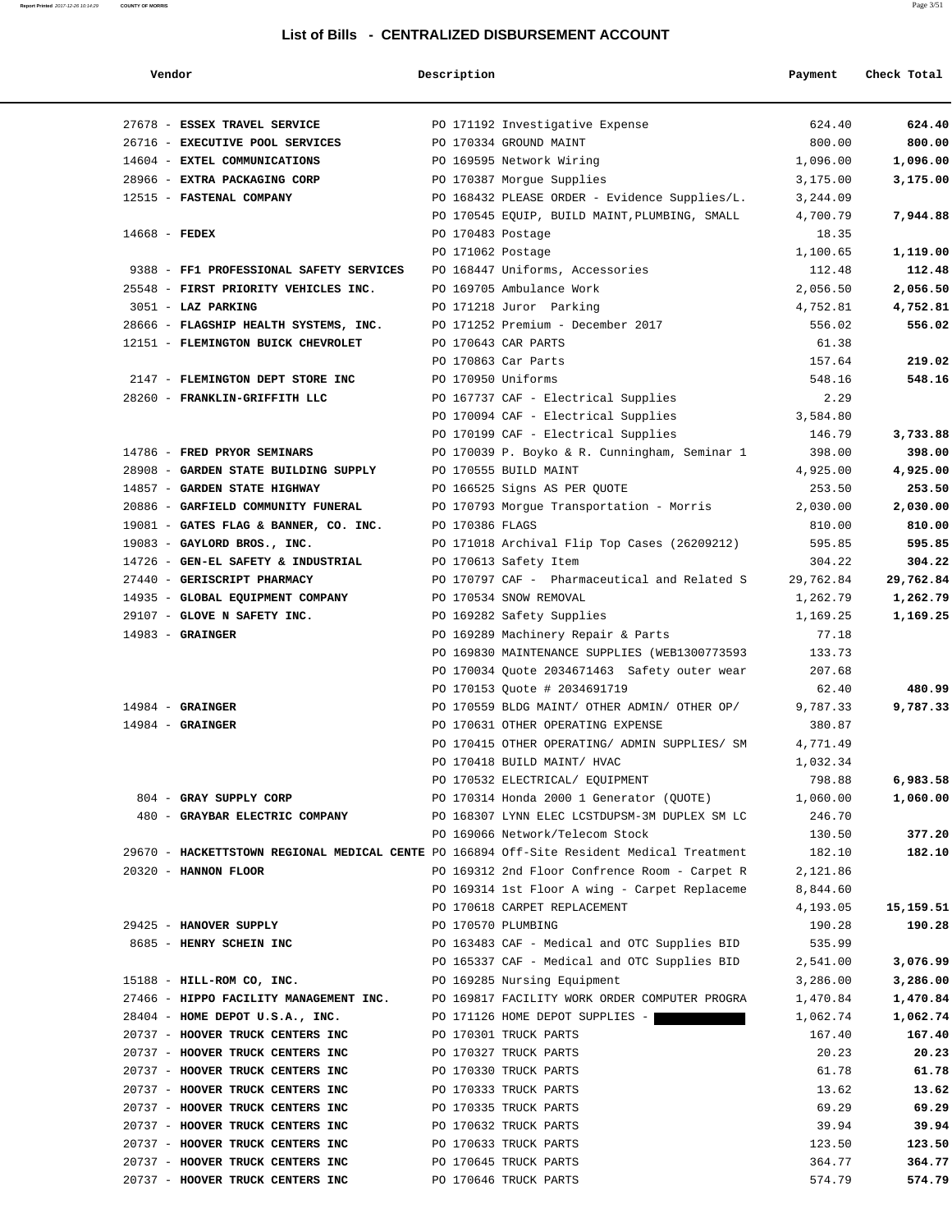## **Report Printed** 2017-12-26 10:14:29 **COUNTY OF MORRIS** Page 3/51

| Vendor                                                                                    | Description       |                                               | Payment   | Check Total |
|-------------------------------------------------------------------------------------------|-------------------|-----------------------------------------------|-----------|-------------|
| 27678 - ESSEX TRAVEL SERVICE                                                              |                   | PO 171192 Investigative Expense               | 624.40    | 624.40      |
| 26716 - EXECUTIVE POOL SERVICES                                                           |                   | PO 170334 GROUND MAINT                        | 800.00    | 800.00      |
| 14604 - EXTEL COMMUNICATIONS                                                              |                   | PO 169595 Network Wiring                      | 1,096.00  | 1,096.00    |
| 28966 - EXTRA PACKAGING CORP                                                              |                   | PO 170387 Morgue Supplies                     | 3,175.00  | 3,175.00    |
| 12515 - FASTENAL COMPANY                                                                  |                   | PO 168432 PLEASE ORDER - Evidence Supplies/L. | 3,244.09  |             |
|                                                                                           |                   | PO 170545 EQUIP, BUILD MAINT, PLUMBING, SMALL | 4,700.79  | 7,944.88    |
| $14668$ - FEDEX                                                                           | PO 170483 Postage |                                               | 18.35     |             |
|                                                                                           | PO 171062 Postage |                                               | 1,100.65  | 1,119.00    |
| 9388 - FF1 PROFESSIONAL SAFETY SERVICES                                                   |                   | PO 168447 Uniforms, Accessories               | 112.48    | 112.48      |
| 25548 - FIRST PRIORITY VEHICLES INC.                                                      |                   | PO 169705 Ambulance Work                      | 2,056.50  | 2,056.50    |
| 3051 - LAZ PARKING                                                                        |                   | PO 171218 Juror Parking                       | 4,752.81  | 4,752.81    |
| 28666 - FLAGSHIP HEALTH SYSTEMS, INC.                                                     |                   | PO 171252 Premium - December 2017             | 556.02    | 556.02      |
| 12151 - FLEMINGTON BUICK CHEVROLET                                                        |                   | PO 170643 CAR PARTS                           | 61.38     |             |
|                                                                                           |                   | PO 170863 Car Parts                           | 157.64    | 219.02      |
| 2147 - FLEMINGTON DEPT STORE INC                                                          |                   | PO 170950 Uniforms                            | 548.16    | 548.16      |
| 28260 - FRANKLIN-GRIFFITH LLC                                                             |                   | PO 167737 CAF - Electrical Supplies           | 2.29      |             |
|                                                                                           |                   | PO 170094 CAF - Electrical Supplies           | 3,584.80  |             |
|                                                                                           |                   | PO 170199 CAF - Electrical Supplies           | 146.79    | 3,733.88    |
| 14786 - FRED PRYOR SEMINARS                                                               |                   | PO 170039 P. Boyko & R. Cunningham, Seminar 1 | 398.00    | 398.00      |
| 28908 - GARDEN STATE BUILDING SUPPLY                                                      |                   | PO 170555 BUILD MAINT                         | 4,925.00  | 4,925.00    |
| 14857 - GARDEN STATE HIGHWAY                                                              |                   | PO 166525 Signs AS PER QUOTE                  | 253.50    | 253.50      |
| 20886 - GARFIELD COMMUNITY FUNERAL                                                        |                   | PO 170793 Morgue Transportation - Morris      | 2,030.00  | 2,030.00    |
| 19081 - GATES FLAG & BANNER, CO. INC.                                                     | PO 170386 FLAGS   |                                               | 810.00    | 810.00      |
| 19083 - GAYLORD BROS., INC.                                                               |                   | PO 171018 Archival Flip Top Cases (26209212)  | 595.85    | 595.85      |
| 14726 - GEN-EL SAFETY & INDUSTRIAL                                                        |                   | PO 170613 Safety Item                         | 304.22    | 304.22      |
| 27440 - GERISCRIPT PHARMACY                                                               |                   | PO 170797 CAF - Pharmaceutical and Related S  | 29,762.84 | 29,762.84   |
| 14935 - GLOBAL EQUIPMENT COMPANY                                                          |                   | PO 170534 SNOW REMOVAL                        | 1,262.79  | 1,262.79    |
| 29107 - GLOVE N SAFETY INC.                                                               |                   | PO 169282 Safety Supplies                     | 1,169.25  | 1,169.25    |
| $14983$ - GRAINGER                                                                        |                   | PO 169289 Machinery Repair & Parts            | 77.18     |             |
|                                                                                           |                   | PO 169830 MAINTENANCE SUPPLIES (WEB1300773593 | 133.73    |             |
|                                                                                           |                   | PO 170034 Quote 2034671463 Safety outer wear  | 207.68    |             |
|                                                                                           |                   | PO 170153 Quote # 2034691719                  | 62.40     | 480.99      |
| $14984$ - GRAINGER                                                                        |                   | PO 170559 BLDG MAINT/ OTHER ADMIN/ OTHER OP/  | 9,787.33  | 9,787.33    |
| $14984$ - GRAINGER                                                                        |                   | PO 170631 OTHER OPERATING EXPENSE             | 380.87    |             |
|                                                                                           |                   | PO 170415 OTHER OPERATING/ ADMIN SUPPLIES/ SM | 4,771.49  |             |
|                                                                                           |                   | PO 170418 BUILD MAINT/ HVAC                   | 1,032.34  |             |
|                                                                                           |                   | PO 170532 ELECTRICAL/ EQUIPMENT               | 798.88    | 6,983.58    |
| 804 - GRAY SUPPLY CORP                                                                    |                   | PO 170314 Honda 2000 1 Generator (QUOTE)      | 1,060.00  | 1,060.00    |
| 480 - GRAYBAR ELECTRIC COMPANY                                                            |                   | PO 168307 LYNN ELEC LCSTDUPSM-3M DUPLEX SM LC | 246.70    |             |
|                                                                                           |                   | PO 169066 Network/Telecom Stock               | 130.50    | 377.20      |
| 29670 - HACKETTSTOWN REGIONAL MEDICAL CENTE PO 166894 Off-Site Resident Medical Treatment |                   |                                               | 182.10    | 182.10      |
| 20320 - HANNON FLOOR                                                                      |                   | PO 169312 2nd Floor Confrence Room - Carpet R | 2,121.86  |             |
|                                                                                           |                   | PO 169314 1st Floor A wing - Carpet Replaceme | 8,844.60  |             |
|                                                                                           |                   | PO 170618 CARPET REPLACEMENT                  | 4,193.05  | 15,159.51   |
| 29425 - HANOVER SUPPLY                                                                    |                   | PO 170570 PLUMBING                            | 190.28    | 190.28      |
| 8685 - HENRY SCHEIN INC                                                                   |                   | PO 163483 CAF - Medical and OTC Supplies BID  | 535.99    |             |
|                                                                                           |                   | PO 165337 CAF - Medical and OTC Supplies BID  | 2,541.00  | 3,076.99    |
| 15188 - HILL-ROM CO, INC.                                                                 |                   | PO 169285 Nursing Equipment                   | 3,286.00  | 3,286.00    |
| 27466 - HIPPO FACILITY MANAGEMENT INC.                                                    |                   | PO 169817 FACILITY WORK ORDER COMPUTER PROGRA | 1,470.84  | 1,470.84    |
| 28404 - HOME DEPOT U.S.A., INC.                                                           |                   | PO 171126 HOME DEPOT SUPPLIES -               | 1,062.74  | 1,062.74    |
| 20737 - HOOVER TRUCK CENTERS INC                                                          |                   | PO 170301 TRUCK PARTS                         | 167.40    | 167.40      |
| 20737 - HOOVER TRUCK CENTERS INC                                                          |                   | PO 170327 TRUCK PARTS                         | 20.23     | 20.23       |
| 20737 - HOOVER TRUCK CENTERS INC                                                          |                   | PO 170330 TRUCK PARTS                         | 61.78     | 61.78       |
| 20737 - HOOVER TRUCK CENTERS INC                                                          |                   | PO 170333 TRUCK PARTS                         | 13.62     | 13.62       |
| 20737 - HOOVER TRUCK CENTERS INC                                                          |                   | PO 170335 TRUCK PARTS                         | 69.29     | 69.29       |
| 20737 - HOOVER TRUCK CENTERS INC                                                          |                   | PO 170632 TRUCK PARTS                         | 39.94     | 39.94       |
| 20737 - HOOVER TRUCK CENTERS INC                                                          |                   | PO 170633 TRUCK PARTS                         | 123.50    | 123.50      |
| 20737 - HOOVER TRUCK CENTERS INC                                                          |                   | PO 170645 TRUCK PARTS                         | 364.77    | 364.77      |
| 20737 - HOOVER TRUCK CENTERS INC                                                          |                   | PO 170646 TRUCK PARTS                         | 574.79    | 574.79      |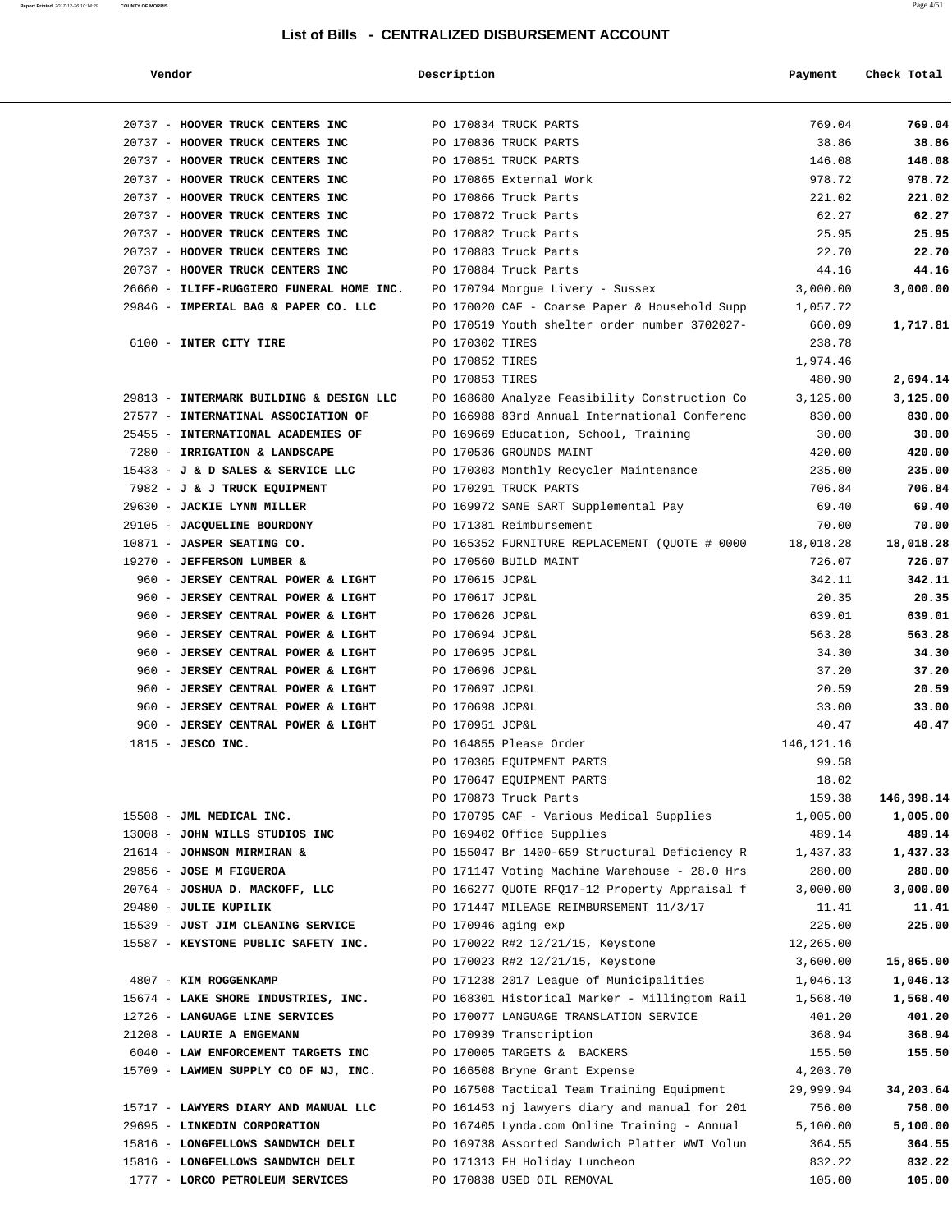| Vendor                                   | Description     |                                               | Payment      | Check Total |
|------------------------------------------|-----------------|-----------------------------------------------|--------------|-------------|
| 20737 - HOOVER TRUCK CENTERS INC         |                 | PO 170834 TRUCK PARTS                         | 769.04       | 769.04      |
| 20737 - HOOVER TRUCK CENTERS INC         |                 | PO 170836 TRUCK PARTS                         | 38.86        | 38.86       |
| 20737 - HOOVER TRUCK CENTERS INC         |                 | PO 170851 TRUCK PARTS                         | 146.08       | 146.08      |
| 20737 - HOOVER TRUCK CENTERS INC         |                 | PO 170865 External Work                       | 978.72       | 978.72      |
| 20737 - HOOVER TRUCK CENTERS INC         |                 | PO 170866 Truck Parts                         | 221.02       | 221.02      |
| 20737 - HOOVER TRUCK CENTERS INC         |                 | PO 170872 Truck Parts                         | 62.27        | 62.27       |
| 20737 - HOOVER TRUCK CENTERS INC         |                 | PO 170882 Truck Parts                         | 25.95        | 25.95       |
| 20737 - HOOVER TRUCK CENTERS INC         |                 | PO 170883 Truck Parts                         | 22.70        | 22.70       |
| 20737 - HOOVER TRUCK CENTERS INC         |                 | PO 170884 Truck Parts                         | 44.16        | 44.16       |
| 26660 - ILIFF-RUGGIERO FUNERAL HOME INC. |                 | PO 170794 Morgue Livery - Sussex              | 3,000.00     | 3,000.00    |
| 29846 - IMPERIAL BAG & PAPER CO. LLC     |                 | PO 170020 CAF - Coarse Paper & Household Supp | 1,057.72     |             |
|                                          |                 | PO 170519 Youth shelter order number 3702027- | 660.09       | 1,717.81    |
| 6100 - INTER CITY TIRE                   | PO 170302 TIRES |                                               | 238.78       |             |
|                                          | PO 170852 TIRES |                                               | 1,974.46     |             |
|                                          | PO 170853 TIRES |                                               | 480.90       | 2,694.14    |
| 29813 - INTERMARK BUILDING & DESIGN LLC  |                 | PO 168680 Analyze Feasibility Construction Co | 3,125.00     | 3,125.00    |
| 27577 - INTERNATINAL ASSOCIATION OF      |                 | PO 166988 83rd Annual International Conferenc | 830.00       | 830.00      |
| 25455 - INTERNATIONAL ACADEMIES OF       |                 | PO 169669 Education, School, Training         | 30.00        | 30.00       |
| 7280 - IRRIGATION & LANDSCAPE            |                 | PO 170536 GROUNDS MAINT                       | 420.00       | 420.00      |
| 15433 - J & D SALES & SERVICE LLC        |                 | PO 170303 Monthly Recycler Maintenance        | 235.00       | 235.00      |
| 7982 - J & J TRUCK EOUIPMENT             |                 | PO 170291 TRUCK PARTS                         | 706.84       | 706.84      |
| 29630 - JACKIE LYNN MILLER               |                 | PO 169972 SANE SART Supplemental Pay          | 69.40        | 69.40       |
| 29105 - JACQUELINE BOURDONY              |                 | PO 171381 Reimbursement                       | 70.00        | 70.00       |
| 10871 - JASPER SEATING CO.               |                 | PO 165352 FURNITURE REPLACEMENT (QUOTE # 0000 | 18,018.28    | 18,018.28   |
| 19270 - JEFFERSON LUMBER &               |                 | PO 170560 BUILD MAINT                         | 726.07       | 726.07      |
| 960 - JERSEY CENTRAL POWER & LIGHT       | PO 170615 JCP&L |                                               | 342.11       | 342.11      |
| 960 - JERSEY CENTRAL POWER & LIGHT       | PO 170617 JCP&L |                                               | 20.35        | 20.35       |
| 960 - JERSEY CENTRAL POWER & LIGHT       | PO 170626 JCP&L |                                               | 639.01       | 639.01      |
| 960 - JERSEY CENTRAL POWER & LIGHT       | PO 170694 JCP&L |                                               | 563.28       | 563.28      |
| 960 - JERSEY CENTRAL POWER & LIGHT       | PO 170695 JCP&L |                                               | 34.30        | 34.30       |
| 960 - JERSEY CENTRAL POWER & LIGHT       | PO 170696 JCP&L |                                               | 37.20        | 37.20       |
| 960 - JERSEY CENTRAL POWER & LIGHT       | PO 170697 JCP&L |                                               | 20.59        | 20.59       |
| 960 - JERSEY CENTRAL POWER & LIGHT       | PO 170698 JCP&L |                                               | 33.00        | 33.00       |
| 960 - JERSEY CENTRAL POWER & LIGHT       | PO 170951 JCP&L |                                               | 40.47        | 40.47       |
| $1815$ - JESCO INC.                      |                 | PO 164855 Please Order                        | 146, 121. 16 |             |
|                                          |                 | PO 170305 EOUIPMENT PARTS                     | 99.58        |             |
|                                          |                 | PO 170647 EQUIPMENT PARTS                     | 18.02        |             |
|                                          |                 | PO 170873 Truck Parts                         | 159.38       | 146,398.14  |
| 15508 - JML MEDICAL INC.                 |                 | PO 170795 CAF - Various Medical Supplies      | 1,005.00     | 1,005.00    |
| 13008 - JOHN WILLS STUDIOS INC           |                 | PO 169402 Office Supplies                     | 489.14       | 489.14      |
| 21614 - JOHNSON MIRMIRAN &               |                 | PO 155047 Br 1400-659 Structural Deficiency R | 1,437.33     | 1,437.33    |
| 29856 - JOSE M FIGUEROA                  |                 | PO 171147 Voting Machine Warehouse - 28.0 Hrs | 280.00       | 280.00      |
| 20764 - JOSHUA D. MACKOFF, LLC           |                 | PO 166277 QUOTE RFQ17-12 Property Appraisal f | 3,000.00     | 3,000.00    |
| 29480 - JULIE KUPILIK                    |                 | PO 171447 MILEAGE REIMBURSEMENT 11/3/17       | 11.41        | 11.41       |
| 15539 - JUST JIM CLEANING SERVICE        |                 | PO 170946 aging exp                           | 225.00       | 225.00      |
| 15587 - KEYSTONE PUBLIC SAFETY INC.      |                 | PO 170022 R#2 12/21/15, Keystone              | 12,265.00    |             |
|                                          |                 | PO 170023 R#2 12/21/15, Keystone              | 3,600.00     | 15,865.00   |
| 4807 - KIM ROGGENKAMP                    |                 | PO 171238 2017 League of Municipalities       | 1,046.13     | 1,046.13    |
| 15674 - LAKE SHORE INDUSTRIES, INC.      |                 | PO 168301 Historical Marker - Millingtom Rail | 1,568.40     | 1,568.40    |
| 12726 - LANGUAGE LINE SERVICES           |                 | PO 170077 LANGUAGE TRANSLATION SERVICE        | 401.20       | 401.20      |
| 21208 - LAURIE A ENGEMANN                |                 | PO 170939 Transcription                       | 368.94       | 368.94      |
| 6040 - LAW ENFORCEMENT TARGETS INC       |                 | PO 170005 TARGETS & BACKERS                   | 155.50       | 155.50      |
| 15709 - LAWMEN SUPPLY CO OF NJ, INC.     |                 | PO 166508 Bryne Grant Expense                 | 4,203.70     |             |
|                                          |                 | PO 167508 Tactical Team Training Equipment    | 29,999.94    | 34,203.64   |
| 15717 - LAWYERS DIARY AND MANUAL LLC     |                 | PO 161453 nj lawyers diary and manual for 201 | 756.00       | 756.00      |
| 29695 - LINKEDIN CORPORATION             |                 | PO 167405 Lynda.com Online Training - Annual  | 5,100.00     | 5,100.00    |
| 15816 - LONGFELLOWS SANDWICH DELI        |                 | PO 169738 Assorted Sandwich Platter WWI Volun | 364.55       | 364.55      |
| 15816 - LONGFELLOWS SANDWICH DELI        |                 | PO 171313 FH Holiday Luncheon                 | 832.22       | 832.22      |
| 1777 - LORCO PETROLEUM SERVICES          |                 | PO 170838 USED OIL REMOVAL                    | 105.00       | 105.00      |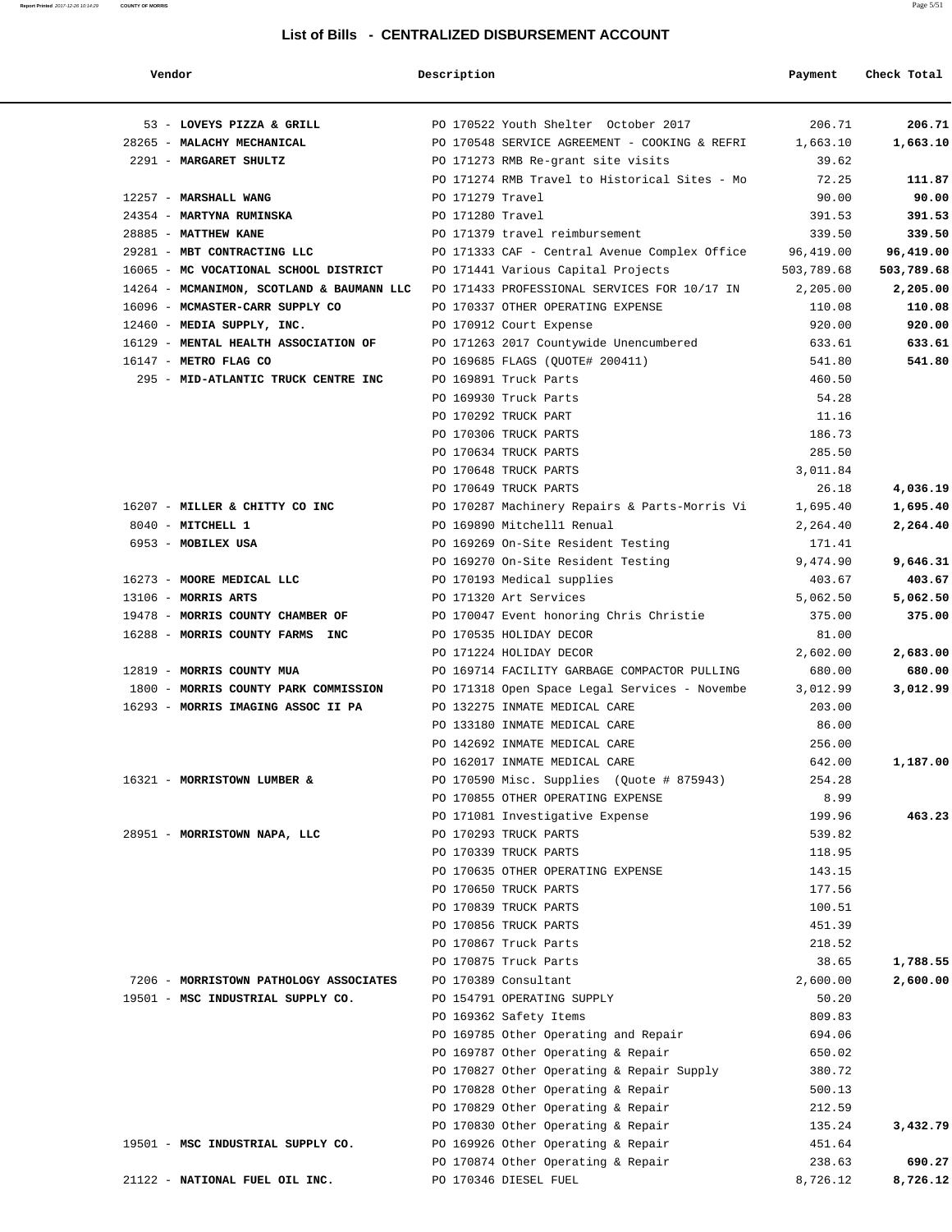| Vendor                                    | Description            |                                                                          | Payment          | Check Total |
|-------------------------------------------|------------------------|--------------------------------------------------------------------------|------------------|-------------|
| 53 - LOVEYS PIZZA & GRILL                 |                        | PO 170522 Youth Shelter October 2017                                     | 206.71           | 206.71      |
| 28265 - MALACHY MECHANICAL                |                        | PO 170548 SERVICE AGREEMENT - COOKING & REFRI                            | 1,663.10         | 1,663.10    |
| 2291 - MARGARET SHULTZ                    |                        | PO 171273 RMB Re-grant site visits                                       | 39.62            |             |
|                                           |                        | PO 171274 RMB Travel to Historical Sites - Mo                            | 72.25            | 111.87      |
| 12257 - MARSHALL WANG                     | PO 171279 Travel       |                                                                          | 90.00            | 90.00       |
| 24354 - MARTYNA RUMINSKA                  | PO 171280 Travel       |                                                                          | 391.53           | 391.53      |
| 28885 - MATTHEW KANE                      |                        | PO 171379 travel reimbursement                                           | 339.50           | 339.50      |
| 29281 - MBT CONTRACTING LLC               |                        | PO 171333 CAF - Central Avenue Complex Office                            | 96,419.00        | 96,419.00   |
| 16065 - MC VOCATIONAL SCHOOL DISTRICT     |                        | PO 171441 Various Capital Projects                                       | 503,789.68       | 503,789.68  |
| 14264 - MCMANIMON, SCOTLAND & BAUMANN LLC |                        | PO 171433 PROFESSIONAL SERVICES FOR 10/17 IN                             | 2,205.00         | 2,205.00    |
| 16096 - MCMASTER-CARR SUPPLY CO           |                        | PO 170337 OTHER OPERATING EXPENSE                                        | 110.08           | 110.08      |
| 12460 - MEDIA SUPPLY, INC.                |                        | PO 170912 Court Expense                                                  | 920.00           | 920.00      |
| 16129 - MENTAL HEALTH ASSOCIATION OF      |                        | PO 171263 2017 Countywide Unencumbered                                   | 633.61           | 633.61      |
| 16147 - METRO FLAG CO                     |                        | PO 169685 FLAGS (QUOTE# 200411)                                          | 541.80           | 541.80      |
| 295 - MID-ATLANTIC TRUCK CENTRE INC       | PO 169891 Truck Parts  |                                                                          | 460.50           |             |
|                                           | PO 169930 Truck Parts  |                                                                          | 54.28            |             |
|                                           | PO 170292 TRUCK PART   |                                                                          | 11.16            |             |
|                                           | PO 170306 TRUCK PARTS  |                                                                          | 186.73           |             |
|                                           | PO 170634 TRUCK PARTS  |                                                                          | 285.50           |             |
|                                           | PO 170648 TRUCK PARTS  |                                                                          | 3,011.84         |             |
|                                           | PO 170649 TRUCK PARTS  |                                                                          | 26.18            | 4,036.19    |
| 16207 - MILLER & CHITTY CO INC            |                        | PO 170287 Machinery Repairs & Parts-Morris Vi                            | 1,695.40         | 1,695.40    |
| 8040 - MITCHELL 1                         |                        | PO 169890 Mitchell1 Renual                                               | 2,264.40         | 2,264.40    |
| 6953 - MOBILEX USA                        |                        | PO 169269 On-Site Resident Testing                                       | 171.41           |             |
|                                           |                        | PO 169270 On-Site Resident Testing                                       | 9,474.90         | 9,646.31    |
| 16273 - MOORE MEDICAL LLC                 |                        | PO 170193 Medical supplies                                               | 403.67           | 403.67      |
| 13106 - MORRIS ARTS                       | PO 171320 Art Services |                                                                          | 5,062.50         | 5,062.50    |
| 19478 - MORRIS COUNTY CHAMBER OF          |                        | PO 170047 Event honoring Chris Christie                                  | 375.00           | 375.00      |
| 16288 - MORRIS COUNTY FARMS INC           |                        | PO 170535 HOLIDAY DECOR                                                  | 81.00            |             |
|                                           |                        | PO 171224 HOLIDAY DECOR                                                  | 2,602.00         | 2,683.00    |
| 12819 - MORRIS COUNTY MUA                 |                        | PO 169714 FACILITY GARBAGE COMPACTOR PULLING                             | 680.00           | 680.00      |
| 1800 - MORRIS COUNTY PARK COMMISSION      |                        | PO 171318 Open Space Legal Services - Novembe                            | 3,012.99         | 3,012.99    |
| 16293 - MORRIS IMAGING ASSOC II PA        |                        | PO 132275 INMATE MEDICAL CARE                                            | 203.00           |             |
|                                           |                        | PO 133180 INMATE MEDICAL CARE                                            | 86.00            |             |
|                                           |                        | PO 142692 INMATE MEDICAL CARE                                            | 256.00           |             |
|                                           |                        | PO 162017 INMATE MEDICAL CARE                                            | 642.00           | 1,187.00    |
| 16321 - MORRISTOWN LUMBER &               |                        | PO 170590 Misc. Supplies (Quote # 875943)                                | 254.28           |             |
|                                           |                        | PO 170855 OTHER OPERATING EXPENSE                                        | 8.99             |             |
|                                           |                        | PO 171081 Investigative Expense                                          | 199.96           | 463.23      |
| 28951 - MORRISTOWN NAPA, LLC              | PO 170293 TRUCK PARTS  |                                                                          | 539.82           |             |
|                                           | PO 170339 TRUCK PARTS  |                                                                          | 118.95           |             |
|                                           |                        | PO 170635 OTHER OPERATING EXPENSE                                        | 143.15           |             |
|                                           | PO 170650 TRUCK PARTS  |                                                                          | 177.56           |             |
|                                           | PO 170839 TRUCK PARTS  |                                                                          | 100.51           |             |
|                                           | PO 170856 TRUCK PARTS  |                                                                          | 451.39           |             |
|                                           | PO 170867 Truck Parts  |                                                                          | 218.52           |             |
|                                           | PO 170875 Truck Parts  |                                                                          | 38.65            | 1,788.55    |
| 7206 - MORRISTOWN PATHOLOGY ASSOCIATES    | PO 170389 Consultant   |                                                                          | 2,600.00         | 2,600.00    |
| 19501 - MSC INDUSTRIAL SUPPLY CO.         |                        | PO 154791 OPERATING SUPPLY                                               | 50.20            |             |
|                                           | PO 169362 Safety Items |                                                                          | 809.83           |             |
|                                           |                        | PO 169785 Other Operating and Repair                                     | 694.06           |             |
|                                           |                        | PO 169787 Other Operating & Repair                                       | 650.02           |             |
|                                           |                        | PO 170827 Other Operating & Repair Supply                                | 380.72           |             |
|                                           |                        | PO 170828 Other Operating & Repair                                       | 500.13           |             |
|                                           |                        | PO 170829 Other Operating & Repair                                       | 212.59           |             |
|                                           |                        | PO 170830 Other Operating & Repair                                       | 135.24           | 3,432.79    |
| 19501 - MSC INDUSTRIAL SUPPLY CO.         |                        | PO 169926 Other Operating & Repair<br>PO 170874 Other Operating & Repair | 451.64<br>238.63 | 690.27      |
| 21122 - NATIONAL FUEL OIL INC.            | PO 170346 DIESEL FUEL  |                                                                          | 8,726.12         | 8,726.12    |
|                                           |                        |                                                                          |                  |             |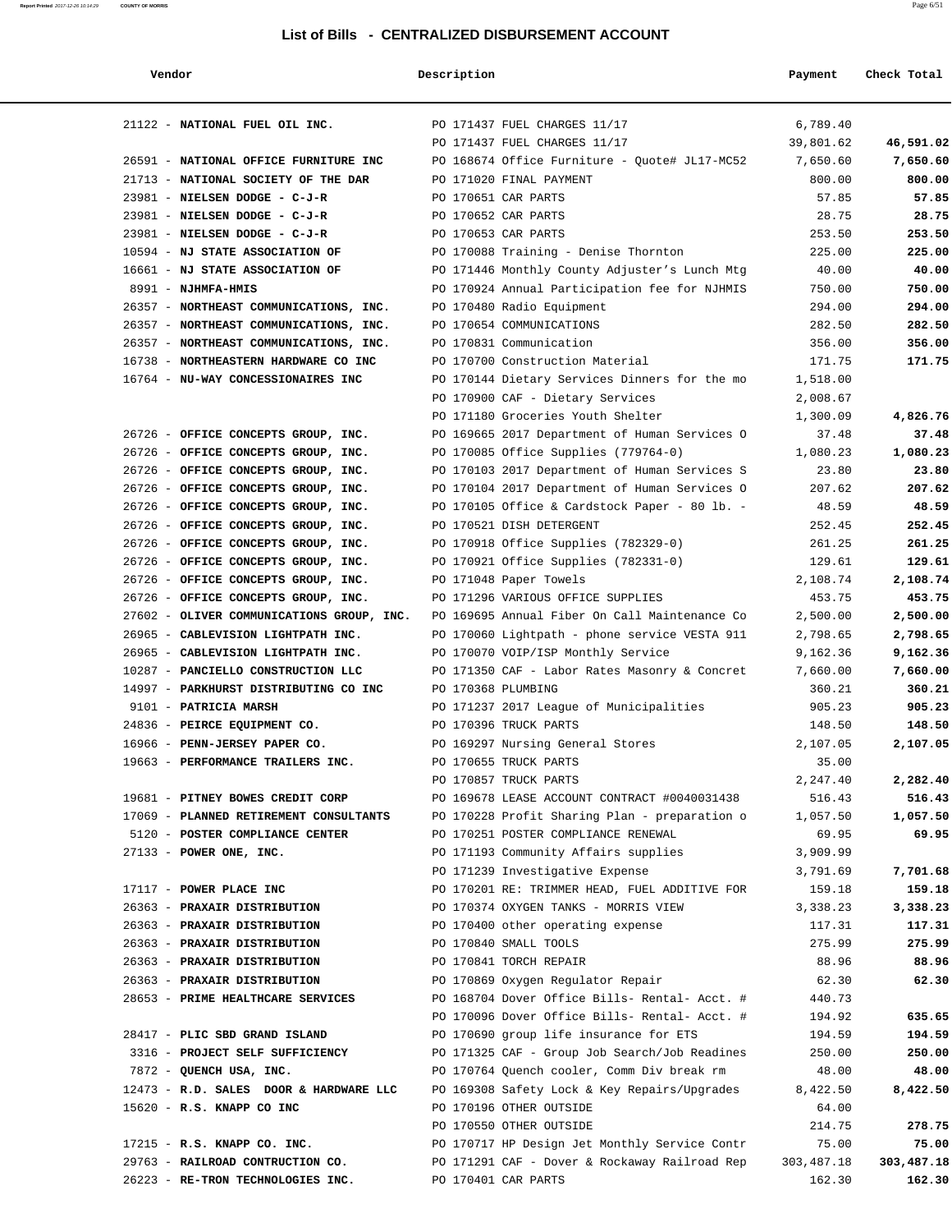## **Report Printed** 2017-12-26 10:14:29 **COUNTY OF MORRIS** Page 6/51

## **List of Bills - CENTRALIZED DISBURSEMENT ACCOUNT**

| endoi |  |
|-------|--|
|       |  |

# **Vendor Description Check Total Payment Check Total**

| 21122 - NATIONAL FUEL OIL INC.            |                    | PO 171437 FUEL CHARGES 11/17                  | 6,789.40   |            |
|-------------------------------------------|--------------------|-----------------------------------------------|------------|------------|
|                                           |                    | PO 171437 FUEL CHARGES 11/17                  | 39,801.62  | 46,591.02  |
| 26591 - NATIONAL OFFICE FURNITURE INC     |                    | PO 168674 Office Furniture - Quote# JL17-MC52 | 7,650.60   | 7,650.60   |
| 21713 - NATIONAL SOCIETY OF THE DAR       |                    | PO 171020 FINAL PAYMENT                       | 800.00     | 800.00     |
| 23981 - NIELSEN DODGE - C-J-R             |                    | PO 170651 CAR PARTS                           | 57.85      | 57.85      |
| 23981 - NIELSEN DODGE - C-J-R             |                    | PO 170652 CAR PARTS                           | 28.75      | 28.75      |
| 23981 - NIELSEN DODGE - C-J-R             |                    | PO 170653 CAR PARTS                           | 253.50     | 253.50     |
| 10594 - NJ STATE ASSOCIATION OF           |                    | PO 170088 Training - Denise Thornton          | 225.00     | 225.00     |
| 16661 - NJ STATE ASSOCIATION OF           |                    | PO 171446 Monthly County Adjuster's Lunch Mtg | 40.00      | 40.00      |
| 8991 - NJHMFA-HMIS                        |                    | PO 170924 Annual Participation fee for NJHMIS | 750.00     | 750.00     |
| 26357 - NORTHEAST COMMUNICATIONS, INC.    |                    | PO 170480 Radio Equipment                     | 294.00     | 294.00     |
| 26357 - NORTHEAST COMMUNICATIONS, INC.    |                    | PO 170654 COMMUNICATIONS                      | 282.50     | 282.50     |
| 26357 - NORTHEAST COMMUNICATIONS, INC.    |                    | PO 170831 Communication                       | 356.00     | 356.00     |
| 16738 - NORTHEASTERN HARDWARE CO INC      |                    | PO 170700 Construction Material               | 171.75     | 171.75     |
| 16764 - NU-WAY CONCESSIONAIRES INC        |                    | PO 170144 Dietary Services Dinners for the mo | 1,518.00   |            |
|                                           |                    | PO 170900 CAF - Dietary Services              | 2,008.67   |            |
|                                           |                    | PO 171180 Groceries Youth Shelter             | 1,300.09   | 4,826.76   |
| 26726 - OFFICE CONCEPTS GROUP, INC.       |                    | PO 169665 2017 Department of Human Services O | 37.48      | 37.48      |
| 26726 - OFFICE CONCEPTS GROUP, INC.       |                    | PO 170085 Office Supplies (779764-0)          | 1,080.23   | 1,080.23   |
| 26726 - OFFICE CONCEPTS GROUP, INC.       |                    | PO 170103 2017 Department of Human Services S | 23.80      | 23.80      |
| 26726 - OFFICE CONCEPTS GROUP, INC.       |                    | PO 170104 2017 Department of Human Services O | 207.62     | 207.62     |
| 26726 - OFFICE CONCEPTS GROUP, INC.       |                    | PO 170105 Office & Cardstock Paper - 80 lb. - | 48.59      | 48.59      |
| 26726 - OFFICE CONCEPTS GROUP, INC.       |                    | PO 170521 DISH DETERGENT                      | 252.45     | 252.45     |
| 26726 - OFFICE CONCEPTS GROUP, INC.       |                    | PO 170918 Office Supplies (782329-0)          | 261.25     | 261.25     |
| 26726 - OFFICE CONCEPTS GROUP, INC.       |                    | PO 170921 Office Supplies (782331-0)          | 129.61     | 129.61     |
| 26726 - OFFICE CONCEPTS GROUP, INC.       |                    | PO 171048 Paper Towels                        | 2,108.74   | 2,108.74   |
| 26726 - OFFICE CONCEPTS GROUP, INC.       |                    | PO 171296 VARIOUS OFFICE SUPPLIES             | 453.75     | 453.75     |
| 27602 - OLIVER COMMUNICATIONS GROUP, INC. |                    | PO 169695 Annual Fiber On Call Maintenance Co | 2,500.00   | 2,500.00   |
| 26965 - CABLEVISION LIGHTPATH INC.        |                    | PO 170060 Lightpath - phone service VESTA 911 | 2,798.65   | 2,798.65   |
| 26965 - CABLEVISION LIGHTPATH INC.        |                    | PO 170070 VOIP/ISP Monthly Service            | 9,162.36   | 9,162.36   |
| 10287 - PANCIELLO CONSTRUCTION LLC        |                    | PO 171350 CAF - Labor Rates Masonry & Concret | 7,660.00   | 7,660.00   |
| 14997 - PARKHURST DISTRIBUTING CO INC     | PO 170368 PLUMBING |                                               | 360.21     | 360.21     |
| 9101 - PATRICIA MARSH                     |                    | PO 171237 2017 League of Municipalities       | 905.23     | 905.23     |
| 24836 - PEIRCE EQUIPMENT CO.              |                    | PO 170396 TRUCK PARTS                         | 148.50     | 148.50     |
| 16966 - PENN-JERSEY PAPER CO.             |                    | PO 169297 Nursing General Stores              | 2,107.05   | 2,107.05   |
| 19663 - PERFORMANCE TRAILERS INC.         |                    | PO 170655 TRUCK PARTS                         | 35.00      |            |
|                                           |                    | PO 170857 TRUCK PARTS                         | 2,247.40   | 2,282.40   |
| 19681 - PITNEY BOWES CREDIT CORP          |                    | PO 169678 LEASE ACCOUNT CONTRACT #0040031438  | 516.43     | 516.43     |
| 17069 - PLANNED RETIREMENT CONSULTANTS    |                    | PO 170228 Profit Sharing Plan - preparation o | 1,057.50   | 1,057.50   |
| 5120 - POSTER COMPLIANCE CENTER           |                    | PO 170251 POSTER COMPLIANCE RENEWAL           | 69.95      | 69.95      |
| $27133$ - POWER ONE, INC.                 |                    | PO 171193 Community Affairs supplies          | 3,909.99   |            |
|                                           |                    | PO 171239 Investigative Expense               | 3,791.69   | 7,701.68   |
| 17117 - POWER PLACE INC                   |                    | PO 170201 RE: TRIMMER HEAD, FUEL ADDITIVE FOR | 159.18     | 159.18     |
| 26363 - PRAXAIR DISTRIBUTION              |                    | PO 170374 OXYGEN TANKS - MORRIS VIEW          | 3,338.23   | 3,338.23   |
| 26363 - PRAXAIR DISTRIBUTION              |                    | PO 170400 other operating expense             | 117.31     | 117.31     |
| 26363 - PRAXAIR DISTRIBUTION              |                    | PO 170840 SMALL TOOLS                         | 275.99     | 275.99     |
| 26363 - PRAXAIR DISTRIBUTION              |                    | PO 170841 TORCH REPAIR                        | 88.96      | 88.96      |
| 26363 - PRAXAIR DISTRIBUTION              |                    | PO 170869 Oxygen Regulator Repair             | 62.30      | 62.30      |
| 28653 - PRIME HEALTHCARE SERVICES         |                    | PO 168704 Dover Office Bills- Rental- Acct. # | 440.73     |            |
|                                           |                    | PO 170096 Dover Office Bills- Rental- Acct. # | 194.92     | 635.65     |
| 28417 - PLIC SBD GRAND ISLAND             |                    | PO 170690 group life insurance for ETS        | 194.59     | 194.59     |
| 3316 - PROJECT SELF SUFFICIENCY           |                    | PO 171325 CAF - Group Job Search/Job Readines | 250.00     | 250.00     |
| 7872 - QUENCH USA, INC.                   |                    | PO 170764 Quench cooler, Comm Div break rm    | 48.00      | 48.00      |
| 12473 - R.D. SALES DOOR & HARDWARE LLC    |                    | PO 169308 Safety Lock & Key Repairs/Upgrades  | 8,422.50   | 8,422.50   |
| 15620 - R.S. KNAPP CO INC                 |                    | PO 170196 OTHER OUTSIDE                       | 64.00      |            |
|                                           |                    | PO 170550 OTHER OUTSIDE                       | 214.75     | 278.75     |
| 17215 - R.S. KNAPP CO. INC.               |                    | PO 170717 HP Design Jet Monthly Service Contr | 75.00      | 75.00      |
| 29763 - RAILROAD CONTRUCTION CO.          |                    | PO 171291 CAF - Dover & Rockaway Railroad Rep | 303,487.18 | 303,487.18 |
| 26223 - RE-TRON TECHNOLOGIES INC.         |                    | PO 170401 CAR PARTS                           | 162.30     | 162.30     |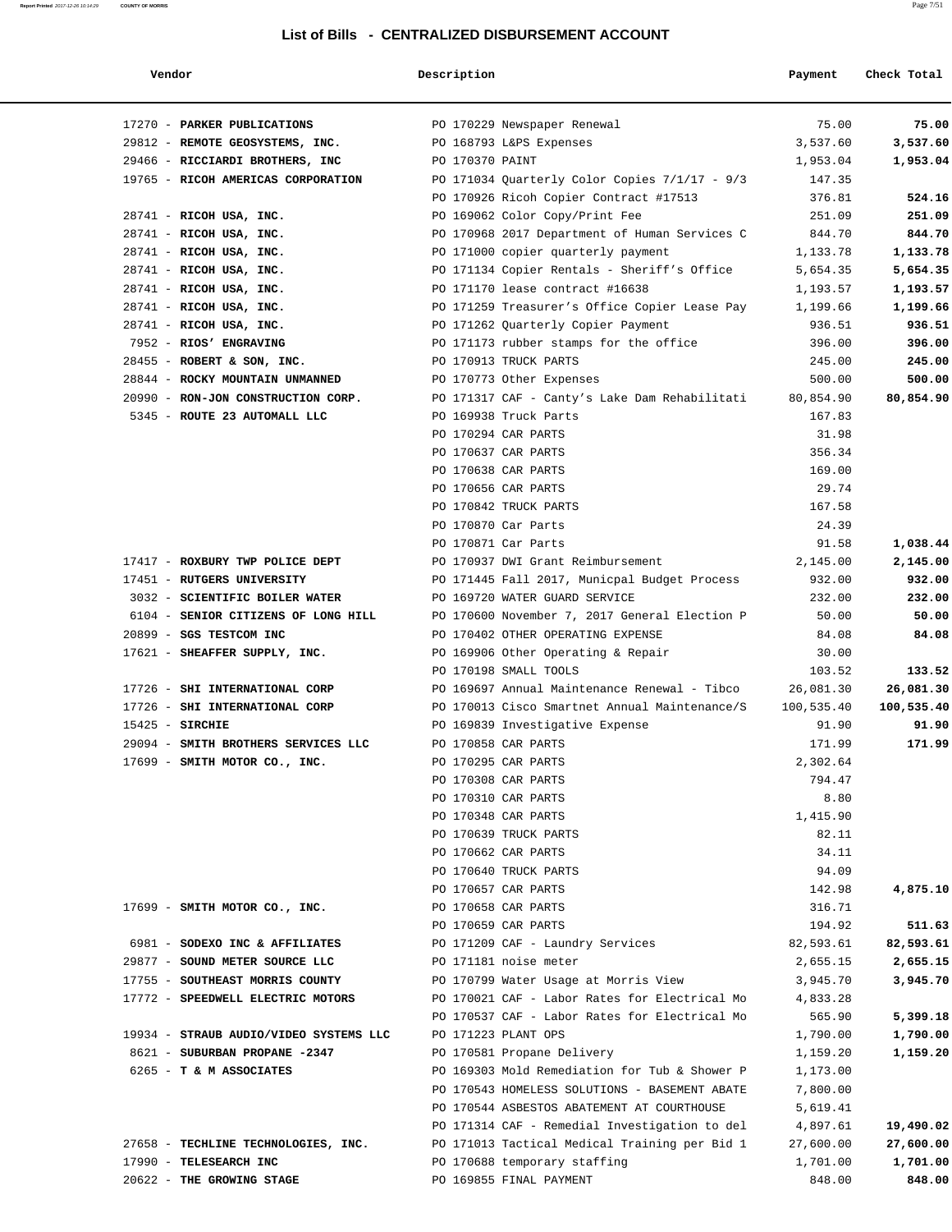# **Vendor Payment** Check Total **Description Payment** Check Total

**Report Printed** 2017-12-26 10:14:29 **COUNTY OF MORRIS** Page 7/51

| 17270 - PARKER PUBLICATIONS            | PO 170229 Newspaper Renewal                     | 75.00      | 75.00      |
|----------------------------------------|-------------------------------------------------|------------|------------|
| 29812 - REMOTE GEOSYSTEMS, INC.        | PO 168793 L&PS Expenses                         | 3,537.60   | 3,537.60   |
| 29466 - RICCIARDI BROTHERS, INC        | PO 170370 PAINT                                 | 1,953.04   | 1,953.04   |
| 19765 - RICOH AMERICAS CORPORATION     | PO 171034 Quarterly Color Copies $7/1/17 - 9/3$ | 147.35     |            |
|                                        | PO 170926 Ricoh Copier Contract #17513          | 376.81     | 524.16     |
| 28741 - RICOH USA, INC.                | PO 169062 Color Copy/Print Fee                  | 251.09     | 251.09     |
| 28741 - RICOH USA, INC.                | PO 170968 2017 Department of Human Services C   | 844.70     | 844.70     |
| 28741 - RICOH USA, INC.                | PO 171000 copier quarterly payment              | 1,133.78   | 1,133.78   |
| 28741 - RICOH USA, INC.                | PO 171134 Copier Rentals - Sheriff's Office     | 5,654.35   | 5,654.35   |
| 28741 - RICOH USA, INC.                | PO 171170 lease contract #16638                 | 1,193.57   | 1,193.57   |
| 28741 - RICOH USA, INC.                | PO 171259 Treasurer's Office Copier Lease Pay   | 1,199.66   | 1,199.66   |
| 28741 - RICOH USA, INC.                | PO 171262 Quarterly Copier Payment              | 936.51     | 936.51     |
| 7952 - RIOS' ENGRAVING                 | PO 171173 rubber stamps for the office          | 396.00     | 396.00     |
| 28455 - ROBERT & SON, INC.             | PO 170913 TRUCK PARTS                           | 245.00     | 245.00     |
| 28844 - ROCKY MOUNTAIN UNMANNED        | PO 170773 Other Expenses                        | 500.00     | 500.00     |
| 20990 - RON-JON CONSTRUCTION CORP.     | PO 171317 CAF - Canty's Lake Dam Rehabilitati   | 80,854.90  | 80,854.90  |
| 5345 - ROUTE 23 AUTOMALL LLC           | PO 169938 Truck Parts                           | 167.83     |            |
|                                        | PO 170294 CAR PARTS                             | 31.98      |            |
|                                        | PO 170637 CAR PARTS                             | 356.34     |            |
|                                        | PO 170638 CAR PARTS                             | 169.00     |            |
|                                        | PO 170656 CAR PARTS                             | 29.74      |            |
|                                        | PO 170842 TRUCK PARTS                           | 167.58     |            |
|                                        | PO 170870 Car Parts                             | 24.39      |            |
|                                        | PO 170871 Car Parts                             | 91.58      | 1,038.44   |
| 17417 - ROXBURY TWP POLICE DEPT        | PO 170937 DWI Grant Reimbursement               | 2,145.00   | 2,145.00   |
| 17451 - RUTGERS UNIVERSITY             | PO 171445 Fall 2017, Municpal Budget Process    | 932.00     | 932.00     |
| 3032 - SCIENTIFIC BOILER WATER         | PO 169720 WATER GUARD SERVICE                   | 232.00     | 232.00     |
| 6104 - SENIOR CITIZENS OF LONG HILL    | PO 170600 November 7, 2017 General Election P   | 50.00      | 50.00      |
| 20899 - SGS TESTCOM INC                | PO 170402 OTHER OPERATING EXPENSE               | 84.08      | 84.08      |
| 17621 - SHEAFFER SUPPLY, INC.          | PO 169906 Other Operating & Repair              | 30.00      |            |
|                                        | PO 170198 SMALL TOOLS                           | 103.52     | 133.52     |
| 17726 - SHI INTERNATIONAL CORP         | PO 169697 Annual Maintenance Renewal - Tibco    | 26,081.30  | 26,081.30  |
| 17726 - SHI INTERNATIONAL CORP         | PO 170013 Cisco Smartnet Annual Maintenance/S   | 100,535.40 | 100,535.40 |
| $15425$ - SIRCHIE                      | PO 169839 Investigative Expense                 | 91.90      | 91.90      |
| 29094 - SMITH BROTHERS SERVICES LLC    | PO 170858 CAR PARTS                             | 171.99     | 171.99     |
| 17699 - SMITH MOTOR CO., INC.          | PO 170295 CAR PARTS                             | 2,302.64   |            |
|                                        | PO 170308 CAR PARTS                             | 794.47     |            |
|                                        | PO 170310 CAR PARTS                             | 8.80       |            |
|                                        | PO 170348 CAR PARTS                             | 1,415.90   |            |
|                                        | PO 170639 TRUCK PARTS                           | 82.11      |            |
|                                        | PO 170662 CAR PARTS                             | 34.11      |            |
|                                        | PO 170640 TRUCK PARTS                           | 94.09      |            |
|                                        | PO 170657 CAR PARTS                             | 142.98     | 4,875.10   |
| 17699 - SMITH MOTOR CO., INC.          | PO 170658 CAR PARTS                             | 316.71     |            |
|                                        | PO 170659 CAR PARTS                             | 194.92     | 511.63     |
| 6981 - SODEXO INC & AFFILIATES         | PO 171209 CAF - Laundry Services                | 82,593.61  | 82,593.61  |
| 29877 - SOUND METER SOURCE LLC         | PO 171181 noise meter                           | 2,655.15   | 2,655.15   |
| 17755 - SOUTHEAST MORRIS COUNTY        | PO 170799 Water Usage at Morris View            | 3,945.70   | 3,945.70   |
| 17772 - SPEEDWELL ELECTRIC MOTORS      | PO 170021 CAF - Labor Rates for Electrical Mo   | 4,833.28   |            |
|                                        | PO 170537 CAF - Labor Rates for Electrical Mo   | 565.90     | 5,399.18   |
| 19934 - STRAUB AUDIO/VIDEO SYSTEMS LLC | PO 171223 PLANT OPS                             | 1,790.00   | 1,790.00   |
| 8621 - SUBURBAN PROPANE -2347          | PO 170581 Propane Delivery                      | 1,159.20   | 1,159.20   |
| 6265 - T & M ASSOCIATES                | PO 169303 Mold Remediation for Tub & Shower P   | 1,173.00   |            |
|                                        | PO 170543 HOMELESS SOLUTIONS - BASEMENT ABATE   | 7,800.00   |            |
|                                        | PO 170544 ASBESTOS ABATEMENT AT COURTHOUSE      | 5,619.41   |            |
|                                        | PO 171314 CAF - Remedial Investigation to del   | 4,897.61   | 19,490.02  |
| 27658 - TECHLINE TECHNOLOGIES, INC.    | PO 171013 Tactical Medical Training per Bid 1   | 27,600.00  | 27,600.00  |
| 17990 - TELESEARCH INC                 | PO 170688 temporary staffing                    | 1,701.00   | 1,701.00   |
| 20622 - THE GROWING STAGE              | PO 169855 FINAL PAYMENT                         | 848.00     | 848.00     |
|                                        |                                                 |            |            |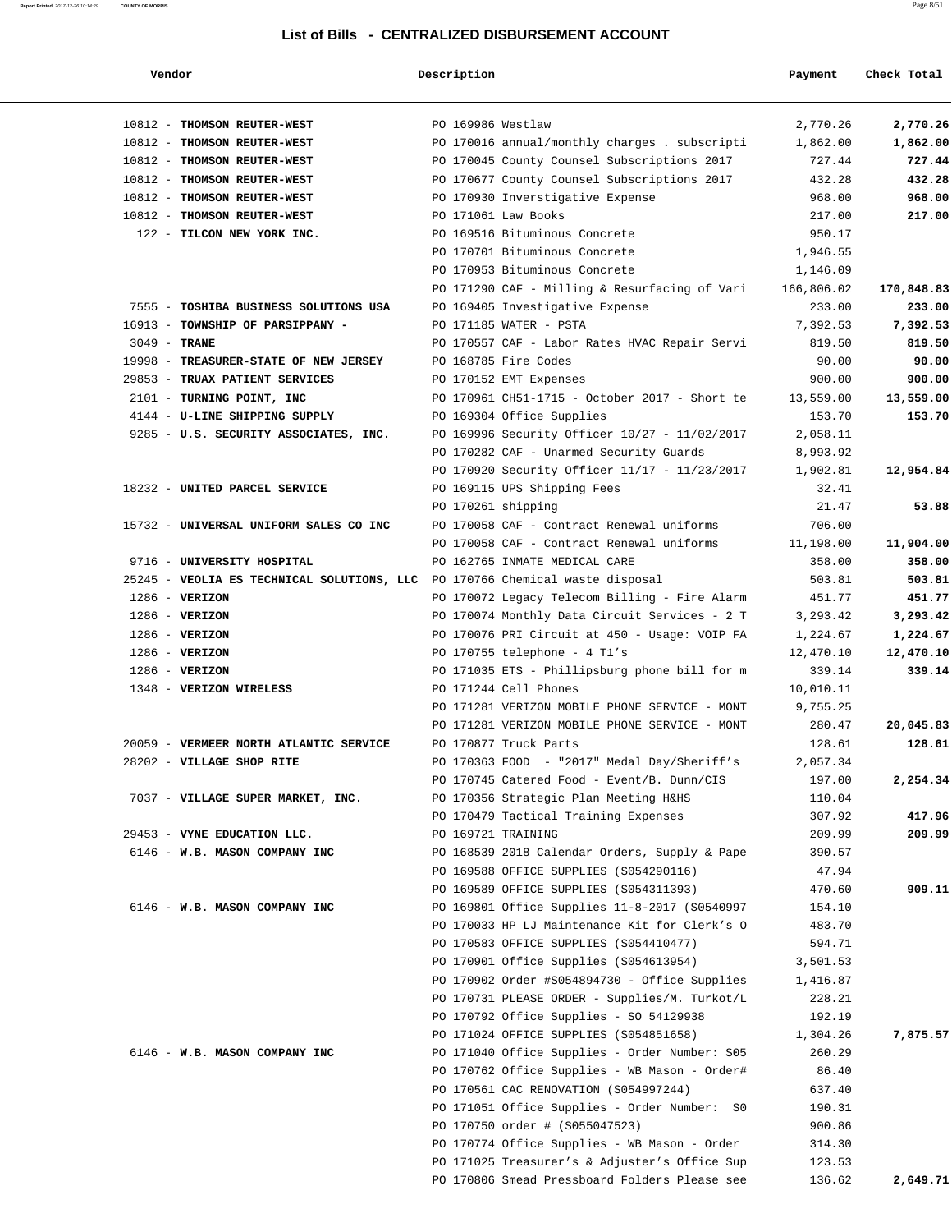| Vendor | Description | Payment | Check Total |
|--------|-------------|---------|-------------|
|        |             |         |             |

| 10812 - THOMSON REUTER-WEST                | PO 169986 Westlaw  |                                                                                                | 2,770.26            | 2,770.26            |
|--------------------------------------------|--------------------|------------------------------------------------------------------------------------------------|---------------------|---------------------|
| 10812 - THOMSON REUTER-WEST                |                    | PO 170016 annual/monthly charges . subscripti                                                  | 1,862.00            | 1,862.00            |
| 10812 - THOMSON REUTER-WEST                |                    | PO 170045 County Counsel Subscriptions 2017                                                    | 727.44              | 727.44              |
| 10812 - THOMSON REUTER-WEST                |                    | PO 170677 County Counsel Subscriptions 2017                                                    | 432.28              | 432.28              |
| 10812 - THOMSON REUTER-WEST                |                    | PO 170930 Inverstigative Expense                                                               | 968.00              | 968.00              |
| 10812 - THOMSON REUTER-WEST                |                    | PO 171061 Law Books                                                                            | 217.00              | 217.00              |
| 122 - TILCON NEW YORK INC.                 |                    | PO 169516 Bituminous Concrete                                                                  | 950.17              |                     |
|                                            |                    | PO 170701 Bituminous Concrete                                                                  | 1,946.55            |                     |
|                                            |                    | PO 170953 Bituminous Concrete                                                                  | 1,146.09            |                     |
|                                            |                    | PO 171290 CAF - Milling & Resurfacing of Vari                                                  | 166,806.02          | 170,848.83          |
| 7555 - TOSHIBA BUSINESS SOLUTIONS USA      |                    | PO 169405 Investigative Expense                                                                | 233.00              | 233.00              |
| 16913 - TOWNSHIP OF PARSIPPANY -           |                    | PO 171185 WATER - PSTA                                                                         | 7,392.53            | 7,392.53            |
| $3049$ - TRANE                             |                    | PO 170557 CAF - Labor Rates HVAC Repair Servi                                                  | 819.50              | 819.50              |
| 19998 - TREASURER-STATE OF NEW JERSEY      |                    | PO 168785 Fire Codes                                                                           | 90.00               | 90.00               |
| 29853 - TRUAX PATIENT SERVICES             |                    | PO 170152 EMT Expenses                                                                         | 900.00              | 900.00              |
| 2101 - TURNING POINT, INC                  |                    | PO 170961 CH51-1715 - October 2017 - Short te                                                  | 13,559.00           | 13,559.00           |
| 4144 - U-LINE SHIPPING SUPPLY              |                    | PO 169304 Office Supplies                                                                      | 153.70              | 153.70              |
| 9285 - U.S. SECURITY ASSOCIATES, INC.      |                    | PO 169996 Security Officer 10/27 - 11/02/2017                                                  | 2,058.11            |                     |
|                                            |                    | PO 170282 CAF - Unarmed Security Guards                                                        | 8,993.92            |                     |
|                                            |                    | PO 170920 Security Officer 11/17 - 11/23/2017                                                  | 1,902.81            | 12,954.84           |
| 18232 - UNITED PARCEL SERVICE              |                    | PO 169115 UPS Shipping Fees                                                                    | 32.41               |                     |
|                                            | PO 170261 shipping |                                                                                                | 21.47               | 53.88               |
| 15732 - UNIVERSAL UNIFORM SALES CO INC     |                    | PO 170058 CAF - Contract Renewal uniforms                                                      | 706.00              |                     |
| 9716 - UNIVERSITY HOSPITAL                 |                    | PO 170058 CAF - Contract Renewal uniforms<br>PO 162765 INMATE MEDICAL CARE                     | 11,198.00<br>358.00 | 11,904.00<br>358.00 |
| 25245 - VEOLIA ES TECHNICAL SOLUTIONS, LLC |                    | PO 170766 Chemical waste disposal                                                              | 503.81              | 503.81              |
| $1286$ - VERIZON                           |                    | PO 170072 Legacy Telecom Billing - Fire Alarm                                                  | 451.77              | 451.77              |
| $1286$ - VERIZON                           |                    | PO 170074 Monthly Data Circuit Services - 2 T                                                  | 3,293.42            | 3,293.42            |
| $1286$ - VERIZON                           |                    | PO 170076 PRI Circuit at 450 - Usage: VOIP FA                                                  | 1,224.67            | 1,224.67            |
| $1286$ - VERIZON                           |                    | PO 170755 telephone - 4 T1's                                                                   | 12,470.10           | 12,470.10           |
| $1286$ - VERIZON                           |                    | PO 171035 ETS - Phillipsburg phone bill for m                                                  | 339.14              | 339.14              |
| 1348 - VERIZON WIRELESS                    |                    | PO 171244 Cell Phones                                                                          | 10,010.11           |                     |
|                                            |                    | PO 171281 VERIZON MOBILE PHONE SERVICE - MONT                                                  | 9,755.25            |                     |
|                                            |                    | PO 171281 VERIZON MOBILE PHONE SERVICE - MONT                                                  | 280.47              | 20,045.83           |
| 20059 - VERMEER NORTH ATLANTIC SERVICE     |                    | PO 170877 Truck Parts                                                                          | 128.61              | 128.61              |
| 28202 - VILLAGE SHOP RITE                  |                    | PO 170363 FOOD - "2017" Medal Day/Sheriff's                                                    | 2,057.34            |                     |
|                                            |                    | PO 170745 Catered Food - Event/B. Dunn/CIS                                                     | 197.00              | 2,254.34            |
| 7037 - VILLAGE SUPER MARKET, INC.          |                    | PO 170356 Strategic Plan Meeting H&HS                                                          | 110.04              |                     |
|                                            |                    | PO 170479 Tactical Training Expenses                                                           | 307.92              | 417.96              |
| 29453 - VYNE EDUCATION LLC.                | PO 169721 TRAINING |                                                                                                | 209.99              | 209.99              |
| 6146 - W.B. MASON COMPANY INC              |                    | PO 168539 2018 Calendar Orders, Supply & Pape                                                  | 390.57              |                     |
|                                            |                    | PO 169588 OFFICE SUPPLIES (S054290116)                                                         | 47.94               |                     |
|                                            |                    | PO 169589 OFFICE SUPPLIES (S054311393)                                                         | 470.60              | 909.11              |
| 6146 - W.B. MASON COMPANY INC              |                    | PO 169801 Office Supplies 11-8-2017 (S0540997                                                  | 154.10              |                     |
|                                            |                    | PO 170033 HP LJ Maintenance Kit for Clerk's O                                                  | 483.70              |                     |
|                                            |                    | PO 170583 OFFICE SUPPLIES (S054410477)                                                         | 594.71              |                     |
|                                            |                    | PO 170901 Office Supplies (S054613954)                                                         | 3,501.53            |                     |
|                                            |                    | PO 170902 Order #S054894730 - Office Supplies                                                  | 1,416.87            |                     |
|                                            |                    | PO 170731 PLEASE ORDER - Supplies/M. Turkot/L                                                  | 228.21              |                     |
|                                            |                    | PO 170792 Office Supplies - SO 54129938                                                        | 192.19              |                     |
|                                            |                    | PO 171024 OFFICE SUPPLIES (S054851658)                                                         | 1,304.26            | 7,875.57            |
| 6146 - W.B. MASON COMPANY INC              |                    | PO 171040 Office Supplies - Order Number: S05<br>PO 170762 Office Supplies - WB Mason - Order# | 260.29              |                     |
|                                            |                    | PO 170561 CAC RENOVATION (S054997244)                                                          | 86.40<br>637.40     |                     |
|                                            |                    | PO 171051 Office Supplies - Order Number: SO                                                   | 190.31              |                     |
|                                            |                    | PO 170750 order # (S055047523)                                                                 | 900.86              |                     |
|                                            |                    | PO 170774 Office Supplies - WB Mason - Order                                                   | 314.30              |                     |
|                                            |                    |                                                                                                |                     |                     |
|                                            |                    | PO 171025 Treasurer's & Adjuster's Office Sup                                                  | 123.53              |                     |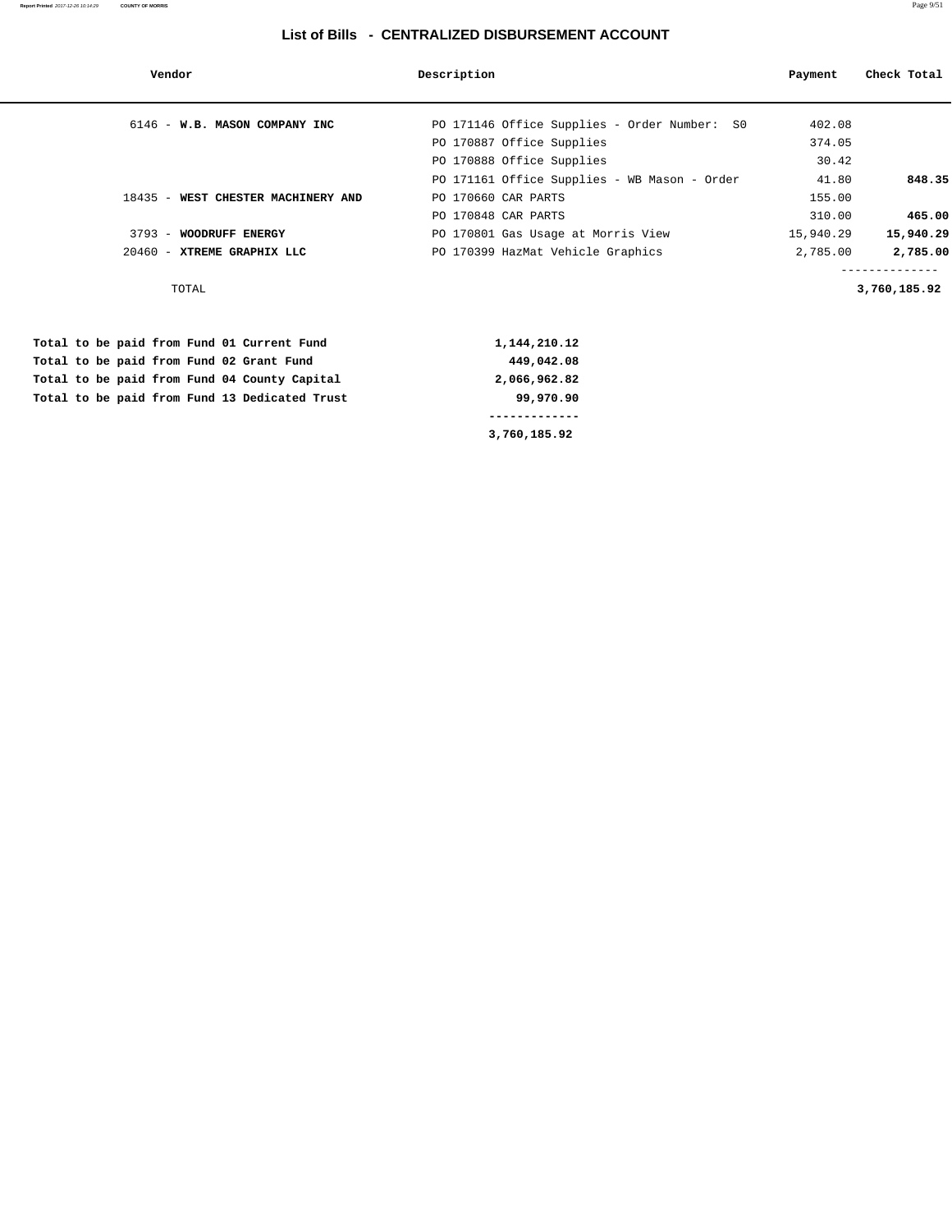| Vendor                             | Description                                  | Payment   | Check Total  |
|------------------------------------|----------------------------------------------|-----------|--------------|
| 6146 - W.B. MASON COMPANY INC      | PO 171146 Office Supplies - Order Number: SO | 402.08    |              |
|                                    | PO 170887 Office Supplies                    | 374.05    |              |
|                                    | PO 170888 Office Supplies                    | 30.42     |              |
|                                    | PO 171161 Office Supplies - WB Mason - Order | 41.80     | 848.35       |
| 18435 - WEST CHESTER MACHINERY AND | PO 170660 CAR PARTS                          | 155.00    |              |
|                                    | PO 170848 CAR PARTS                          | 310.00    | 465.00       |
| 3793 - WOODRUFF ENERGY             | PO 170801 Gas Usage at Morris View           | 15,940.29 | 15,940.29    |
| 20460 - XTREME GRAPHIX LLC         | PO 170399 HazMat Vehicle Graphics            | 2,785.00  | 2,785.00     |
| TOTAL                              |                                              |           | 3,760,185.92 |
|                                    |                                              |           |              |

|  |  |  |                                               | 3,760,185.92 |
|--|--|--|-----------------------------------------------|--------------|
|  |  |  |                                               |              |
|  |  |  | Total to be paid from Fund 13 Dedicated Trust | 99,970.90    |
|  |  |  | Total to be paid from Fund 04 County Capital  | 2,066,962.82 |
|  |  |  | Total to be paid from Fund 02 Grant Fund      | 449,042.08   |
|  |  |  | Total to be paid from Fund 01 Current Fund    | 1,144,210.12 |

**Report Printed** 2017-12-26 10:14:29 **COUNTY OF MORRIS** Page 9/51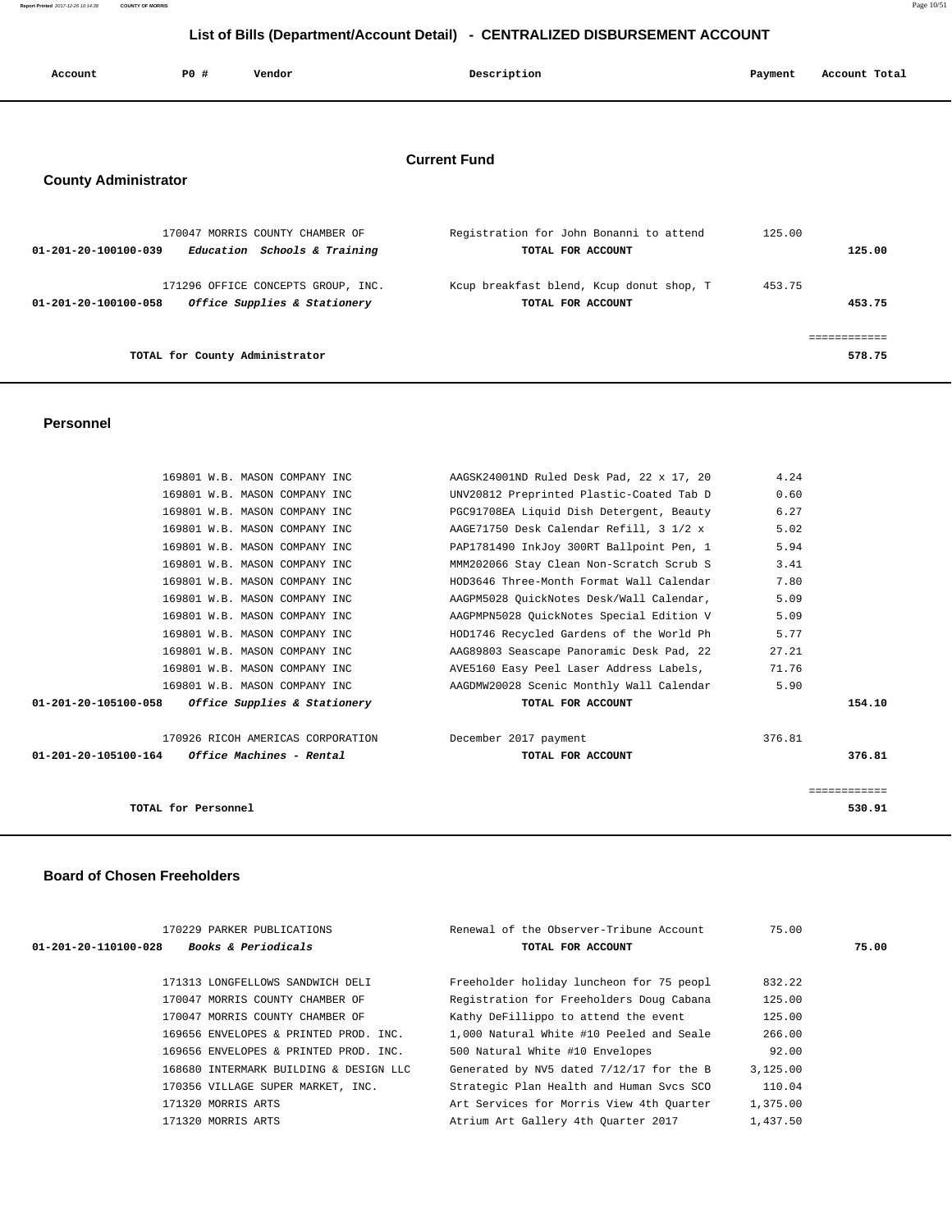**Report Printed** 2017-12-26 10:14:38 **COUNTY OF MORRIS** Page 10/51

# **List of Bills (Department/Account Detail) - CENTRALIZED DISBURSEMENT ACCOUNT**

| Account                     | P0 # | Vendor                                                             | Description                                                   | Payment | Account Total |
|-----------------------------|------|--------------------------------------------------------------------|---------------------------------------------------------------|---------|---------------|
| <b>County Administrator</b> |      |                                                                    | <b>Current Fund</b>                                           |         |               |
| 01-201-20-100100-039        |      | 170047 MORRIS COUNTY CHAMBER OF<br>Education Schools & Training    | Registration for John Bonanni to attend<br>TOTAL FOR ACCOUNT  | 125.00  | 125.00        |
| 01-201-20-100100-058        |      | 171296 OFFICE CONCEPTS GROUP, INC.<br>Office Supplies & Stationery | Kcup breakfast blend, Kcup donut shop, T<br>TOTAL FOR ACCOUNT | 453.75  | 453.75        |
|                             |      |                                                                    |                                                               |         | eeeeeeeeee    |
|                             |      | TOTAL for County Administrator                                     |                                                               |         | 578.75        |

## **Personnel**

| 169801 W.B. MASON COMPANY INC                       | AAGSK24001ND Ruled Desk Pad, 22 x 17, 20 | 4.24         |
|-----------------------------------------------------|------------------------------------------|--------------|
| 169801 W.B. MASON COMPANY INC                       | UNV20812 Preprinted Plastic-Coated Tab D | 0.60         |
| 169801 W.B. MASON COMPANY INC                       | PGC91708EA Liquid Dish Detergent, Beauty | 6.27         |
| 169801 W.B. MASON COMPANY INC                       | AAGE71750 Desk Calendar Refill, 3 1/2 x  | 5.02         |
| 169801 W.B. MASON COMPANY INC                       | PAP1781490 InkJoy 300RT Ballpoint Pen, 1 | 5.94         |
| 169801 W.B. MASON COMPANY INC                       | MMM202066 Stay Clean Non-Scratch Scrub S | 3.41         |
| 169801 W.B. MASON COMPANY INC                       | HOD3646 Three-Month Format Wall Calendar | 7.80         |
| 169801 W.B. MASON COMPANY INC                       | AAGPM5028 OuickNotes Desk/Wall Calendar, | 5.09         |
| 169801 W.B. MASON COMPANY INC                       | AAGPMPN5028 QuickNotes Special Edition V | 5.09         |
| 169801 W.B. MASON COMPANY INC                       | HOD1746 Recycled Gardens of the World Ph | 5.77         |
| 169801 W.B. MASON COMPANY INC                       | AAG89803 Seascape Panoramic Desk Pad, 22 | 27.21        |
| 169801 W.B. MASON COMPANY INC                       | AVE5160 Easy Peel Laser Address Labels,  | 71.76        |
| 169801 W.B. MASON COMPANY INC                       | AAGDMW20028 Scenic Monthly Wall Calendar | 5.90         |
| $01-201-20-105100-058$ Office Supplies & Stationery | TOTAL FOR ACCOUNT                        | 154.10       |
| 170926 RICOH AMERICAS CORPORATION                   | December 2017 payment                    | 376.81       |
| $01-201-20-105100-164$ Office Machines - Rental     | TOTAL FOR ACCOUNT                        | 376.81       |
|                                                     |                                          | ============ |
| TOTAL for Personnel                                 |                                          | 530.91       |
|                                                     |                                          |              |

## **Board of Chosen Freeholders**

| 170229 PARKER PUBLICATIONS                             | Renewal of the Observer-Tribune Account  | 75.00    |       |
|--------------------------------------------------------|------------------------------------------|----------|-------|
| <b>Books &amp; Periodicals</b><br>01-201-20-110100-028 | TOTAL FOR ACCOUNT                        |          | 75.00 |
|                                                        |                                          |          |       |
| 171313 LONGFELLOWS SANDWICH DELI                       | Freeholder holiday luncheon for 75 peopl | 832.22   |       |
| 170047 MORRIS COUNTY CHAMBER OF                        | Registration for Freeholders Doug Cabana | 125.00   |       |
| 170047 MORRIS COUNTY CHAMBER OF                        | Kathy DeFillippo to attend the event     | 125.00   |       |
| 169656 ENVELOPES & PRINTED PROD. INC.                  | 1,000 Natural White #10 Peeled and Seale | 266.00   |       |
| 169656 ENVELOPES & PRINTED PROD. INC.                  | 500 Natural White #10 Envelopes          | 92.00    |       |
| 168680 INTERMARK BUILDING & DESIGN LLC                 | Generated by NV5 dated 7/12/17 for the B | 3,125.00 |       |
| 170356 VILLAGE SUPER MARKET, INC.                      | Strategic Plan Health and Human Svcs SCO | 110.04   |       |
| 171320 MORRIS ARTS                                     | Art Services for Morris View 4th Quarter | 1,375.00 |       |
| 171320 MORRIS ARTS                                     | Atrium Art Gallery 4th Ouarter 2017      | 1,437.50 |       |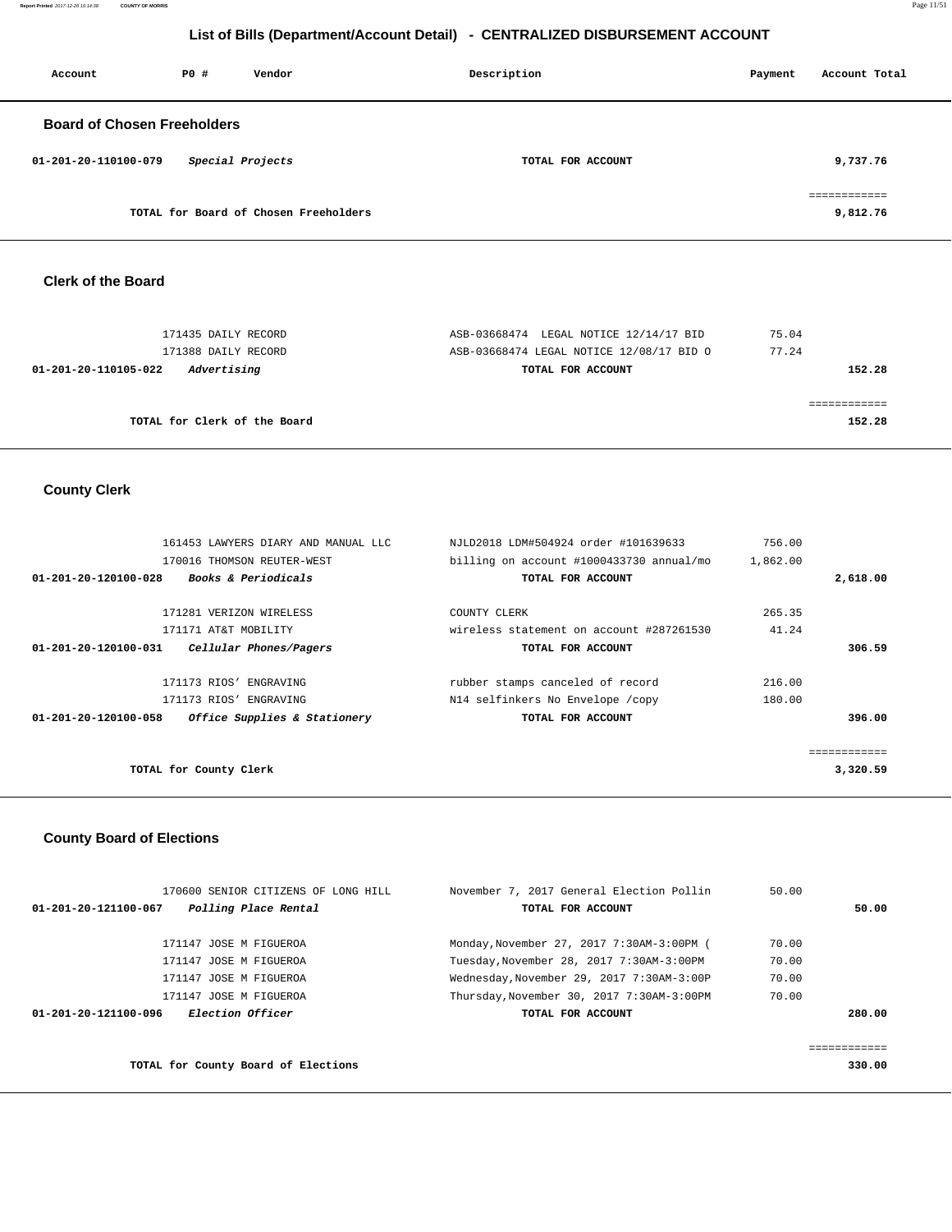**Report Printed** 2017-12-26 10:14:38 **COUNTY OF MORRIS** Page 11/51

# **List of Bills (Department/Account Detail) - CENTRALIZED DISBURSEMENT ACCOUNT**

| Account                            | PO# | Vendor                                | Description       | Payment | Account Total            |
|------------------------------------|-----|---------------------------------------|-------------------|---------|--------------------------|
| <b>Board of Chosen Freeholders</b> |     |                                       |                   |         |                          |
| 01-201-20-110100-079               |     | Special Projects                      | TOTAL FOR ACCOUNT |         | 9,737.76                 |
|                                    |     | TOTAL for Board of Chosen Freeholders |                   |         | ============<br>9,812.76 |

## **Clerk of the Board**

| 171435 DAILY RECORD                 | ASB-03668474 LEGAL NOTICE 12/14/17 BID   | 75.04  |
|-------------------------------------|------------------------------------------|--------|
| 171388 DAILY RECORD                 | ASB-03668474 LEGAL NOTICE 12/08/17 BID O | 77.24  |
| 01-201-20-110105-022<br>Advertising | TOTAL FOR ACCOUNT                        | 152.28 |
|                                     |                                          |        |
|                                     |                                          |        |
| TOTAL for Clerk of the Board        |                                          | 152.28 |
|                                     |                                          |        |

# **County Clerk**

|                                | 161453 LAWYERS DIARY AND MANUAL LLC | NJLD2018 LDM#504924 order #101639633     | 756.00   |              |
|--------------------------------|-------------------------------------|------------------------------------------|----------|--------------|
|                                | 170016 THOMSON REUTER-WEST          | billing on account #1000433730 annual/mo | 1,862.00 |              |
| $01 - 201 - 20 - 120100 - 028$ | Books & Periodicals                 | TOTAL FOR ACCOUNT                        |          | 2,618.00     |
|                                | 171281 VERIZON WIRELESS             | COUNTY CLERK                             | 265.35   |              |
|                                | 171171 AT&T MOBILITY                | wireless statement on account #287261530 | 41.24    |              |
| 01-201-20-120100-031           | Cellular Phones/Pagers              | TOTAL FOR ACCOUNT                        |          | 306.59       |
|                                | 171173 RIOS' ENGRAVING              | rubber stamps canceled of record         | 216.00   |              |
|                                | 171173 RIOS' ENGRAVING              | N14 selfinkers No Envelope /copy         | 180.00   |              |
| 01-201-20-120100-058           | Office Supplies & Stationery        | TOTAL FOR ACCOUNT                        |          | 396.00       |
|                                |                                     |                                          |          | ============ |
|                                | TOTAL for County Clerk              |                                          |          | 3,320.59     |
|                                |                                     |                                          |          |              |

# **County Board of Elections**

| 170600 SENIOR CITIZENS OF LONG HILL             | November 7, 2017 General Election Pollin  | 50.00 |        |
|-------------------------------------------------|-------------------------------------------|-------|--------|
| Polling Place Rental<br>01-201-20-121100-067    | TOTAL FOR ACCOUNT                         |       | 50.00  |
| 171147 JOSE M FIGUEROA                          | Monday, November 27, 2017 7:30AM-3:00PM ( | 70.00 |        |
| 171147 JOSE M FIGUEROA                          | Tuesday, November 28, 2017 7:30AM-3:00PM  | 70.00 |        |
| 171147 JOSE M FIGUEROA                          | Wednesday, November 29, 2017 7:30AM-3:00P | 70.00 |        |
| 171147 JOSE M FIGUEROA                          | Thursday, November 30, 2017 7:30AM-3:00PM | 70.00 |        |
| <i>Election Officer</i><br>01-201-20-121100-096 | TOTAL FOR ACCOUNT                         |       | 280.00 |
|                                                 |                                           |       |        |
|                                                 |                                           |       |        |

**TOTAL for County Board of Elections 330.00**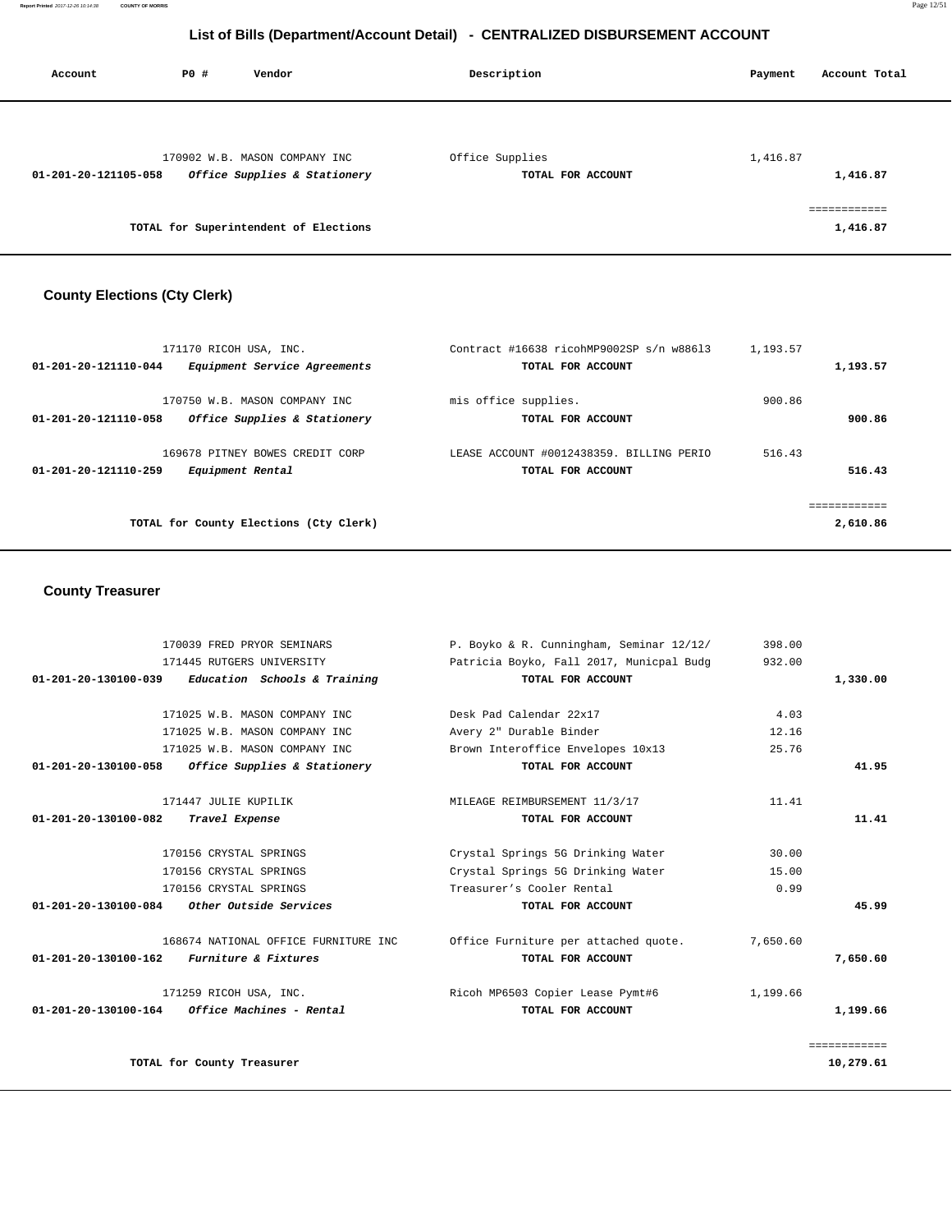| Account              | PO# | Vendor                                | Description       | Account Total<br>Payment |
|----------------------|-----|---------------------------------------|-------------------|--------------------------|
|                      |     |                                       |                   |                          |
|                      |     | 170902 W.B. MASON COMPANY INC         | Office Supplies   | 1,416.87                 |
| 01-201-20-121105-058 |     | Office Supplies & Stationery          | TOTAL FOR ACCOUNT | 1,416.87                 |
|                      |     |                                       |                   | .                        |
|                      |     | TOTAL for Superintendent of Elections |                   | 1,416.87                 |

# **County Elections (Cty Clerk)**

| 171170 RICOH USA, INC.                               | Contract #16638 ricohMP9002SP s/n w88613 | 1,193.57 |          |
|------------------------------------------------------|------------------------------------------|----------|----------|
| 01-201-20-121110-044<br>Equipment Service Agreements | TOTAL FOR ACCOUNT                        |          | 1,193.57 |
| 170750 W.B. MASON COMPANY INC                        | mis office supplies.                     | 900.86   |          |
| 01-201-20-121110-058<br>Office Supplies & Stationery | TOTAL FOR ACCOUNT                        |          | 900.86   |
| 169678 PITNEY BOWES CREDIT CORP                      | LEASE ACCOUNT #0012438359. BILLING PERIO | 516.43   |          |
| $01 - 201 - 20 - 121110 - 259$<br>Equipment Rental   | TOTAL FOR ACCOUNT                        |          | 516.43   |
|                                                      |                                          |          |          |
| TOTAL for County Elections (Cty Clerk)               |                                          |          | 2,610.86 |

# **County Treasurer**

| 170039 FRED PRYOR SEMINARS                             | P. Boyko & R. Cunningham, Seminar 12/12/ | 398.00   |              |
|--------------------------------------------------------|------------------------------------------|----------|--------------|
| 171445 RUTGERS UNIVERSITY                              | Patricia Boyko, Fall 2017, Municpal Budg | 932.00   |              |
| Education Schools & Training<br>01-201-20-130100-039   | TOTAL FOR ACCOUNT                        |          | 1,330.00     |
|                                                        |                                          |          |              |
| 171025 W.B. MASON COMPANY INC                          | Desk Pad Calendar 22x17                  | 4.03     |              |
| 171025 W.B. MASON COMPANY INC                          | Avery 2" Durable Binder                  | 12.16    |              |
| 171025 W.B. MASON COMPANY INC                          | Brown Interoffice Envelopes 10x13        | 25.76    |              |
| Office Supplies & Stationery<br>01-201-20-130100-058   | TOTAL FOR ACCOUNT                        |          | 41.95        |
| 171447 JULIE KUPILIK                                   | MILEAGE REIMBURSEMENT 11/3/17            | 11.41    |              |
| 01-201-20-130100-082<br>Travel Expense                 | TOTAL FOR ACCOUNT                        |          | 11.41        |
| 170156 CRYSTAL SPRINGS                                 | Crystal Springs 5G Drinking Water        | 30.00    |              |
| 170156 CRYSTAL SPRINGS                                 | Crystal Springs 5G Drinking Water        | 15.00    |              |
| 170156 CRYSTAL SPRINGS                                 | Treasurer's Cooler Rental                | 0.99     |              |
| 01-201-20-130100-084<br>Other Outside Services         | TOTAL FOR ACCOUNT                        |          | 45.99        |
| 168674 NATIONAL OFFICE FURNITURE INC                   | Office Furniture per attached quote.     | 7,650.60 |              |
| Furniture & Fixtures<br>$01 - 201 - 20 - 130100 - 162$ | TOTAL FOR ACCOUNT                        |          | 7,650.60     |
| 171259 RICOH USA, INC.                                 | Ricoh MP6503 Copier Lease Pymt#6         | 1,199.66 |              |
| Office Machines - Rental<br>01-201-20-130100-164       | TOTAL FOR ACCOUNT                        |          | 1,199.66     |
|                                                        |                                          |          | ============ |
| TOTAL for County Treasurer                             |                                          |          | 10,279.61    |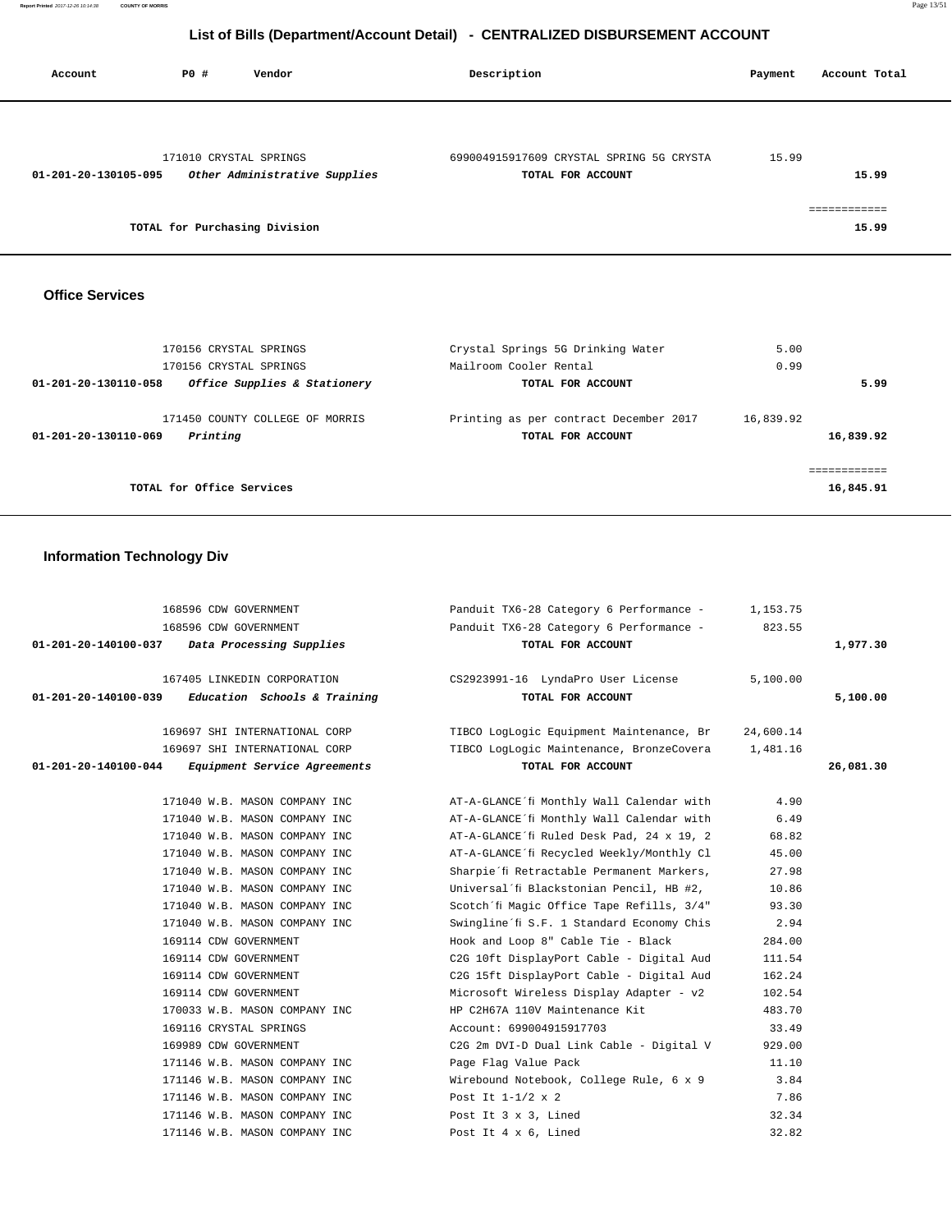**Report Printed** 2017-12-26 10:14:38 **COUNTY OF MORRIS** Page 13/51

# **List of Bills (Department/Account Detail) - CENTRALIZED DISBURSEMENT ACCOUNT**

| Account              | PO#                           | Vendor                        | Description                                                   | Payment | Account Total |
|----------------------|-------------------------------|-------------------------------|---------------------------------------------------------------|---------|---------------|
|                      |                               |                               |                                                               |         |               |
| 01-201-20-130105-095 | 171010 CRYSTAL SPRINGS        | Other Administrative Supplies | 699004915917609 CRYSTAL SPRING 5G CRYSTA<br>TOTAL FOR ACCOUNT | 15.99   | 15.99         |
|                      | TOTAL for Purchasing Division |                               |                                                               |         | 15.99         |

# **Office Services**

| 170156 CRYSTAL SPRINGS<br>170156 CRYSTAL SPRINGS                    | Crystal Springs 5G Drinking Water<br>Mailroom Cooler Rental | 5.00<br>0.99           |
|---------------------------------------------------------------------|-------------------------------------------------------------|------------------------|
| Office Supplies & Stationery<br>01-201-20-130110-058                | TOTAL FOR ACCOUNT                                           | 5.99                   |
| 171450 COUNTY COLLEGE OF MORRIS<br>Printing<br>01-201-20-130110-069 | Printing as per contract December 2017<br>TOTAL FOR ACCOUNT | 16,839.92<br>16,839.92 |
| TOTAL for Office Services                                           |                                                             | 16,845.91              |

# **Information Technology Div**

| TOTAL FOR ACCOUNT                                                        |          | 1,977.30                                                                                                                                                                                                                                                                                                                                                                                                                                                                                                                                                                                                                                                                                                                                                                           |
|--------------------------------------------------------------------------|----------|------------------------------------------------------------------------------------------------------------------------------------------------------------------------------------------------------------------------------------------------------------------------------------------------------------------------------------------------------------------------------------------------------------------------------------------------------------------------------------------------------------------------------------------------------------------------------------------------------------------------------------------------------------------------------------------------------------------------------------------------------------------------------------|
|                                                                          |          |                                                                                                                                                                                                                                                                                                                                                                                                                                                                                                                                                                                                                                                                                                                                                                                    |
|                                                                          | 5,100.00 |                                                                                                                                                                                                                                                                                                                                                                                                                                                                                                                                                                                                                                                                                                                                                                                    |
| $01-201-20-140100-039$ Education Schools & Training<br>TOTAL FOR ACCOUNT |          | 5,100.00                                                                                                                                                                                                                                                                                                                                                                                                                                                                                                                                                                                                                                                                                                                                                                           |
|                                                                          |          |                                                                                                                                                                                                                                                                                                                                                                                                                                                                                                                                                                                                                                                                                                                                                                                    |
|                                                                          |          |                                                                                                                                                                                                                                                                                                                                                                                                                                                                                                                                                                                                                                                                                                                                                                                    |
|                                                                          | 1,481.16 |                                                                                                                                                                                                                                                                                                                                                                                                                                                                                                                                                                                                                                                                                                                                                                                    |
| TOTAL FOR ACCOUNT                                                        |          | 26,081.30                                                                                                                                                                                                                                                                                                                                                                                                                                                                                                                                                                                                                                                                                                                                                                          |
|                                                                          | 4.90     |                                                                                                                                                                                                                                                                                                                                                                                                                                                                                                                                                                                                                                                                                                                                                                                    |
|                                                                          | 6.49     |                                                                                                                                                                                                                                                                                                                                                                                                                                                                                                                                                                                                                                                                                                                                                                                    |
|                                                                          | 68.82    |                                                                                                                                                                                                                                                                                                                                                                                                                                                                                                                                                                                                                                                                                                                                                                                    |
|                                                                          | 45.00    |                                                                                                                                                                                                                                                                                                                                                                                                                                                                                                                                                                                                                                                                                                                                                                                    |
|                                                                          | 27.98    |                                                                                                                                                                                                                                                                                                                                                                                                                                                                                                                                                                                                                                                                                                                                                                                    |
| Universal'fi Blackstonian Pencil, HB #2,                                 | 10.86    |                                                                                                                                                                                                                                                                                                                                                                                                                                                                                                                                                                                                                                                                                                                                                                                    |
|                                                                          | 93.30    |                                                                                                                                                                                                                                                                                                                                                                                                                                                                                                                                                                                                                                                                                                                                                                                    |
|                                                                          | 2.94     |                                                                                                                                                                                                                                                                                                                                                                                                                                                                                                                                                                                                                                                                                                                                                                                    |
| Hook and Loop 8" Cable Tie - Black                                       | 284.00   |                                                                                                                                                                                                                                                                                                                                                                                                                                                                                                                                                                                                                                                                                                                                                                                    |
|                                                                          | 111.54   |                                                                                                                                                                                                                                                                                                                                                                                                                                                                                                                                                                                                                                                                                                                                                                                    |
|                                                                          | 162.24   |                                                                                                                                                                                                                                                                                                                                                                                                                                                                                                                                                                                                                                                                                                                                                                                    |
|                                                                          | 102.54   |                                                                                                                                                                                                                                                                                                                                                                                                                                                                                                                                                                                                                                                                                                                                                                                    |
| 170033 W.B. MASON COMPANY INC<br>HP C2H67A 110V Maintenance Kit          | 483.70   |                                                                                                                                                                                                                                                                                                                                                                                                                                                                                                                                                                                                                                                                                                                                                                                    |
| Account: 699004915917703                                                 | 33.49    |                                                                                                                                                                                                                                                                                                                                                                                                                                                                                                                                                                                                                                                                                                                                                                                    |
| C2G 2m DVI-D Dual Link Cable - Digital V                                 | 929.00   |                                                                                                                                                                                                                                                                                                                                                                                                                                                                                                                                                                                                                                                                                                                                                                                    |
| Page Flag Value Pack                                                     | 11.10    |                                                                                                                                                                                                                                                                                                                                                                                                                                                                                                                                                                                                                                                                                                                                                                                    |
|                                                                          | 3.84     |                                                                                                                                                                                                                                                                                                                                                                                                                                                                                                                                                                                                                                                                                                                                                                                    |
| Post It $1-1/2 \times 2$                                                 | 7.86     |                                                                                                                                                                                                                                                                                                                                                                                                                                                                                                                                                                                                                                                                                                                                                                                    |
| Post It 3 x 3, Lined                                                     | 32.34    |                                                                                                                                                                                                                                                                                                                                                                                                                                                                                                                                                                                                                                                                                                                                                                                    |
| Post It 4 x 6, Lined                                                     | 32.82    |                                                                                                                                                                                                                                                                                                                                                                                                                                                                                                                                                                                                                                                                                                                                                                                    |
|                                                                          |          | Panduit TX6-28 Category 6 Performance - 1,153.75<br>Panduit TX6-28 Category 6 Performance - 823.55<br>167405 LINKEDIN CORPORATION CS2923991-16 LyndaPro User License<br>TIBCO LogLogic Equipment Maintenance, Br<br>24,600.14<br>TIBCO LogLogic Maintenance, BronzeCovera<br>AT-A-GLANCE´fi Monthly Wall Calendar with<br>AT-A-GLANCE'fi Monthly Wall Calendar with<br>AT-A-GLANCE'fi Ruled Desk Pad, 24 x 19, 2<br>AT-A-GLANCE´fi Recycled Weekly/Monthly Cl<br>Sharpie'fi Retractable Permanent Markers,<br>Scotch'fi Magic Office Tape Refills, 3/4"<br>Swingline'fi S.F. 1 Standard Economy Chis<br>C2G 10ft DisplayPort Cable - Digital Aud<br>C2G 15ft DisplayPort Cable - Digital Aud<br>Microsoft Wireless Display Adapter - v2<br>Wirebound Notebook, College Rule, 6 x 9 |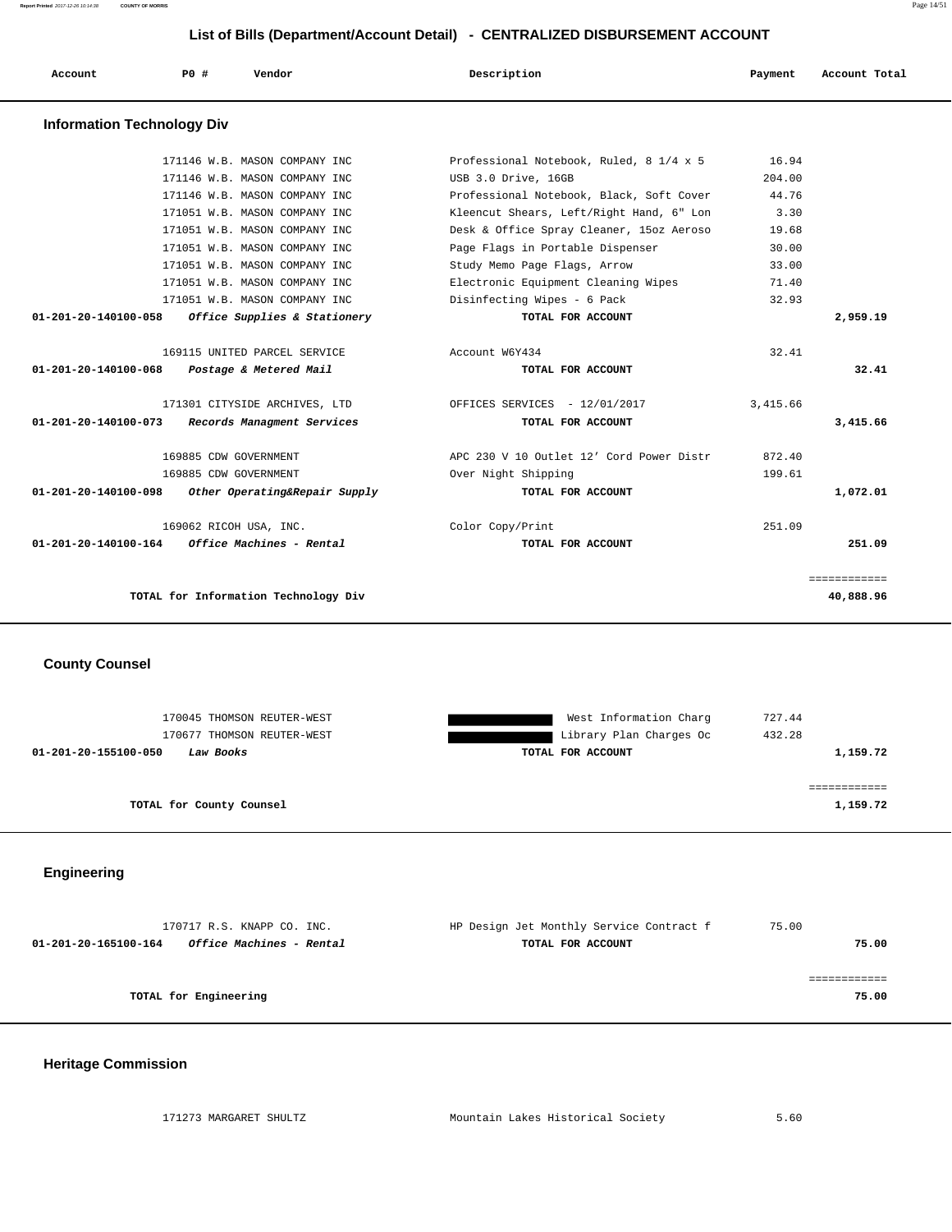**Report Printed** 2017-12-26 10:14:38 **COUNTY OF MORRIS** Page 14/51

============

| List of Bills (Department/Account Detail) - CENTRALIZED DISBURSEMENT ACCOUNT |     |                                             |                                          |          |               |  |  |  |
|------------------------------------------------------------------------------|-----|---------------------------------------------|------------------------------------------|----------|---------------|--|--|--|
| Account                                                                      | PO# | Vendor                                      | Description                              | Payment  | Account Total |  |  |  |
| <b>Information Technology Div</b>                                            |     |                                             |                                          |          |               |  |  |  |
|                                                                              |     | 171146 W.B. MASON COMPANY INC               | Professional Notebook, Ruled, 8 1/4 x 5  | 16.94    |               |  |  |  |
|                                                                              |     | 171146 W.B. MASON COMPANY INC               | USB 3.0 Drive, 16GB                      | 204.00   |               |  |  |  |
|                                                                              |     | 171146 W.B. MASON COMPANY INC               | Professional Notebook, Black, Soft Cover | 44.76    |               |  |  |  |
|                                                                              |     | 171051 W.B. MASON COMPANY INC               | Kleencut Shears, Left/Right Hand, 6" Lon | 3.30     |               |  |  |  |
|                                                                              |     | 171051 W.B. MASON COMPANY INC               | Desk & Office Spray Cleaner, 15oz Aeroso | 19.68    |               |  |  |  |
|                                                                              |     | 171051 W.B. MASON COMPANY INC               | Page Flags in Portable Dispenser         | 30.00    |               |  |  |  |
|                                                                              |     | 171051 W.B. MASON COMPANY INC               | Study Memo Page Flags, Arrow             | 33.00    |               |  |  |  |
|                                                                              |     | 171051 W.B. MASON COMPANY INC               | Electronic Equipment Cleaning Wipes      | 71.40    |               |  |  |  |
|                                                                              |     | 171051 W.B. MASON COMPANY INC               | Disinfecting Wipes - 6 Pack              | 32.93    |               |  |  |  |
| 01-201-20-140100-058                                                         |     | Office Supplies & Stationery                | TOTAL FOR ACCOUNT                        |          | 2,959.19      |  |  |  |
|                                                                              |     | 169115 UNITED PARCEL SERVICE                | Account W6Y434                           | 32.41    |               |  |  |  |
|                                                                              |     | 01-201-20-140100-068 Postage & Metered Mail | TOTAL FOR ACCOUNT                        |          | 32.41         |  |  |  |
|                                                                              |     | 171301 CITYSIDE ARCHIVES, LTD               | OFFICES SERVICES - 12/01/2017            | 3,415.66 |               |  |  |  |
| $01 - 201 - 20 - 140100 - 073$                                               |     | Records Managment Services                  | TOTAL FOR ACCOUNT                        |          | 3,415.66      |  |  |  |
|                                                                              |     | 169885 CDW GOVERNMENT                       | APC 230 V 10 Outlet 12' Cord Power Distr | 872.40   |               |  |  |  |

 169885 CDW GOVERNMENT Over Night Shipping 199.61  **01-201-20-140100-098 Other Operating&Repair Supply TOTAL FOR ACCOUNT 1,072.01**

 169062 RICOH USA, INC. Color Copy/Print 251.09  **01-201-20-140100-164 Office Machines - Rental TOTAL FOR ACCOUNT 251.09**

**TOTAL for Information Technology Div 40,888.96** 

**County Counsel** 

| 170045 THOMSON REUTER-WEST        | West Information Charg  | 727.44   |
|-----------------------------------|-------------------------|----------|
| 170677 THOMSON REUTER-WEST        | Library Plan Charges Oc | 432.28   |
| 01-201-20-155100-050<br>Law Books | TOTAL FOR ACCOUNT       | 1,159.72 |
|                                   |                         |          |
|                                   |                         |          |
| TOTAL for County Counsel          |                         | 1,159.72 |
|                                   |                         |          |

**Engineering** 

| 170717 R.S. KNAPP CO. INC.                       | HP Design Jet Monthly Service Contract f | 75.00 |       |
|--------------------------------------------------|------------------------------------------|-------|-------|
| Office Machines - Rental<br>01-201-20-165100-164 | TOTAL FOR ACCOUNT                        |       | 75.00 |
|                                                  |                                          |       |       |
|                                                  |                                          |       |       |
| TOTAL for Engineering                            |                                          |       | 75.00 |
|                                                  |                                          |       |       |

## **Heritage Commission**

| 171273 MARGARET SHULTZ | Mountain Lakes Historical Society |  |  |
|------------------------|-----------------------------------|--|--|
|                        |                                   |  |  |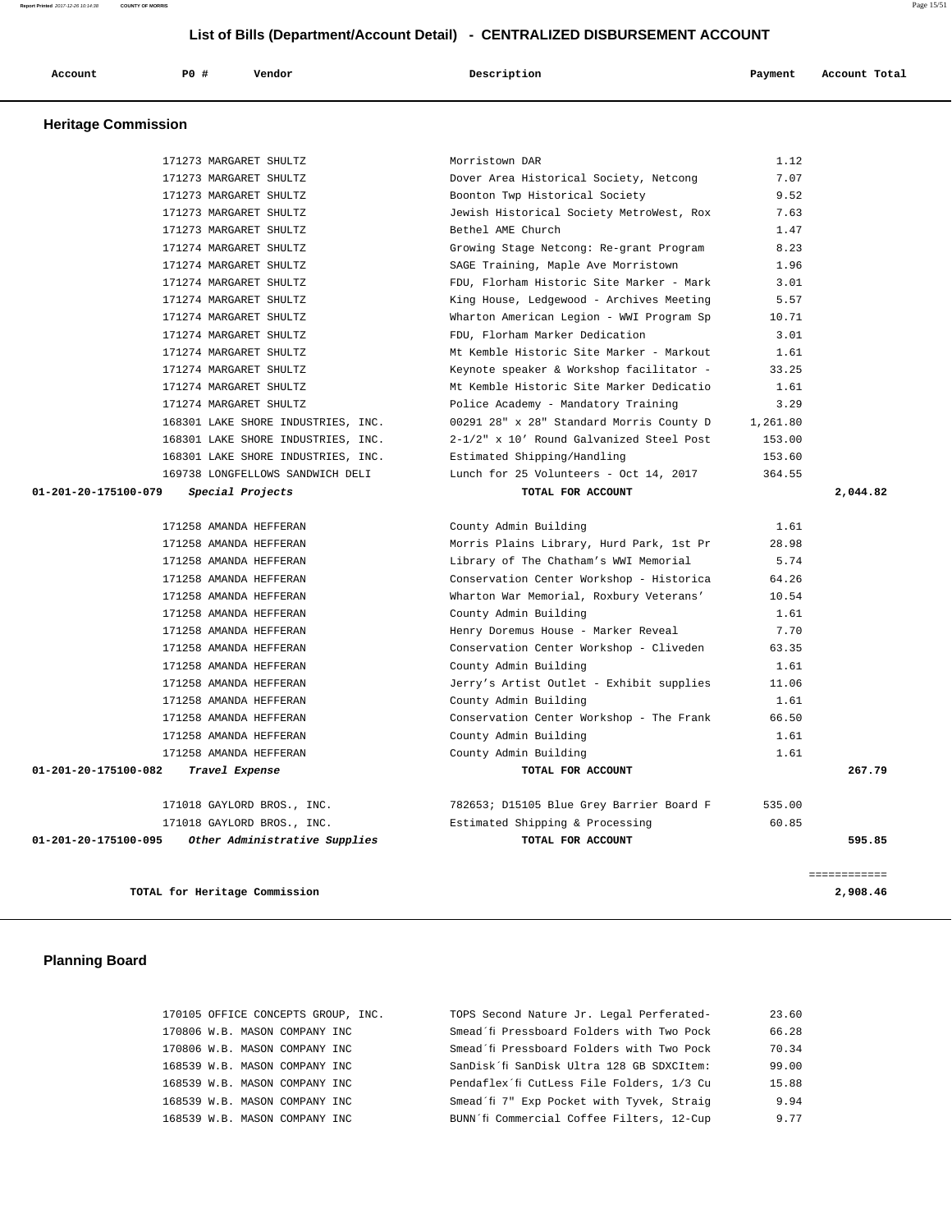**Report Printed** 2017-12-26 10:14:38 **COUNTY OF MORRIS** Page 15/51

**List of Bills (Department/Account Detail) - CENTRALIZED DISBURSEMENT ACCOUNT**

| Account<br>. | <b>PO #</b> | Vendor<br>. | Description | Payment | Account Total<br>. |
|--------------|-------------|-------------|-------------|---------|--------------------|
|              |             |             |             |         |                    |

# **Heritage Commission**

|                      | TOTAL for Heritage Commission                    |                                                                                   |               | 2,908.46            |
|----------------------|--------------------------------------------------|-----------------------------------------------------------------------------------|---------------|---------------------|
|                      |                                                  |                                                                                   |               | <b>SEBBEBBBBBBB</b> |
| 01-201-20-175100-095 | Other Administrative Supplies                    | TOTAL FOR ACCOUNT                                                                 |               | 595.85              |
|                      | 171018 GAYLORD BROS., INC.                       | Estimated Shipping & Processing                                                   | 60.85         |                     |
|                      | 171018 GAYLORD BROS., INC.                       | 782653; D15105 Blue Grey Barrier Board F                                          | 535.00        |                     |
|                      |                                                  |                                                                                   |               |                     |
| 01-201-20-175100-082 | Travel Expense                                   | TOTAL FOR ACCOUNT                                                                 |               | 267.79              |
|                      | 171258 AMANDA HEFFERAN                           | County Admin Building                                                             | 1.61          |                     |
|                      | 171258 AMANDA HEFFERAN                           | County Admin Building                                                             | 1.61          |                     |
|                      | 171258 AMANDA HEFFERAN                           | Conservation Center Workshop - The Frank                                          | 66.50         |                     |
|                      | 171258 AMANDA HEFFERAN                           | County Admin Building                                                             | 1.61          |                     |
|                      | 171258 AMANDA HEFFERAN                           | Jerry's Artist Outlet - Exhibit supplies                                          | 11.06         |                     |
|                      | 171258 AMANDA HEFFERAN                           | County Admin Building                                                             | 1.61          |                     |
|                      | 171258 AMANDA HEFFERAN                           | Conservation Center Workshop - Cliveden                                           | 63.35         |                     |
|                      | 171258 AMANDA HEFFERAN                           | Henry Doremus House - Marker Reveal                                               | 7.70          |                     |
|                      | 171258 AMANDA HEFFERAN                           | County Admin Building                                                             | 1.61          |                     |
|                      | 171258 AMANDA HEFFERAN                           | Wharton War Memorial, Roxbury Veterans'                                           | 10.54         |                     |
|                      | 171258 AMANDA HEFFERAN                           | Conservation Center Workshop - Historica                                          | 64.26         |                     |
|                      | 171258 AMANDA HEFFERAN                           | Morris Plains Library, Hurd Park, 1st Pr<br>Library of The Chatham's WWI Memorial | 28.98<br>5.74 |                     |
|                      | 171258 AMANDA HEFFERAN<br>171258 AMANDA HEFFERAN | County Admin Building                                                             | 1.61          |                     |
|                      |                                                  |                                                                                   |               |                     |
| 01-201-20-175100-079 | Special Projects                                 | TOTAL FOR ACCOUNT                                                                 |               | 2,044.82            |
|                      | 169738 LONGFELLOWS SANDWICH DELI                 | Lunch for 25 Volunteers - Oct 14, 2017                                            | 364.55        |                     |
|                      | 168301 LAKE SHORE INDUSTRIES, INC.               | Estimated Shipping/Handling                                                       | 153.60        |                     |
|                      | 168301 LAKE SHORE INDUSTRIES, INC.               | 2-1/2" x 10' Round Galvanized Steel Post                                          | 153.00        |                     |
|                      | 168301 LAKE SHORE INDUSTRIES, INC.               | 00291 28" x 28" Standard Morris County D                                          | 1,261.80      |                     |
|                      | 171274 MARGARET SHULTZ                           | Police Academy - Mandatory Training                                               | 3.29          |                     |
|                      | 171274 MARGARET SHULTZ                           | Mt Kemble Historic Site Marker Dedicatio                                          | 1.61          |                     |
|                      | 171274 MARGARET SHULTZ                           | Keynote speaker & Workshop facilitator -                                          | 33.25         |                     |
|                      | 171274 MARGARET SHULTZ                           | Mt Kemble Historic Site Marker - Markout                                          | 1.61          |                     |
|                      | 171274 MARGARET SHULTZ                           | FDU, Florham Marker Dedication                                                    | 3.01          |                     |
|                      | 171274 MARGARET SHULTZ                           | Wharton American Legion - WWI Program Sp                                          | 10.71         |                     |
|                      | 171274 MARGARET SHULTZ                           | King House, Ledgewood - Archives Meeting                                          | 5.57          |                     |
|                      | 171274 MARGARET SHULTZ                           | FDU, Florham Historic Site Marker - Mark                                          | 3.01          |                     |
|                      | 171274 MARGARET SHULTZ                           | SAGE Training, Maple Ave Morristown                                               | 1.96          |                     |
|                      | 171274 MARGARET SHULTZ                           | Growing Stage Netcong: Re-grant Program                                           | 8.23          |                     |
|                      | 171273 MARGARET SHULTZ                           | Bethel AME Church                                                                 | 1.47          |                     |
|                      | 171273 MARGARET SHULTZ                           | Jewish Historical Society MetroWest, Rox                                          | 7.63          |                     |
|                      | 171273 MARGARET SHULTZ                           | Boonton Twp Historical Society                                                    | 9.52          |                     |
|                      | 171273 MARGARET SHULTZ                           | Dover Area Historical Society, Netcong                                            | 7.07          |                     |
|                      | 171273 MARGARET SHULTZ                           | Morristown DAR                                                                    | 1.12          |                     |

# **Planning Board**

| 170105 OFFICE CONCEPTS GROUP, INC. | TOPS Second Nature Jr. Legal Perferated-  | 23.60 |
|------------------------------------|-------------------------------------------|-------|
| 170806 W.B. MASON COMPANY INC      | Smead'fi Pressboard Folders with Two Pock | 66.28 |
| 170806 W.B. MASON COMPANY INC      | Smead'fi Pressboard Folders with Two Pock | 70.34 |
| 168539 W.B. MASON COMPANY INC      | SanDisk'fi SanDisk Ultra 128 GB SDXCItem: | 99.00 |
| 168539 W.B. MASON COMPANY INC      | Pendaflex'fi CutLess File Folders, 1/3 Cu | 15.88 |
| 168539 W.B. MASON COMPANY INC      | Smead'fi 7" Exp Pocket with Tyvek, Straig | 9.94  |
| 168539 W.B. MASON COMPANY INC      | BUNN'fi Commercial Coffee Filters, 12-Cup | 9 77  |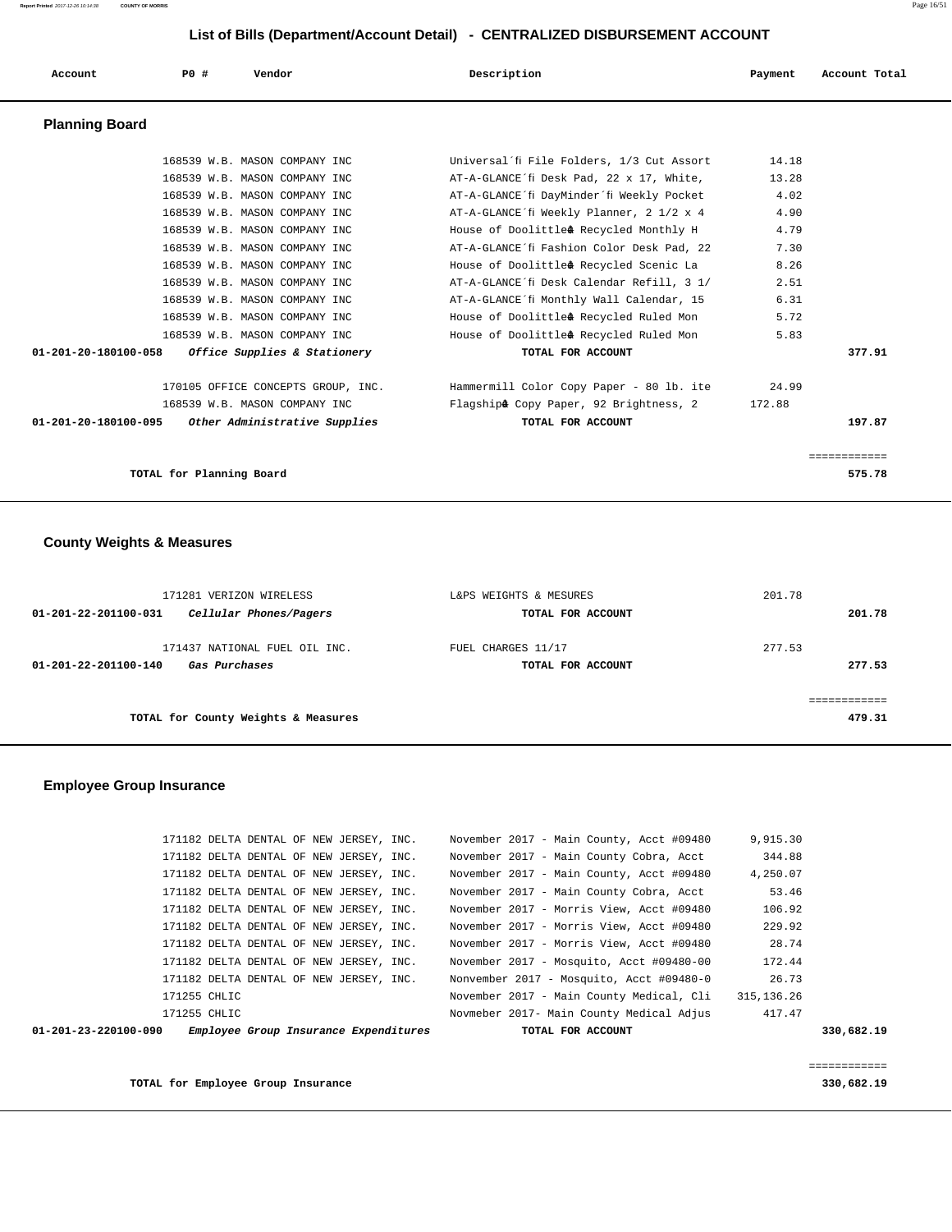| Account                                            | PO# |                          | Vendor                         |                                    | Description |                                                      | Payment | Account Total |  |
|----------------------------------------------------|-----|--------------------------|--------------------------------|------------------------------------|-------------|------------------------------------------------------|---------|---------------|--|
| <b>Planning Board</b>                              |     |                          |                                |                                    |             |                                                      |         |               |  |
|                                                    |     |                          | 168539 W.B. MASON COMPANY INC  |                                    |             | Universal'fi File Folders, 1/3 Cut Assort            | 14.18   |               |  |
|                                                    |     |                          | 168539 W.B. MASON COMPANY INC  |                                    |             | AT-A-GLANCE'fi Desk Pad, 22 x 17, White,             | 13.28   |               |  |
|                                                    |     |                          | 168539 W.B. MASON COMPANY INC  |                                    |             | AT-A-GLANCE´fi DayMinder´fi Weekly Pocket            | 4.02    |               |  |
|                                                    |     |                          | 168539 W.B. MASON COMPANY INC  |                                    |             | AT-A-GLANCE´fi Weekly Planner, 2 1/2 x 4             | 4.90    |               |  |
|                                                    |     |                          | 168539 W.B. MASON COMPANY INC  |                                    |             | House of Doolittlea <sup>-¢</sup> Recycled Monthly H | 4.79    |               |  |
|                                                    |     |                          | 168539 W.B. MASON COMPANY INC  |                                    |             | AT-A-GLANCE'fi Fashion Color Desk Pad, 22            | 7.30    |               |  |
|                                                    |     |                          | 168539 W.B. MASON COMPANY INC  |                                    |             | House of Doolittleâ-¢ Recycled Scenic La             | 8.26    |               |  |
|                                                    |     |                          | 168539 W.B. MASON COMPANY INC  |                                    |             | AT-A-GLANCE'fi Desk Calendar Refill, 3 1/            | 2.51    |               |  |
|                                                    |     |                          | 168539 W.B. MASON COMPANY INC  |                                    |             | AT-A-GLANCE'fi Monthly Wall Calendar, 15             | 6.31    |               |  |
|                                                    |     |                          | 168539 W.B. MASON COMPANY INC  |                                    |             | House of Doolittlea <sup>-¢</sup> Recycled Ruled Mon | 5.72    |               |  |
|                                                    |     |                          | 168539 W.B. MASON COMPANY INC  |                                    |             | House of Doolittleâ-¢ Recycled Ruled Mon             | 5.83    |               |  |
| 01-201-20-180100-058 Office Supplies & Stationery  |     |                          |                                |                                    |             | TOTAL FOR ACCOUNT                                    |         | 377.91        |  |
|                                                    |     |                          |                                | 170105 OFFICE CONCEPTS GROUP, INC. |             | Hammermill Color Copy Paper - 80 lb. ite             | 24.99   |               |  |
|                                                    |     |                          | 168539 W.B. MASON COMPANY INC. |                                    |             | Flagshipâ- Copy Paper, 92 Brightness, 2              | 172.88  |               |  |
| 01-201-20-180100-095 Other Administrative Supplies |     |                          |                                |                                    |             | TOTAL FOR ACCOUNT                                    |         | 197.87        |  |
|                                                    |     |                          |                                |                                    |             |                                                      |         | ============  |  |
|                                                    |     | TOTAL for Planning Board |                                |                                    |             |                                                      |         | 575.78        |  |

# **County Weights & Measures**

| 171281 VERIZON WIRELESS                        | L&PS WEIGHTS & MESURES | 201.78 |
|------------------------------------------------|------------------------|--------|
| Cellular Phones/Pagers<br>01-201-22-201100-031 | TOTAL FOR ACCOUNT      | 201.78 |
| 171437 NATIONAL FUEL OIL INC.                  | FUEL CHARGES 11/17     | 277.53 |
| 01-201-22-201100-140<br>Gas Purchases          | TOTAL FOR ACCOUNT      | 277.53 |
|                                                |                        |        |
|                                                |                        |        |
| TOTAL for County Weights & Measures            |                        | 479.31 |

## **Employee Group Insurance**

| $01 - 201 - 23 - 220100 - 090$ |              |  |                                         | Employee Group Insurance Expenditures |  | TOTAL FOR ACCOUNT                        |  |             | 330,682.19 |
|--------------------------------|--------------|--|-----------------------------------------|---------------------------------------|--|------------------------------------------|--|-------------|------------|
|                                | 171255 CHLIC |  |                                         |                                       |  | Novmeber 2017- Main County Medical Adjus |  | 417.47      |            |
|                                | 171255 CHLIC |  |                                         |                                       |  | November 2017 - Main County Medical, Cli |  | 315, 136.26 |            |
|                                |              |  | 171182 DELTA DENTAL OF NEW JERSEY, INC. |                                       |  | Nonvember 2017 - Mosquito, Acct #09480-0 |  | 26.73       |            |
|                                |              |  | 171182 DELTA DENTAL OF NEW JERSEY, INC. |                                       |  | November 2017 - Mosquito, Acct #09480-00 |  | 172.44      |            |
|                                |              |  | 171182 DELTA DENTAL OF NEW JERSEY, INC. |                                       |  | November 2017 - Morris View, Acct #09480 |  | 28.74       |            |
|                                |              |  | 171182 DELTA DENTAL OF NEW JERSEY, INC. |                                       |  | November 2017 - Morris View, Acct #09480 |  | 229.92      |            |
|                                |              |  | 171182 DELTA DENTAL OF NEW JERSEY, INC. |                                       |  | November 2017 - Morris View, Acct #09480 |  | 106.92      |            |
|                                |              |  | 171182 DELTA DENTAL OF NEW JERSEY, INC. |                                       |  | November 2017 - Main County Cobra, Acct  |  | 53.46       |            |
|                                |              |  | 171182 DELTA DENTAL OF NEW JERSEY, INC. |                                       |  | November 2017 - Main County, Acct #09480 |  | 4,250.07    |            |
|                                |              |  | 171182 DELTA DENTAL OF NEW JERSEY, INC. |                                       |  | November 2017 - Main County Cobra, Acct  |  | 344.88      |            |
|                                |              |  | 171182 DELTA DENTAL OF NEW JERSEY, INC. |                                       |  | November 2017 - Main County, Acct #09480 |  | 9,915.30    |            |

**TOTAL for Employee Group Insurance 330,682.19** 

============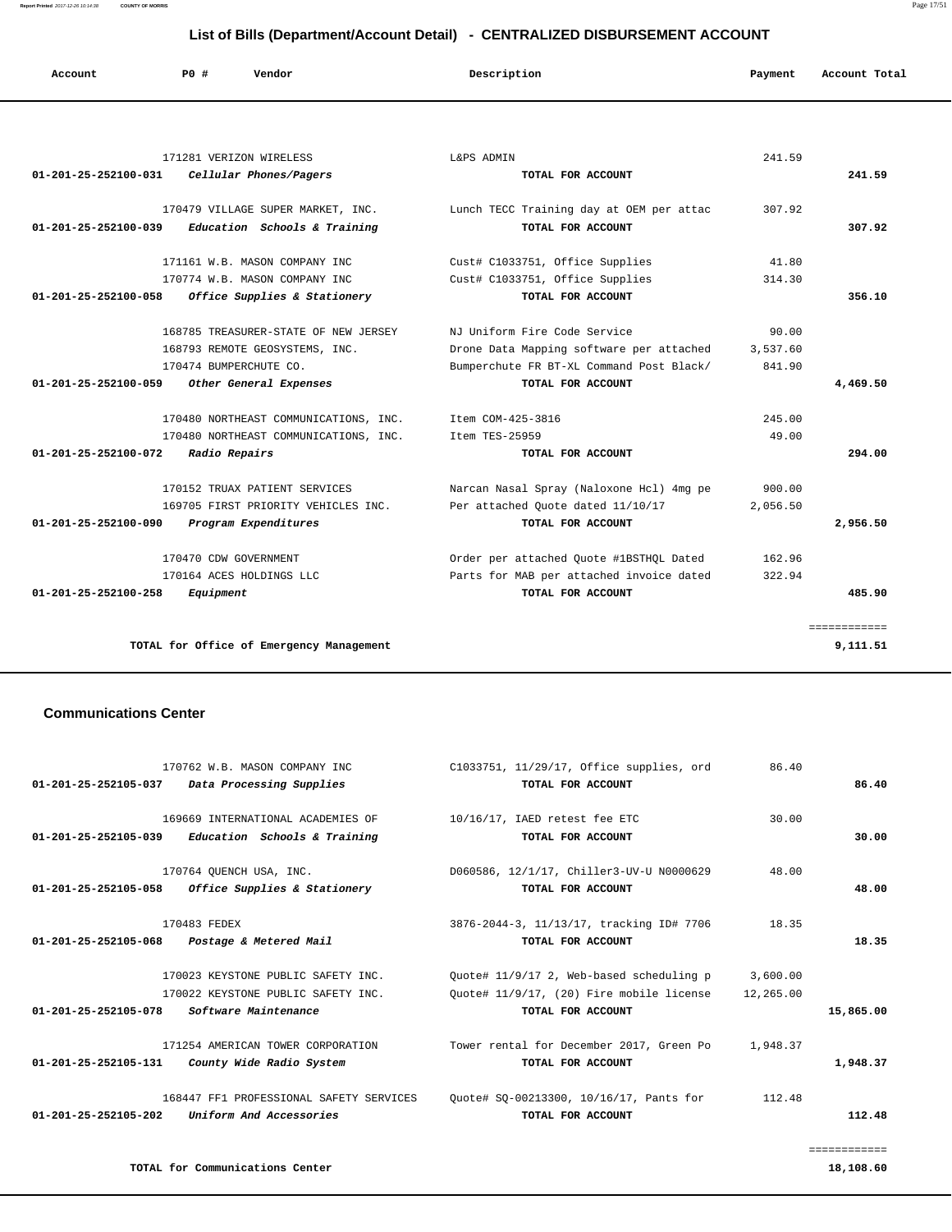**Report Printed** 2017-12-26 10:14:38 **COUNTY OF MORRIS** Page 17/51

| List of Bills (Department/Account Detail) - CENTRALIZED DISBURSEMENT ACCOUNT |                        |                                       |                                          |          |               |  |  |  |  |
|------------------------------------------------------------------------------|------------------------|---------------------------------------|------------------------------------------|----------|---------------|--|--|--|--|
| Account                                                                      | Vendor<br>PO#          |                                       | Description                              | Payment  | Account Total |  |  |  |  |
|                                                                              |                        |                                       |                                          |          |               |  |  |  |  |
|                                                                              |                        | 171281 VERIZON WIRELESS               | L&PS ADMIN                               | 241.59   |               |  |  |  |  |
| 01-201-25-252100-031                                                         |                        | Cellular Phones/Pagers                | TOTAL FOR ACCOUNT                        |          | 241.59        |  |  |  |  |
|                                                                              |                        | 170479 VILLAGE SUPER MARKET, INC.     | Lunch TECC Training day at OEM per attac | 307.92   |               |  |  |  |  |
| 01-201-25-252100-039                                                         |                        | Education Schools & Training          | TOTAL FOR ACCOUNT                        |          | 307.92        |  |  |  |  |
|                                                                              |                        | 171161 W.B. MASON COMPANY INC         | Cust# C1033751, Office Supplies          | 41.80    |               |  |  |  |  |
|                                                                              |                        | 170774 W.B. MASON COMPANY INC         | Cust# C1033751, Office Supplies          | 314.30   |               |  |  |  |  |
| 01-201-25-252100-058                                                         |                        | Office Supplies & Stationery          | TOTAL FOR ACCOUNT                        |          | 356.10        |  |  |  |  |
|                                                                              |                        | 168785 TREASURER-STATE OF NEW JERSEY  | NJ Uniform Fire Code Service             | 90.00    |               |  |  |  |  |
|                                                                              |                        | 168793 REMOTE GEOSYSTEMS, INC.        | Drone Data Mapping software per attached | 3,537.60 |               |  |  |  |  |
|                                                                              | 170474 BUMPERCHUTE CO. |                                       | Bumperchute FR BT-XL Command Post Black/ | 841.90   |               |  |  |  |  |
| 01-201-25-252100-059                                                         |                        | Other General Expenses                | TOTAL FOR ACCOUNT                        |          | 4,469.50      |  |  |  |  |
|                                                                              |                        | 170480 NORTHEAST COMMUNICATIONS, INC. | Ttem COM-425-3816                        | 245.00   |               |  |  |  |  |
|                                                                              |                        | 170480 NORTHEAST COMMUNICATIONS, INC. | Ttem TES-25959                           | 49.00    |               |  |  |  |  |
| 01-201-25-252100-072                                                         | Radio Repairs          |                                       | TOTAL FOR ACCOUNT                        |          | 294.00        |  |  |  |  |
|                                                                              |                        | 170152 TRUAX PATIENT SERVICES         | Narcan Nasal Spray (Naloxone Hcl) 4mg pe | 900.00   |               |  |  |  |  |
|                                                                              |                        | 169705 FIRST PRIORITY VEHICLES INC.   | Per attached Quote dated 11/10/17        | 2,056.50 |               |  |  |  |  |
| 01-201-25-252100-090                                                         |                        | Program Expenditures                  | TOTAL FOR ACCOUNT                        |          | 2,956.50      |  |  |  |  |
|                                                                              | 170470 CDW GOVERNMENT  |                                       | Order per attached Quote #1BSTHQL Dated  | 162.96   |               |  |  |  |  |
|                                                                              |                        | 170164 ACES HOLDINGS LLC              | Parts for MAB per attached invoice dated | 322.94   |               |  |  |  |  |
| $01 - 201 - 25 - 252100 - 258$                                               | Equipment              |                                       | TOTAL FOR ACCOUNT                        |          | 485.90        |  |  |  |  |

**TOTAL for Office of Emergency Management 9,111.51** 

## **Communications Center**

| 170762 W.B. MASON COMPANY INC                        | C1033751, 11/29/17, Office supplies, ord | 86.40     |           |
|------------------------------------------------------|------------------------------------------|-----------|-----------|
| 01-201-25-252105-037 Data Processing Supplies        | TOTAL FOR ACCOUNT                        |           | 86.40     |
|                                                      |                                          |           |           |
| 169669 INTERNATIONAL ACADEMIES OF                    | 10/16/17, IAED retest fee ETC            | 30.00     |           |
| Education Schools & Training<br>01-201-25-252105-039 | TOTAL FOR ACCOUNT                        |           | 30.00     |
|                                                      |                                          |           |           |
| 170764 OUENCH USA, INC.                              | D060586, 12/1/17, Chiller3-UV-U N0000629 | 48.00     |           |
| 01-201-25-252105-058<br>Office Supplies & Stationery | TOTAL FOR ACCOUNT                        |           | 48.00     |
|                                                      |                                          |           |           |
| 170483 FEDEX                                         | 3876-2044-3, 11/13/17, tracking ID# 7706 | 18.35     |           |
| 01-201-25-252105-068 Postage & Metered Mail          | TOTAL FOR ACCOUNT                        |           | 18.35     |
|                                                      |                                          |           |           |
| 170023 KEYSTONE PUBLIC SAFETY INC.                   | Ouote# 11/9/17 2, Web-based scheduling p | 3,600.00  |           |
| 170022 KEYSTONE PUBLIC SAFETY INC.                   | Ouote# 11/9/17, (20) Fire mobile license | 12,265.00 |           |
| 01-201-25-252105-078<br>Software Maintenance         | TOTAL FOR ACCOUNT                        |           | 15,865.00 |
|                                                      |                                          |           |           |
| 171254 AMERICAN TOWER CORPORATION                    | Tower rental for December 2017, Green Po | 1,948.37  |           |
| County Wide Radio System<br>01-201-25-252105-131     | TOTAL FOR ACCOUNT                        |           | 1,948.37  |
|                                                      |                                          |           |           |
| 168447 FF1 PROFESSIONAL SAFETY SERVICES              | Ouote# SO-00213300, 10/16/17, Pants for  | 112.48    |           |
| 01-201-25-252105-202<br>Uniform And Accessories      | TOTAL FOR ACCOUNT                        |           | 112.48    |
|                                                      |                                          |           |           |

============

============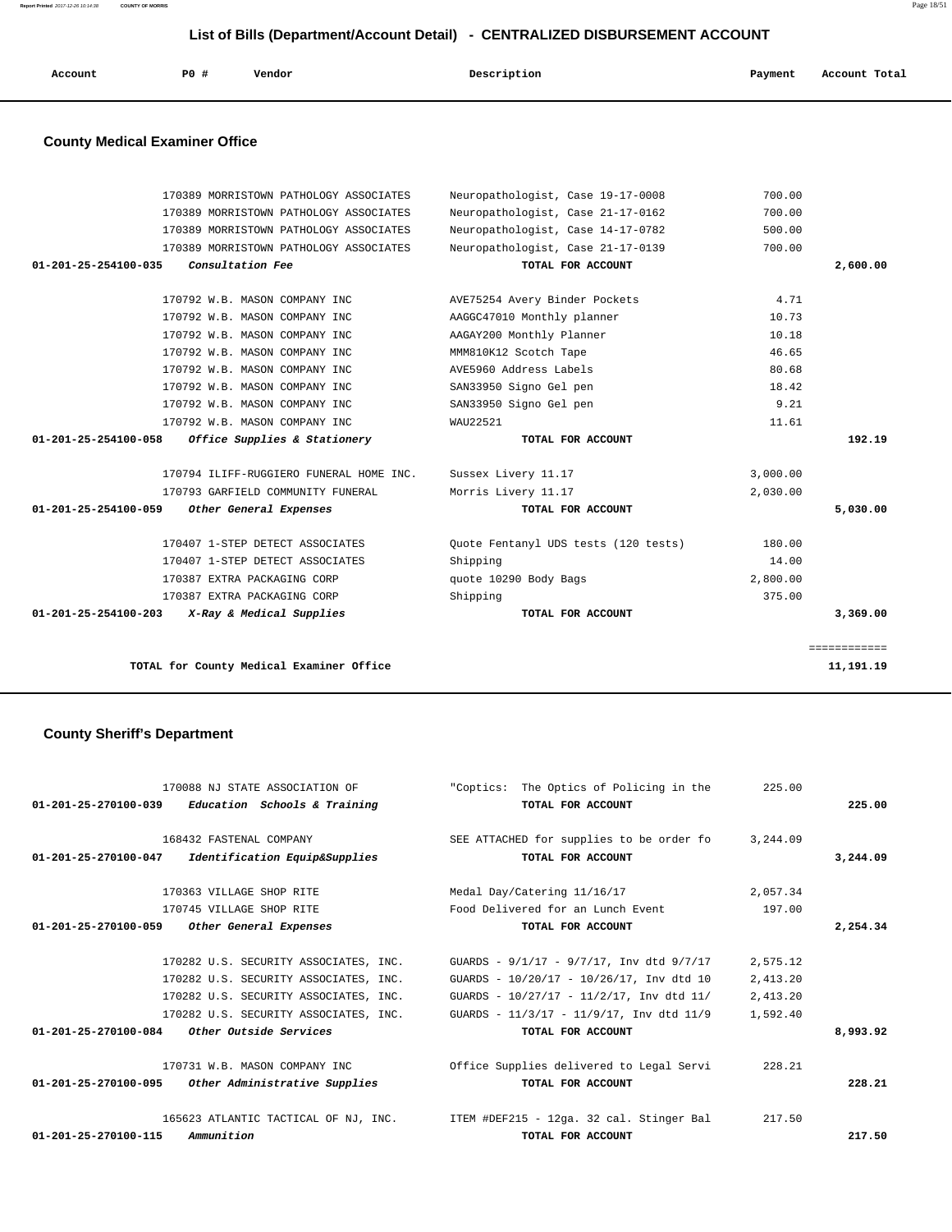| Account<br>. | <b>PO #</b> | Vendor | Description<br>. | Payment | Account Total<br>. |
|--------------|-------------|--------|------------------|---------|--------------------|
|              |             |        |                  |         |                    |

# **County Medical Examiner Office**

| 170389 MORRISTOWN PATHOLOGY ASSOCIATES                   | Neuropathologist, Case 19-17-0008    | 700.00   |              |
|----------------------------------------------------------|--------------------------------------|----------|--------------|
| 170389 MORRISTOWN PATHOLOGY ASSOCIATES                   | Neuropathologist, Case 21-17-0162    | 700.00   |              |
| 170389 MORRISTOWN PATHOLOGY ASSOCIATES                   | Neuropathologist, Case 14-17-0782    | 500.00   |              |
| 170389 MORRISTOWN PATHOLOGY ASSOCIATES                   | Neuropathologist, Case 21-17-0139    | 700.00   |              |
| 01-201-25-254100-035<br>Consultation Fee                 | TOTAL FOR ACCOUNT                    |          | 2,600.00     |
|                                                          |                                      |          |              |
| 170792 W.B. MASON COMPANY INC                            | AVE75254 Avery Binder Pockets        | 4.71     |              |
| 170792 W.B. MASON COMPANY INC                            | AAGGC47010 Monthly planner           | 10.73    |              |
| 170792 W.B. MASON COMPANY INC                            | AAGAY200 Monthly Planner             | 10.18    |              |
| 170792 W.B. MASON COMPANY INC                            | MMM810K12 Scotch Tape                | 46.65    |              |
| 170792 W.B. MASON COMPANY INC                            | AVE5960 Address Labels               | 80.68    |              |
| 170792 W.B. MASON COMPANY INC                            | SAN33950 Signo Gel pen               | 18.42    |              |
| 170792 W.B. MASON COMPANY INC                            | SAN33950 Signo Gel pen               | 9.21     |              |
| 170792 W.B. MASON COMPANY INC                            | WAU22521                             | 11.61    |              |
| 01-201-25-254100-058<br>Office Supplies & Stationery     | TOTAL FOR ACCOUNT                    |          | 192.19       |
|                                                          |                                      |          |              |
| 170794 ILIFF-RUGGIERO FUNERAL HOME INC.                  | Sussex Livery 11.17                  | 3,000.00 |              |
| 170793 GARFIELD COMMUNITY FUNERAL                        | Morris Livery 11.17                  | 2,030.00 |              |
| $01 - 201 - 25 - 254100 - 059$<br>Other General Expenses | TOTAL FOR ACCOUNT                    |          | 5,030.00     |
| 170407 1-STEP DETECT ASSOCIATES                          | Quote Fentanyl UDS tests (120 tests) | 180.00   |              |
| 170407 1-STEP DETECT ASSOCIATES                          | Shipping                             | 14.00    |              |
| 170387 EXTRA PACKAGING CORP                              | quote 10290 Body Bags                | 2,800.00 |              |
| 170387 EXTRA PACKAGING CORP                              | Shipping                             | 375.00   |              |
| 01-201-25-254100-203<br>X-Ray & Medical Supplies         | TOTAL FOR ACCOUNT                    |          | 3,369.00     |
|                                                          |                                      |          |              |
|                                                          |                                      |          | ============ |
| TOTAL for County Medical Examiner Office                 |                                      |          | 11,191.19    |
|                                                          |                                      |          |              |

# **County Sheriff's Department**

| 170088 NJ STATE ASSOCIATION OF                        | "Coptics: The Optics of Policing in the<br>225.00                                       |          |
|-------------------------------------------------------|-----------------------------------------------------------------------------------------|----------|
| Education Schools & Training<br>01-201-25-270100-039  | TOTAL FOR ACCOUNT                                                                       | 225.00   |
| 168432 FASTENAL COMPANY                               | SEE ATTACHED for supplies to be order fo<br>3,244.09                                    |          |
| 01-201-25-270100-047<br>Identification Equip&Supplies | TOTAL FOR ACCOUNT                                                                       | 3,244.09 |
|                                                       |                                                                                         |          |
| 170363 VILLAGE SHOP RITE                              | Medal Day/Catering 11/16/17<br>2,057.34                                                 |          |
| 170745 VILLAGE SHOP RITE                              | Food Delivered for an Lunch Event<br>197.00                                             |          |
| 01-201-25-270100-059 Other General Expenses           | TOTAL FOR ACCOUNT                                                                       | 2,254.34 |
|                                                       |                                                                                         |          |
| 170282 U.S. SECURITY ASSOCIATES, INC.                 | GUARDS - $9/1/17$ - $9/7/17$ , Inv dtd $9/7/17$<br>2,575.12                             |          |
| 170282 U.S. SECURITY ASSOCIATES, INC.                 | GUARDS - 10/20/17 - 10/26/17, Inv dtd 10<br>2,413.20                                    |          |
| 170282 U.S. SECURITY ASSOCIATES, INC.                 | GUARDS - 10/27/17 - 11/2/17, Inv dtd 11/<br>2,413.20                                    |          |
| 170282 U.S. SECURITY ASSOCIATES, INC.                 | GUARDS - 11/3/17 - 11/9/17, Inv dtd 11/9<br>1,592.40                                    |          |
| 01-201-25-270100-084<br>Other Outside Services        | TOTAL FOR ACCOUNT                                                                       | 8,993.92 |
|                                                       |                                                                                         |          |
| 170731 W.B. MASON COMPANY INC                         | Office Supplies delivered to Legal Servi<br>228.21                                      |          |
| 01-201-25-270100-095<br>Other Administrative Supplies | TOTAL FOR ACCOUNT                                                                       | 228.21   |
|                                                       |                                                                                         |          |
|                                                       | 165623 ATLANTIC TACTICAL OF NJ, INC. ITEM #DEF215 - 12ga. 32 cal. Stinger Bal<br>217.50 |          |
| 01-201-25-270100-115<br>Ammunition                    | TOTAL FOR ACCOUNT                                                                       | 217.50   |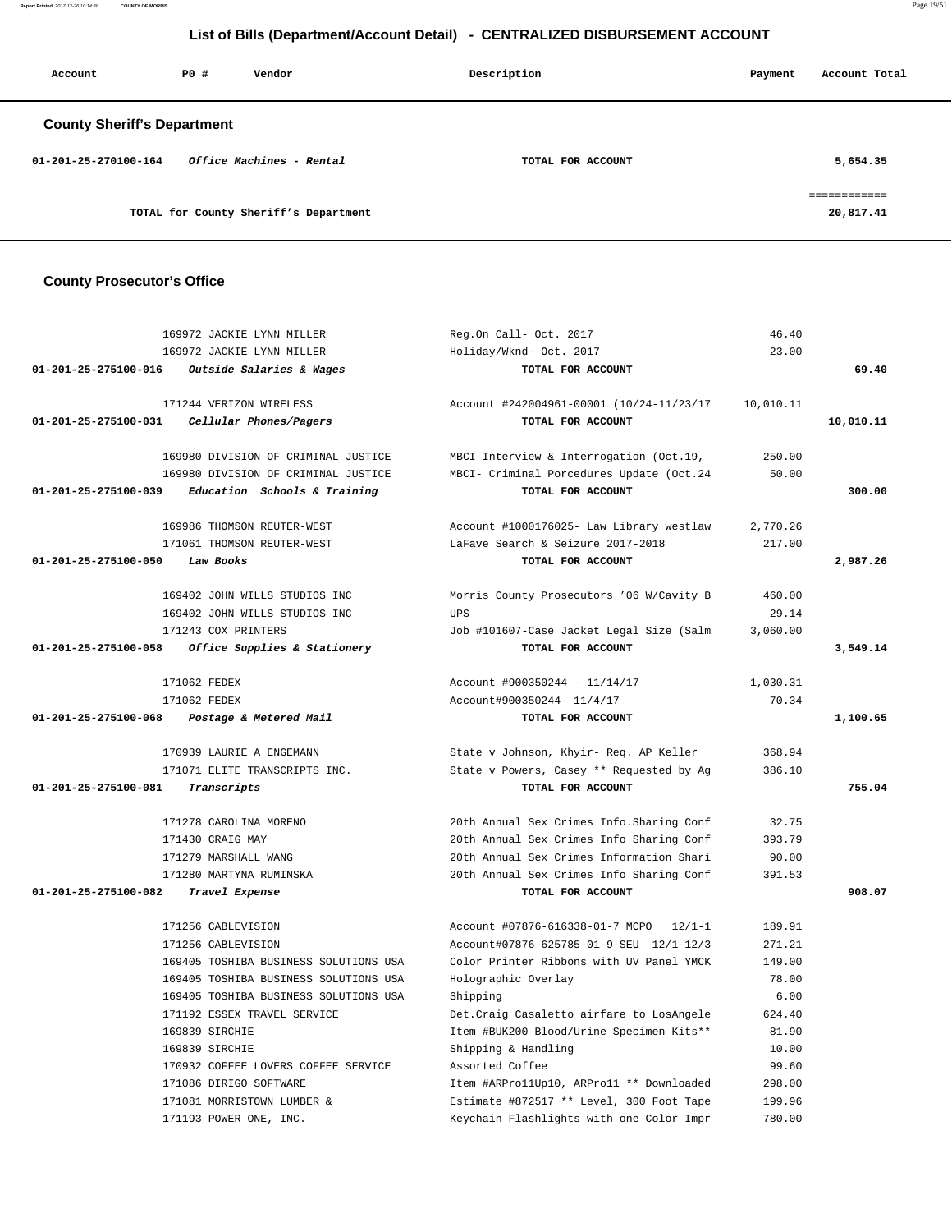**Report Printed** 2017-12-26 10:14:38 **COUNTY OF MORRIS** Page 19/51

# **List of Bills (Department/Account Detail) - CENTRALIZED DISBURSEMENT ACCOUNT**

| Account                            | PO# | Vendor                                | Description       | Payment | Account Total           |
|------------------------------------|-----|---------------------------------------|-------------------|---------|-------------------------|
| <b>County Sheriff's Department</b> |     |                                       |                   |         |                         |
| 01-201-25-270100-164               |     | Office Machines - Rental              | TOTAL FOR ACCOUNT |         | 5,654.35                |
|                                    |     | TOTAL for County Sheriff's Department |                   |         | eeeeeeeeee<br>20,817.41 |

## **County Prosecutor's Office**

|                      | 169972 JACKIE LYNN MILLER             | Reg.On Call- Oct. 2017                                 | 46.40     |           |
|----------------------|---------------------------------------|--------------------------------------------------------|-----------|-----------|
|                      | 169972 JACKIE LYNN MILLER             | Holiday/Wknd- Oct. 2017                                | 23.00     |           |
| 01-201-25-275100-016 | Outside Salaries & Wages              | TOTAL FOR ACCOUNT                                      |           | 69.40     |
|                      |                                       |                                                        |           |           |
|                      | 171244 VERIZON WIRELESS               | Account #242004961-00001 (10/24-11/23/17               | 10,010.11 |           |
| 01-201-25-275100-031 | Cellular Phones/Pagers                | TOTAL FOR ACCOUNT                                      |           | 10,010.11 |
|                      |                                       |                                                        |           |           |
|                      | 169980 DIVISION OF CRIMINAL JUSTICE   | MBCI-Interview & Interrogation (Oct.19,                | 250.00    |           |
|                      | 169980 DIVISION OF CRIMINAL JUSTICE   | MBCI- Criminal Porcedures Update (Oct.24               | 50.00     |           |
| 01-201-25-275100-039 | Education Schools & Training          | TOTAL FOR ACCOUNT                                      |           | 300.00    |
|                      |                                       |                                                        |           |           |
|                      | 169986 THOMSON REUTER-WEST            | Account #1000176025- Law Library westlaw               | 2,770.26  |           |
|                      | 171061 THOMSON REUTER-WEST            | LaFave Search & Seizure 2017-2018                      | 217.00    |           |
| 01-201-25-275100-050 | Law Books                             | TOTAL FOR ACCOUNT                                      |           | 2,987.26  |
|                      | 169402 JOHN WILLS STUDIOS INC         |                                                        | 460.00    |           |
|                      | 169402 JOHN WILLS STUDIOS INC         | Morris County Prosecutors '06 W/Cavity B<br><b>UPS</b> | 29.14     |           |
|                      | 171243 COX PRINTERS                   | Job #101607-Case Jacket Legal Size (Salm               | 3,060.00  |           |
| 01-201-25-275100-058 | Office Supplies & Stationery          | TOTAL FOR ACCOUNT                                      |           | 3,549.14  |
|                      |                                       |                                                        |           |           |
|                      | 171062 FEDEX                          | Account #900350244 - 11/14/17                          | 1,030.31  |           |
|                      | 171062 FEDEX                          | Account#900350244- 11/4/17                             | 70.34     |           |
| 01-201-25-275100-068 | Postage & Metered Mail                | TOTAL FOR ACCOUNT                                      |           | 1,100.65  |
|                      |                                       |                                                        |           |           |
|                      | 170939 LAURIE A ENGEMANN              | State v Johnson, Khyir- Req. AP Keller                 | 368.94    |           |
|                      | 171071 ELITE TRANSCRIPTS INC.         | State v Powers, Casey ** Requested by Ag               | 386.10    |           |
| 01-201-25-275100-081 | Transcripts                           | TOTAL FOR ACCOUNT                                      |           | 755.04    |
|                      |                                       |                                                        |           |           |
|                      | 171278 CAROLINA MORENO                | 20th Annual Sex Crimes Info. Sharing Conf              | 32.75     |           |
|                      | 171430 CRAIG MAY                      | 20th Annual Sex Crimes Info Sharing Conf               | 393.79    |           |
|                      | 171279 MARSHALL WANG                  | 20th Annual Sex Crimes Information Shari               | 90.00     |           |
|                      | 171280 MARTYNA RUMINSKA               | 20th Annual Sex Crimes Info Sharing Conf               | 391.53    |           |
| 01-201-25-275100-082 | Travel Expense                        | TOTAL FOR ACCOUNT                                      |           | 908.07    |
|                      | 171256 CABLEVISION                    | Account #07876-616338-01-7 MCPO<br>$12/1 - 1$          | 189.91    |           |
|                      | 171256 CABLEVISION                    | Account#07876-625785-01-9-SEU 12/1-12/3                | 271.21    |           |
|                      | 169405 TOSHIBA BUSINESS SOLUTIONS USA | Color Printer Ribbons with UV Panel YMCK               | 149.00    |           |
|                      | 169405 TOSHIBA BUSINESS SOLUTIONS USA | Holographic Overlay                                    | 78.00     |           |
|                      | 169405 TOSHIBA BUSINESS SOLUTIONS USA | Shipping                                               | 6.00      |           |
|                      | 171192 ESSEX TRAVEL SERVICE           | Det. Craig Casaletto airfare to LosAngele              | 624.40    |           |
|                      | 169839 SIRCHIE                        | Item #BUK200 Blood/Urine Specimen Kits**               | 81.90     |           |
|                      | 169839 SIRCHIE                        | Shipping & Handling                                    | 10.00     |           |
|                      | 170932 COFFEE LOVERS COFFEE SERVICE   | Assorted Coffee                                        | 99.60     |           |
|                      | 171086 DIRIGO SOFTWARE                | Item #ARProllUp10, ARProll ** Downloaded               | 298.00    |           |
|                      | 171081 MORRISTOWN LUMBER &            | Estimate #872517 ** Level, 300 Foot Tape               | 199.96    |           |
|                      | 171193 POWER ONE, INC.                | Keychain Flashlights with one-Color Impr               | 780.00    |           |
|                      |                                       |                                                        |           |           |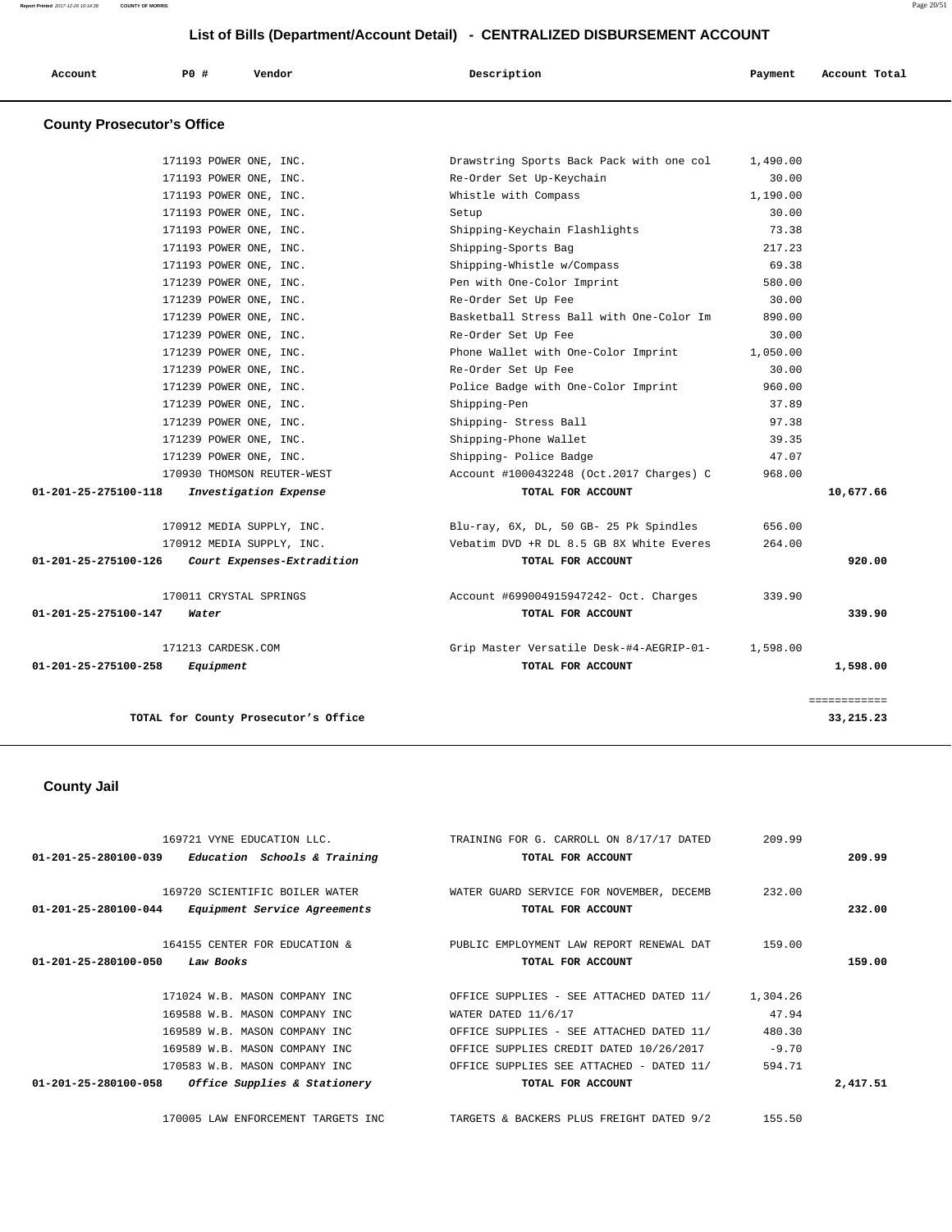| Account | <b>PO #</b> | Vendor | Description | Payment | Account Total |
|---------|-------------|--------|-------------|---------|---------------|
|         |             |        |             |         |               |

# **County Prosecutor's Office**

|                                | TOTAL for County Prosecutor's Office             |                                                  |          | 33, 215. 23  |
|--------------------------------|--------------------------------------------------|--------------------------------------------------|----------|--------------|
|                                |                                                  |                                                  |          | ============ |
| $01 - 201 - 25 - 275100 - 258$ | Equipment                                        | TOTAL FOR ACCOUNT                                |          | 1,598.00     |
|                                | 171213 CARDESK.COM                               | Grip Master Versatile Desk-#4-AEGRIP-01-         | 1,598.00 |              |
| 01-201-25-275100-147           | Water                                            | TOTAL FOR ACCOUNT                                |          | 339.90       |
|                                | 170011 CRYSTAL SPRINGS                           | Account #699004915947242- Oct. Charges           | 339.90   |              |
| 01-201-25-275100-126           | Court Expenses-Extradition                       | TOTAL FOR ACCOUNT                                |          | 920.00       |
|                                | 170912 MEDIA SUPPLY, INC.                        | Vebatim DVD +R DL 8.5 GB 8X White Everes         | 264.00   |              |
|                                | 170912 MEDIA SUPPLY, INC.                        | Blu-ray, 6X, DL, 50 GB- 25 Pk Spindles           | 656.00   |              |
| 01-201-25-275100-118           | Investigation Expense                            | TOTAL FOR ACCOUNT                                |          | 10,677.66    |
|                                | 170930 THOMSON REUTER-WEST                       | Account #1000432248 (Oct.2017 Charges) C         | 968.00   |              |
|                                | 171239 POWER ONE, INC.                           | Shipping- Police Badge                           | 47.07    |              |
|                                | 171239 POWER ONE, INC.                           | Shipping-Phone Wallet                            | 39.35    |              |
|                                | 171239 POWER ONE, INC.                           | Shipping- Stress Ball                            | 97.38    |              |
|                                | 171239 POWER ONE, INC.                           | Shipping-Pen                                     | 37.89    |              |
|                                | 171239 POWER ONE, INC.                           | Police Badge with One-Color Imprint              | 960.00   |              |
|                                | 171239 POWER ONE, INC.                           | Re-Order Set Up Fee                              | 30.00    |              |
|                                | 171239 POWER ONE, INC.                           | Phone Wallet with One-Color Imprint              | 1,050.00 |              |
|                                | 171239 POWER ONE, INC.                           | Re-Order Set Up Fee                              | 30.00    |              |
|                                | 171239 POWER ONE, INC.                           | Basketball Stress Ball with One-Color Im         | 890.00   |              |
|                                | 171239 POWER ONE, INC.                           | Re-Order Set Up Fee                              | 30.00    |              |
|                                | 171239 POWER ONE, INC.                           | Pen with One-Color Imprint                       | 580.00   |              |
|                                | 171193 POWER ONE, INC.                           | Shipping-Whistle w/Compass                       | 69.38    |              |
|                                | 171193 POWER ONE, INC.                           | Shipping-Sports Bag                              | 217.23   |              |
|                                | 171193 POWER ONE, INC.                           | Shipping-Keychain Flashlights                    | 73.38    |              |
|                                | 171193 POWER ONE, INC.                           | Setup                                            | 30.00    |              |
|                                | 171193 POWER ONE, INC.<br>171193 POWER ONE, INC. | Re-Order Set Up-Keychain<br>Whistle with Compass | 1,190.00 |              |
|                                |                                                  |                                                  | 30.00    |              |

# **County Jail**

| $01 - 201 - 25 - 280100 - 039$<br>Education Schools & Training                                                                                                                                                                       | 169721 VYNE EDUCATION LLC. TRAINING FOR G. CARROLL ON 8/17/17 DATED<br>TOTAL FOR ACCOUNT                                                                                                                                | 209.99                                           | 209.99   |
|--------------------------------------------------------------------------------------------------------------------------------------------------------------------------------------------------------------------------------------|-------------------------------------------------------------------------------------------------------------------------------------------------------------------------------------------------------------------------|--------------------------------------------------|----------|
| 169720 SCIENTIFIC BOILER WATER<br>01-201-25-280100-044<br><i>Equipment Service Agreements</i>                                                                                                                                        | WATER GUARD SERVICE FOR NOVEMBER, DECEMB<br>TOTAL FOR ACCOUNT                                                                                                                                                           | 232.00                                           | 232.00   |
| 164155 CENTER FOR EDUCATION &<br>01-201-25-280100-050<br>Law Books                                                                                                                                                                   | PUBLIC EMPLOYMENT LAW REPORT RENEWAL DAT<br>TOTAL FOR ACCOUNT                                                                                                                                                           | 159.00                                           | 159.00   |
| 171024 W.B. MASON COMPANY INC<br>169588 W.B. MASON COMPANY INC<br>169589 W.B. MASON COMPANY INC<br>169589 W.B. MASON COMPANY INC<br>170583 W.B. MASON COMPANY INC.<br>$01 - 201 - 25 - 280100 - 058$<br>Office Supplies & Stationery | OFFICE SUPPLIES - SEE ATTACHED DATED 11/<br>WATER DATED 11/6/17<br>OFFICE SUPPLIES - SEE ATTACHED DATED 11/<br>OFFICE SUPPLIES CREDIT DATED 10/26/2017<br>OFFICE SUPPLIES SEE ATTACHED - DATED 11/<br>TOTAL FOR ACCOUNT | 1,304.26<br>47.94<br>480.30<br>$-9.70$<br>594.71 | 2,417.51 |
| 170005 LAW ENFORCEMENT TARGETS INC                                                                                                                                                                                                   | TARGETS & BACKERS PLUS FREIGHT DATED 9/2                                                                                                                                                                                | 155.50                                           |          |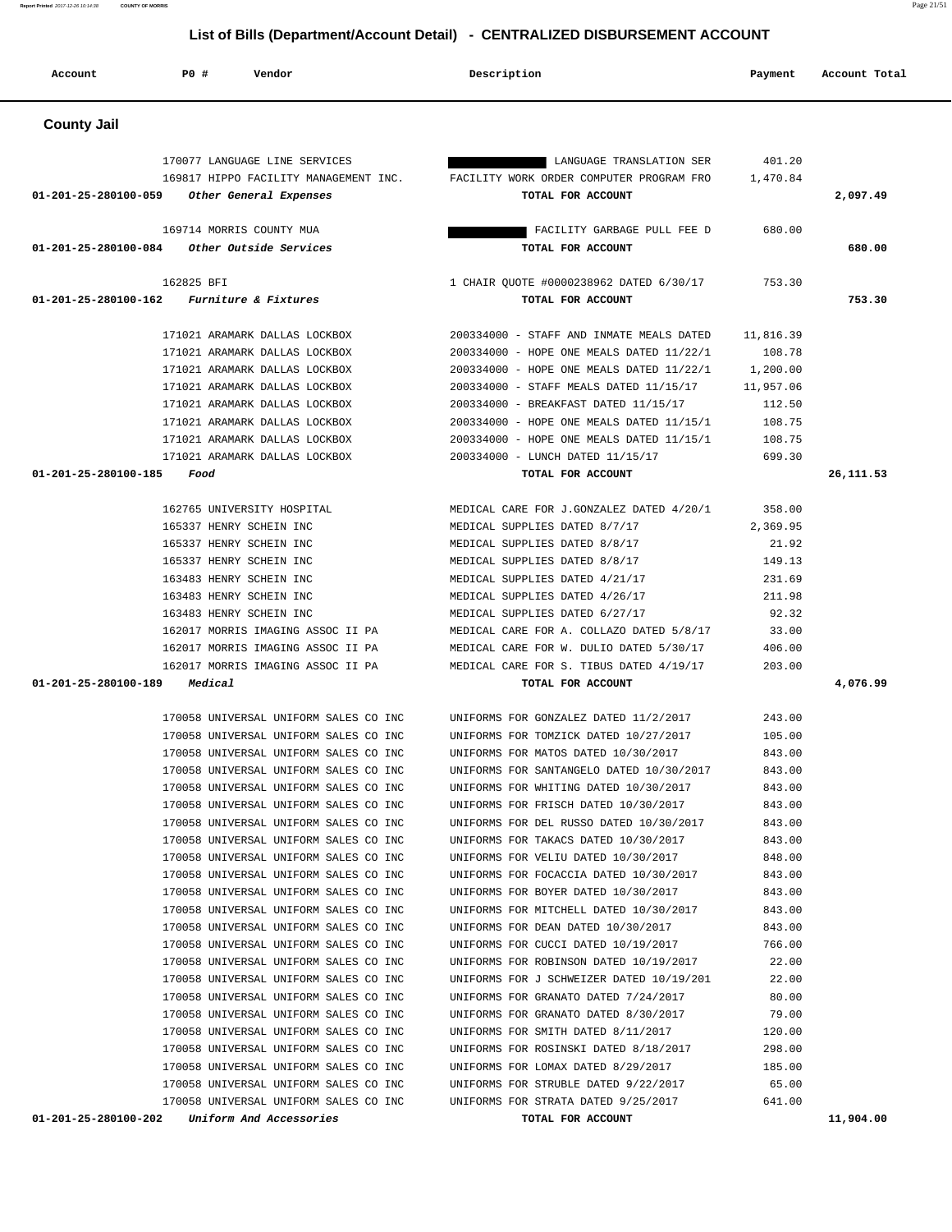# 170058 UNIVERSAL UNIFORM SALES CO INC UNIFORMS FOR STRATA DATED 9/25/2017 641.00  **01-201-25-280100-202 Uniform And Accessories TOTAL FOR ACCOUNT 11,904.00**

# **County Jail**

| <b>County Jail</b>                             |                                                                                |           |            |
|------------------------------------------------|--------------------------------------------------------------------------------|-----------|------------|
|                                                |                                                                                |           |            |
| 170077 LANGUAGE LINE SERVICES                  | LANGUAGE TRANSLATION SER                                                       | 401.20    |            |
| 169817 HIPPO FACILITY MANAGEMENT INC.          | FACILITY WORK ORDER COMPUTER PROGRAM FRO                                       | 1,470.84  |            |
| 01-201-25-280100-059<br>Other General Expenses | TOTAL FOR ACCOUNT                                                              |           | 2,097.49   |
| 169714 MORRIS COUNTY MUA                       | FACILITY GARBAGE PULL FEE D                                                    | 680.00    |            |
| 01-201-25-280100-084<br>Other Outside Services | TOTAL FOR ACCOUNT                                                              |           | 680.00     |
| 162825 BFI                                     | 1 CHAIR OUOTE #0000238962 DATED 6/30/17                                        | 753.30    |            |
| 01-201-25-280100-162<br>Furniture & Fixtures   | TOTAL FOR ACCOUNT                                                              |           | 753.30     |
|                                                |                                                                                |           |            |
| 171021 ARAMARK DALLAS LOCKBOX                  | 200334000 - STAFF AND INMATE MEALS DATED                                       | 11,816.39 |            |
| 171021 ARAMARK DALLAS LOCKBOX                  | 200334000 - HOPE ONE MEALS DATED 11/22/1                                       | 108.78    |            |
| 171021 ARAMARK DALLAS LOCKBOX                  | 200334000 - HOPE ONE MEALS DATED 11/22/1                                       | 1,200.00  |            |
| 171021 ARAMARK DALLAS LOCKBOX                  | 200334000 - STAFF MEALS DATED 11/15/17                                         | 11,957.06 |            |
| 171021 ARAMARK DALLAS LOCKBOX                  | 200334000 - BREAKFAST DATED 11/15/17                                           | 112.50    |            |
| 171021 ARAMARK DALLAS LOCKBOX                  | 200334000 - HOPE ONE MEALS DATED 11/15/1                                       | 108.75    |            |
| 171021 ARAMARK DALLAS LOCKBOX                  | 200334000 - HOPE ONE MEALS DATED 11/15/1                                       | 108.75    |            |
| 171021 ARAMARK DALLAS LOCKBOX                  | 200334000 - LUNCH DATED 11/15/17                                               | 699.30    |            |
| 01-201-25-280100-185<br>Food                   | TOTAL FOR ACCOUNT                                                              |           | 26, 111.53 |
| 162765 UNIVERSITY HOSPITAL                     | MEDICAL CARE FOR J.GONZALEZ DATED 4/20/1                                       | 358.00    |            |
| 165337 HENRY SCHEIN INC                        | MEDICAL SUPPLIES DATED 8/7/17                                                  | 2,369.95  |            |
| 165337 HENRY SCHEIN INC                        | MEDICAL SUPPLIES DATED 8/8/17                                                  | 21.92     |            |
| 165337 HENRY SCHEIN INC                        | MEDICAL SUPPLIES DATED 8/8/17                                                  | 149.13    |            |
| 163483 HENRY SCHEIN INC                        | MEDICAL SUPPLIES DATED 4/21/17                                                 | 231.69    |            |
| 163483 HENRY SCHEIN INC                        | MEDICAL SUPPLIES DATED 4/26/17                                                 | 211.98    |            |
| 163483 HENRY SCHEIN INC                        | MEDICAL SUPPLIES DATED 6/27/17                                                 | 92.32     |            |
| 162017 MORRIS IMAGING ASSOC II PA              | MEDICAL CARE FOR A. COLLAZO DATED 5/8/17                                       | 33.00     |            |
| 162017 MORRIS IMAGING ASSOC II PA              | MEDICAL CARE FOR W. DULIO DATED 5/30/17                                        | 406.00    |            |
| 162017 MORRIS IMAGING ASSOC II PA              | MEDICAL CARE FOR S. TIBUS DATED 4/19/17                                        | 203.00    |            |
| 01-201-25-280100-189<br>Medical                | TOTAL FOR ACCOUNT                                                              |           | 4,076.99   |
| 170058 UNIVERSAL UNIFORM SALES CO INC          |                                                                                | 243.00    |            |
| 170058 UNIVERSAL UNIFORM SALES CO INC          | UNIFORMS FOR GONZALEZ DATED 11/2/2017<br>UNIFORMS FOR TOMZICK DATED 10/27/2017 | 105.00    |            |
| 170058 UNIVERSAL UNIFORM SALES CO INC          | UNIFORMS FOR MATOS DATED 10/30/2017                                            | 843.00    |            |
| 170058 UNIVERSAL UNIFORM SALES CO INC          | UNIFORMS FOR SANTANGELO DATED 10/30/2017                                       | 843.00    |            |
| 170058 UNIVERSAL UNIFORM SALES CO INC          | UNIFORMS FOR WHITING DATED 10/30/2017                                          | 843.00    |            |
| 170058 UNIVERSAL UNIFORM SALES CO INC          | UNIFORMS FOR FRISCH DATED 10/30/2017                                           | 843.00    |            |
| 170058 UNIVERSAL UNIFORM SALES CO INC          | UNIFORMS FOR DEL RUSSO DATED 10/30/2017                                        | 843.00    |            |
| 170058 UNIVERSAL UNIFORM SALES CO INC          | UNIFORMS FOR TAKACS DATED 10/30/2017                                           | 843.00    |            |
| 170058 UNIVERSAL UNIFORM SALES CO INC          | UNIFORMS FOR VELIU DATED 10/30/2017                                            | 848.00    |            |
| 170058 UNIVERSAL UNIFORM SALES CO INC          | UNIFORMS FOR FOCACCIA DATED 10/30/2017                                         | 843.00    |            |
| 170058 UNIVERSAL UNIFORM SALES CO INC          | UNIFORMS FOR BOYER DATED 10/30/2017                                            | 843.00    |            |
| 170058 UNIVERSAL UNIFORM SALES CO INC          | UNIFORMS FOR MITCHELL DATED 10/30/2017                                         | 843.00    |            |
| 170058 UNIVERSAL UNIFORM SALES CO INC          | UNIFORMS FOR DEAN DATED 10/30/2017                                             | 843.00    |            |
| 170058 UNIVERSAL UNIFORM SALES CO INC          | UNIFORMS FOR CUCCI DATED 10/19/2017                                            | 766.00    |            |
| 170058 UNIVERSAL UNIFORM SALES CO INC          | UNIFORMS FOR ROBINSON DATED 10/19/2017                                         | 22.00     |            |
| 170058 UNIVERSAL UNIFORM SALES CO INC          | UNIFORMS FOR J SCHWEIZER DATED 10/19/201                                       | 22.00     |            |
| 170058 UNIVERSAL UNIFORM SALES CO INC          | UNIFORMS FOR GRANATO DATED 7/24/2017                                           | 80.00     |            |
| 170058 UNIVERSAL UNIFORM SALES CO INC          | UNIFORMS FOR GRANATO DATED 8/30/2017                                           | 79.00     |            |
| 170058 UNIVERSAL UNIFORM SALES CO INC          | UNIFORMS FOR SMITH DATED 8/11/2017                                             | 120.00    |            |
| 170058 UNIVERSAL UNIFORM SALES CO INC          | UNIFORMS FOR ROSINSKI DATED 8/18/2017                                          | 298.00    |            |
| 170058 UNIVERSAL UNIFORM SALES CO INC          | UNIFORMS FOR LOMAX DATED 8/29/2017                                             | 185.00    |            |
| 170058 UNIVERSAL UNIFORM SALES CO INC          | UNIFORMS FOR STRUBLE DATED 9/22/2017                                           | 65.00     |            |

 **Account P0 # Vendor Description Payment Account Total**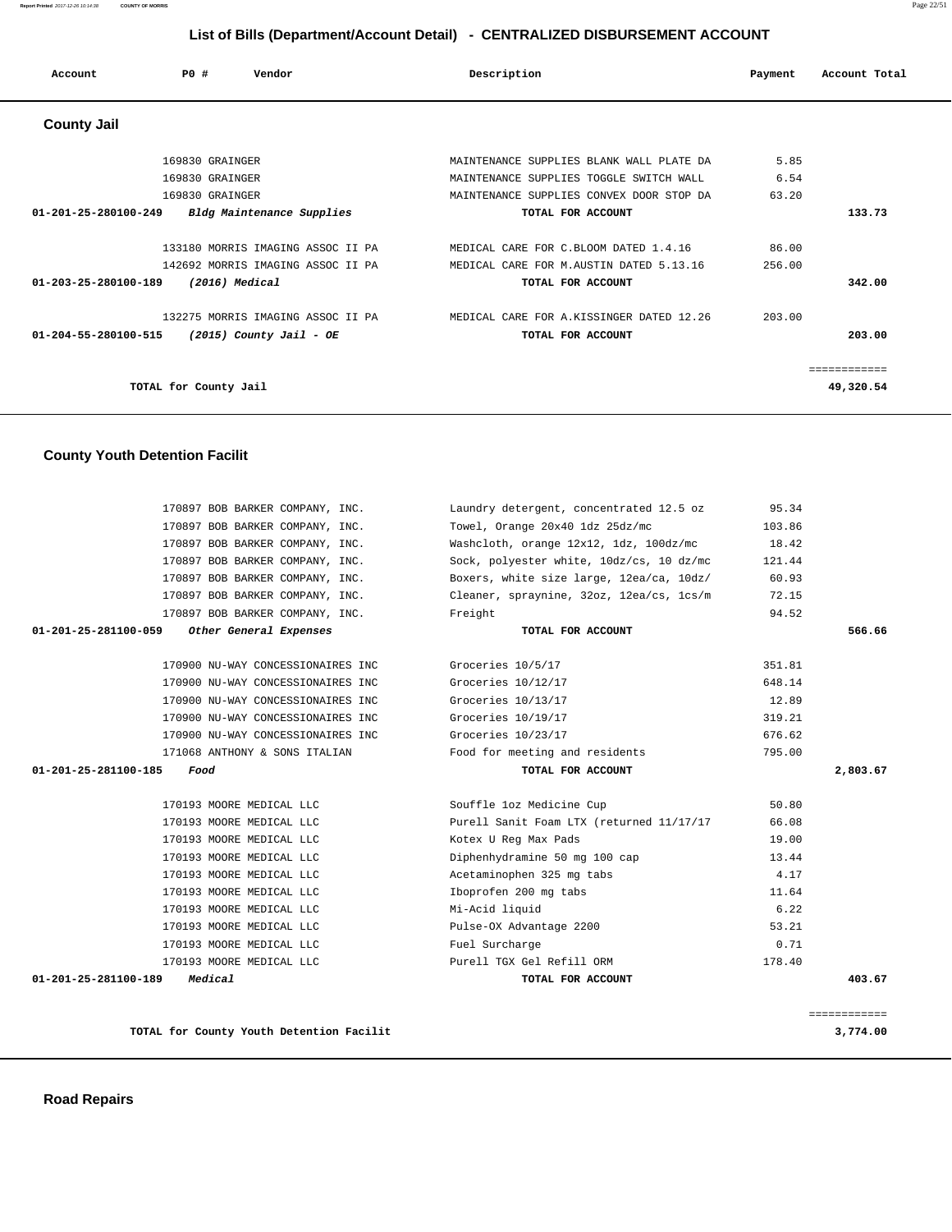| Account                        | <b>PO #</b>           | Vendor                            | Description                              | Payment | Account Total |
|--------------------------------|-----------------------|-----------------------------------|------------------------------------------|---------|---------------|
| <b>County Jail</b>             |                       |                                   |                                          |         |               |
|                                | 169830 GRAINGER       |                                   | MAINTENANCE SUPPLIES BLANK WALL PLATE DA | 5.85    |               |
|                                | 169830 GRAINGER       |                                   | MAINTENANCE SUPPLIES TOGGLE SWITCH WALL  | 6.54    |               |
|                                | 169830 GRAINGER       |                                   | MAINTENANCE SUPPLIES CONVEX DOOR STOP DA | 63.20   |               |
| $01 - 201 - 25 - 280100 - 249$ |                       | Bldg Maintenance Supplies         | TOTAL FOR ACCOUNT                        |         | 133.73        |
|                                |                       |                                   |                                          |         |               |
|                                |                       | 133180 MORRIS IMAGING ASSOC II PA | MEDICAL CARE FOR C.BLOOM DATED 1.4.16    | 86.00   |               |
|                                |                       | 142692 MORRIS IMAGING ASSOC II PA | MEDICAL CARE FOR M.AUSTIN DATED 5.13.16  | 256.00  |               |
| 01-203-25-280100-189           |                       | $(2016)$ Medical                  | TOTAL FOR ACCOUNT                        |         | 342.00        |
|                                |                       | 132275 MORRIS IMAGING ASSOC II PA | MEDICAL CARE FOR A.KISSINGER DATED 12.26 | 203.00  |               |
| 01-204-55-280100-515           |                       | $(2015)$ County Jail - OE         | TOTAL FOR ACCOUNT                        |         | 203.00        |
|                                |                       |                                   |                                          |         | ============  |
|                                | TOTAL for County Jail |                                   |                                          |         | 49,320.54     |

# **County Youth Detention Facilit**

| 170897 BOB BARKER COMPANY, INC.                | Laundry detergent, concentrated 12.5 oz  | 95.34        |
|------------------------------------------------|------------------------------------------|--------------|
| 170897 BOB BARKER COMPANY, INC.                | Towel, Orange 20x40 1dz 25dz/mc          | 103.86       |
| 170897 BOB BARKER COMPANY, INC.                | Washcloth, orange 12x12, 1dz, 100dz/mc   | 18.42        |
| 170897 BOB BARKER COMPANY, INC.                | Sock, polyester white, 10dz/cs, 10 dz/mc | 121.44       |
| 170897 BOB BARKER COMPANY, INC.                | Boxers, white size large, 12ea/ca, 10dz/ | 60.93        |
| 170897 BOB BARKER COMPANY, INC.                | Cleaner, spraynine, 32oz, 12ea/cs, 1cs/m | 72.15        |
| 170897 BOB BARKER COMPANY, INC.                | Freight                                  | 94.52        |
| Other General Expenses<br>01-201-25-281100-059 | TOTAL FOR ACCOUNT                        | 566.66       |
| 170900 NU-WAY CONCESSIONAIRES INC              | Groceries 10/5/17                        | 351.81       |
| 170900 NU-WAY CONCESSIONAIRES INC              | Groceries 10/12/17                       | 648.14       |
| 170900 NU-WAY CONCESSIONAIRES INC              | Groceries 10/13/17                       | 12.89        |
| 170900 NU-WAY CONCESSIONAIRES INC              | Groceries 10/19/17                       | 319.21       |
| 170900 NU-WAY CONCESSIONAIRES INC              | Groceries 10/23/17                       | 676.62       |
| 171068 ANTHONY & SONS ITALIAN                  | Food for meeting and residents           | 795.00       |
| 01-201-25-281100-185<br>Food                   | TOTAL FOR ACCOUNT                        | 2,803.67     |
| 170193 MOORE MEDICAL LLC                       | Souffle loz Medicine Cup                 | 50.80        |
| 170193 MOORE MEDICAL LLC                       | Purell Sanit Foam LTX (returned 11/17/17 | 66.08        |
| 170193 MOORE MEDICAL LLC                       | Kotex U Req Max Pads                     | 19.00        |
| 170193 MOORE MEDICAL LLC                       | Diphenhydramine 50 mg 100 cap            | 13.44        |
| 170193 MOORE MEDICAL LLC                       | Acetaminophen 325 mg tabs                | 4.17         |
| 170193 MOORE MEDICAL LLC                       | Iboprofen 200 mg tabs                    | 11.64        |
| 170193 MOORE MEDICAL LLC                       | Mi-Acid liquid                           | 6.22         |
| 170193 MOORE MEDICAL LLC                       | Pulse-OX Advantage 2200                  | 53.21        |
| 170193 MOORE MEDICAL LLC                       | Fuel Surcharge                           | 0.71         |
| 170193 MOORE MEDICAL LLC                       | Purell TGX Gel Refill ORM                | 178.40       |
| Medical<br>01-201-25-281100-189                | TOTAL FOR ACCOUNT                        | 403.67       |
|                                                |                                          | ============ |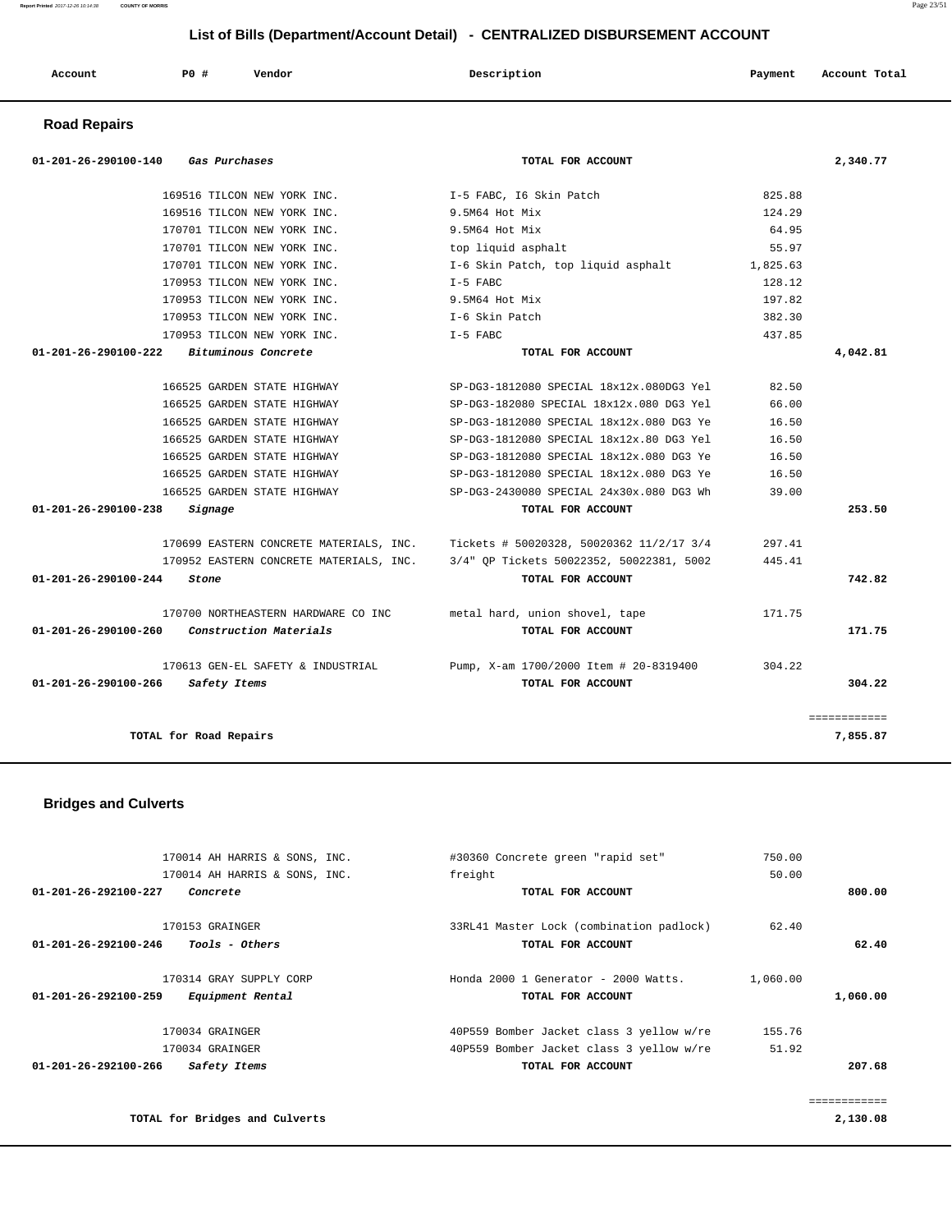| Account<br>. | P0 | Vendor<br>. | Description | Payment | Account Total<br>.<br>. |
|--------------|----|-------------|-------------|---------|-------------------------|
|--------------|----|-------------|-------------|---------|-------------------------|

# **Road Repairs**

| 01-201-26-290100-140<br>Gas Purchases          | TOTAL FOR ACCOUNT                        |          | 2,340.77     |
|------------------------------------------------|------------------------------------------|----------|--------------|
| 169516 TILCON NEW YORK INC.                    | I-5 FABC, I6 Skin Patch                  | 825.88   |              |
| 169516 TILCON NEW YORK INC.                    | 9.5M64 Hot Mix                           | 124.29   |              |
| 170701 TILCON NEW YORK INC.                    | 9.5M64 Hot Mix                           | 64.95    |              |
| 170701 TILCON NEW YORK INC.                    | top liquid asphalt                       | 55.97    |              |
| 170701 TILCON NEW YORK INC.                    | I-6 Skin Patch, top liquid asphalt       | 1,825.63 |              |
| 170953 TILCON NEW YORK INC.                    | $I-5$ FABC                               | 128.12   |              |
| 170953 TILCON NEW YORK INC.                    | 9.5M64 Hot Mix                           | 197.82   |              |
| 170953 TILCON NEW YORK INC.                    | I-6 Skin Patch                           | 382.30   |              |
| 170953 TILCON NEW YORK INC.                    | $I-5$ FABC                               | 437.85   |              |
| Bituminous Concrete<br>01-201-26-290100-222    | TOTAL FOR ACCOUNT                        |          | 4,042.81     |
| 166525 GARDEN STATE HIGHWAY                    | SP-DG3-1812080 SPECIAL 18x12x.080DG3 Yel | 82.50    |              |
| 166525 GARDEN STATE HIGHWAY                    | SP-DG3-182080 SPECIAL 18x12x.080 DG3 Yel | 66.00    |              |
| 166525 GARDEN STATE HIGHWAY                    | SP-DG3-1812080 SPECIAL 18x12x.080 DG3 Ye | 16.50    |              |
| 166525 GARDEN STATE HIGHWAY                    | SP-DG3-1812080 SPECIAL 18x12x.80 DG3 Yel | 16.50    |              |
| 166525 GARDEN STATE HIGHWAY                    | SP-DG3-1812080 SPECIAL 18x12x.080 DG3 Ye | 16.50    |              |
| 166525 GARDEN STATE HIGHWAY                    | SP-DG3-1812080 SPECIAL 18x12x.080 DG3 Ye | 16.50    |              |
| 166525 GARDEN STATE HIGHWAY                    | SP-DG3-2430080 SPECIAL 24x30x.080 DG3 Wh | 39.00    |              |
| 01-201-26-290100-238<br>Signage                | TOTAL FOR ACCOUNT                        |          | 253.50       |
| 170699 EASTERN CONCRETE MATERIALS, INC.        | Tickets # 50020328, 50020362 11/2/17 3/4 | 297.41   |              |
| 170952 EASTERN CONCRETE MATERIALS, INC.        | 3/4" OP Tickets 50022352, 50022381, 5002 | 445.41   |              |
| 01-201-26-290100-244<br>Stone                  | TOTAL FOR ACCOUNT                        |          | 742.82       |
| 170700 NORTHEASTERN HARDWARE CO INC            | metal hard, union shovel, tape           | 171.75   |              |
| Construction Materials<br>01-201-26-290100-260 | TOTAL FOR ACCOUNT                        |          | 171.75       |
| 170613 GEN-EL SAFETY & INDUSTRIAL              | Pump, X-am 1700/2000 Item # 20-8319400   | 304.22   |              |
| $01 - 201 - 26 - 290100 - 266$<br>Safety Items | TOTAL FOR ACCOUNT                        |          | 304.22       |
|                                                |                                          |          | ============ |
| TOTAL for Road Repairs                         |                                          |          | 7,855.87     |

# **Bridges and Culverts**

| 170014 AH HARRIS & SONS, INC.                      | #30360 Concrete green "rapid set"        | 750.00   |              |
|----------------------------------------------------|------------------------------------------|----------|--------------|
| 170014 AH HARRIS & SONS, INC.                      | freight                                  | 50.00    |              |
| 01-201-26-292100-227<br>Concrete                   | TOTAL FOR ACCOUNT                        |          | 800.00       |
|                                                    |                                          |          |              |
| 170153 GRAINGER                                    | 33RL41 Master Lock (combination padlock) | 62.40    |              |
| 01-201-26-292100-246<br>Tools - Others             | TOTAL FOR ACCOUNT                        |          | 62.40        |
|                                                    |                                          |          |              |
| 170314 GRAY SUPPLY CORP                            | Honda 2000 1 Generator - 2000 Watts.     | 1,060.00 |              |
| $01 - 201 - 26 - 292100 - 259$<br>Equipment Rental | TOTAL FOR ACCOUNT                        |          | 1,060.00     |
| 170034 GRAINGER                                    | 40P559 Bomber Jacket class 3 yellow w/re | 155.76   |              |
| 170034 GRAINGER                                    | 40P559 Bomber Jacket class 3 yellow w/re | 51.92    |              |
| $01 - 201 - 26 - 292100 - 266$<br>Safety Items     | TOTAL FOR ACCOUNT                        |          | 207.68       |
|                                                    |                                          |          |              |
|                                                    |                                          |          | ============ |
| TOTAL for Bridges and Culverts                     |                                          |          | 2,130.08     |

### **Report Printed** 2017-12-26 10:14:38 **COUNTY OF MORRIS** Page 23/51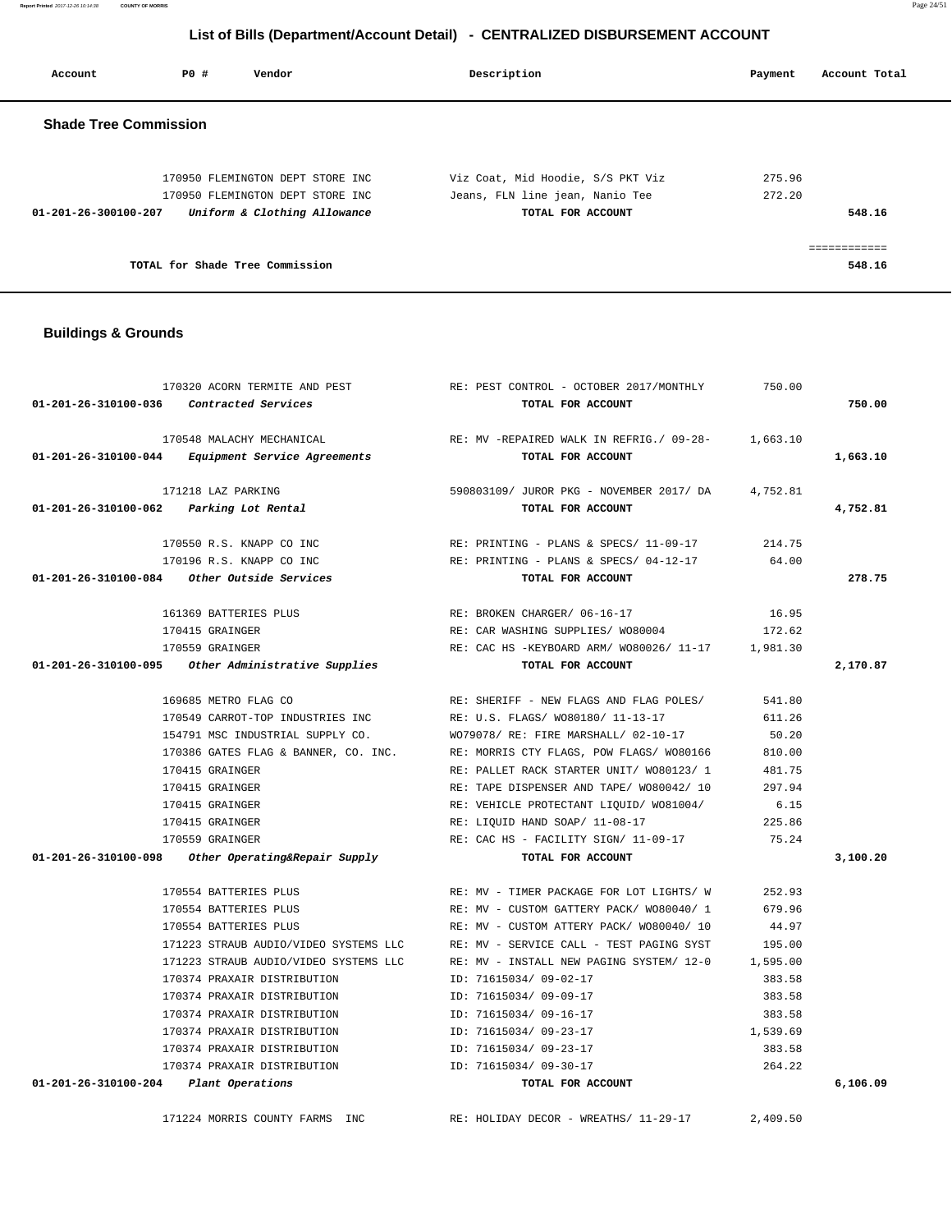**Report Printed** 2017-12-26 10:14:38 **COUNTY OF MORRIS** Page 24/51

# **List of Bills (Department/Account Detail) - CENTRALIZED DISBURSEMENT ACCOUNT**

| Account                      | PO# | Vendor                                                            | Description                                          | Account Total<br>Payment |
|------------------------------|-----|-------------------------------------------------------------------|------------------------------------------------------|--------------------------|
| <b>Shade Tree Commission</b> |     |                                                                   |                                                      |                          |
|                              |     | 170950 FLEMINGTON DEPT STORE INC                                  | Viz Coat, Mid Hoodie, S/S PKT Viz                    | 275.96                   |
| 01-201-26-300100-207         |     | 170950 FLEMINGTON DEPT STORE INC.<br>Uniform & Clothing Allowance | Jeans, FLN line jean, Nanio Tee<br>TOTAL FOR ACCOUNT | 272.20<br>548.16         |
|                              |     | TOTAL for Shade Tree Commission                                   |                                                      | 548.16                   |

# **Buildings & Grounds**

|                                          | 170320 ACORN TERMITE AND PEST                      | RE: PEST CONTROL - OCTOBER 2017/MONTHLY           | 750.00   |          |
|------------------------------------------|----------------------------------------------------|---------------------------------------------------|----------|----------|
| 01-201-26-310100-036 Contracted Services |                                                    | TOTAL FOR ACCOUNT                                 |          | 750.00   |
|                                          | 170548 MALACHY MECHANICAL                          | RE: MV -REPAIRED WALK IN REFRIG./ 09-28- 1,663.10 |          |          |
|                                          | 01-201-26-310100-044 Equipment Service Agreements  | TOTAL FOR ACCOUNT                                 |          | 1,663.10 |
|                                          | 171218 LAZ PARKING                                 | 590803109/ JUROR PKG - NOVEMBER 2017/ DA          | 4,752.81 |          |
| 01-201-26-310100-062 Parking Lot Rental  |                                                    | TOTAL FOR ACCOUNT                                 |          | 4,752.81 |
|                                          | 170550 R.S. KNAPP CO INC                           | RE: PRINTING - PLANS & SPECS/ 11-09-17 214.75     |          |          |
|                                          | 170196 R.S. KNAPP CO INC                           | RE: PRINTING - PLANS & SPECS/ 04-12-17 64.00      |          |          |
|                                          |                                                    | TOTAL FOR ACCOUNT                                 |          | 278.75   |
|                                          | 161369 BATTERIES PLUS                              | RE: BROKEN CHARGER/ 06-16-17                      | 16.95    |          |
|                                          | 170415 GRAINGER                                    | RE: CAR WASHING SUPPLIES/ WO80004                 | 172.62   |          |
|                                          | 170559 GRAINGER                                    | RE: CAC HS -KEYBOARD ARM/ WO80026/ 11-17 1,981.30 |          |          |
|                                          | 01-201-26-310100-095 Other Administrative Supplies | TOTAL FOR ACCOUNT                                 |          | 2,170.87 |
|                                          | 169685 METRO FLAG CO                               | RE: SHERIFF - NEW FLAGS AND FLAG POLES/           | 541.80   |          |
|                                          | 170549 CARROT-TOP INDUSTRIES INC                   | RE: U.S. FLAGS/ WO80180/ 11-13-17                 | 611.26   |          |
|                                          | 154791 MSC INDUSTRIAL SUPPLY CO.                   | WO79078/ RE: FIRE MARSHALL/ 02-10-17              | 50.20    |          |
|                                          | 170386 GATES FLAG & BANNER, CO. INC.               | RE: MORRIS CTY FLAGS, POW FLAGS/ WO80166          | 810.00   |          |
|                                          | 170415 GRAINGER                                    | RE: PALLET RACK STARTER UNIT/ W080123/ 1          | 481.75   |          |
|                                          | 170415 GRAINGER                                    | RE: TAPE DISPENSER AND TAPE/ W080042/ 10          | 297.94   |          |
|                                          | 170415 GRAINGER                                    | RE: VEHICLE PROTECTANT LIQUID/ WO81004/           | 6.15     |          |
|                                          | 170415 GRAINGER                                    | RE: LIQUID HAND SOAP/ 11-08-17                    | 225.86   |          |
|                                          | 170559 GRAINGER                                    | RE: CAC HS - FACILITY SIGN/ 11-09-17 75.24        |          |          |
|                                          | 01-201-26-310100-098 Other Operating&Repair Supply | TOTAL FOR ACCOUNT                                 |          | 3,100.20 |
|                                          | 170554 BATTERIES PLUS                              | RE: MV - TIMER PACKAGE FOR LOT LIGHTS/ W          | 252.93   |          |
|                                          | 170554 BATTERIES PLUS                              | RE: MV - CUSTOM GATTERY PACK/ WO80040/ 1          | 679.96   |          |
|                                          | 170554 BATTERIES PLUS                              | RE: MV - CUSTOM ATTERY PACK/ WO80040/ 10          | 44.97    |          |
|                                          | 171223 STRAUB AUDIO/VIDEO SYSTEMS LLC              | RE: MV - SERVICE CALL - TEST PAGING SYST          | 195.00   |          |
|                                          | 171223 STRAUB AUDIO/VIDEO SYSTEMS LLC              | RE: MV - INSTALL NEW PAGING SYSTEM/ 12-0          | 1,595.00 |          |
|                                          | 170374 PRAXAIR DISTRIBUTION                        | ID: 71615034/ 09-02-17                            | 383.58   |          |
|                                          | 170374 PRAXAIR DISTRIBUTION                        | ID: 71615034/ 09-09-17                            | 383.58   |          |
|                                          | 170374 PRAXAIR DISTRIBUTION                        | ID: 71615034/ 09-16-17                            | 383.58   |          |
|                                          | 170374 PRAXAIR DISTRIBUTION                        | ID: 71615034/ 09-23-17                            | 1,539.69 |          |
|                                          | 170374 PRAXAIR DISTRIBUTION                        | ID: 71615034/ 09-23-17                            | 383.58   |          |
|                                          | 170374 PRAXAIR DISTRIBUTION                        | ID: 71615034/ 09-30-17                            | 264.22   |          |
| 01-201-26-310100-204 Plant Operations    |                                                    | TOTAL FOR ACCOUNT                                 |          | 6,106.09 |
|                                          | 171224 MORRIS COUNTY FARMS INC                     | RE: HOLIDAY DECOR - WREATHS/ 11-29-17             | 2,409.50 |          |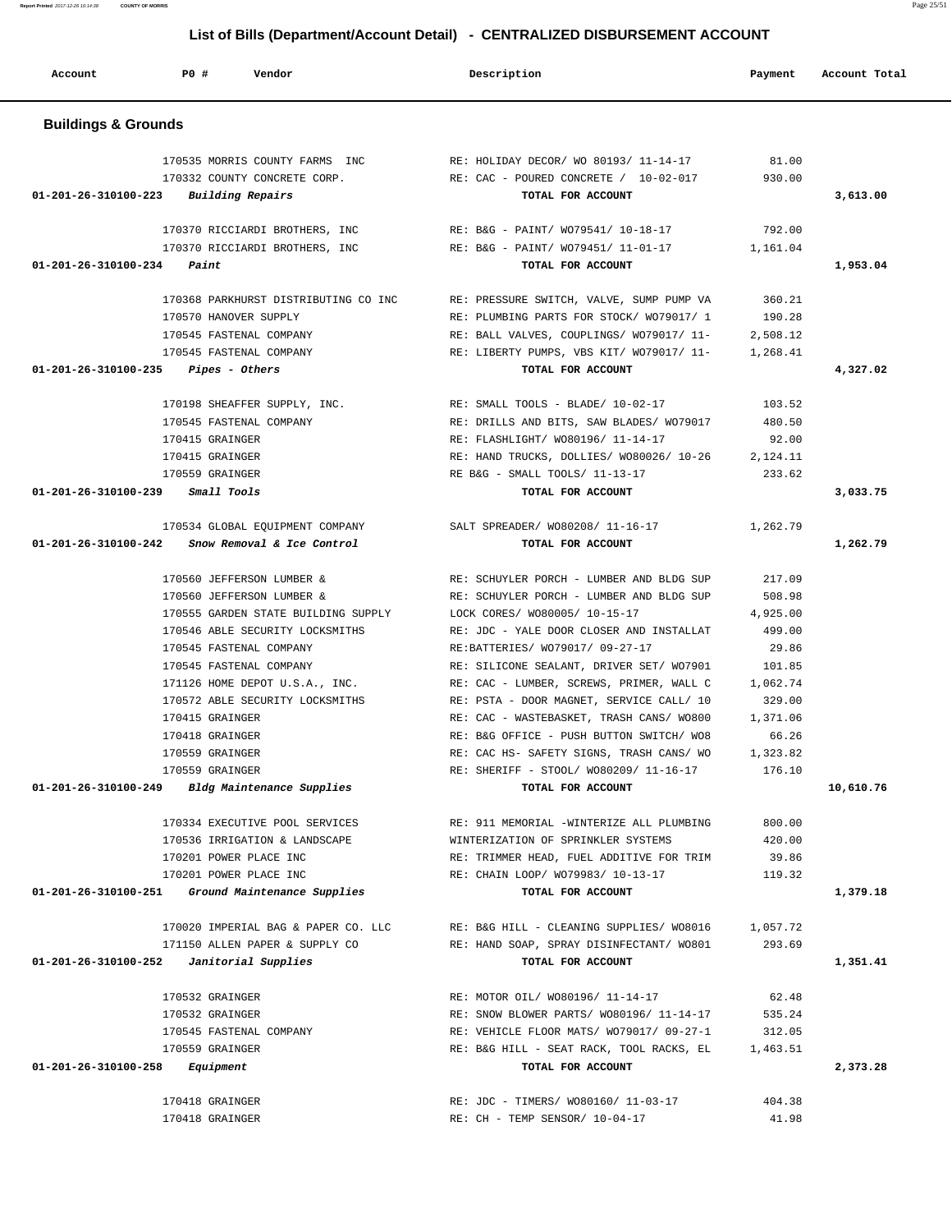| Account                        | P0 #<br>Vendor                                                        | Description                                                                              | Payment            | Account Total |
|--------------------------------|-----------------------------------------------------------------------|------------------------------------------------------------------------------------------|--------------------|---------------|
| <b>Buildings &amp; Grounds</b> |                                                                       |                                                                                          |                    |               |
|                                | 170535 MORRIS COUNTY FARMS INC                                        | RE: HOLIDAY DECOR/ WO 80193/ 11-14-17                                                    | 81.00              |               |
|                                | 170332 COUNTY CONCRETE CORP.                                          | RE: CAC - POURED CONCRETE / 10-02-017                                                    | 930.00             |               |
|                                | $01 - 201 - 26 - 310100 - 223$ Building Repairs                       | TOTAL FOR ACCOUNT                                                                        |                    | 3,613.00      |
|                                |                                                                       |                                                                                          |                    |               |
|                                | 170370 RICCIARDI BROTHERS, INC<br>170370 RICCIARDI BROTHERS, INC      | RE: B&G - PAINT/ WO79541/ 10-18-17 792.00<br>RE: B&G - PAINT/ WO79451/ 11-01-17 1,161.04 |                    |               |
| 01-201-26-310100-234           | Paint                                                                 | TOTAL FOR ACCOUNT                                                                        |                    | 1,953.04      |
|                                |                                                                       |                                                                                          |                    |               |
|                                | 170368 PARKHURST DISTRIBUTING CO INC                                  | RE: PRESSURE SWITCH, VALVE, SUMP PUMP VA                                                 | 360.21             |               |
|                                | 170570 HANOVER SUPPLY                                                 | RE: PLUMBING PARTS FOR STOCK/ WO79017/ 1                                                 | 190.28             |               |
|                                | 170545 FASTENAL COMPANY                                               | RE: BALL VALVES, COUPLINGS/ W079017/ 11-                                                 | 2,508.12           |               |
|                                | 170545 FASTENAL COMPANY                                               | RE: LIBERTY PUMPS, VBS KIT/ W079017/ 11-<br>TOTAL FOR ACCOUNT                            | 1,268.41           |               |
|                                | $01-201-26-310100-235$ Pipes - Others                                 |                                                                                          |                    | 4,327.02      |
|                                | 170198 SHEAFFER SUPPLY, INC.                                          | RE: SMALL TOOLS - BLADE/ 10-02-17                                                        | 103.52             |               |
|                                | 170545 FASTENAL COMPANY                                               | RE: DRILLS AND BITS, SAW BLADES/ W079017                                                 | 480.50             |               |
|                                | 170415 GRAINGER                                                       | RE: FLASHLIGHT/ WO80196/ 11-14-17                                                        | 92.00              |               |
|                                | 170415 GRAINGER                                                       | RE: HAND TRUCKS, DOLLIES/ WO80026/ 10-26                                                 | 2,124.11           |               |
|                                | 170559 GRAINGER                                                       | RE B&G - SMALL TOOLS/ 11-13-17                                                           | 233.62             |               |
|                                | 01-201-26-310100-239 Small Tools                                      | TOTAL FOR ACCOUNT                                                                        |                    | 3,033.75      |
|                                |                                                                       | 170534 GLOBAL EQUIPMENT COMPANY SALT SPREADER/W080208/11-16-17                           | 1,262.79           |               |
|                                | $01-201-26-310100-242$ Snow Removal & Ice Control                     | TOTAL FOR ACCOUNT                                                                        |                    | 1,262.79      |
|                                |                                                                       |                                                                                          |                    |               |
|                                | 170560 JEFFERSON LUMBER &                                             | RE: SCHUYLER PORCH - LUMBER AND BLDG SUP                                                 | 217.09             |               |
|                                | 170560 JEFFERSON LUMBER &                                             | RE: SCHUYLER PORCH - LUMBER AND BLDG SUP                                                 | 508.98             |               |
|                                | 170555 GARDEN STATE BUILDING SUPPLY                                   | LOCK CORES/ WO80005/ 10-15-17                                                            | 4,925.00           |               |
|                                | 170546 ABLE SECURITY LOCKSMITHS<br>170545 FASTENAL COMPANY            | RE: JDC - YALE DOOR CLOSER AND INSTALLAT                                                 | 499.00<br>29.86    |               |
|                                | 170545 FASTENAL COMPANY                                               | RE:BATTERIES/ WO79017/ 09-27-17<br>RE: SILICONE SEALANT, DRIVER SET/ W07901              | 101.85             |               |
|                                | 171126 HOME DEPOT U.S.A., INC.                                        | RE: CAC - LUMBER, SCREWS, PRIMER, WALL C                                                 | 1,062.74           |               |
|                                | 170572 ABLE SECURITY LOCKSMITHS                                       | RE: PSTA - DOOR MAGNET, SERVICE CALL/ 10                                                 | 329.00             |               |
|                                | 170415 GRAINGER                                                       | RE: CAC - WASTEBASKET, TRASH CANS/ WO800                                                 | 1,371.06           |               |
|                                | 170418 GRAINGER                                                       | RE: B&G OFFICE - PUSH BUTTON SWITCH/ WO8                                                 | 66.26              |               |
|                                | 170559 GRAINGER                                                       | RE: CAC HS- SAFETY SIGNS, TRASH CANS/ WO                                                 | 1,323.82           |               |
|                                | 170559 GRAINGER                                                       | RE: SHERIFF - STOOL/ WO80209/ 11-16-17 176.10                                            |                    |               |
|                                | 01-201-26-310100-249 Bldg Maintenance Supplies                        | TOTAL FOR ACCOUNT                                                                        |                    | 10,610.76     |
|                                | 170334 EXECUTIVE POOL SERVICES                                        | RE: 911 MEMORIAL -WINTERIZE ALL PLUMBING                                                 | 800.00             |               |
|                                | 170536 IRRIGATION & LANDSCAPE                                         | WINTERIZATION OF SPRINKLER SYSTEMS                                                       | 420.00             |               |
|                                | 170201 POWER PLACE INC                                                | RE: TRIMMER HEAD, FUEL ADDITIVE FOR TRIM                                                 | 39.86              |               |
|                                | 170201 POWER PLACE INC                                                | RE: CHAIN LOOP/ WO79983/ 10-13-17                                                        | 119.32             |               |
|                                | 01-201-26-310100-251 Ground Maintenance Supplies                      | TOTAL FOR ACCOUNT                                                                        |                    | 1,379.18      |
|                                |                                                                       | RE: B&G HILL - CLEANING SUPPLIES/ WO8016                                                 |                    |               |
|                                | 170020 IMPERIAL BAG & PAPER CO. LLC<br>171150 ALLEN PAPER & SUPPLY CO | RE: HAND SOAP, SPRAY DISINFECTANT/ WO801                                                 | 1,057.72<br>293.69 |               |
| 01-201-26-310100-252           | Janitorial Supplies                                                   | TOTAL FOR ACCOUNT                                                                        |                    | 1,351.41      |
|                                |                                                                       |                                                                                          |                    |               |
|                                | 170532 GRAINGER                                                       | RE: MOTOR OIL/ WO80196/ 11-14-17                                                         | 62.48              |               |
|                                | 170532 GRAINGER                                                       | RE: SNOW BLOWER PARTS/ WO80196/ 11-14-17                                                 | 535.24             |               |
|                                | 170545 FASTENAL COMPANY                                               | RE: VEHICLE FLOOR MATS/ WO79017/ 09-27-1                                                 | 312.05             |               |
|                                | 170559 GRAINGER                                                       | RE: B&G HILL - SEAT RACK, TOOL RACKS, EL                                                 | 1,463.51           |               |
| 01-201-26-310100-258           | Equipment                                                             | TOTAL FOR ACCOUNT                                                                        |                    | 2,373.28      |
|                                | 170418 GRAINGER                                                       | RE: JDC - TIMERS/ WO80160/ 11-03-17                                                      | 404.38             |               |
|                                | 170418 GRAINGER                                                       | RE: CH - TEMP SENSOR/ 10-04-17                                                           | 41.98              |               |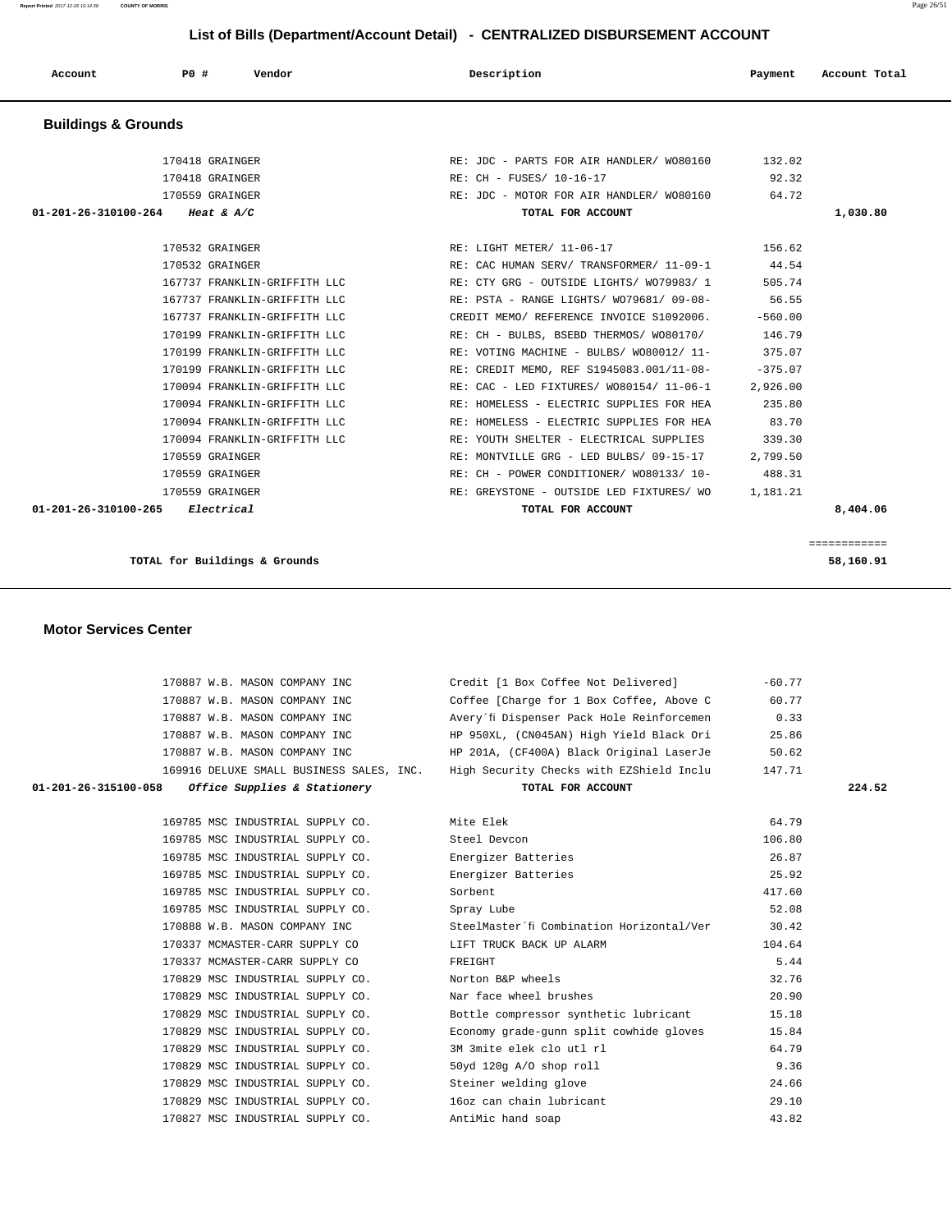**Report Printed** 2017-12-26 10:14:38 **COUNTY OF MORRIS** Page 26/51

| List of Bills (Department/Account Detail) - CENTRALIZED DISBURSEMENT ACCOUNT |                 |                              |  |                                          |           |               |
|------------------------------------------------------------------------------|-----------------|------------------------------|--|------------------------------------------|-----------|---------------|
| Account                                                                      | P0 #            | Vendor                       |  | Description                              | Payment   | Account Total |
| <b>Buildings &amp; Grounds</b>                                               |                 |                              |  |                                          |           |               |
|                                                                              | 170418 GRAINGER |                              |  | RE: JDC - PARTS FOR AIR HANDLER/ WO80160 | 132.02    |               |
|                                                                              | 170418 GRAINGER |                              |  | RE: CH - FUSES/ 10-16-17                 | 92.32     |               |
|                                                                              | 170559 GRAINGER |                              |  | RE: JDC - MOTOR FOR AIR HANDLER/ WO80160 | 64.72     |               |
| 01-201-26-310100-264                                                         | Heat & $A/C$    |                              |  | TOTAL FOR ACCOUNT                        |           | 1,030.80      |
|                                                                              | 170532 GRAINGER |                              |  | RE: LIGHT METER/ 11-06-17                | 156.62    |               |
|                                                                              | 170532 GRAINGER |                              |  | RE: CAC HUMAN SERV/ TRANSFORMER/ 11-09-1 | 44.54     |               |
|                                                                              |                 | 167737 FRANKLIN-GRIFFITH LLC |  | RE: CTY GRG - OUTSIDE LIGHTS/ W079983/ 1 | 505.74    |               |
|                                                                              |                 | 167737 FRANKLIN-GRIFFITH LLC |  | RE: PSTA - RANGE LIGHTS/ W079681/ 09-08- | 56.55     |               |
|                                                                              |                 | 167737 FRANKLIN-GRIFFITH LLC |  | CREDIT MEMO/ REFERENCE INVOICE S1092006. | $-560.00$ |               |
|                                                                              |                 | 170199 FRANKLIN-GRIFFITH LLC |  | RE: CH - BULBS, BSEBD THERMOS/ WO80170/  | 146.79    |               |
|                                                                              |                 | 170199 FRANKLIN-GRIFFITH LLC |  | RE: VOTING MACHINE - BULBS/ W080012/ 11- | 375.07    |               |
|                                                                              |                 | 170199 FRANKLIN-GRIFFITH LLC |  | RE: CREDIT MEMO, REF S1945083.001/11-08- | $-375.07$ |               |
|                                                                              |                 | 170094 FRANKLIN-GRIFFITH LLC |  | RE: CAC - LED FIXTURES/ WO80154/ 11-06-1 | 2,926.00  |               |
|                                                                              |                 | 170094 FRANKLIN-GRIFFITH LLC |  | RE: HOMELESS - ELECTRIC SUPPLIES FOR HEA | 235.80    |               |
|                                                                              |                 | 170094 FRANKLIN-GRIFFITH LLC |  | RE: HOMELESS - ELECTRIC SUPPLIES FOR HEA | 83.70     |               |
|                                                                              |                 | 170094 FRANKLIN-GRIFFITH LLC |  | RE: YOUTH SHELTER - ELECTRICAL SUPPLIES  | 339.30    |               |
|                                                                              | 170559 GRAINGER |                              |  | RE: MONTVILLE GRG - LED BULBS/ 09-15-17  | 2,799.50  |               |
|                                                                              | 170559 GRAINGER |                              |  | RE: CH - POWER CONDITIONER/ WO80133/ 10- | 488.31    |               |
|                                                                              | 170559 GRAINGER |                              |  | RE: GREYSTONE - OUTSIDE LED FIXTURES/ WO | 1,181.21  |               |
| 01-201-26-310100-265                                                         | Electrical      |                              |  | TOTAL FOR ACCOUNT                        |           | 8,404.06      |

============

**TOTAL for Buildings & Grounds 58,160.91** 

| 170887 W.B. MASON COMPANY INC                        | Credit [1 Box Coffee Not Delivered]                                               | $-60.77$ |        |
|------------------------------------------------------|-----------------------------------------------------------------------------------|----------|--------|
| 170887 W.B. MASON COMPANY INC                        | Coffee [Charge for 1 Box Coffee, Above C 60.77                                    |          |        |
| 170887 W.B. MASON COMPANY INC                        | Avery'fi Dispenser Pack Hole Reinforcemen 0.33                                    |          |        |
| 170887 W.B. MASON COMPANY INC                        | HP 950XL, (CN045AN) High Yield Black Ori                                          | 25.86    |        |
| 170887 W.B. MASON COMPANY INC                        | HP 201A, (CF400A) Black Original LaserJe 50.62                                    |          |        |
|                                                      | 169916 DELUXE SMALL BUSINESS SALES, INC. High Security Checks with EZShield Inclu | 147.71   |        |
| Office Supplies & Stationery<br>01-201-26-315100-058 | TOTAL FOR ACCOUNT                                                                 |          | 224.52 |
|                                                      |                                                                                   |          |        |
| 169785 MSC INDUSTRIAL SUPPLY CO.                     | Mite Elek                                                                         | 64.79    |        |
| 169785 MSC INDUSTRIAL SUPPLY CO.                     | Steel Devcon                                                                      | 106.80   |        |
| 169785 MSC INDUSTRIAL SUPPLY CO.                     | Energizer Batteries                                                               | 26.87    |        |
| 169785 MSC INDUSTRIAL SUPPLY CO.                     | Energizer Batteries                                                               | 25.92    |        |
| 169785 MSC INDUSTRIAL SUPPLY CO.                     | Sorbent                                                                           | 417.60   |        |
| 169785 MSC INDUSTRIAL SUPPLY CO.                     | Spray Lube                                                                        | 52.08    |        |
| 170888 W.B. MASON COMPANY INC                        | SteelMaster´fi Combination Horizontal/Ver                                         | 30.42    |        |
| 170337 MCMASTER-CARR SUPPLY CO                       | LIFT TRUCK BACK UP ALARM                                                          | 104.64   |        |
| 170337 MCMASTER-CARR SUPPLY CO                       | FREIGHT                                                                           | 5.44     |        |
| 170829 MSC INDUSTRIAL SUPPLY CO.                     | Norton B&P wheels                                                                 | 32.76    |        |
| 170829 MSC INDUSTRIAL SUPPLY CO.                     | Nar face wheel brushes                                                            | 20.90    |        |
| 170829 MSC INDUSTRIAL SUPPLY CO.                     | Bottle compressor synthetic lubricant                                             | 15.18    |        |
| 170829 MSC INDUSTRIAL SUPPLY CO.                     | Economy grade-gunn split cowhide gloves                                           | 15.84    |        |
| 170829 MSC INDUSTRIAL SUPPLY CO.                     | 3M 3mite elek clo utl rl                                                          | 64.79    |        |
| 170829 MSC INDUSTRIAL SUPPLY CO.                     | 50yd 120g A/O shop roll                                                           | 9.36     |        |
| 170829 MSC INDUSTRIAL SUPPLY CO.                     | Steiner welding glove                                                             | 24.66    |        |
| 170829 MSC INDUSTRIAL SUPPLY CO.                     | 16oz can chain lubricant                                                          | 29.10    |        |
| 170827 MSC INDUSTRIAL SUPPLY CO.                     | AntiMic hand soap                                                                 | 43.82    |        |
|                                                      |                                                                                   |          |        |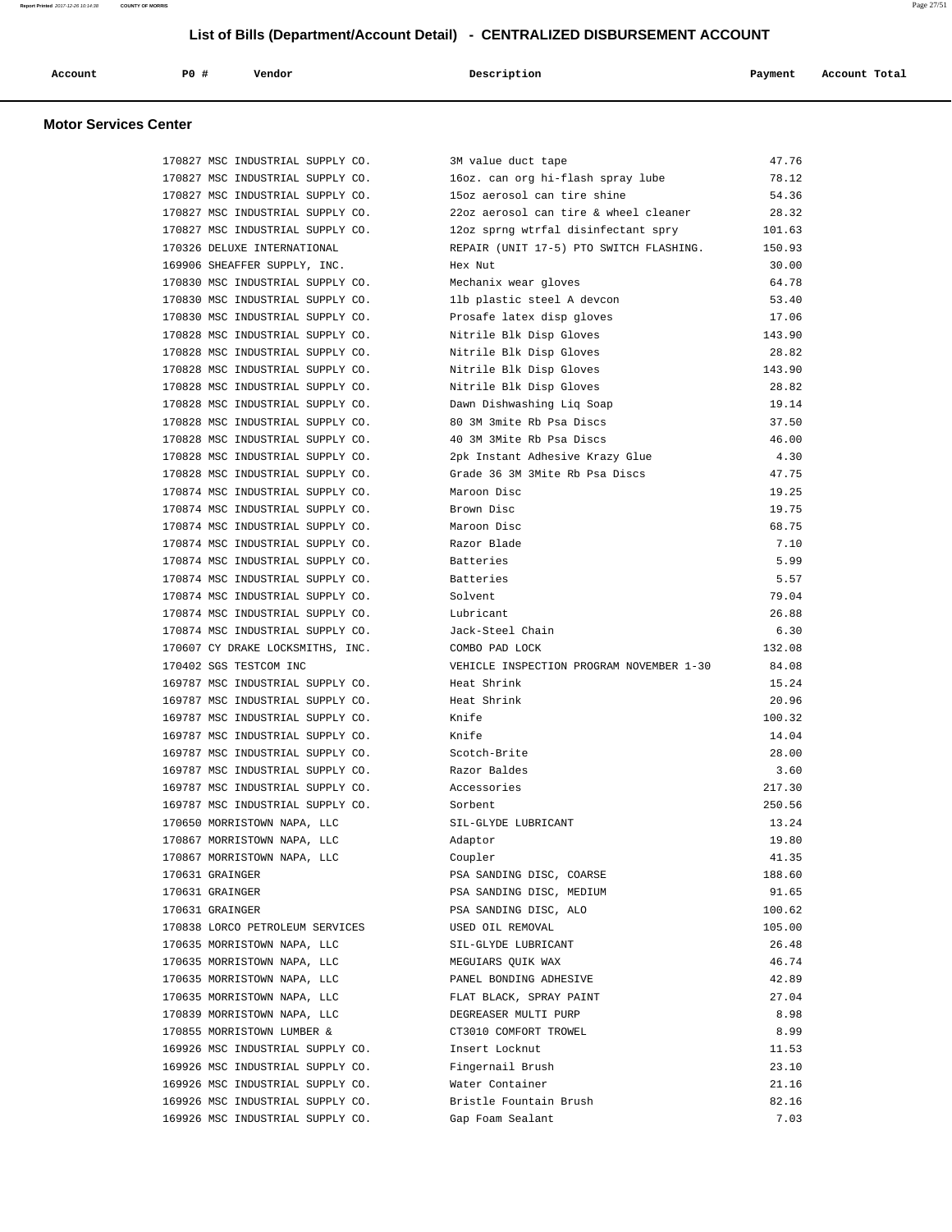| Account | PO# | Vendor | Description | Payment | Account Total |
|---------|-----|--------|-------------|---------|---------------|
|         |     |        |             |         |               |

| 170827 MSC INDUSTRIAL SUPPLY CO.                                     | 3M value duct tape                                                          | 47.76         |
|----------------------------------------------------------------------|-----------------------------------------------------------------------------|---------------|
| 170827 MSC INDUSTRIAL SUPPLY CO.                                     | 16oz. can org hi-flash spray lube                                           | 78.12         |
| 170827 MSC INDUSTRIAL SUPPLY CO.                                     | 15oz aerosol can tire shine                                                 | 54.36         |
|                                                                      | 170827 MSC INDUSTRIAL SUPPLY CO. 22oz aerosol can tire & wheel cleaner      | 28.32         |
|                                                                      | 170827 MSC INDUSTRIAL SUPPLY CO. 12oz sprng wtrfal disinfectant spry 101.63 |               |
| 170326 DELUXE INTERNATIONAL                                          | REPAIR (UNIT 17-5) PTO SWITCH FLASHING.                                     | 150.93        |
| 169906 SHEAFFER SUPPLY, INC.                                         | Hex Nut                                                                     | 30.00         |
| 170830 MSC INDUSTRIAL SUPPLY CO.                                     | Mechanix wear gloves                                                        | 64.78         |
| 170830 MSC INDUSTRIAL SUPPLY CO.                                     | 11b plastic steel A devcon                                                  | 53.40         |
| 170830 MSC INDUSTRIAL SUPPLY CO.                                     | Prosafe latex disp gloves                                                   | 17.06         |
| 170828 MSC INDUSTRIAL SUPPLY CO.                                     | Nitrile Blk Disp Gloves                                                     | 143.90        |
| 170828 MSC INDUSTRIAL SUPPLY CO.                                     | Nitrile Blk Disp Gloves                                                     | 28.82         |
| 170828 MSC INDUSTRIAL SUPPLY CO. Nitrile Blk Disp Gloves             |                                                                             | 143.90        |
| 170828 MSC INDUSTRIAL SUPPLY CO.                                     | Nitrile Blk Disp Gloves                                                     | 28.82         |
| 170828 MSC INDUSTRIAL SUPPLY CO.                                     | Dawn Dishwashing Liq Soap                                                   | 19.14         |
| 170828 MSC INDUSTRIAL SUPPLY CO.                                     | 80 3M 3mite Rb Psa Discs                                                    | 37.50         |
| 170828 MSC INDUSTRIAL SUPPLY CO.                                     | 40 3M 3Mite Rb Psa Discs                                                    | 46.00         |
| 170828 MSC INDUSTRIAL SUPPLY CO.                                     | 2pk Instant Adhesive Krazy Glue                                             | 4.30          |
| 170828 MSC INDUSTRIAL SUPPLY CO.                                     | Grade 36 3M 3Mite Rb Psa Discs                                              | 47.75         |
| 170874 MSC INDUSTRIAL SUPPLY CO.                                     | Maroon Disc                                                                 | 19.25         |
| 170874 MSC INDUSTRIAL SUPPLY CO.                                     | Brown Disc                                                                  | 19.75         |
| 170874 MSC INDUSTRIAL SUPPLY CO.                                     | Maroon Disc                                                                 | 68.75         |
| 170874 MSC INDUSTRIAL SUPPLY CO.                                     | Razor Blade                                                                 | 7.10          |
| 170874 MSC INDUSTRIAL SUPPLY CO.                                     | Batteries                                                                   | 5.99          |
| 170874 MSC INDUSTRIAL SUPPLY CO.                                     | Batteries                                                                   | 5.57          |
| 170874 MSC INDUSTRIAL SUPPLY CO.                                     | Solvent                                                                     | 79.04         |
| 170874 MSC INDUSTRIAL SUPPLY CO.                                     | Lubricant                                                                   | 26.88         |
| 170874 MSC INDUSTRIAL SUPPLY CO. Jack-Steel Chain                    |                                                                             | 6.30          |
|                                                                      |                                                                             |               |
| 170607 CY DRAKE LOCKSMITHS, INC.                                     | COMBO PAD LOCK                                                              | 132.08        |
| 170402 SGS TESTCOM INC                                               | VEHICLE INSPECTION PROGRAM NOVEMBER 1-30                                    | 84.08         |
| 169787 MSC INDUSTRIAL SUPPLY CO.                                     | Heat Shrink                                                                 | 15.24         |
| 169787 MSC INDUSTRIAL SUPPLY CO.                                     | Heat Shrink                                                                 | 20.96         |
| 169787 MSC INDUSTRIAL SUPPLY CO.                                     | Knife                                                                       | 100.32        |
| 169787 MSC INDUSTRIAL SUPPLY CO.                                     | Knife                                                                       | 14.04         |
| 169787 MSC INDUSTRIAL SUPPLY CO. Scotch-Brite                        |                                                                             | 28.00         |
| 169787 MSC INDUSTRIAL SUPPLY CO.                                     | Razor Baldes                                                                | 3.60          |
| 169787 MSC INDUSTRIAL SUPPLY CO.                                     | Accessories                                                                 | 217.30        |
| 169787 MSC INDUSTRIAL SUPPLY CO.                                     | Sorbent                                                                     | 250.56        |
| 170650 MORRISTOWN NAPA, LLC                                          | SIL-GLYDE LUBRICANT                                                         | 13.24         |
| 170867 MORRISTOWN NAPA, LLC                                          | Adaptor                                                                     | 19.80         |
| 170867 MORRISTOWN NAPA, LLC                                          | Coupler                                                                     | 41.35         |
| 170631 GRAINGER                                                      | PSA SANDING DISC, COARSE                                                    | 188.60        |
| 170631 GRAINGER                                                      | PSA SANDING DISC, MEDIUM                                                    | 91.65         |
| 170631 GRAINGER                                                      | PSA SANDING DISC, ALO                                                       | 100.62        |
| 170838 LORCO PETROLEUM SERVICES                                      | USED OIL REMOVAL                                                            | 105.00        |
| 170635 MORRISTOWN NAPA, LLC                                          | SIL-GLYDE LUBRICANT                                                         | 26.48         |
| 170635 MORRISTOWN NAPA, LLC                                          | MEGUIARS QUIK WAX                                                           | 46.74         |
| 170635 MORRISTOWN NAPA, LLC                                          | PANEL BONDING ADHESIVE                                                      | 42.89         |
| 170635 MORRISTOWN NAPA, LLC                                          | FLAT BLACK, SPRAY PAINT                                                     | 27.04         |
| 170839 MORRISTOWN NAPA, LLC                                          | DEGREASER MULTI PURP                                                        | 8.98          |
| 170855 MORRISTOWN LUMBER &                                           | CT3010 COMFORT TROWEL                                                       | 8.99          |
| 169926 MSC INDUSTRIAL SUPPLY CO.                                     | Insert Locknut                                                              | 11.53         |
| 169926 MSC INDUSTRIAL SUPPLY CO.                                     | Fingernail Brush                                                            | 23.10         |
| 169926 MSC INDUSTRIAL SUPPLY CO.                                     | Water Container                                                             | 21.16         |
| 169926 MSC INDUSTRIAL SUPPLY CO.<br>169926 MSC INDUSTRIAL SUPPLY CO. | Bristle Fountain Brush<br>Gap Foam Sealant                                  | 82.16<br>7.03 |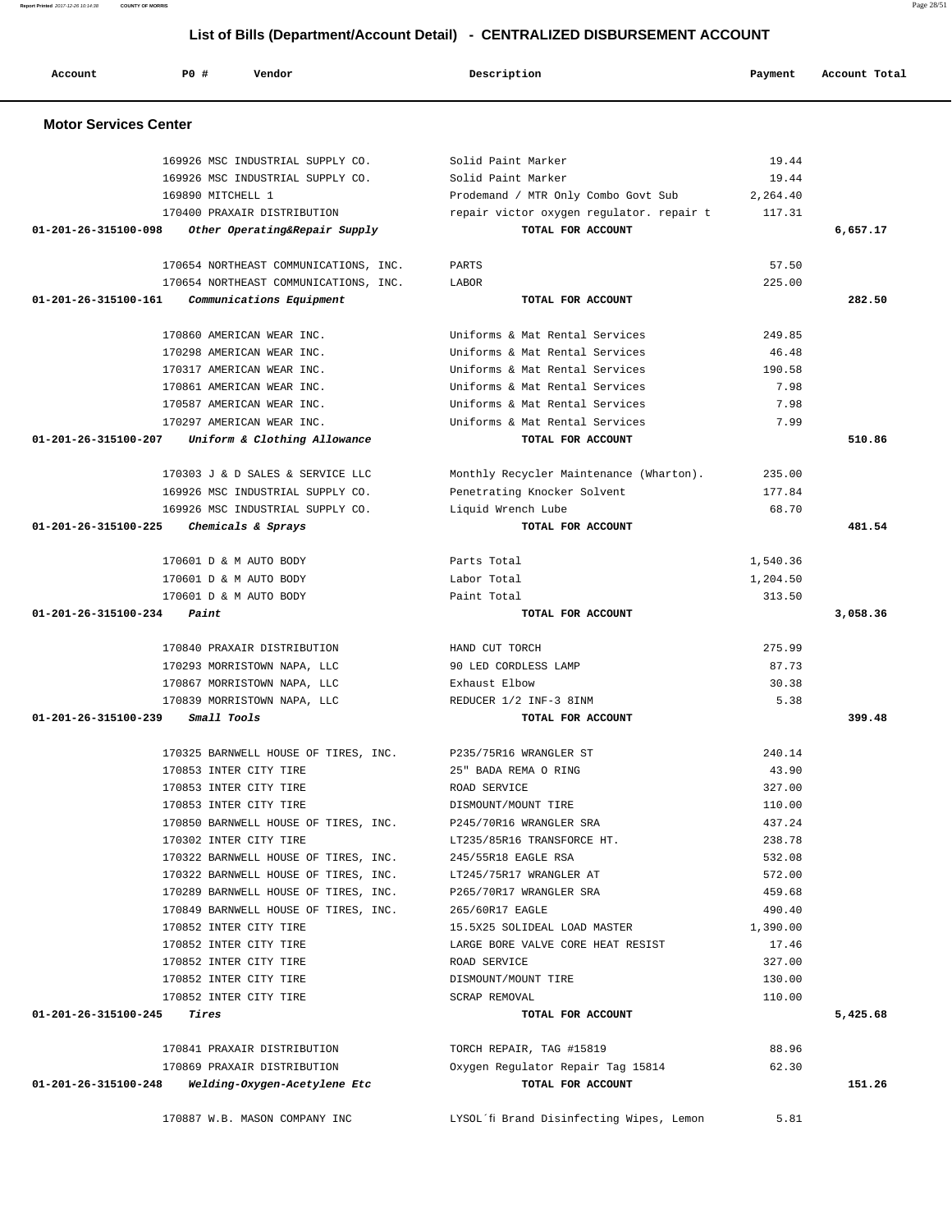| Account                      | PO#<br>Vendor                         | Description                              | Payment  | Account Total |
|------------------------------|---------------------------------------|------------------------------------------|----------|---------------|
| <b>Motor Services Center</b> |                                       |                                          |          |               |
|                              | 169926 MSC INDUSTRIAL SUPPLY CO.      | Solid Paint Marker                       | 19.44    |               |
|                              | 169926 MSC INDUSTRIAL SUPPLY CO.      | Solid Paint Marker                       | 19.44    |               |
|                              | 169890 MITCHELL 1                     | Prodemand / MTR Only Combo Govt Sub      | 2,264.40 |               |
|                              | 170400 PRAXAIR DISTRIBUTION           | repair victor oxygen regulator. repair t | 117.31   |               |
| 01-201-26-315100-098         | Other Operating&Repair Supply         | TOTAL FOR ACCOUNT                        |          | 6,657.17      |
|                              | 170654 NORTHEAST COMMUNICATIONS, INC. | PARTS                                    | 57.50    |               |
|                              | 170654 NORTHEAST COMMUNICATIONS, INC. | LABOR                                    | 225.00   |               |
| 01-201-26-315100-161         | Communications Equipment              | TOTAL FOR ACCOUNT                        |          | 282.50        |
|                              | 170860 AMERICAN WEAR INC.             | Uniforms & Mat Rental Services           | 249.85   |               |
|                              | 170298 AMERICAN WEAR INC.             | Uniforms & Mat Rental Services           | 46.48    |               |
|                              | 170317 AMERICAN WEAR INC.             | Uniforms & Mat Rental Services           | 190.58   |               |
|                              | 170861 AMERICAN WEAR INC.             | Uniforms & Mat Rental Services           | 7.98     |               |
|                              | 170587 AMERICAN WEAR INC.             | Uniforms & Mat Rental Services           | 7.98     |               |
|                              | 170297 AMERICAN WEAR INC.             | Uniforms & Mat Rental Services           | 7.99     |               |
| 01-201-26-315100-207         | Uniform & Clothing Allowance          | TOTAL FOR ACCOUNT                        |          | 510.86        |
|                              | 170303 J & D SALES & SERVICE LLC      | Monthly Recycler Maintenance (Wharton).  | 235.00   |               |
|                              | 169926 MSC INDUSTRIAL SUPPLY CO.      | Penetrating Knocker Solvent              | 177.84   |               |
|                              | 169926 MSC INDUSTRIAL SUPPLY CO.      | Liquid Wrench Lube                       | 68.70    |               |
| 01-201-26-315100-225         | Chemicals & Sprays                    | TOTAL FOR ACCOUNT                        |          | 481.54        |
|                              |                                       |                                          |          |               |
|                              | 170601 D & M AUTO BODY                | Parts Total                              | 1,540.36 |               |
|                              | 170601 D & M AUTO BODY                | Labor Total                              | 1,204.50 |               |
|                              | 170601 D & M AUTO BODY                | Paint Total                              | 313.50   |               |
| 01-201-26-315100-234         | Paint                                 | TOTAL FOR ACCOUNT                        |          | 3,058.36      |
|                              | 170840 PRAXAIR DISTRIBUTION           | HAND CUT TORCH                           | 275.99   |               |
|                              | 170293 MORRISTOWN NAPA, LLC           | 90 LED CORDLESS LAMP                     | 87.73    |               |
|                              | 170867 MORRISTOWN NAPA, LLC           | Exhaust Elbow                            | 30.38    |               |
|                              | 170839 MORRISTOWN NAPA, LLC           | REDUCER 1/2 INF-3 8INM                   | 5.38     |               |
| 01-201-26-315100-239         | Small Tools                           | TOTAL FOR ACCOUNT                        |          | 399.48        |
|                              | 170325 BARNWELL HOUSE OF TIRES, INC.  | P235/75R16 WRANGLER ST                   | 240.14   |               |
|                              | 170853 INTER CITY TIRE                | 25" BADA REMA O RING                     | 43.90    |               |
|                              | 170853 INTER CITY TIRE                | ROAD SERVICE                             | 327.00   |               |
|                              | 170853 INTER CITY TIRE                | DISMOUNT/MOUNT TIRE                      | 110.00   |               |
|                              | 170850 BARNWELL HOUSE OF TIRES, INC.  | P245/70R16 WRANGLER SRA                  | 437.24   |               |
|                              | 170302 INTER CITY TIRE                | LT235/85R16 TRANSFORCE HT.               | 238.78   |               |
|                              | 170322 BARNWELL HOUSE OF TIRES, INC.  | 245/55R18 EAGLE RSA                      | 532.08   |               |
|                              | 170322 BARNWELL HOUSE OF TIRES, INC.  | LT245/75R17 WRANGLER AT                  | 572.00   |               |
|                              | 170289 BARNWELL HOUSE OF TIRES, INC.  | P265/70R17 WRANGLER SRA                  | 459.68   |               |
|                              | 170849 BARNWELL HOUSE OF TIRES, INC.  | 265/60R17 EAGLE                          | 490.40   |               |
|                              | 170852 INTER CITY TIRE                | 15.5X25 SOLIDEAL LOAD MASTER             | 1,390.00 |               |
|                              | 170852 INTER CITY TIRE                | LARGE BORE VALVE CORE HEAT RESIST        | 17.46    |               |
|                              | 170852 INTER CITY TIRE                | ROAD SERVICE                             | 327.00   |               |
|                              | 170852 INTER CITY TIRE                | DISMOUNT/MOUNT TIRE                      | 130.00   |               |
|                              | 170852 INTER CITY TIRE                | SCRAP REMOVAL                            | 110.00   |               |
| 01-201-26-315100-245         | Tires                                 | TOTAL FOR ACCOUNT                        |          | 5,425.68      |
|                              | 170841 PRAXAIR DISTRIBUTION           | TORCH REPAIR, TAG #15819                 | 88.96    |               |
|                              | 170869 PRAXAIR DISTRIBUTION           | Oxygen Regulator Repair Tag 15814        | 62.30    |               |
| 01-201-26-315100-248         | Welding-Oxygen-Acetylene Etc          | TOTAL FOR ACCOUNT                        |          | 151.26        |
|                              | 170887 W.B. MASON COMPANY INC         | LYSOL'fi Brand Disinfecting Wipes, Lemon | 5.81     |               |
|                              |                                       |                                          |          |               |

**Report Printed** 2017-12-26 10:14:38 **COUNTY OF MORRIS** Page 28/51

**List of Bills (Department/Account Detail) - CENTRALIZED DISBURSEMENT ACCOUNT**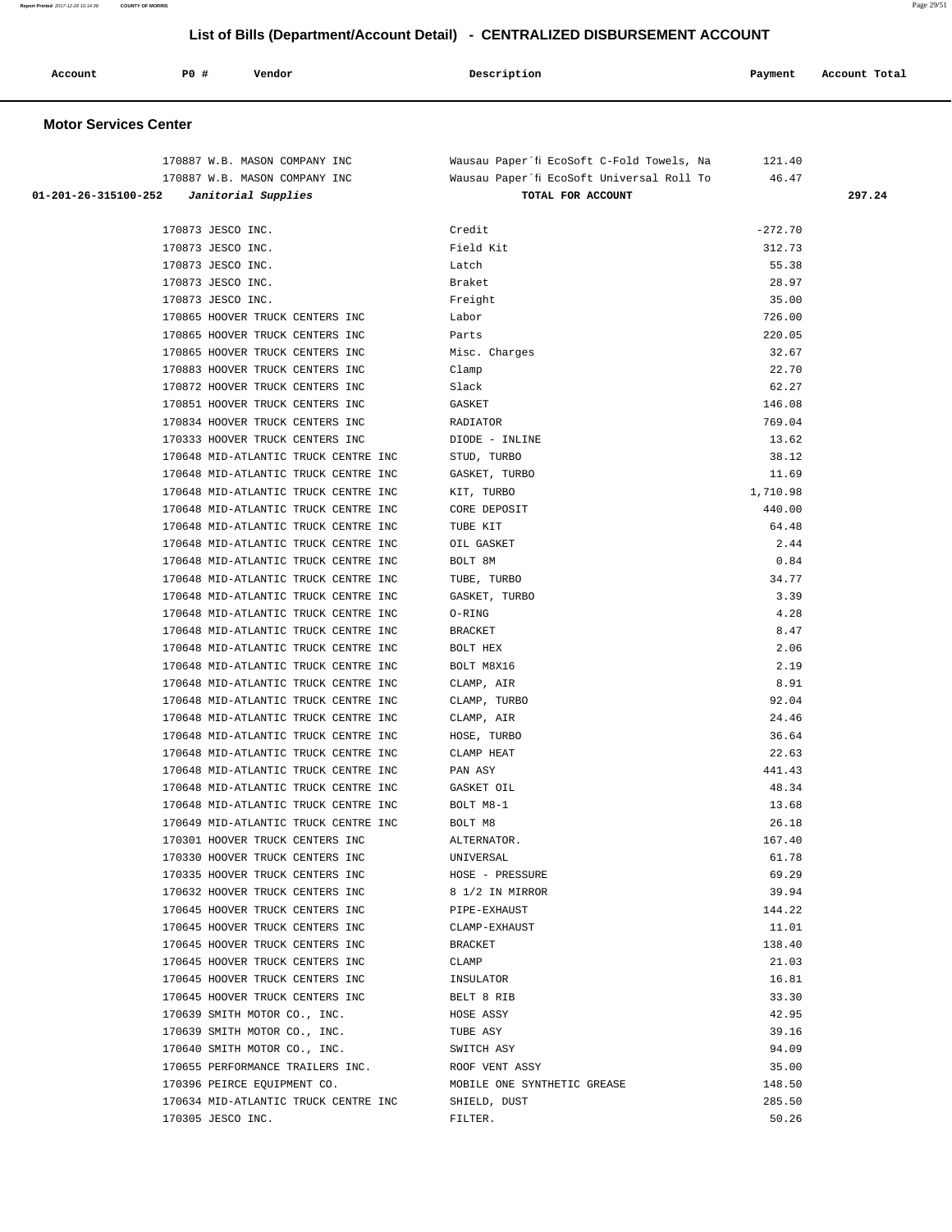| Report Printed 2017-12-26 10:14:38                                           | <b>COUNTY OF MORRIS</b> |                                      |                                           |           | Page 29/51    |
|------------------------------------------------------------------------------|-------------------------|--------------------------------------|-------------------------------------------|-----------|---------------|
| List of Bills (Department/Account Detail) - CENTRALIZED DISBURSEMENT ACCOUNT |                         |                                      |                                           |           |               |
| Account                                                                      | <b>PO #</b>             | Vendor                               | Description                               | Payment   | Account Total |
| <b>Motor Services Center</b>                                                 |                         |                                      |                                           |           |               |
|                                                                              |                         | 170887 W.B. MASON COMPANY INC        | Wausau Paper'fi EcoSoft C-Fold Towels, Na | 121.40    |               |
|                                                                              |                         | 170887 W.B. MASON COMPANY INC        | Wausau Paper'fi EcoSoft Universal Roll To | 46.47     |               |
| 01-201-26-315100-252                                                         |                         | Janitorial Supplies                  | TOTAL FOR ACCOUNT                         |           | 297.24        |
|                                                                              |                         |                                      |                                           |           |               |
|                                                                              | 170873 JESCO INC.       |                                      | Credit                                    | $-272.70$ |               |
|                                                                              | 170873 JESCO INC.       |                                      | Field Kit                                 | 312.73    |               |
|                                                                              | 170873 JESCO INC.       |                                      | Latch                                     | 55.38     |               |
|                                                                              | 170873 JESCO INC.       |                                      | Braket                                    | 28.97     |               |
|                                                                              | 170873 JESCO INC.       |                                      | Freight                                   | 35.00     |               |
|                                                                              |                         | 170865 HOOVER TRUCK CENTERS INC      | Labor                                     | 726.00    |               |
|                                                                              |                         | 170865 HOOVER TRUCK CENTERS INC      | Parts                                     | 220.05    |               |
|                                                                              |                         | 170865 HOOVER TRUCK CENTERS INC      | Misc. Charges                             | 32.67     |               |
|                                                                              |                         | 170883 HOOVER TRUCK CENTERS INC      | Clamp                                     | 22.70     |               |
|                                                                              |                         | 170872 HOOVER TRUCK CENTERS INC      | Slack                                     | 62.27     |               |
|                                                                              |                         | 170851 HOOVER TRUCK CENTERS INC      | GASKET                                    | 146.08    |               |
|                                                                              |                         | 170834 HOOVER TRUCK CENTERS INC      | RADIATOR                                  | 769.04    |               |
|                                                                              |                         | 170333 HOOVER TRUCK CENTERS INC      | DIODE - INLINE                            | 13.62     |               |
|                                                                              |                         | 170648 MID-ATLANTIC TRUCK CENTRE INC | STUD, TURBO                               | 38.12     |               |
|                                                                              |                         | 170648 MID-ATLANTIC TRUCK CENTRE INC | GASKET, TURBO                             | 11.69     |               |
|                                                                              |                         | 170648 MID-ATLANTIC TRUCK CENTRE INC | KIT, TURBO                                | 1,710.98  |               |
|                                                                              |                         | 170648 MID-ATLANTIC TRUCK CENTRE INC | CORE DEPOSIT                              | 440.00    |               |
|                                                                              |                         | 170648 MID-ATLANTIC TRUCK CENTRE INC | TUBE KIT                                  | 64.48     |               |
|                                                                              |                         | 170648 MID-ATLANTIC TRUCK CENTRE INC | OIL GASKET                                | 2.44      |               |
|                                                                              |                         | 170648 MID-ATLANTIC TRUCK CENTRE INC | BOLT 8M                                   | 0.84      |               |
|                                                                              |                         | 170648 MID-ATLANTIC TRUCK CENTRE INC | TUBE, TURBO                               | 34.77     |               |
|                                                                              |                         | 170648 MID-ATLANTIC TRUCK CENTRE INC | GASKET, TURBO                             | 3.39      |               |
|                                                                              |                         | 170648 MID-ATLANTIC TRUCK CENTRE INC | O-RING                                    | 4.28      |               |
|                                                                              |                         | 170648 MID-ATLANTIC TRUCK CENTRE INC | <b>BRACKET</b>                            | 8.47      |               |
|                                                                              |                         | 170648 MID-ATLANTIC TRUCK CENTRE INC | BOLT HEX                                  | 2.06      |               |

 170648 MID-ATLANTIC TRUCK CENTRE INC BOLT M8X16 2.19 170648 MID-ATLANTIC TRUCK CENTRE INC CLAMP, AIR 8.91 170648 MID-ATLANTIC TRUCK CENTRE INC CLAMP, TURBO 92.04 170648 MID-ATLANTIC TRUCK CENTRE INC CLAMP, AIR 24.46 170648 MID-ATLANTIC TRUCK CENTRE INC HOSE, TURBO 36.64 170648 MID-ATLANTIC TRUCK CENTRE INC CLAMP HEAT 22.63 170648 MID-ATLANTIC TRUCK CENTRE INC PAN ASY 441.43 170648 MID-ATLANTIC TRUCK CENTRE INC GASKET OIL 48.34 170648 MID-ATLANTIC TRUCK CENTRE INC BOLT M8-1 13.68 170649 MID-ATLANTIC TRUCK CENTRE INC BOLT M8 26.18 170301 HOOVER TRUCK CENTERS INC ALTERNATOR. 167.40 170330 HOOVER TRUCK CENTERS INC UNIVERSAL 61.78 170335 HOOVER TRUCK CENTERS INC HOSE - PRESSURE 69.29 170632 HOOVER TRUCK CENTERS INC 8 1/2 IN MIRROR 39.94 170645 HOOVER TRUCK CENTERS INC PIPE-EXHAUST 144.22 170645 HOOVER TRUCK CENTERS INC CLAMP-EXHAUST CLAMP CLAMP CLAMP CLAMP CLAMP CLAMP CLAMP CLAMP CLAMP CLAMP CLAMP CLAMP CLAMP CLAMP CLAMP CLAMP CLAMP CLAMP CLAMP CLAMP CLAMP CLAMP CLAMP CLAMP CLAMP CLAMP CLAMP CLAMP CLAMP CL 170645 HOOVER TRUCK CENTERS INC BRACKET 138.40 170645 HOOVER TRUCK CENTERS INC CLAMP 21.03 170645 HOOVER TRUCK CENTERS INC INSULATOR 16.81 170645 HOOVER TRUCK CENTERS INC BELT 8 RIB 33.30 170639 SMITH MOTOR CO., INC. HOSE ASSY 42.95 170639 SMITH MOTOR CO., INC. TUBE ASY THE RASY CO., 29.16 170640 SMITH MOTOR CO., INC. SWITCH ASY SALLO STATES AND MOTOR CO., INC. 170655 PERFORMANCE TRAILERS INC. ROOF VENT ASSY 35.00 170396 PEIRCE EQUIPMENT CO. MOBILE ONE SYNTHETIC GREASE 148.50 170634 MID-ATLANTIC TRUCK CENTRE INC SHIELD, DUST 285.50 170305 JESCO INC. FILTER. 50.26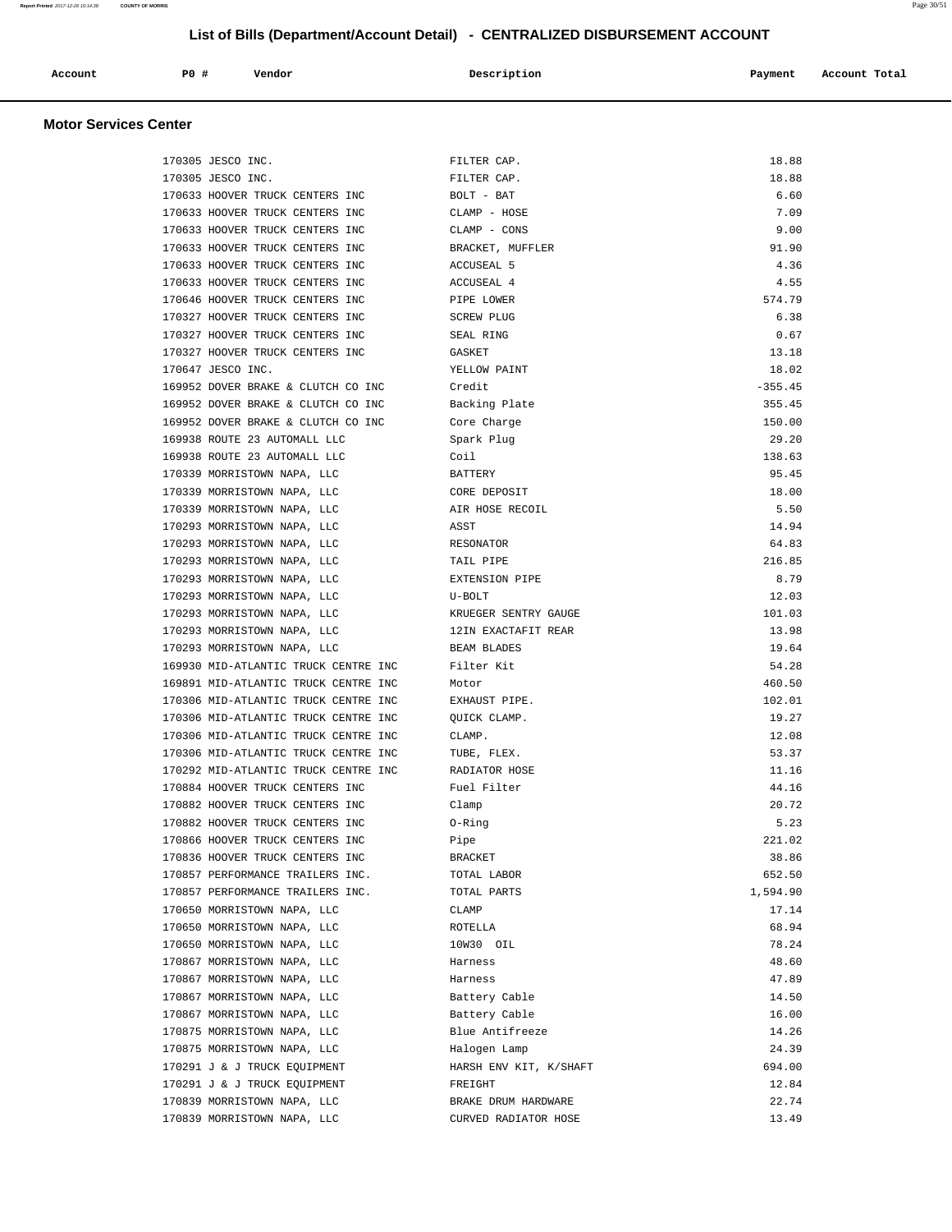| Account | PO# | Vendor | Description | Payment | Account Total |
|---------|-----|--------|-------------|---------|---------------|
|         |     |        |             |         |               |

| 170305 JESCO INC.                    | FILTER CAP.            | 18.88     |
|--------------------------------------|------------------------|-----------|
| 170305 JESCO INC.                    | FILTER CAP.            | 18.88     |
| 170633 HOOVER TRUCK CENTERS INC      | BOLT - BAT             | 6.60      |
| 170633 HOOVER TRUCK CENTERS INC      | CLAMP - HOSE           | 7.09      |
| 170633 HOOVER TRUCK CENTERS INC      | CLAMP - CONS           | 9.00      |
| 170633 HOOVER TRUCK CENTERS INC      | BRACKET, MUFFLER       | 91.90     |
| 170633 HOOVER TRUCK CENTERS INC      | <b>ACCUSEAL 5</b>      | 4.36      |
| 170633 HOOVER TRUCK CENTERS INC      | ACCUSEAL 4             | 4.55      |
| 170646 HOOVER TRUCK CENTERS INC      | PIPE LOWER             | 574.79    |
| 170327 HOOVER TRUCK CENTERS INC      | <b>SCREW PLUG</b>      | 6.38      |
| 170327 HOOVER TRUCK CENTERS INC      | SEAL RING              | 0.67      |
| 170327 HOOVER TRUCK CENTERS INC      | GASKET                 | 13.18     |
| 170647 JESCO INC.                    | YELLOW PAINT           | 18.02     |
| 169952 DOVER BRAKE & CLUTCH CO INC   | Credit                 | $-355.45$ |
| 169952 DOVER BRAKE & CLUTCH CO INC   | Backing Plate          | 355.45    |
| 169952 DOVER BRAKE & CLUTCH CO INC   | Core Charge            | 150.00    |
| 169938 ROUTE 23 AUTOMALL LLC         | Spark Plug             | 29.20     |
| 169938 ROUTE 23 AUTOMALL LLC         | Coil                   | 138.63    |
| 170339 MORRISTOWN NAPA, LLC          | BATTERY                | 95.45     |
| 170339 MORRISTOWN NAPA, LLC          | CORE DEPOSIT           | 18.00     |
| 170339 MORRISTOWN NAPA, LLC          | AIR HOSE RECOIL        | 5.50      |
| 170293 MORRISTOWN NAPA, LLC          | ASST                   | 14.94     |
| 170293 MORRISTOWN NAPA, LLC          | RESONATOR              | 64.83     |
| 170293 MORRISTOWN NAPA, LLC          | TAIL PIPE              | 216.85    |
| 170293 MORRISTOWN NAPA, LLC          | EXTENSION PIPE         | 8.79      |
| 170293 MORRISTOWN NAPA, LLC          | U-BOLT                 | 12.03     |
| 170293 MORRISTOWN NAPA, LLC          | KRUEGER SENTRY GAUGE   | 101.03    |
| 170293 MORRISTOWN NAPA, LLC          | 12IN EXACTAFIT REAR    | 13.98     |
| 170293 MORRISTOWN NAPA, LLC          | BEAM BLADES            | 19.64     |
| 169930 MID-ATLANTIC TRUCK CENTRE INC | Filter Kit             | 54.28     |
| 169891 MID-ATLANTIC TRUCK CENTRE INC | Motor                  | 460.50    |
| 170306 MID-ATLANTIC TRUCK CENTRE INC | EXHAUST PIPE.          | 102.01    |
| 170306 MID-ATLANTIC TRUCK CENTRE INC | QUICK CLAMP.           | 19.27     |
| 170306 MID-ATLANTIC TRUCK CENTRE INC | CLAMP.                 | 12.08     |
| 170306 MID-ATLANTIC TRUCK CENTRE INC | TUBE, FLEX.            | 53.37     |
| 170292 MID-ATLANTIC TRUCK CENTRE INC | RADIATOR HOSE          | 11.16     |
| 170884 HOOVER TRUCK CENTERS INC      | Fuel Filter            | 44.16     |
| 170882 HOOVER TRUCK CENTERS INC      | Clamp                  | 20.72     |
| 170882 HOOVER TRUCK CENTERS INC      | 0-Ring                 | 5.23      |
| 170866 HOOVER TRUCK CENTERS INC      | Pipe                   | 221.02    |
| 170836 HOOVER TRUCK CENTERS INC      | <b>BRACKET</b>         | 38.86     |
| 170857 PERFORMANCE TRAILERS INC.     | TOTAL LABOR            | 652.50    |
| 170857 PERFORMANCE TRAILERS INC.     | TOTAL PARTS            | 1,594.90  |
| 170650 MORRISTOWN NAPA, LLC          | CLAMP                  | 17.14     |
| 170650 MORRISTOWN NAPA, LLC          | ROTELLA                | 68.94     |
| 170650 MORRISTOWN NAPA, LLC          | 10W30 OIL              | 78.24     |
| 170867 MORRISTOWN NAPA, LLC          | Harness                | 48.60     |
| 170867 MORRISTOWN NAPA, LLC          | Harness                | 47.89     |
| 170867 MORRISTOWN NAPA, LLC          | Battery Cable          | 14.50     |
| 170867 MORRISTOWN NAPA, LLC          | Battery Cable          | 16.00     |
| 170875 MORRISTOWN NAPA, LLC          | Blue Antifreeze        | 14.26     |
| 170875 MORRISTOWN NAPA, LLC          | Halogen Lamp           | 24.39     |
| 170291 J & J TRUCK EQUIPMENT         | HARSH ENV KIT, K/SHAFT | 694.00    |
| 170291 J & J TRUCK EQUIPMENT         | FREIGHT                | 12.84     |
| 170839 MORRISTOWN NAPA, LLC          | BRAKE DRUM HARDWARE    | 22.74     |
| 170839 MORRISTOWN NAPA, LLC          | CURVED RADIATOR HOSE   | 13.49     |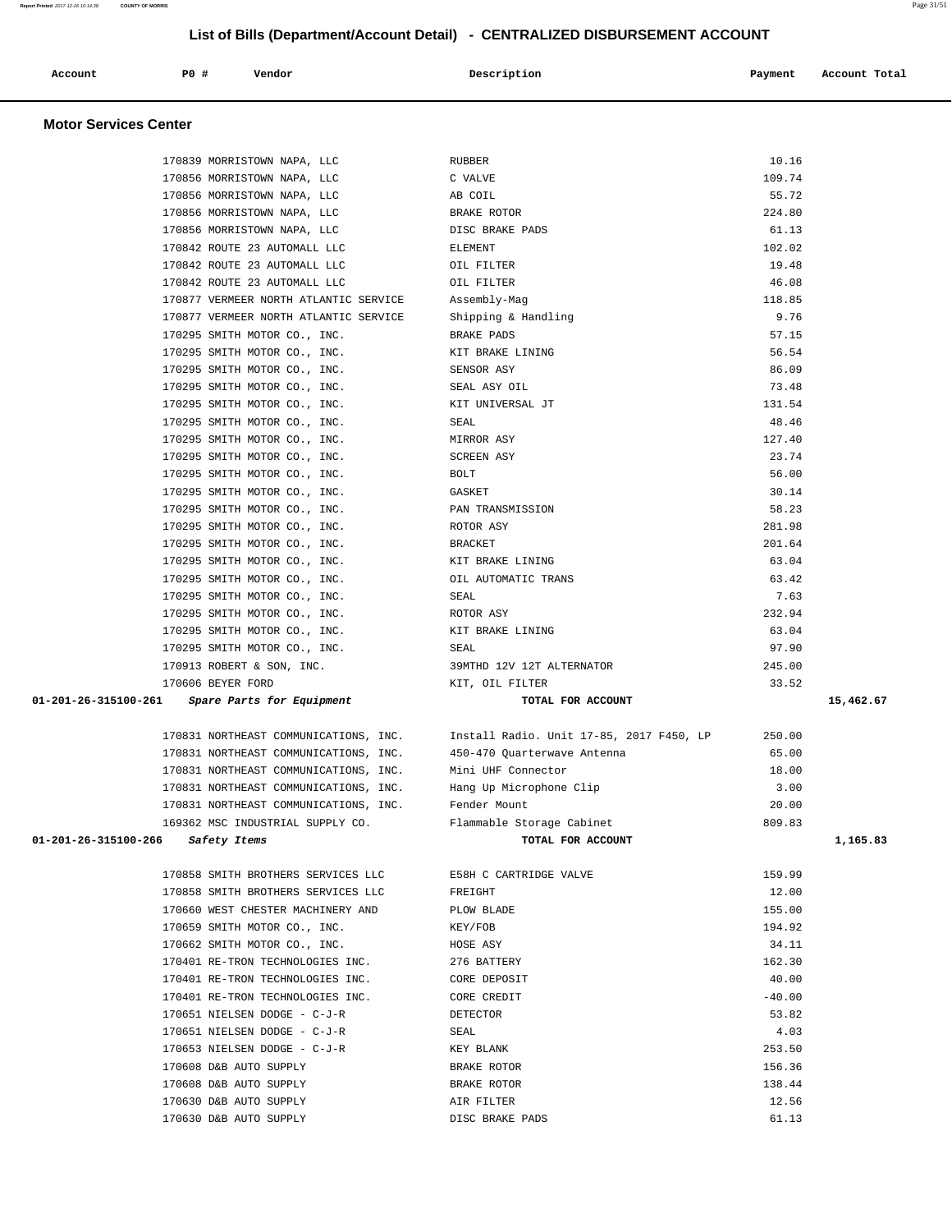| Account | P0 # | Vendor | Description | Payment | Account Total |
|---------|------|--------|-------------|---------|---------------|
|         |      |        |             |         |               |

| 170839 MORRISTOWN NAPA, LLC          |                                       | <b>RUBBER</b>                            | 10.16    |           |
|--------------------------------------|---------------------------------------|------------------------------------------|----------|-----------|
|                                      | 170856 MORRISTOWN NAPA, LLC           | C VALVE                                  | 109.74   |           |
|                                      | 170856 MORRISTOWN NAPA, LLC           | AB COIL                                  | 55.72    |           |
| 170856 MORRISTOWN NAPA, LLC          |                                       | BRAKE ROTOR                              | 224.80   |           |
| 170856 MORRISTOWN NAPA, LLC          |                                       | DISC BRAKE PADS                          | 61.13    |           |
| 170842 ROUTE 23 AUTOMALL LLC         |                                       | ELEMENT                                  | 102.02   |           |
| 170842 ROUTE 23 AUTOMALL LLC         |                                       | OIL FILTER                               | 19.48    |           |
| 170842 ROUTE 23 AUTOMALL LLC         |                                       | OIL FILTER                               | 46.08    |           |
|                                      | 170877 VERMEER NORTH ATLANTIC SERVICE | Assembly-Mag                             | 118.85   |           |
|                                      | 170877 VERMEER NORTH ATLANTIC SERVICE | Shipping & Handling                      | 9.76     |           |
| 170295 SMITH MOTOR CO., INC.         |                                       | BRAKE PADS                               | 57.15    |           |
| 170295 SMITH MOTOR CO., INC.         |                                       | KIT BRAKE LINING                         | 56.54    |           |
| 170295 SMITH MOTOR CO., INC.         |                                       | SENSOR ASY                               | 86.09    |           |
| 170295 SMITH MOTOR CO., INC.         |                                       | SEAL ASY OIL                             | 73.48    |           |
| 170295 SMITH MOTOR CO., INC.         |                                       | KIT UNIVERSAL JT                         | 131.54   |           |
| 170295 SMITH MOTOR CO., INC.         |                                       | SEAL                                     | 48.46    |           |
| 170295 SMITH MOTOR CO., INC.         |                                       | MIRROR ASY                               | 127.40   |           |
| 170295 SMITH MOTOR CO., INC.         |                                       | <b>SCREEN ASY</b>                        | 23.74    |           |
| 170295 SMITH MOTOR CO., INC.         |                                       | BOLT                                     | 56.00    |           |
| 170295 SMITH MOTOR CO., INC.         |                                       | GASKET                                   | 30.14    |           |
| 170295 SMITH MOTOR CO., INC.         |                                       | PAN TRANSMISSION                         | 58.23    |           |
| 170295 SMITH MOTOR CO., INC.         |                                       | ROTOR ASY                                | 281.98   |           |
| 170295 SMITH MOTOR CO., INC.         |                                       | <b>BRACKET</b>                           | 201.64   |           |
| 170295 SMITH MOTOR CO., INC.         |                                       | KIT BRAKE LINING                         | 63.04    |           |
| 170295 SMITH MOTOR CO., INC.         |                                       | OIL AUTOMATIC TRANS                      | 63.42    |           |
| 170295 SMITH MOTOR CO., INC.         |                                       | SEAL                                     | 7.63     |           |
| 170295 SMITH MOTOR CO., INC.         |                                       | ROTOR ASY                                | 232.94   |           |
| 170295 SMITH MOTOR CO., INC.         |                                       | KIT BRAKE LINING                         | 63.04    |           |
| 170295 SMITH MOTOR CO., INC.         |                                       | SEAL                                     | 97.90    |           |
| 170913 ROBERT & SON, INC.            |                                       | 39MTHD 12V 12T ALTERNATOR                | 245.00   |           |
| 170606 BEYER FORD                    |                                       | KIT, OIL FILTER                          | 33.52    |           |
| 01-201-26-315100-261                 | Spare Parts for Equipment             | TOTAL FOR ACCOUNT                        |          | 15,462.67 |
|                                      | 170831 NORTHEAST COMMUNICATIONS, INC. | Install Radio. Unit 17-85, 2017 F450, LP | 250.00   |           |
|                                      | 170831 NORTHEAST COMMUNICATIONS, INC. | 450-470 Quarterwave Antenna              | 65.00    |           |
|                                      | 170831 NORTHEAST COMMUNICATIONS, INC. | Mini UHF Connector                       | 18.00    |           |
|                                      | 170831 NORTHEAST COMMUNICATIONS, INC. | Hang Up Microphone Clip                  | 3.00     |           |
|                                      | 170831 NORTHEAST COMMUNICATIONS, INC. | Fender Mount                             | 20.00    |           |
|                                      | 169362 MSC INDUSTRIAL SUPPLY CO.      | Flammable Storage Cabinet                | 809.83   |           |
| 01-201-26-315100-266<br>Safety Items |                                       | TOTAL FOR ACCOUNT                        |          | 1,165.83  |
|                                      | 170858 SMITH BROTHERS SERVICES LLC    | E58H C CARTRIDGE VALVE                   | 159.99   |           |
|                                      | 170858 SMITH BROTHERS SERVICES LLC    | FREIGHT                                  | 12.00    |           |
|                                      | 170660 WEST CHESTER MACHINERY AND     | PLOW BLADE                               | 155.00   |           |
| 170659 SMITH MOTOR CO., INC.         |                                       | KEY/FOB                                  | 194.92   |           |
| 170662 SMITH MOTOR CO., INC.         |                                       | HOSE ASY                                 | 34.11    |           |
|                                      | 170401 RE-TRON TECHNOLOGIES INC.      | 276 BATTERY                              | 162.30   |           |
|                                      |                                       | CORE DEPOSIT                             | 40.00    |           |
|                                      | 170401 RE-TRON TECHNOLOGIES INC.      |                                          |          |           |
| 170651 NIELSEN DODGE - C-J-R         | 170401 RE-TRON TECHNOLOGIES INC.      | CORE CREDIT                              | $-40.00$ |           |
|                                      |                                       | DETECTOR                                 | 53.82    |           |
|                                      | 170651 NIELSEN DODGE - C-J-R          | SEAL                                     | 4.03     |           |
| 170653 NIELSEN DODGE - C-J-R         |                                       | KEY BLANK                                | 253.50   |           |
| 170608 D&B AUTO SUPPLY               |                                       | BRAKE ROTOR                              | 156.36   |           |
| 170608 D&B AUTO SUPPLY               |                                       | BRAKE ROTOR                              | 138.44   |           |
| 170630 D&B AUTO SUPPLY               |                                       | AIR FILTER                               | 12.56    |           |
| 170630 D&B AUTO SUPPLY               |                                       | DISC BRAKE PADS                          | 61.13    |           |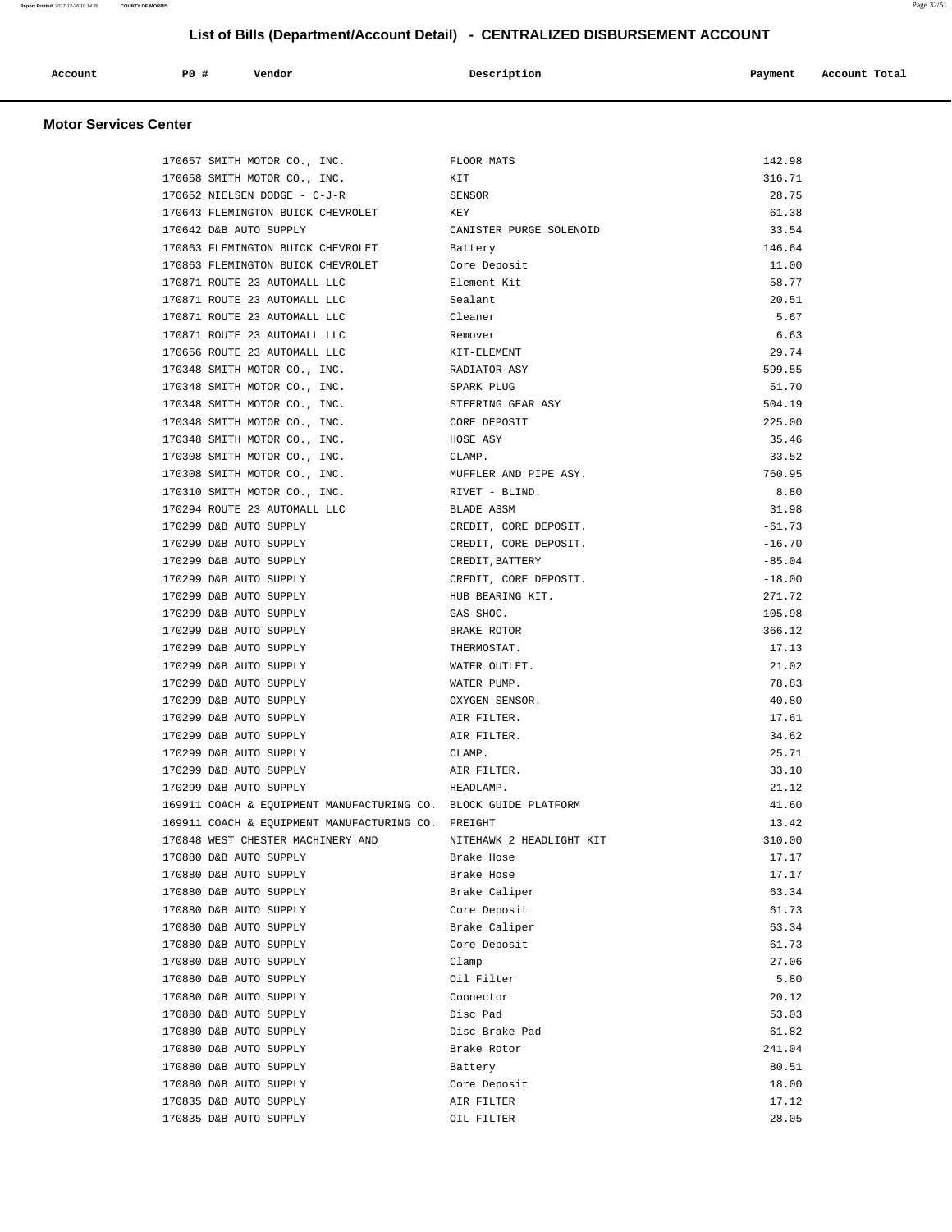|  | P0<br>#<br>Vendor<br>Account<br>. | Description | Payment<br>Account Total<br>. |
|--|-----------------------------------|-------------|-------------------------------|
|--|-----------------------------------|-------------|-------------------------------|

| 170657 SMITH MOTOR CO., INC.      |                                                                 | FLOOR MATS               | 142.98   |
|-----------------------------------|-----------------------------------------------------------------|--------------------------|----------|
| 170658 SMITH MOTOR CO., INC.      |                                                                 | KIT                      | 316.71   |
| 170652 NIELSEN DODGE - C-J-R      |                                                                 | SENSOR                   | 28.75    |
|                                   | 170643 FLEMINGTON BUICK CHEVROLET                               | KEY                      | 61.38    |
| 170642 D&B AUTO SUPPLY            |                                                                 | CANISTER PURGE SOLENOID  | 33.54    |
|                                   | 170863 FLEMINGTON BUICK CHEVROLET                               | Battery                  | 146.64   |
|                                   | 170863 FLEMINGTON BUICK CHEVROLET                               | Core Deposit             | 11.00    |
| 170871 ROUTE 23 AUTOMALL LLC      |                                                                 | Element Kit              | 58.77    |
| 170871 ROUTE 23 AUTOMALL LLC      |                                                                 | Sealant                  | 20.51    |
| 170871 ROUTE 23 AUTOMALL LLC      |                                                                 | Cleaner                  | 5.67     |
| 170871 ROUTE 23 AUTOMALL LLC      |                                                                 | Remover                  | 6.63     |
| 170656 ROUTE 23 AUTOMALL LLC      |                                                                 | KIT-ELEMENT              | 29.74    |
| 170348 SMITH MOTOR CO., INC.      |                                                                 | RADIATOR ASY             | 599.55   |
| 170348 SMITH MOTOR CO., INC.      |                                                                 | SPARK PLUG               | 51.70    |
| 170348 SMITH MOTOR CO., INC.      |                                                                 | STEERING GEAR ASY        | 504.19   |
| 170348 SMITH MOTOR CO., INC.      |                                                                 | CORE DEPOSIT             | 225.00   |
| 170348 SMITH MOTOR CO., INC.      |                                                                 | HOSE ASY                 | 35.46    |
| 170308 SMITH MOTOR CO., INC.      |                                                                 | CLAMP.                   | 33.52    |
| 170308 SMITH MOTOR CO., INC.      |                                                                 | MUFFLER AND PIPE ASY.    | 760.95   |
| 170310 SMITH MOTOR CO., INC.      |                                                                 | RIVET - BLIND.           | 8.80     |
| 170294 ROUTE 23 AUTOMALL LLC      |                                                                 | BLADE ASSM               | 31.98    |
| 170299 D&B AUTO SUPPLY            |                                                                 | CREDIT, CORE DEPOSIT.    | $-61.73$ |
| 170299 D&B AUTO SUPPLY            |                                                                 | CREDIT, CORE DEPOSIT.    | $-16.70$ |
| 170299 D&B AUTO SUPPLY            |                                                                 | CREDIT, BATTERY          | $-85.04$ |
| 170299 D&B AUTO SUPPLY            |                                                                 | CREDIT, CORE DEPOSIT.    | $-18.00$ |
| 170299 D&B AUTO SUPPLY            |                                                                 | HUB BEARING KIT.         | 271.72   |
| 170299 D&B AUTO SUPPLY            |                                                                 | GAS SHOC.                | 105.98   |
| 170299 D&B AUTO SUPPLY            |                                                                 | BRAKE ROTOR              | 366.12   |
| 170299 D&B AUTO SUPPLY            |                                                                 | THERMOSTAT.              | 17.13    |
| 170299 D&B AUTO SUPPLY            |                                                                 | WATER OUTLET.            | 21.02    |
| 170299 D&B AUTO SUPPLY            |                                                                 | WATER PUMP.              | 78.83    |
| 170299 D&B AUTO SUPPLY            |                                                                 | OXYGEN SENSOR.           | 40.80    |
|                                   |                                                                 |                          |          |
| 170299 D&B AUTO SUPPLY            |                                                                 | AIR FILTER.              | 17.61    |
| 170299 D&B AUTO SUPPLY            |                                                                 | AIR FILTER.              | 34.62    |
| 170299 D&B AUTO SUPPLY            |                                                                 | CLAMP.                   | 25.71    |
| 170299 D&B AUTO SUPPLY            |                                                                 | AIR FILTER.              | 33.10    |
| 170299 D&B AUTO SUPPLY            |                                                                 | HEADLAMP.                | 21.12    |
|                                   | 169911 COACH & EQUIPMENT MANUFACTURING CO. BLOCK GUIDE PLATFORM |                          | 41.60    |
|                                   | 169911 COACH & EQUIPMENT MANUFACTURING CO. FREIGHT              |                          | 13.42    |
| 170848 WEST CHESTER MACHINERY AND |                                                                 | NITEHAWK 2 HEADLIGHT KIT | 310.00   |
| 170880 D&B AUTO SUPPLY            |                                                                 | Brake Hose               | 17.17    |
| 170880 D&B AUTO SUPPLY            |                                                                 | Brake Hose               | 17.17    |
| 170880 D&B AUTO SUPPLY            |                                                                 | Brake Caliper            | 63.34    |
| 170880 D&B AUTO SUPPLY            |                                                                 | Core Deposit             | 61.73    |
| 170880 D&B AUTO SUPPLY            |                                                                 | Brake Caliper            | 63.34    |
| 170880 D&B AUTO SUPPLY            |                                                                 | Core Deposit             | 61.73    |
| 170880 D&B AUTO SUPPLY            |                                                                 | Clamp                    | 27.06    |
| 170880 D&B AUTO SUPPLY            |                                                                 | Oil Filter               | 5.80     |
| 170880 D&B AUTO SUPPLY            |                                                                 | Connector                | 20.12    |
| 170880 D&B AUTO SUPPLY            |                                                                 | Disc Pad                 | 53.03    |
| 170880 D&B AUTO SUPPLY            |                                                                 | Disc Brake Pad           | 61.82    |
| 170880 D&B AUTO SUPPLY            |                                                                 | Brake Rotor              | 241.04   |
| 170880 D&B AUTO SUPPLY            |                                                                 | Battery                  | 80.51    |
| 170880 D&B AUTO SUPPLY            |                                                                 | Core Deposit             | 18.00    |
| 170835 D&B AUTO SUPPLY            |                                                                 | AIR FILTER               | 17.12    |
| 170835 D&B AUTO SUPPLY            |                                                                 | OIL FILTER               | 28.05    |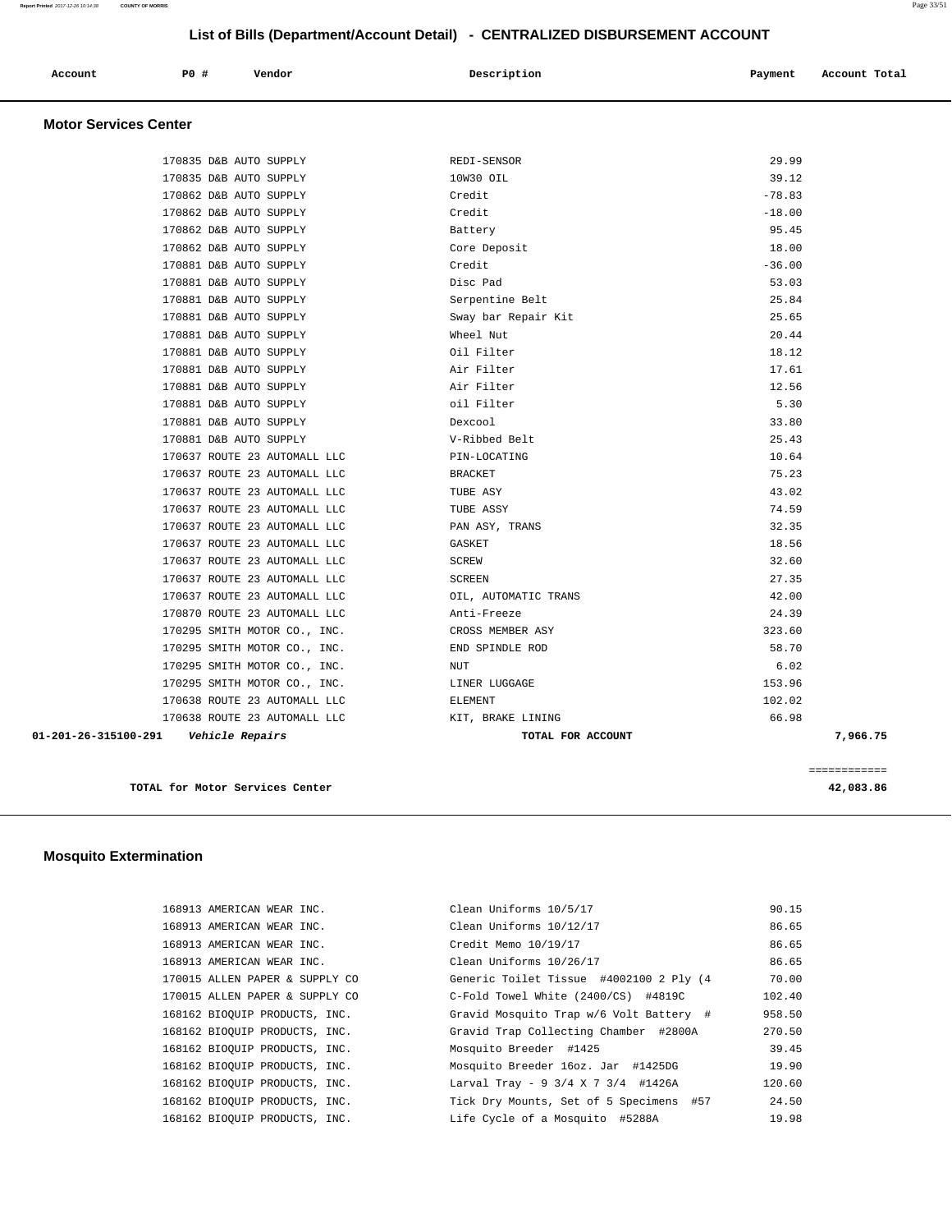| Account<br>. | PO# | Vendor | Description | Payment | Account Total |
|--------------|-----|--------|-------------|---------|---------------|
|              |     |        |             |         |               |

## **Motor Services Center**

| 01-201-26-315100-291<br>Vehicle Repairs | TOTAL FOR ACCOUNT    |          | 7,966.75 |
|-----------------------------------------|----------------------|----------|----------|
| 170638 ROUTE 23 AUTOMALL LLC            | KIT, BRAKE LINING    | 66.98    |          |
| 170638 ROUTE 23 AUTOMALL LLC            | ELEMENT              | 102.02   |          |
| 170295 SMITH MOTOR CO., INC.            | LINER LUGGAGE        | 153.96   |          |
| 170295 SMITH MOTOR CO., INC.            | NUT                  | 6.02     |          |
| 170295 SMITH MOTOR CO., INC.            | END SPINDLE ROD      | 58.70    |          |
| 170295 SMITH MOTOR CO., INC.            | CROSS MEMBER ASY     | 323.60   |          |
| 170870 ROUTE 23 AUTOMALL LLC            | Anti-Freeze          | 24.39    |          |
| 170637 ROUTE 23 AUTOMALL LLC            | OIL, AUTOMATIC TRANS | 42.00    |          |
| 170637 ROUTE 23 AUTOMALL LLC            | <b>SCREEN</b>        | 27.35    |          |
| 170637 ROUTE 23 AUTOMALL LLC            | SCREW                | 32.60    |          |
| 170637 ROUTE 23 AUTOMALL LLC            | GASKET               | 18.56    |          |
| 170637 ROUTE 23 AUTOMALL LLC            | PAN ASY, TRANS       | 32.35    |          |
| 170637 ROUTE 23 AUTOMALL LLC            | TUBE ASSY            | 74.59    |          |
| 170637 ROUTE 23 AUTOMALL LLC            | TUBE ASY             | 43.02    |          |
| 170637 ROUTE 23 AUTOMALL LLC            | <b>BRACKET</b>       | 75.23    |          |
| 170637 ROUTE 23 AUTOMALL LLC            | PIN-LOCATING         | 10.64    |          |
| 170881 D&B AUTO SUPPLY                  | V-Ribbed Belt        | 25.43    |          |
| 170881 D&B AUTO SUPPLY                  | Dexcool              | 33.80    |          |
| 170881 D&B AUTO SUPPLY                  | oil Filter           | 5.30     |          |
| 170881 D&B AUTO SUPPLY                  | Air Filter           | 12.56    |          |
| 170881 D&B AUTO SUPPLY                  | Air Filter           | 17.61    |          |
| 170881 D&B AUTO SUPPLY                  | Oil Filter           | 18.12    |          |
| 170881 D&B AUTO SUPPLY                  | Wheel Nut            | 20.44    |          |
| 170881 D&B AUTO SUPPLY                  | Sway bar Repair Kit  | 25.65    |          |
| 170881 D&B AUTO SUPPLY                  | Serpentine Belt      | 25.84    |          |
| 170881 D&B AUTO SUPPLY                  | Disc Pad             | 53.03    |          |
| 170881 D&B AUTO SUPPLY                  | Credit               | $-36.00$ |          |
| 170862 D&B AUTO SUPPLY                  | Core Deposit         | 18.00    |          |
| 170862 D&B AUTO SUPPLY                  | Battery              | 95.45    |          |
| 170862 D&B AUTO SUPPLY                  | Credit               | $-18.00$ |          |
| 170862 D&B AUTO SUPPLY                  | Credit               | $-78.83$ |          |
| 170835 D&B AUTO SUPPLY                  | 10W30 OIL            | 39.12    |          |
| 170835 D&B AUTO SUPPLY                  | REDI-SENSOR          | 29.99    |          |

**TOTAL for Motor Services Center 42,083.86** 

============

# **Mosquito Extermination**

| 168913 AMERICAN WEAR INC.      | Clean Uniforms 10/5/17                  | 90.15  |
|--------------------------------|-----------------------------------------|--------|
| 168913 AMERICAN WEAR INC.      | Clean Uniforms 10/12/17                 | 86.65  |
| 168913 AMERICAN WEAR INC.      | Credit Memo 10/19/17                    | 86.65  |
| 168913 AMERICAN WEAR INC.      | Clean Uniforms 10/26/17                 | 86.65  |
| 170015 ALLEN PAPER & SUPPLY CO | Generic Toilet Tissue #4002100 2 Ply (4 | 70.00  |
| 170015 ALLEN PAPER & SUPPLY CO | C-Fold Towel White (2400/CS) #4819C     | 102.40 |
| 168162 BIOQUIP PRODUCTS, INC.  | Gravid Mosquito Trap w/6 Volt Battery # | 958.50 |
| 168162 BIOOUIP PRODUCTS, INC.  | Gravid Trap Collecting Chamber #2800A   | 270.50 |
| 168162 BIOOUIP PRODUCTS, INC.  | Mosquito Breeder #1425                  | 39.45  |
| 168162 BIOOUIP PRODUCTS, INC.  | Mosquito Breeder 16oz. Jar #1425DG      | 19.90  |
| 168162 BIOQUIP PRODUCTS, INC.  | Larval Tray - 9 3/4 X 7 3/4 #1426A      | 120.60 |
| 168162 BIOOUIP PRODUCTS, INC.  | Tick Dry Mounts, Set of 5 Specimens #57 | 24.50  |
| 168162 BIOQUIP PRODUCTS, INC.  | Life Cycle of a Mosquito #5288A         | 19.98  |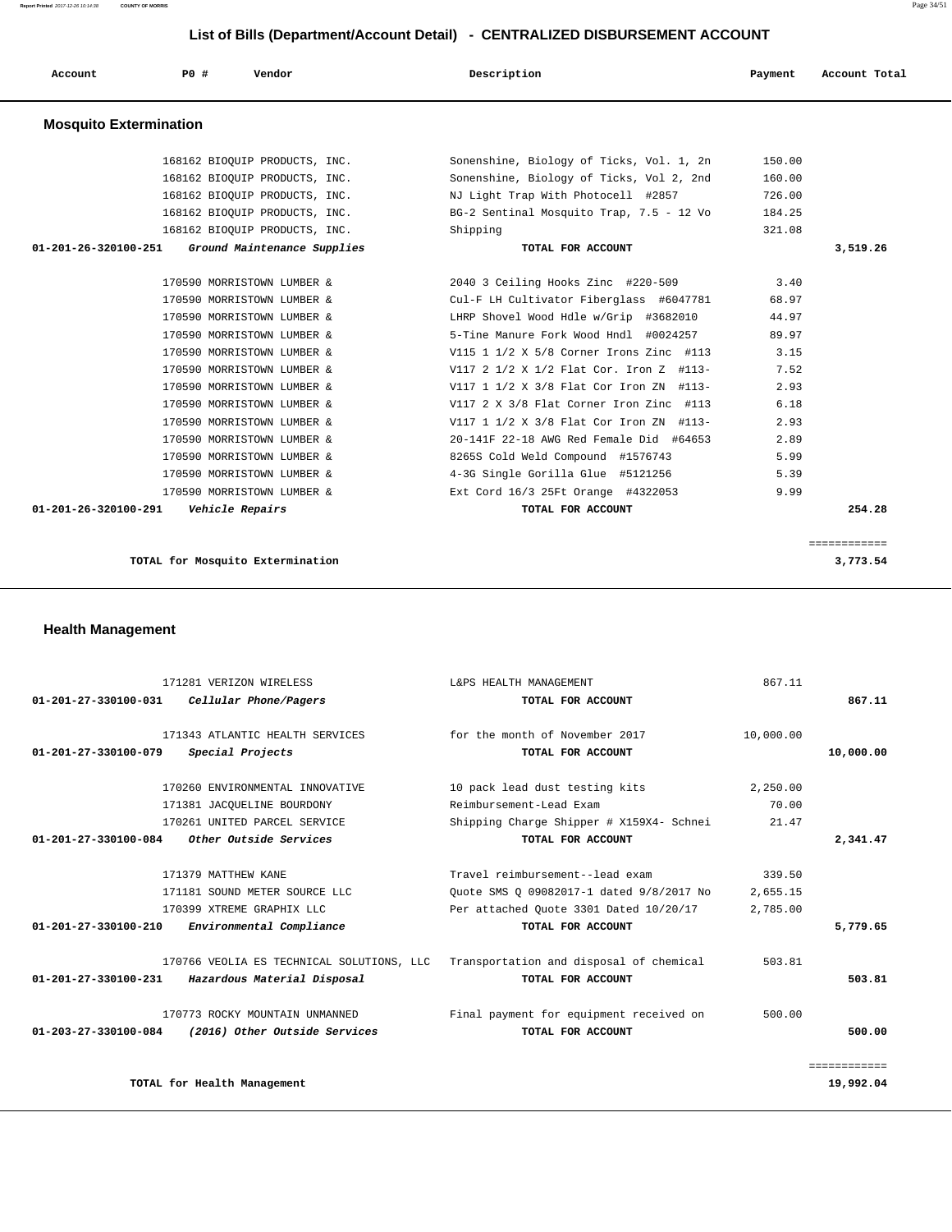**Report Printed** 2017-12-26 10:14:38 **COUNTY OF MORRIS** Page 34/51

# **List of Bills (Department/Account Detail) - CENTRALIZED DISBURSEMENT ACCOUNT**

| LIST OF BIIIS (Department/Account Detail) - CENTRALIZED DISBURSEMENT ACCOUNT |     |                               |  |                                          |  |         |               |
|------------------------------------------------------------------------------|-----|-------------------------------|--|------------------------------------------|--|---------|---------------|
| Account                                                                      | PO# | Vendor                        |  | Description                              |  | Payment | Account Total |
| <b>Mosquito Extermination</b>                                                |     |                               |  |                                          |  |         |               |
|                                                                              |     | 168162 BIOOUIP PRODUCTS, INC. |  | Sonenshine, Biology of Ticks, Vol. 1, 2n |  | 150.00  |               |
|                                                                              |     | 168162 BIOOUIP PRODUCTS, INC. |  | Sonenshine, Biology of Ticks, Vol 2, 2nd |  | 160.00  |               |
|                                                                              |     | 168162 BIOOUIP PRODUCTS, INC. |  | NJ Light Trap With Photocell #2857       |  | 726.00  |               |
|                                                                              |     | 168162 BIOOUIP PRODUCTS, INC. |  | BG-2 Sentinal Mosquito Trap, 7.5 - 12 Vo |  | 184.25  |               |
|                                                                              |     | 168162 BIOOUIP PRODUCTS, INC. |  | Shipping                                 |  | 321.08  |               |
| 01-201-26-320100-251                                                         |     | Ground Maintenance Supplies   |  | TOTAL FOR ACCOUNT                        |  |         | 3,519.26      |
|                                                                              |     |                               |  |                                          |  |         |               |
|                                                                              |     | 170590 MORRISTOWN LUMBER &    |  | 2040 3 Ceiling Hooks Zinc #220-509       |  | 3.40    |               |
|                                                                              |     | 170590 MORRISTOWN LUMBER &    |  | Cul-F LH Cultivator Fiberglass #6047781  |  | 68.97   |               |
|                                                                              |     | 170590 MORRISTOWN LUMBER &    |  | LHRP Shovel Wood Hdle w/Grip #3682010    |  | 44.97   |               |
|                                                                              |     | 170590 MORRISTOWN LUMBER &    |  | 5-Tine Manure Fork Wood Hndl #0024257    |  | 89.97   |               |
|                                                                              |     | 170590 MORRISTOWN LUMBER &    |  | V115 1 1/2 X 5/8 Corner Irons Zinc #113  |  | 3.15    |               |
|                                                                              |     | 170590 MORRISTOWN LUMBER &    |  | V117 2 1/2 X 1/2 Flat Cor. Iron Z #113-  |  | 7.52    |               |
|                                                                              |     | 170590 MORRISTOWN LUMBER &    |  | V117 1 1/2 X 3/8 Flat Cor Iron ZN #113-  |  | 2.93    |               |
|                                                                              |     | 170590 MORRISTOWN LUMBER &    |  | V117 2 X 3/8 Flat Corner Iron Zinc #113  |  | 6.18    |               |
|                                                                              |     | 170590 MORRISTOWN LUMBER &    |  | V117 1 1/2 X 3/8 Flat Cor Iron ZN #113-  |  | 2.93    |               |
|                                                                              |     | 170590 MORRISTOWN LUMBER &    |  | 20-141F 22-18 AWG Red Female Did #64653  |  | 2.89    |               |
|                                                                              |     | 170590 MORRISTOWN LUMBER &    |  | 8265S Cold Weld Compound #1576743        |  | 5.99    |               |
|                                                                              |     | 170590 MORRISTOWN LUMBER &    |  | 4-3G Single Gorilla Glue #5121256        |  | 5.39    |               |
|                                                                              |     | 170590 MORRISTOWN LUMBER &    |  | Ext Cord 16/3 25Ft Orange #4322053       |  | 9.99    |               |
| $01 - 201 - 26 - 320100 - 291$                                               |     | Vehicle Repairs               |  | TOTAL FOR ACCOUNT                        |  |         | 254.28        |

============

**TOTAL for Mosquito Extermination 3,773.54** 

**Health Management** 

|                                | 171281 VERIZON WIRELESS                   | L&PS HEALTH MANAGEMENT                   | 867.11    |              |
|--------------------------------|-------------------------------------------|------------------------------------------|-----------|--------------|
| $01 - 201 - 27 - 330100 - 031$ | Cellular Phone/Pagers                     | TOTAL FOR ACCOUNT                        |           | 867.11       |
|                                |                                           |                                          |           |              |
|                                | 171343 ATLANTIC HEALTH SERVICES           | for the month of November 2017           | 10,000.00 |              |
| $01 - 201 - 27 - 330100 - 079$ | Special Projects                          | TOTAL FOR ACCOUNT                        |           | 10,000.00    |
|                                |                                           |                                          |           |              |
|                                | 170260 ENVIRONMENTAL INNOVATIVE           | 10 pack lead dust testing kits           | 2,250.00  |              |
|                                | 171381 JACQUELINE BOURDONY                | Reimbursement-Lead Exam                  | 70.00     |              |
|                                | 170261 UNITED PARCEL SERVICE              | Shipping Charge Shipper # X159X4- Schnei | 21.47     |              |
| 01-201-27-330100-084           | Other Outside Services                    | TOTAL FOR ACCOUNT                        |           | 2,341.47     |
|                                |                                           |                                          |           |              |
|                                | 171379 MATTHEW KANE                       | Travel reimbursement--lead exam          | 339.50    |              |
|                                | 171181 SOUND METER SOURCE LLC             | Quote SMS Q 09082017-1 dated 9/8/2017 No | 2,655.15  |              |
|                                | 170399 XTREME GRAPHIX LLC                 | Per attached Quote 3301 Dated 10/20/17   | 2,785.00  |              |
| $01 - 201 - 27 - 330100 - 210$ | Environmental Compliance                  | TOTAL FOR ACCOUNT                        |           | 5,779.65     |
|                                |                                           |                                          |           |              |
|                                | 170766 VEOLIA ES TECHNICAL SOLUTIONS, LLC | Transportation and disposal of chemical  | 503.81    |              |
| 01-201-27-330100-231           | Hazardous Material Disposal               | TOTAL FOR ACCOUNT                        |           | 503.81       |
|                                | 170773 ROCKY MOUNTAIN UNMANNED            | Final payment for equipment received on  | 500.00    |              |
| 01-203-27-330100-084           | (2016) Other Outside Services             | TOTAL FOR ACCOUNT                        |           | 500.00       |
|                                |                                           |                                          |           |              |
|                                |                                           |                                          |           | ============ |
|                                | TOTAL for Health Management               |                                          |           | 19,992.04    |
|                                |                                           |                                          |           |              |

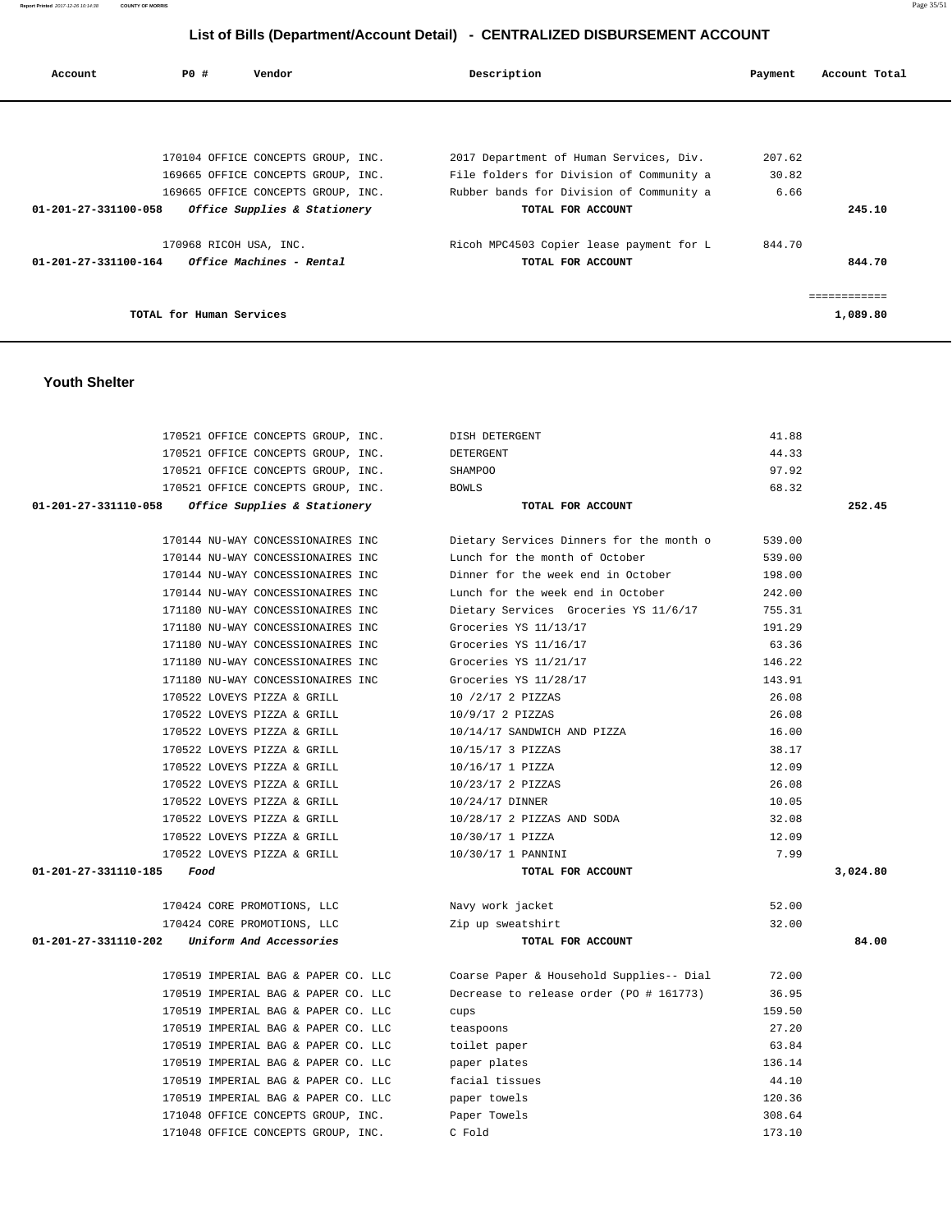| Account                        | PO#                      | Vendor                             | Description                              | Payment | Account Total |
|--------------------------------|--------------------------|------------------------------------|------------------------------------------|---------|---------------|
|                                |                          |                                    |                                          |         |               |
|                                |                          |                                    |                                          |         |               |
|                                |                          | 170104 OFFICE CONCEPTS GROUP, INC. | 2017 Department of Human Services, Div.  | 207.62  |               |
|                                |                          | 169665 OFFICE CONCEPTS GROUP, INC. | File folders for Division of Community a | 30.82   |               |
|                                |                          | 169665 OFFICE CONCEPTS GROUP, INC. | Rubber bands for Division of Community a | 6.66    |               |
| $01 - 201 - 27 - 331100 - 058$ |                          | Office Supplies & Stationery       | TOTAL FOR ACCOUNT                        |         | 245.10        |
|                                | 170968 RICOH USA, INC.   |                                    | Ricoh MPC4503 Copier lease payment for L | 844.70  |               |
| 01-201-27-331100-164           |                          | <i>Office Machines - Rental</i>    | TOTAL FOR ACCOUNT                        |         | 844.70        |
|                                |                          |                                    |                                          |         | ============  |
|                                | TOTAL for Human Services |                                    |                                          |         | 1,089.80      |

## **Youth Shelter**

| 170521 OFFICE CONCEPTS GROUP, INC.                | DISH DETERGENT                           | 41.88  |          |
|---------------------------------------------------|------------------------------------------|--------|----------|
| 170521 OFFICE CONCEPTS GROUP, INC.                | DETERGENT                                | 44.33  |          |
| 170521 OFFICE CONCEPTS GROUP, INC.                | <b>SHAMPOO</b>                           | 97.92  |          |
| 170521 OFFICE CONCEPTS GROUP, INC.                | BOWLS                                    | 68.32  |          |
| 01-201-27-331110-058 Office Supplies & Stationery | TOTAL FOR ACCOUNT                        |        | 252.45   |
|                                                   |                                          |        |          |
| 170144 NU-WAY CONCESSIONAIRES INC                 | Dietary Services Dinners for the month o | 539.00 |          |
| 170144 NU-WAY CONCESSIONAIRES INC                 | Lunch for the month of October           | 539.00 |          |
| 170144 NU-WAY CONCESSIONAIRES INC                 | Dinner for the week end in October       | 198.00 |          |
| 170144 NU-WAY CONCESSIONAIRES INC                 | Lunch for the week end in October        | 242.00 |          |
| 171180 NU-WAY CONCESSIONAIRES INC                 | Dietary Services Groceries YS 11/6/17    | 755.31 |          |
| 171180 NU-WAY CONCESSIONAIRES INC                 | Groceries YS 11/13/17                    | 191.29 |          |
| 171180 NU-WAY CONCESSIONAIRES INC                 | Groceries YS 11/16/17                    | 63.36  |          |
| 171180 NU-WAY CONCESSIONAIRES INC                 | Groceries YS 11/21/17                    | 146.22 |          |
| 171180 NU-WAY CONCESSIONAIRES INC                 | Groceries YS 11/28/17                    | 143.91 |          |
| 170522 LOVEYS PIZZA & GRILL                       | 10 /2/17 2 PIZZAS                        | 26.08  |          |
| 170522 LOVEYS PIZZA & GRILL                       | 10/9/17 2 PIZZAS                         | 26.08  |          |
| 170522 LOVEYS PIZZA & GRILL                       | 10/14/17 SANDWICH AND PIZZA              | 16.00  |          |
| 170522 LOVEYS PIZZA & GRILL                       | 10/15/17 3 PIZZAS                        | 38.17  |          |
| 170522 LOVEYS PIZZA & GRILL                       | 10/16/17 1 PIZZA                         | 12.09  |          |
| 170522 LOVEYS PIZZA & GRILL                       | 10/23/17 2 PIZZAS                        | 26.08  |          |
| 170522 LOVEYS PIZZA & GRILL                       | 10/24/17 DINNER                          | 10.05  |          |
| 170522 LOVEYS PIZZA & GRILL                       | 10/28/17 2 PIZZAS AND SODA               | 32.08  |          |
| 170522 LOVEYS PIZZA & GRILL                       | 10/30/17 1 PIZZA                         | 12.09  |          |
| 170522 LOVEYS PIZZA & GRILL                       | 10/30/17 1 PANNINI                       | 7.99   |          |
| 01-201-27-331110-185<br>Food                      | TOTAL FOR ACCOUNT                        |        | 3,024.80 |
| 170424 CORE PROMOTIONS, LLC                       | Navy work jacket                         | 52.00  |          |
| 170424 CORE PROMOTIONS, LLC                       | Zip up sweatshirt                        | 32.00  |          |
| 01-201-27-331110-202<br>Uniform And Accessories   | TOTAL FOR ACCOUNT                        |        | 84.00    |
| 170519 IMPERIAL BAG & PAPER CO. LLC               | Coarse Paper & Household Supplies-- Dial | 72.00  |          |
| 170519 IMPERIAL BAG & PAPER CO. LLC               | Decrease to release order (PO # 161773)  | 36.95  |          |
| 170519 IMPERIAL BAG & PAPER CO. LLC               | cups                                     | 159.50 |          |
| 170519 IMPERIAL BAG & PAPER CO. LLC               | teaspoons                                | 27.20  |          |
| 170519 IMPERIAL BAG & PAPER CO. LLC               | toilet paper                             | 63.84  |          |
| 170519 IMPERIAL BAG & PAPER CO. LLC               | paper plates                             | 136.14 |          |
| 170519 IMPERIAL BAG & PAPER CO. LLC               | facial tissues                           | 44.10  |          |
| 170519 IMPERIAL BAG & PAPER CO. LLC               | paper towels                             | 120.36 |          |
| 171048 OFFICE CONCEPTS GROUP, INC.                | Paper Towels                             | 308.64 |          |
| 171048 OFFICE CONCEPTS GROUP, INC.                | C Fold                                   | 173.10 |          |
|                                                   |                                          |        |          |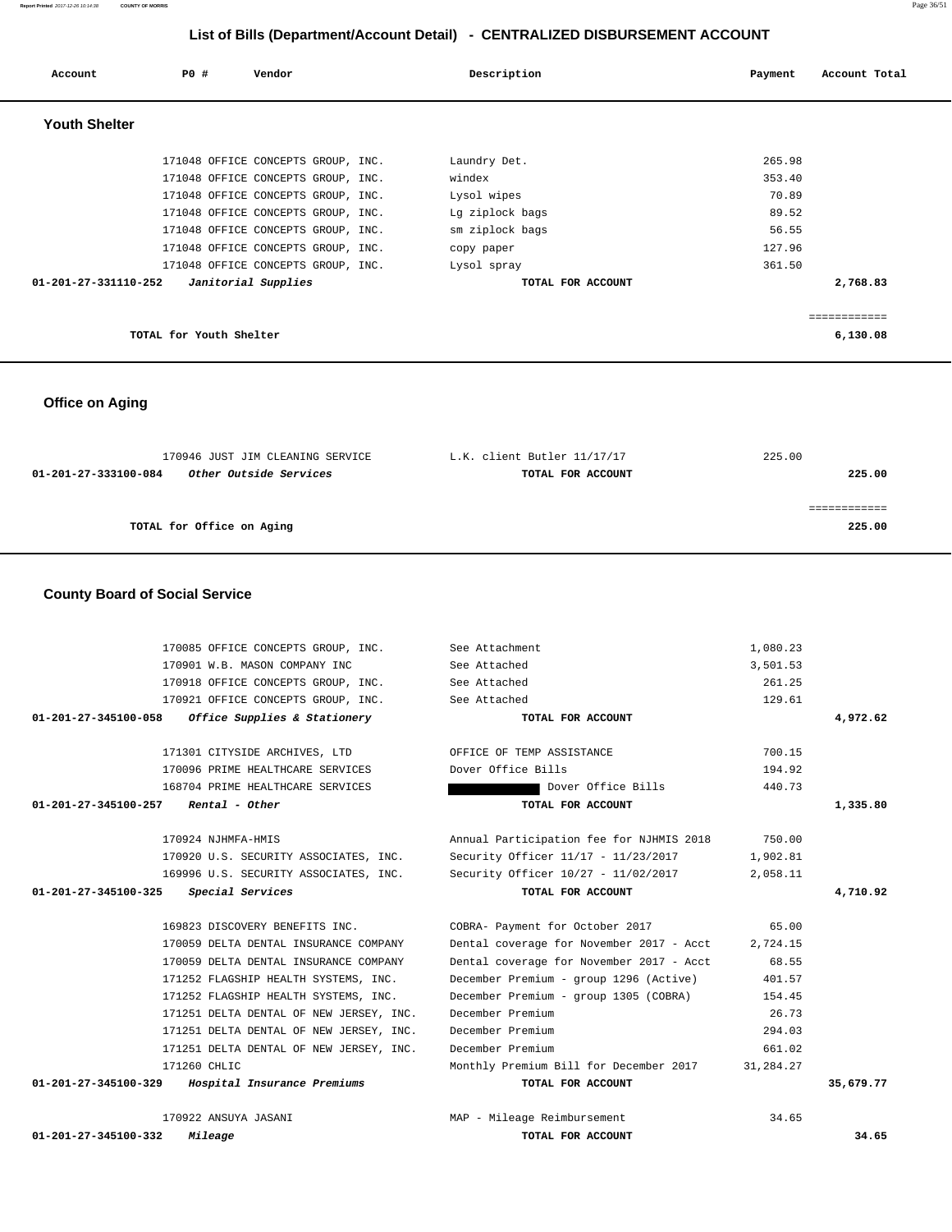**Youth Shelter**  171048 OFFICE CONCEPTS GROUP, INC. Laundry Det. 265.98 171048 OFFICE CONCEPTS GROUP, INC. windex 353.40 171048 OFFICE CONCEPTS GROUP, INC. Lysol wipes  $70.89$ 171048 OFFICE CONCEPTS GROUP, INC. Lg ziplock bags 89.52 171048 OFFICE CONCEPTS GROUP, INC. Sm ziplock bags 56.55

# **Office on Aging**

| 170946 JUST JIM CLEANING SERVICE                      | L.K. client Butler 11/17/17 | 225.00 |
|-------------------------------------------------------|-----------------------------|--------|
| <i>Other Outside Services</i><br>01-201-27-333100-084 | TOTAL FOR ACCOUNT           | 225.00 |
|                                                       |                             |        |
|                                                       |                             |        |
| TOTAL for Office on Aging                             |                             | 225.00 |

## **County Board of Social Service**

| 170085 OFFICE CONCEPTS GROUP, INC. See Attachment    |                                          | 1,080.23  |           |
|------------------------------------------------------|------------------------------------------|-----------|-----------|
| 170901 W.B. MASON COMPANY INC                        | See Attached                             | 3,501.53  |           |
| 170918 OFFICE CONCEPTS GROUP, INC.                   | See Attached                             | 261.25    |           |
| 170921 OFFICE CONCEPTS GROUP, INC.                   | See Attached                             | 129.61    |           |
| Office Supplies & Stationery<br>01-201-27-345100-058 | TOTAL FOR ACCOUNT                        |           | 4,972.62  |
|                                                      |                                          |           |           |
| 171301 CITYSIDE ARCHIVES, LTD                        | OFFICE OF TEMP ASSISTANCE                | 700.15    |           |
| 170096 PRIME HEALTHCARE SERVICES                     | Dover Office Bills                       | 194.92    |           |
| 168704 PRIME HEALTHCARE SERVICES                     | Dover Office Bills                       | 440.73    |           |
| $01-201-27-345100-257$ Rental - Other                | TOTAL FOR ACCOUNT                        |           | 1,335.80  |
|                                                      |                                          |           |           |
| 170924 NJHMFA-HMIS                                   | Annual Participation fee for NJHMIS 2018 | 750.00    |           |
| 170920 U.S. SECURITY ASSOCIATES, INC.                | Security Officer 11/17 - 11/23/2017      | 1,902.81  |           |
| 169996 U.S. SECURITY ASSOCIATES, INC.                | Security Officer 10/27 - 11/02/2017      | 2,058.11  |           |
| 01-201-27-345100-325<br>Special Services             | TOTAL FOR ACCOUNT                        |           | 4,710.92  |
|                                                      |                                          |           |           |
|                                                      |                                          |           |           |
| 169823 DISCOVERY BENEFITS INC.                       | COBRA- Payment for October 2017          | 65.00     |           |
| 170059 DELTA DENTAL INSURANCE COMPANY                | Dental coverage for November 2017 - Acct | 2,724.15  |           |
| 170059 DELTA DENTAL INSURANCE COMPANY                | Dental coverage for November 2017 - Acct | 68.55     |           |
| 171252 FLAGSHIP HEALTH SYSTEMS, INC.                 | December Premium - group 1296 (Active)   | 401.57    |           |
| 171252 FLAGSHIP HEALTH SYSTEMS, INC.                 | December Premium - group 1305 (COBRA)    | 154.45    |           |
| 171251 DELTA DENTAL OF NEW JERSEY, INC.              | December Premium                         | 26.73     |           |
| 171251 DELTA DENTAL OF NEW JERSEY, INC.              | December Premium                         | 294.03    |           |
| 171251 DELTA DENTAL OF NEW JERSEY, INC.              | December Premium                         | 661.02    |           |
| 171260 CHLIC                                         | Monthly Premium Bill for December 2017   | 31,284.27 |           |
| 01-201-27-345100-329<br>Hospital Insurance Premiums  | TOTAL FOR ACCOUNT                        |           | 35,679.77 |
|                                                      |                                          |           |           |
| 170922 ANSUYA JASANI                                 | MAP - Mileage Reimbursement              | 34.65     |           |
| $01 - 201 - 27 - 345100 - 332$<br>Mileage            | TOTAL FOR ACCOUNT                        |           | 34.65     |

============

# **List of Bills (Department/Account Detail) - CENTRALIZED DISBURSEMENT ACCOUNT**

 **Account P0 # Vendor Description Payment Account Total** 

171048 OFFICE CONCEPTS GROUP, INC. Copy paper 127.96 171048 OFFICE CONCEPTS GROUP, INC. Lysol spray 361.50  **01-201-27-331110-252 Janitorial Supplies TOTAL FOR ACCOUNT 2,768.83**

**TOTAL for Youth Shelter 6,130.08**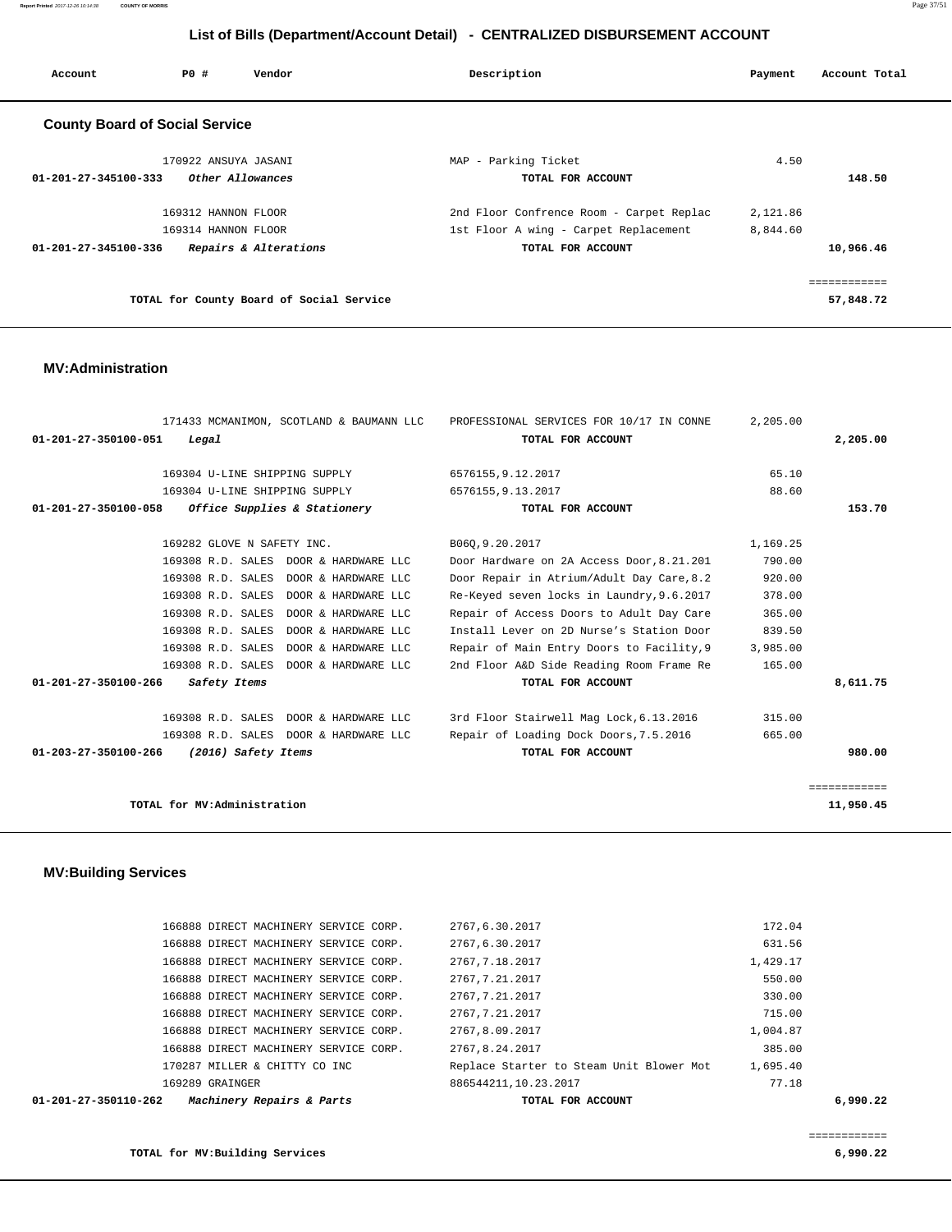**Report Printed** 2017-12-26 10:14:38 **COUNTY OF MORRIS** Page 37/51

# **List of Bills (Department/Account Detail) - CENTRALIZED DISBURSEMENT ACCOUNT**

| Account                               | PO#                  | Vendor                                   | Description                              | Payment  | Account Total |
|---------------------------------------|----------------------|------------------------------------------|------------------------------------------|----------|---------------|
| <b>County Board of Social Service</b> |                      |                                          |                                          |          |               |
|                                       | 170922 ANSUYA JASANI |                                          | MAP - Parking Ticket                     | 4.50     |               |
| $01 - 201 - 27 - 345100 - 333$        |                      | Other Allowances                         | TOTAL FOR ACCOUNT                        |          | 148.50        |
|                                       | 169312 HANNON FLOOR  |                                          | 2nd Floor Confrence Room - Carpet Replac | 2,121.86 |               |
|                                       | 169314 HANNON FLOOR  |                                          | 1st Floor A wing - Carpet Replacement    | 8,844.60 |               |
| 01-201-27-345100-336                  |                      | Repairs & Alterations                    | TOTAL FOR ACCOUNT                        |          | 10,966.46     |
|                                       |                      |                                          |                                          |          | =========     |
|                                       |                      | TOTAL for County Board of Social Service |                                          |          | 57,848.72     |

## **MV:Administration**

| 171433 MCMANIMON, SCOTLAND & BAUMANN LLC             | PROFESSIONAL SERVICES FOR 10/17 IN CONNE  | 2,205.00 |              |
|------------------------------------------------------|-------------------------------------------|----------|--------------|
| 01-201-27-350100-051<br>Legal                        | TOTAL FOR ACCOUNT                         |          | 2,205.00     |
|                                                      |                                           |          |              |
| 169304 U-LINE SHIPPING SUPPLY                        | 6576155, 9.12.2017                        | 65.10    |              |
| 169304 U-LINE SHIPPING SUPPLY                        | 6576155, 9.13.2017                        | 88.60    |              |
| Office Supplies & Stationery<br>01-201-27-350100-058 | TOTAL FOR ACCOUNT                         |          | 153.70       |
| 169282 GLOVE N SAFETY INC.                           |                                           | 1,169.25 |              |
|                                                      | B060, 9.20.2017                           |          |              |
| 169308 R.D. SALES DOOR & HARDWARE LLC                | Door Hardware on 2A Access Door, 8.21.201 | 790.00   |              |
| 169308 R.D. SALES DOOR & HARDWARE LLC                | Door Repair in Atrium/Adult Day Care, 8.2 | 920.00   |              |
| 169308 R.D. SALES<br>DOOR & HARDWARE LLC             | Re-Keyed seven locks in Laundry, 9.6.2017 | 378.00   |              |
| 169308 R.D. SALES<br>DOOR & HARDWARE LLC             | Repair of Access Doors to Adult Day Care  | 365.00   |              |
| 169308 R.D. SALES<br>DOOR & HARDWARE LLC             | Install Lever on 2D Nurse's Station Door  | 839.50   |              |
| 169308 R.D. SALES<br>DOOR & HARDWARE LLC             | Repair of Main Entry Doors to Facility, 9 | 3,985.00 |              |
| 169308 R.D. SALES DOOR & HARDWARE LLC                | 2nd Floor A&D Side Reading Room Frame Re  | 165.00   |              |
| 01-201-27-350100-266<br>Safety Items                 | TOTAL FOR ACCOUNT                         |          | 8,611.75     |
| 169308 R.D. SALES DOOR & HARDWARE LLC                | 3rd Floor Stairwell Mag Lock, 6.13.2016   | 315.00   |              |
| 169308 R.D. SALES DOOR & HARDWARE LLC                | Repair of Loading Dock Doors, 7.5.2016    | 665.00   |              |
| 01-203-27-350100-266<br>(2016) Safety Items          | TOTAL FOR ACCOUNT                         |          | 980.00       |
|                                                      |                                           |          |              |
|                                                      |                                           |          | ============ |
| TOTAL for MV:Administration                          |                                           |          | 11,950.45    |

# **MV:Building Services**

| 01-201-27-350110-262                  | Machinery Repairs & Parts | TOTAL FOR ACCOUNT                        |          | 6,990.22 |
|---------------------------------------|---------------------------|------------------------------------------|----------|----------|
| 169289 GRAINGER                       |                           | 886544211, 10.23.2017                    | 77.18    |          |
| 170287 MILLER & CHITTY CO INC         |                           | Replace Starter to Steam Unit Blower Mot | 1,695.40 |          |
| 166888 DIRECT MACHINERY SERVICE CORP. |                           | 2767.8.24.2017                           | 385.00   |          |
| 166888 DIRECT MACHINERY SERVICE CORP. |                           | 2767.8.09.2017                           | 1,004.87 |          |
| 166888 DIRECT MACHINERY SERVICE CORP. |                           | 2767.7.21.2017                           | 715.00   |          |
| 166888 DIRECT MACHINERY SERVICE CORP. |                           | 2767,7.21.2017                           | 330.00   |          |
| 166888 DIRECT MACHINERY SERVICE CORP. |                           | 2767,7.21.2017                           | 550.00   |          |
| 166888 DIRECT MACHINERY SERVICE CORP. |                           | 2767.7.18.2017                           | 1,429.17 |          |
| 166888 DIRECT MACHINERY SERVICE CORP. |                           | 2767.6.30.2017                           | 631.56   |          |
| 166888 DIRECT MACHINERY SERVICE CORP. |                           | 2767.6.30.2017                           | 172.04   |          |
|                                       |                           |                                          |          |          |

**TOTAL for MV:Building Services 6,990.22**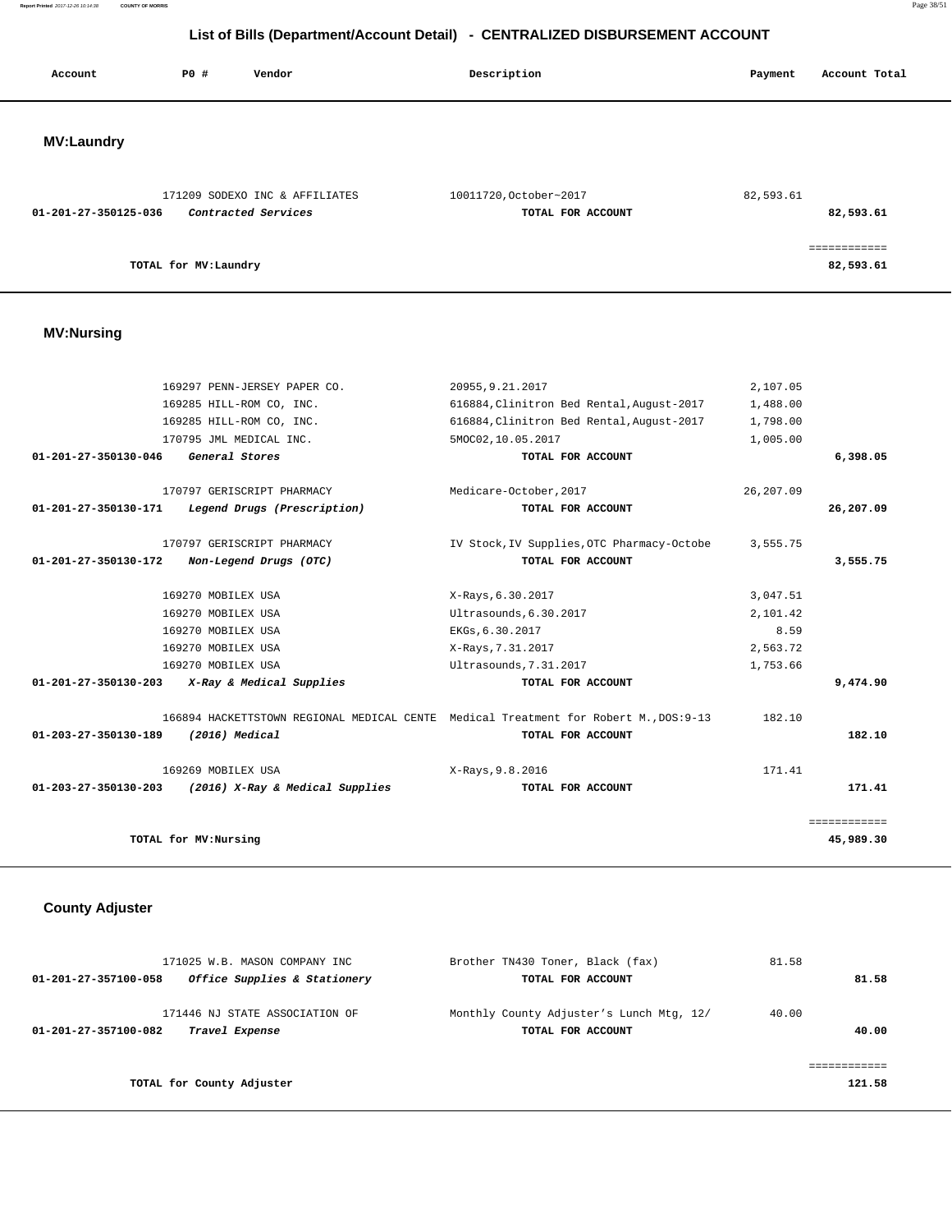**Report Printed** 2017-12-26 10:14:38 **COUNTY OF MORRIS** Page 38/51

# **List of Bills (Department/Account Detail) - CENTRALIZED DISBURSEMENT ACCOUNT**

| Account              | <b>PO #</b>           | Vendor                         | Description |                        | Payment   | Account Total             |
|----------------------|-----------------------|--------------------------------|-------------|------------------------|-----------|---------------------------|
|                      |                       |                                |             |                        |           |                           |
| <b>MV:Laundry</b>    |                       |                                |             |                        |           |                           |
|                      |                       | 171209 SODEXO INC & AFFILIATES |             | 10011720, October~2017 | 82,593.61 |                           |
| 01-201-27-350125-036 |                       | Contracted Services            |             | TOTAL FOR ACCOUNT      |           | 82,593.61                 |
|                      | TOTAL for MV: Laundry |                                |             |                        |           | ============<br>82,593.61 |

# **MV:Nursing**

| 169297 PENN-JERSEY PAPER CO.                            | 20955, 9.21.2017                                                                     | 2,107.05   |              |
|---------------------------------------------------------|--------------------------------------------------------------------------------------|------------|--------------|
| 169285 HILL-ROM CO, INC.                                | 616884, Clinitron Bed Rental, August-2017                                            | 1,488.00   |              |
| 169285 HILL-ROM CO, INC.                                | 616884, Clinitron Bed Rental, August-2017                                            | 1,798.00   |              |
| 170795 JML MEDICAL INC.                                 | 5MOC02,10.05.2017                                                                    | 1,005.00   |              |
| 01-201-27-350130-046<br>General Stores                  | TOTAL FOR ACCOUNT                                                                    |            | 6,398.05     |
| 170797 GERISCRIPT PHARMACY                              | Medicare-October, 2017                                                               | 26, 207.09 |              |
| 01-201-27-350130-171<br>Legend Drugs (Prescription)     | TOTAL FOR ACCOUNT                                                                    |            | 26,207.09    |
| 170797 GERISCRIPT PHARMACY                              | IV Stock, IV Supplies, OTC Pharmacy-Octobe                                           | 3,555.75   |              |
| 01-201-27-350130-172<br>Non-Legend Drugs (OTC)          | TOTAL FOR ACCOUNT                                                                    |            | 3,555.75     |
| 169270 MOBILEX USA                                      | X-Rays, 6.30.2017                                                                    | 3,047.51   |              |
| 169270 MOBILEX USA                                      | Ultrasounds, 6.30.2017                                                               | 2,101.42   |              |
| 169270 MOBILEX USA                                      | EKGs, 6.30.2017                                                                      | 8.59       |              |
| 169270 MOBILEX USA                                      | X-Rays, 7.31.2017                                                                    | 2,563.72   |              |
| 169270 MOBILEX USA                                      | Ultrasounds, 7.31.2017                                                               | 1,753.66   |              |
| 01-201-27-350130-203<br>X-Ray & Medical Supplies        | TOTAL FOR ACCOUNT                                                                    |            | 9,474.90     |
|                                                         | 166894 HACKETTSTOWN REGIONAL MEDICAL CENTE Medical Treatment for Robert M., DOS:9-13 | 182.10     |              |
| 01-203-27-350130-189<br>$(2016)$ Medical                | TOTAL FOR ACCOUNT                                                                    |            | 182.10       |
| 169269 MOBILEX USA                                      | X-Rays, 9.8.2016                                                                     | 171.41     |              |
| 01-203-27-350130-203<br>(2016) X-Ray & Medical Supplies | TOTAL FOR ACCOUNT                                                                    |            | 171.41       |
|                                                         |                                                                                      |            | ============ |
| TOTAL for MV: Nursing                                   |                                                                                      |            | 45,989.30    |

# **County Adjuster**

| 171025 W.B. MASON COMPANY INC                                            | Brother TN430 Toner, Black (fax)                              | 81.58          |
|--------------------------------------------------------------------------|---------------------------------------------------------------|----------------|
| Office Supplies & Stationery<br>01-201-27-357100-058                     | TOTAL FOR ACCOUNT                                             | 81.58          |
| 171446 NJ STATE ASSOCIATION OF<br>01-201-27-357100-082<br>Travel Expense | Monthly County Adjuster's Lunch Mtg, 12/<br>TOTAL FOR ACCOUNT | 40.00<br>40.00 |
|                                                                          |                                                               |                |
| TOTAL for County Adjuster                                                |                                                               | 121.58         |
|                                                                          |                                                               |                |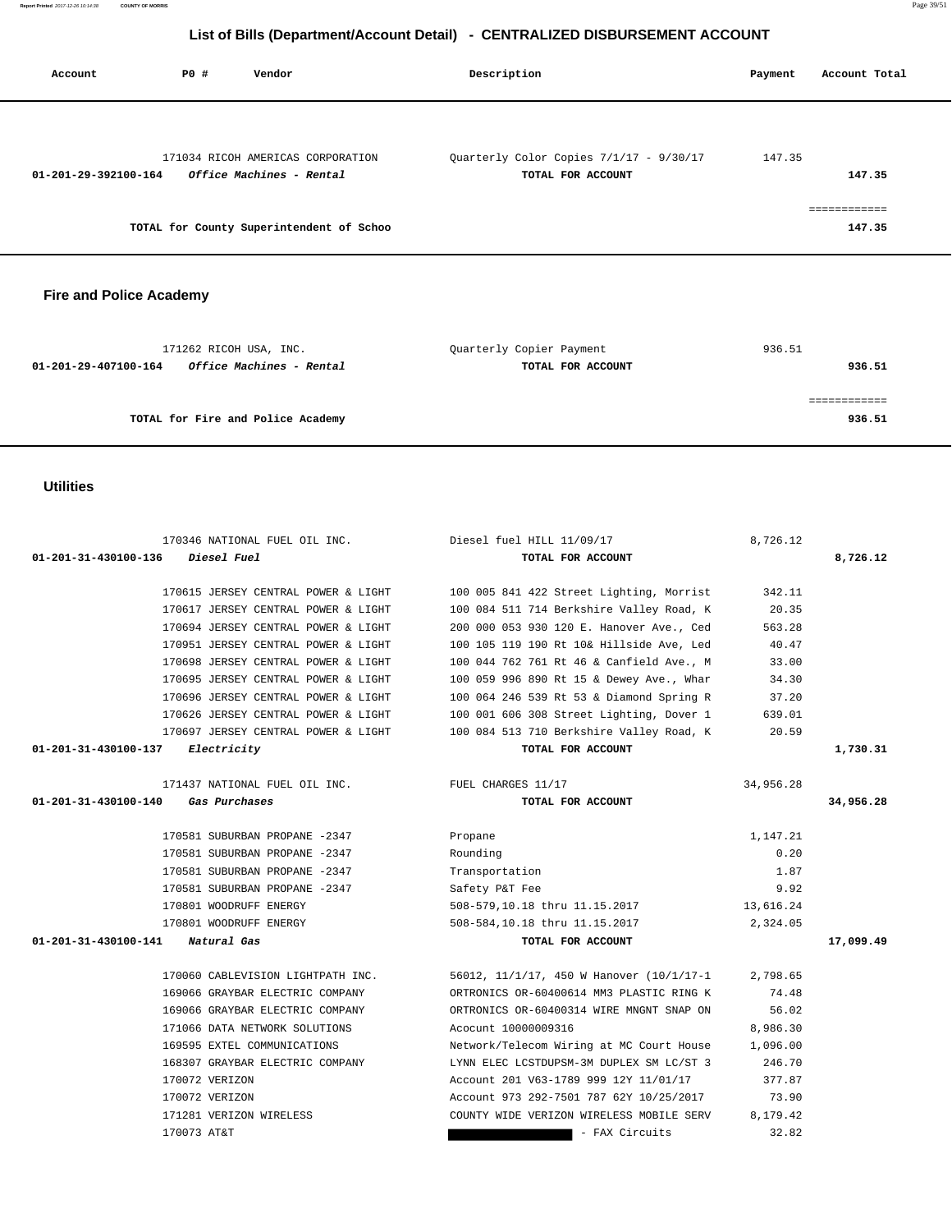| Account              | PO# | Vendor                                   | Description                             | Payment | Account Total |
|----------------------|-----|------------------------------------------|-----------------------------------------|---------|---------------|
|                      |     | 171034 RICOH AMERICAS CORPORATION        | Quarterly Color Copies 7/1/17 - 9/30/17 | 147.35  |               |
| 01-201-29-392100-164 |     | <i><b>Office Machines - Rental</b></i>   | TOTAL FOR ACCOUNT                       |         | 147.35        |
|                      |     |                                          |                                         |         | ============  |
|                      |     | TOTAL for County Superintendent of Schoo |                                         |         | 147.35        |

# **Fire and Police Academy**

| 171262 RICOH USA, INC.                                  | Quarterly Copier Payment | 936.51 |
|---------------------------------------------------------|--------------------------|--------|
| <i>Office Machines - Rental</i><br>01-201-29-407100-164 | TOTAL FOR ACCOUNT        | 936.51 |
|                                                         |                          |        |
|                                                         |                          |        |
| TOTAL for Fire and Police Academy                       |                          | 936.51 |

# **Utilities**

| 170346 NATIONAL FUEL OIL INC.                        | Diesel fuel HILL 11/09/17                | 8,726.12  |           |
|------------------------------------------------------|------------------------------------------|-----------|-----------|
| 01-201-31-430100-136<br><i>Diesel Fuel</i>           | TOTAL FOR ACCOUNT                        |           | 8,726.12  |
|                                                      |                                          |           |           |
| 170615 JERSEY CENTRAL POWER & LIGHT                  | 100 005 841 422 Street Lighting, Morrist | 342.11    |           |
| 170617 JERSEY CENTRAL POWER & LIGHT                  | 100 084 511 714 Berkshire Valley Road, K | 20.35     |           |
| 170694 JERSEY CENTRAL POWER & LIGHT                  | 200 000 053 930 120 E. Hanover Ave., Ced | 563.28    |           |
| 170951 JERSEY CENTRAL POWER & LIGHT                  | 100 105 119 190 Rt 10& Hillside Ave, Led | 40.47     |           |
| 170698 JERSEY CENTRAL POWER & LIGHT                  | 100 044 762 761 Rt 46 & Canfield Ave., M | 33.00     |           |
| 170695 JERSEY CENTRAL POWER & LIGHT                  | 100 059 996 890 Rt 15 & Dewey Ave., Whar | 34.30     |           |
| 170696 JERSEY CENTRAL POWER & LIGHT                  | 100 064 246 539 Rt 53 & Diamond Spring R | 37.20     |           |
| 170626 JERSEY CENTRAL POWER & LIGHT                  | 100 001 606 308 Street Lighting, Dover 1 | 639.01    |           |
| 170697 JERSEY CENTRAL POWER & LIGHT                  | 100 084 513 710 Berkshire Valley Road, K | 20.59     |           |
| 01-201-31-430100-137 Electricity                     | TOTAL FOR ACCOUNT                        |           | 1,730.31  |
|                                                      |                                          |           |           |
| 171437 NATIONAL FUEL OIL INC. THE FUEL CHARGES 11/17 |                                          | 34,956.28 |           |
| 01-201-31-430100-140<br>Gas Purchases                | TOTAL FOR ACCOUNT                        |           | 34,956.28 |
|                                                      |                                          |           |           |
| 170581 SUBURBAN PROPANE -2347                        | Propane                                  | 1,147.21  |           |
| 170581 SUBURBAN PROPANE -2347                        | Rounding                                 | 0.20      |           |
| 170581 SUBURBAN PROPANE -2347                        | Transportation                           | 1.87      |           |
| 170581 SUBURBAN PROPANE -2347                        | Safety P&T Fee                           | 9.92      |           |
| 170801 WOODRUFF ENERGY                               | 508-579,10.18 thru 11.15.2017            | 13,616.24 |           |
| 170801 WOODRUFF ENERGY                               | 508-584,10.18 thru 11.15.2017            | 2,324.05  |           |
| 01-201-31-430100-141 Natural Gas                     | TOTAL FOR ACCOUNT                        |           | 17,099.49 |
|                                                      |                                          |           |           |
| 170060 CABLEVISION LIGHTPATH INC.                    | 56012, 11/1/17, 450 W Hanover (10/1/17-1 | 2,798.65  |           |
| 169066 GRAYBAR ELECTRIC COMPANY                      | ORTRONICS OR-60400614 MM3 PLASTIC RING K | 74.48     |           |
| 169066 GRAYBAR ELECTRIC COMPANY                      | ORTRONICS OR-60400314 WIRE MNGNT SNAP ON | 56.02     |           |
| 171066 DATA NETWORK SOLUTIONS                        | Acocunt 10000009316                      | 8,986.30  |           |
| 169595 EXTEL COMMUNICATIONS                          | Network/Telecom Wiring at MC Court House | 1,096.00  |           |
| 168307 GRAYBAR ELECTRIC COMPANY                      | LYNN ELEC LCSTDUPSM-3M DUPLEX SM LC/ST 3 | 246.70    |           |
| 170072 VERIZON                                       | Account 201 V63-1789 999 12Y 11/01/17    | 377.87    |           |
| 170072 VERIZON                                       | Account 973 292-7501 787 62Y 10/25/2017  | 73.90     |           |
| 171281 VERIZON WIRELESS                              | COUNTY WIDE VERIZON WIRELESS MOBILE SERV | 8,179.42  |           |
| 170073 AT&T                                          | - FAX Circuits                           | 32.82     |           |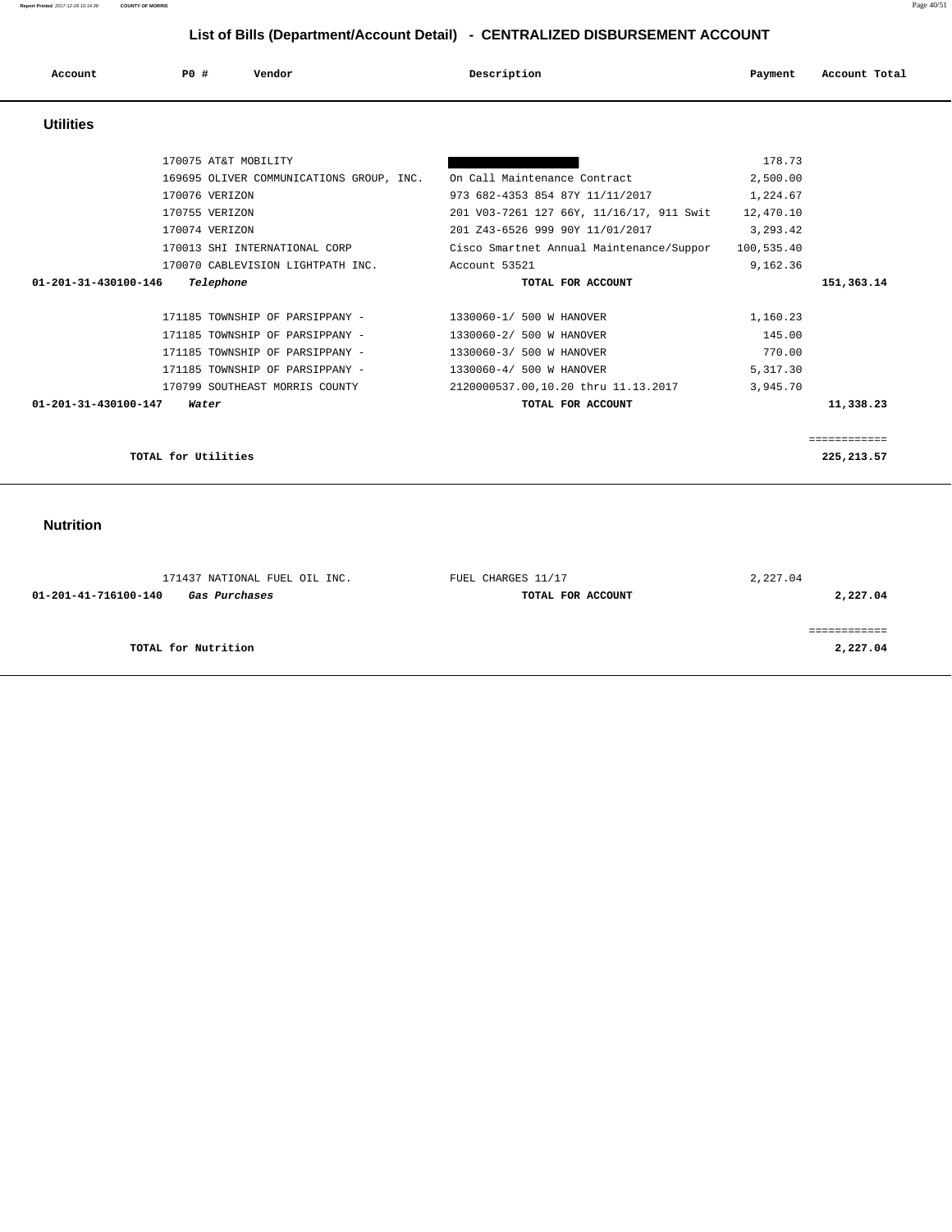**Report Printed** 2017-12-26 10:14:38 **COUNTY OF MORRIS** Page 40/51

# **List of Bills (Department/Account Detail) - CENTRALIZED DISBURSEMENT ACCOUNT**

| Account<br>. | <b>PO #</b> | Vendor | Description | Payment | Account Total |
|--------------|-------------|--------|-------------|---------|---------------|
|              |             |        |             |         |               |

# **Utilities**

| 170075 AT&T MOBILITY                     |                                          | 178.73     |              |
|------------------------------------------|------------------------------------------|------------|--------------|
| 169695 OLIVER COMMUNICATIONS GROUP, INC. | On Call Maintenance Contract             | 2,500.00   |              |
| 170076 VERIZON                           | 973 682-4353 854 87Y 11/11/2017          | 1,224.67   |              |
| 170755 VERIZON                           | 201 V03-7261 127 66Y, 11/16/17, 911 Swit | 12,470.10  |              |
| 170074 VERIZON                           | 201 Z43-6526 999 90Y 11/01/2017          | 3,293.42   |              |
| 170013 SHI INTERNATIONAL CORP            | Cisco Smartnet Annual Maintenance/Suppor | 100,535.40 |              |
| 170070 CABLEVISION LIGHTPATH INC.        | Account 53521                            | 9,162.36   |              |
| 01-201-31-430100-146<br>Telephone        | TOTAL FOR ACCOUNT                        |            | 151,363.14   |
|                                          |                                          |            |              |
| 171185 TOWNSHIP OF PARSIPPANY -          | 1330060-1/ 500 W HANOVER                 | 1,160.23   |              |
| 171185 TOWNSHIP OF PARSIPPANY -          | 1330060-2/ 500 W HANOVER                 | 145.00     |              |
| 171185 TOWNSHIP OF PARSIPPANY -          | 1330060-3/ 500 W HANOVER                 | 770.00     |              |
| 171185 TOWNSHIP OF PARSIPPANY -          | 1330060-4/ 500 W HANOVER                 | 5,317.30   |              |
| 170799 SOUTHEAST MORRIS COUNTY           | 2120000537.00,10.20 thru 11.13.2017      | 3,945.70   |              |
| $01 - 201 - 31 - 430100 - 147$<br>Water  | TOTAL FOR ACCOUNT                        |            | 11,338.23    |
|                                          |                                          |            |              |
|                                          |                                          |            | ------------ |
| TOTAL for Utilities                      |                                          |            | 225, 213.57  |
|                                          |                                          |            |              |

# **Nutrition**

| 171437 NATIONAL FUEL OIL INC.         | FUEL CHARGES 11/17 | 2,227.04 |
|---------------------------------------|--------------------|----------|
| 01-201-41-716100-140<br>Gas Purchases | TOTAL FOR ACCOUNT  | 2,227.04 |
|                                       |                    |          |
|                                       |                    |          |
| TOTAL for Nutrition                   |                    | 2,227.04 |
|                                       |                    |          |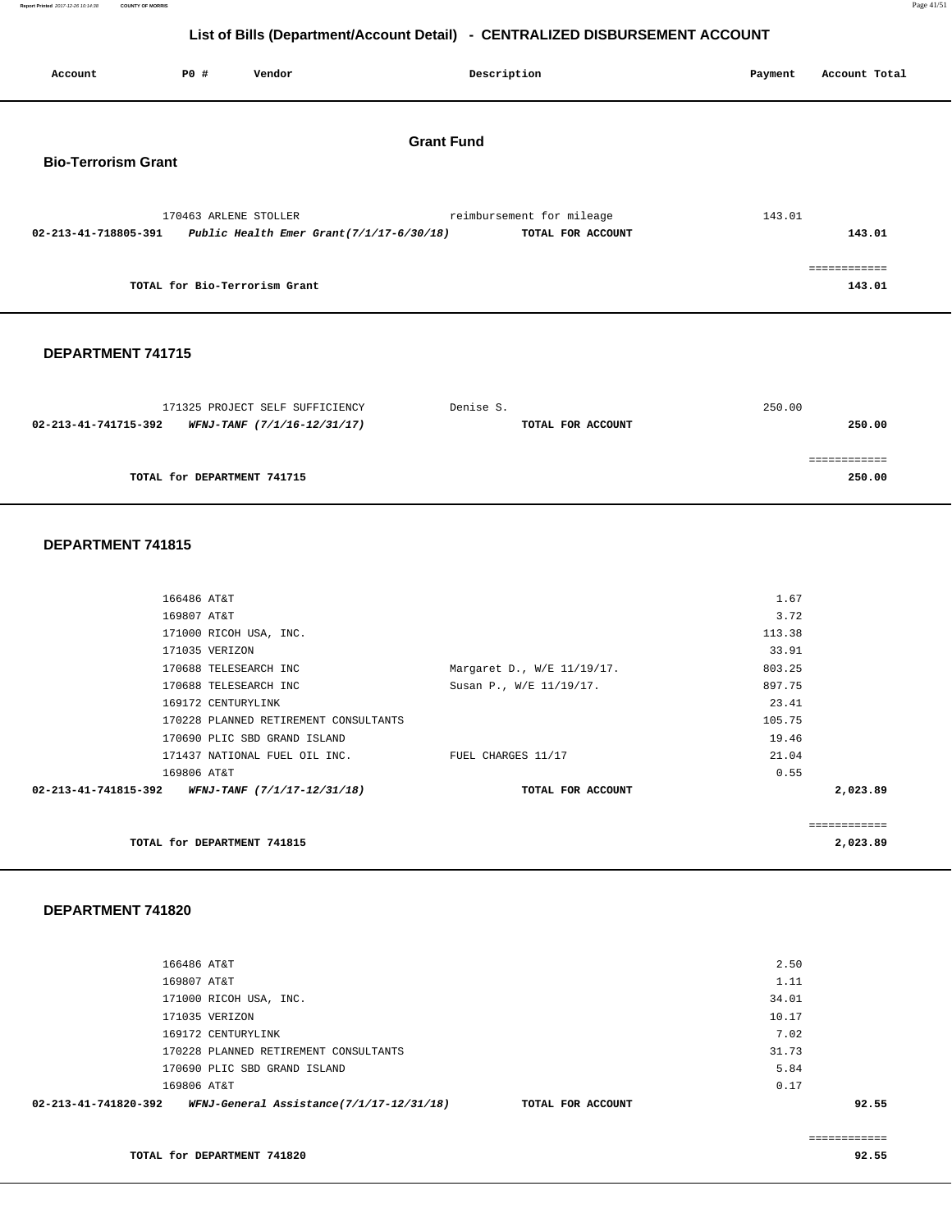**Report Printed** 2017-12-26 10:14:38 **COUNTY OF MORRIS** Page 41/51

# **List of Bills (Department/Account Detail) - CENTRALIZED DISBURSEMENT ACCOUNT**

| Account                                                       | P0 #                          | Vendor                          |                   | Description                                    | Payment | Account Total          |
|---------------------------------------------------------------|-------------------------------|---------------------------------|-------------------|------------------------------------------------|---------|------------------------|
| <b>Bio-Terrorism Grant</b>                                    |                               |                                 | <b>Grant Fund</b> |                                                |         |                        |
| 02-213-41-718805-391 Public Health Emer Grant(7/1/17-6/30/18) | 170463 ARLENE STOLLER         |                                 |                   | reimbursement for mileage<br>TOTAL FOR ACCOUNT | 143.01  | 143.01                 |
|                                                               | TOTAL for Bio-Terrorism Grant |                                 |                   |                                                |         | ============<br>143.01 |
| DEPARTMENT 741715                                             |                               |                                 |                   |                                                |         |                        |
|                                                               |                               | 171325 PROJECT SELF SUFFICIENCY |                   | Denise S.                                      | 250.00  |                        |

|                      |                                    |                   | ------- |
|----------------------|------------------------------------|-------------------|---------|
| 02-213-41-741715-392 | <i>WFNJ-TANF (7/1/16-12/31/17)</i> | TOTAL FOR ACCOUNT | 250.00  |
|                      |                                    |                   |         |
|                      |                                    |                   |         |
|                      | TOTAL for DEPARTMENT 741715        |                   | 250.00  |

## **DEPARTMENT 741815**

|                                       |                            | ============ |  |
|---------------------------------------|----------------------------|--------------|--|
|                                       | TOTAL FOR ACCOUNT          | 2,023.89     |  |
| 169806 AT&T                           |                            | 0.55         |  |
| 171437 NATIONAL FUEL OIL INC.         | FUEL CHARGES 11/17         | 21.04        |  |
| 170690 PLIC SBD GRAND ISLAND          |                            | 19.46        |  |
| 170228 PLANNED RETIREMENT CONSULTANTS |                            | 105.75       |  |
| 169172 CENTURYLINK                    |                            | 23.41        |  |
| 170688 TELESEARCH INC                 | Susan P., W/E 11/19/17.    | 897.75       |  |
| 170688 TELESEARCH INC                 | Margaret D., W/E 11/19/17. | 803.25       |  |
| 171035 VERIZON                        |                            | 33.91        |  |
| 171000 RICOH USA, INC.                |                            | 113.38       |  |
| 169807 AT&T                           |                            | 3.72         |  |
| 166486 AT&T                           |                            | 1.67         |  |
|                                       |                            |              |  |

**TOTAL for DEPARTMENT 741815** 

## **DEPARTMENT 741820**

| 02-213-41-741820-392<br>WFNJ-General Assistance(7/1/17-12/31/18)<br>TOTAL FOR ACCOUNT | 92.55 |
|---------------------------------------------------------------------------------------|-------|
| 169806 AT&T                                                                           | 0.17  |
| 170690 PLIC SBD GRAND ISLAND                                                          | 5.84  |
| 170228 PLANNED RETIREMENT CONSULTANTS                                                 | 31.73 |
| 169172 CENTURYLINK                                                                    | 7.02  |
| 171035 VERIZON                                                                        | 10.17 |
| 171000 RICOH USA, INC.                                                                | 34.01 |
| 169807 AT&T                                                                           | 1.11  |
| 166486 AT&T                                                                           | 2.50  |
|                                                                                       |       |

**2,023.89**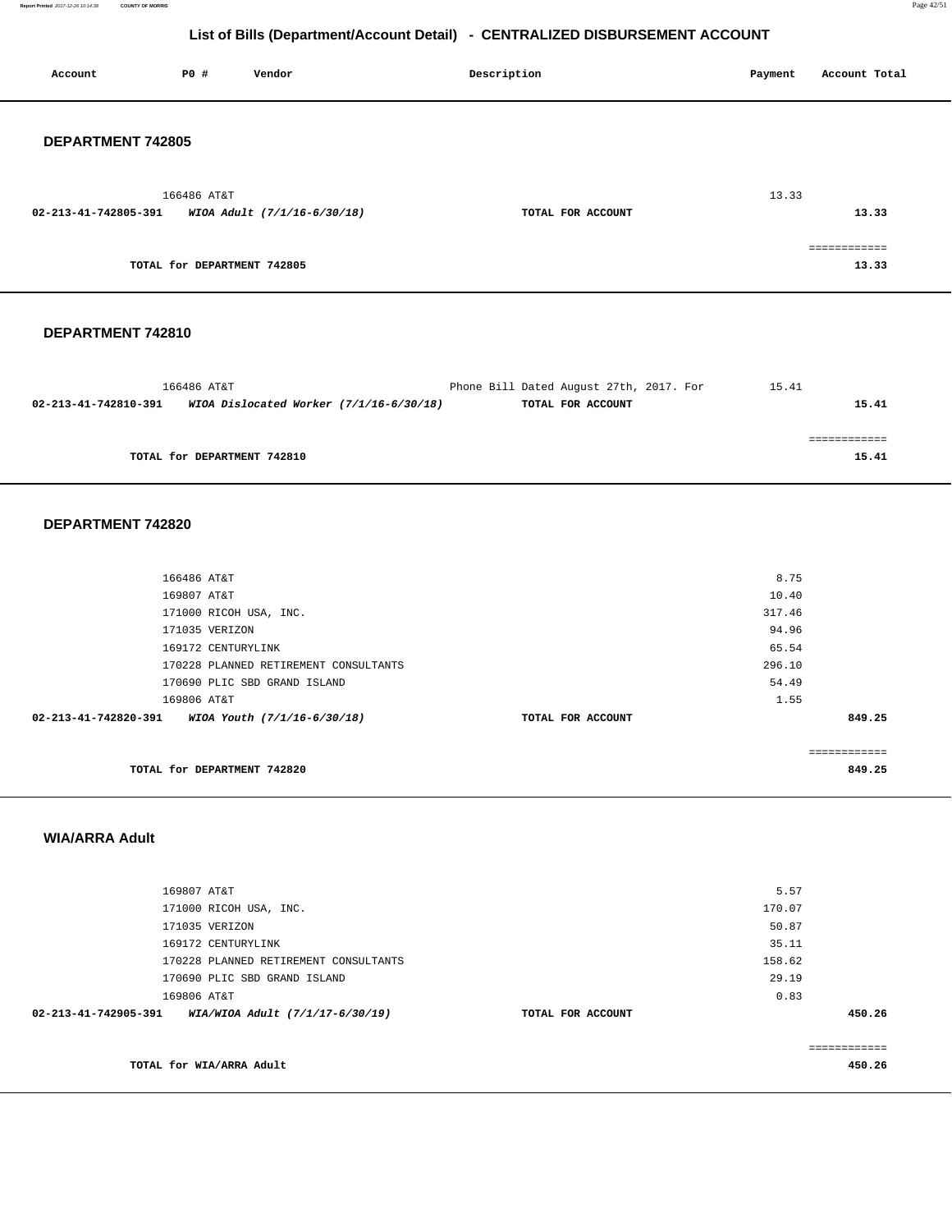**Report Printed** 2017-12-26 10:14:38 **COUNTY OF MORRIS** Page 42/51

# **List of Bills (Department/Account Detail) - CENTRALIZED DISBURSEMENT ACCOUNT**

| Account                  | P0 #                        | Vendor                      | Description       | Payment<br>Account Total |
|--------------------------|-----------------------------|-----------------------------|-------------------|--------------------------|
| <b>DEPARTMENT 742805</b> |                             |                             |                   |                          |
| 02-213-41-742805-391     | 166486 AT&T                 | WIOA Adult (7/1/16-6/30/18) | TOTAL FOR ACCOUNT | 13.33<br>13.33           |
|                          | TOTAL for DEPARTMENT 742805 |                             |                   | ------------<br>13.33    |

## **DEPARTMENT 742810**

|                      | 166486 AT&T                               | Phone Bill Dated August 27th, 2017. For | 15.41 |
|----------------------|-------------------------------------------|-----------------------------------------|-------|
| 02-213-41-742810-391 | WIOA Dislocated Worker $(7/1/16-6/30/18)$ | TOTAL FOR ACCOUNT                       | 15.41 |
|                      |                                           |                                         |       |
|                      |                                           |                                         |       |
|                      | TOTAL for DEPARTMENT 742810               |                                         | 15.41 |

## **DEPARTMENT 742820**

| 166486 AT&T                                         |                   | 8.75         |
|-----------------------------------------------------|-------------------|--------------|
|                                                     |                   |              |
| 169807 AT&T                                         |                   | 10.40        |
| 171000 RICOH USA, INC.                              |                   | 317.46       |
| 171035 VERIZON                                      |                   | 94.96        |
| 169172 CENTURYLINK                                  |                   | 65.54        |
| 170228 PLANNED RETIREMENT CONSULTANTS               |                   | 296.10       |
| 170690 PLIC SBD GRAND ISLAND                        |                   | 54.49        |
| 169806 AT&T                                         |                   | 1.55         |
| 02-213-41-742820-391<br>WIOA Youth (7/1/16-6/30/18) | TOTAL FOR ACCOUNT | 849.25       |
|                                                     |                   |              |
|                                                     |                   | ============ |
| TOTAL for DEPARTMENT 742820                         |                   | 849.25       |
|                                                     |                   |              |

## **WIA/ARRA Adult**

| 169807 AT&T                                             |                   | 5.57   |             |
|---------------------------------------------------------|-------------------|--------|-------------|
|                                                         |                   |        |             |
| 171000 RICOH USA, INC.                                  |                   | 170.07 |             |
| 171035 VERIZON                                          |                   | 50.87  |             |
| 169172 CENTURYLINK                                      |                   | 35.11  |             |
| 170228 PLANNED RETIREMENT CONSULTANTS                   |                   | 158.62 |             |
| 170690 PLIC SBD GRAND ISLAND                            |                   | 29.19  |             |
| 169806 AT&T                                             |                   | 0.83   |             |
| 02-213-41-742905-391<br>WIA/WIOA Adult (7/1/17-6/30/19) | TOTAL FOR ACCOUNT |        | 450.26      |
|                                                         |                   |        |             |
|                                                         |                   |        | =========== |
| TOTAL for WIA/ARRA Adult                                |                   |        | 450.26      |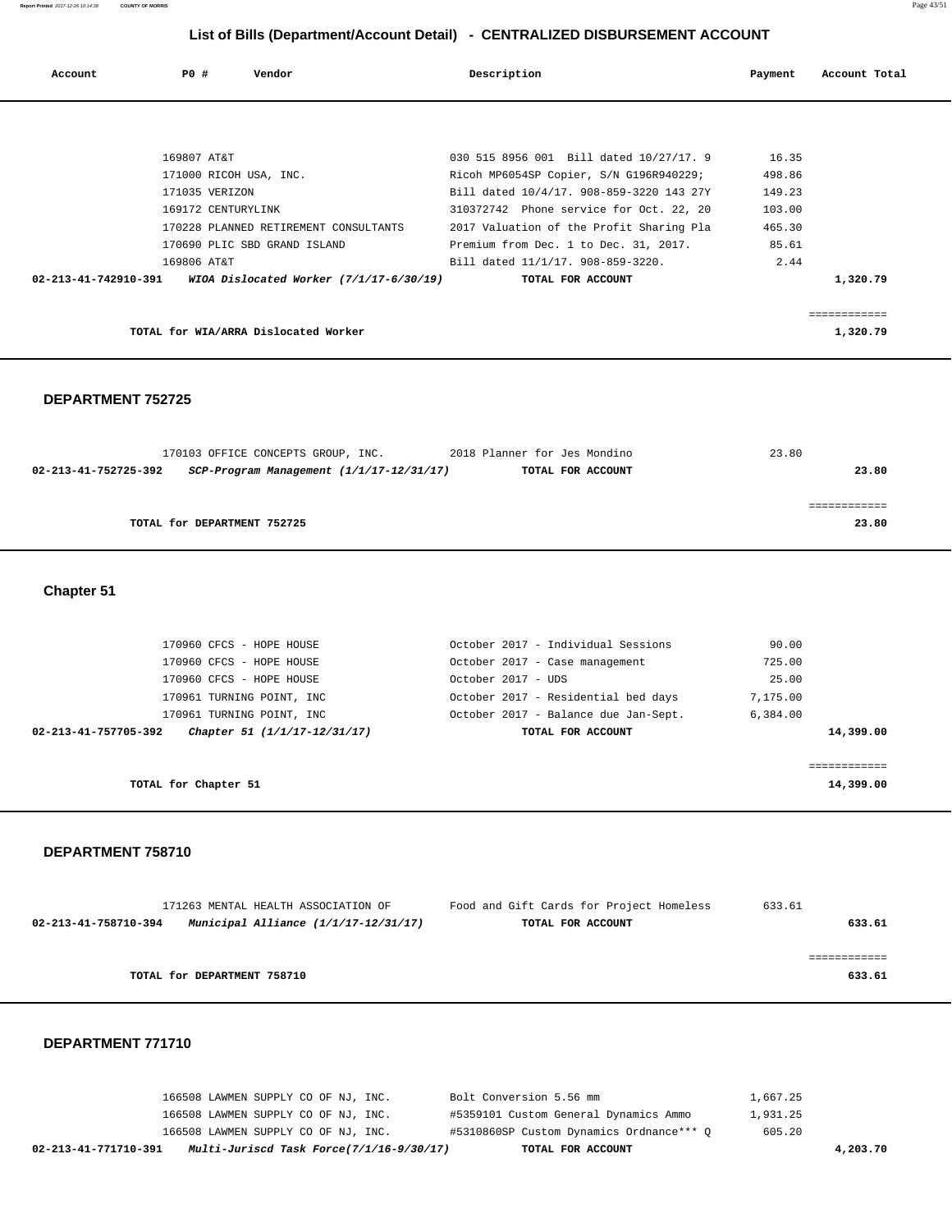| Account              | PO#         | Vendor                                  | Description                              | Payment | Account Total |
|----------------------|-------------|-----------------------------------------|------------------------------------------|---------|---------------|
|                      |             |                                         |                                          |         |               |
|                      |             |                                         |                                          |         |               |
|                      | 169807 AT&T |                                         | 030 515 8956 001 Bill dated 10/27/17. 9  | 16.35   |               |
|                      |             | 171000 RICOH USA, INC.                  | Ricoh MP6054SP Copier, S/N G196R940229;  | 498.86  |               |
|                      |             | 171035 VERIZON                          | Bill dated 10/4/17. 908-859-3220 143 27Y | 149.23  |               |
|                      |             | 169172 CENTURYLINK                      | 310372742 Phone service for Oct. 22, 20  | 103.00  |               |
|                      |             | 170228 PLANNED RETIREMENT CONSULTANTS   | 2017 Valuation of the Profit Sharing Pla | 465.30  |               |
|                      |             | 170690 PLIC SBD GRAND ISLAND            | Premium from Dec. 1 to Dec. 31, 2017.    | 85.61   |               |
|                      | 169806 AT&T |                                         | Bill dated 11/1/17. 908-859-3220.        | 2.44    |               |
| 02-213-41-742910-391 |             | WIOA Dislocated Worker (7/1/17-6/30/19) | TOTAL FOR ACCOUNT                        |         | 1,320.79      |
|                      |             |                                         |                                          |         |               |
|                      |             |                                         |                                          |         |               |

**TOTAL for WIA/ARRA Dislocated Worker 1,320.79** 

## **DEPARTMENT 752725**

| 170103 OFFICE CONCEPTS GROUP, INC.                               | 2018 Planner for Jes Mondino |                   | 23.80 |
|------------------------------------------------------------------|------------------------------|-------------------|-------|
| 02-213-41-752725-392<br>SCP-Program Management (1/1/17-12/31/17) |                              | TOTAL FOR ACCOUNT | 23.80 |
|                                                                  |                              |                   |       |
|                                                                  |                              |                   |       |
| TOTAL for DEPARTMENT 752725                                      |                              |                   | 23.80 |
|                                                                  |                              |                   |       |

**Chapter 51** 

| 170960 CFCS - HOPE HOUSE                             | October 2017 - Individual Sessions   | 90.00     |
|------------------------------------------------------|--------------------------------------|-----------|
| 170960 CFCS - HOPE HOUSE                             | October 2017 - Case management       | 725.00    |
| 170960 CFCS - HOPE HOUSE                             | October 2017 - UDS                   | 25.00     |
| 170961 TURNING POINT, INC                            | October 2017 - Residential bed days  | 7,175.00  |
| 170961 TURNING POINT, INC                            | October 2017 - Balance due Jan-Sept. | 6,384.00  |
| Chapter 51 (1/1/17-12/31/17)<br>02-213-41-757705-392 | TOTAL FOR ACCOUNT                    | 14,399.00 |
|                                                      |                                      |           |
|                                                      |                                      |           |
| TOTAL for Chapter 51                                 |                                      | 14,399.00 |

## **DEPARTMENT 758710**

| 171263 MENTAL HEALTH ASSOCIATION OF                          | Food and Gift Cards for Project Homeless | 633.61 |
|--------------------------------------------------------------|------------------------------------------|--------|
| Municipal Alliance (1/1/17-12/31/17)<br>02-213-41-758710-394 | TOTAL FOR ACCOUNT                        | 633.61 |
|                                                              |                                          |        |
|                                                              |                                          |        |
| TOTAL for DEPARTMENT 758710                                  |                                          | 633.61 |
|                                                              |                                          |        |

| 02-213-41-771710-391 | Multi-Juriscd Task Force(7/1/16-9/30/17) | TOTAL FOR ACCOUNT                        | 4,203.70 |
|----------------------|------------------------------------------|------------------------------------------|----------|
|                      | 166508 LAWMEN SUPPLY CO OF NJ, INC.      | #5310860SP Custom Dynamics Ordnance*** O | 605.20   |
|                      | 166508 LAWMEN SUPPLY CO OF NJ, INC.      | #5359101 Custom General Dynamics Ammo    | 1,931.25 |
|                      | 166508 LAWMEN SUPPLY CO OF NJ, INC.      | Bolt Conversion 5.56 mm                  | 1,667.25 |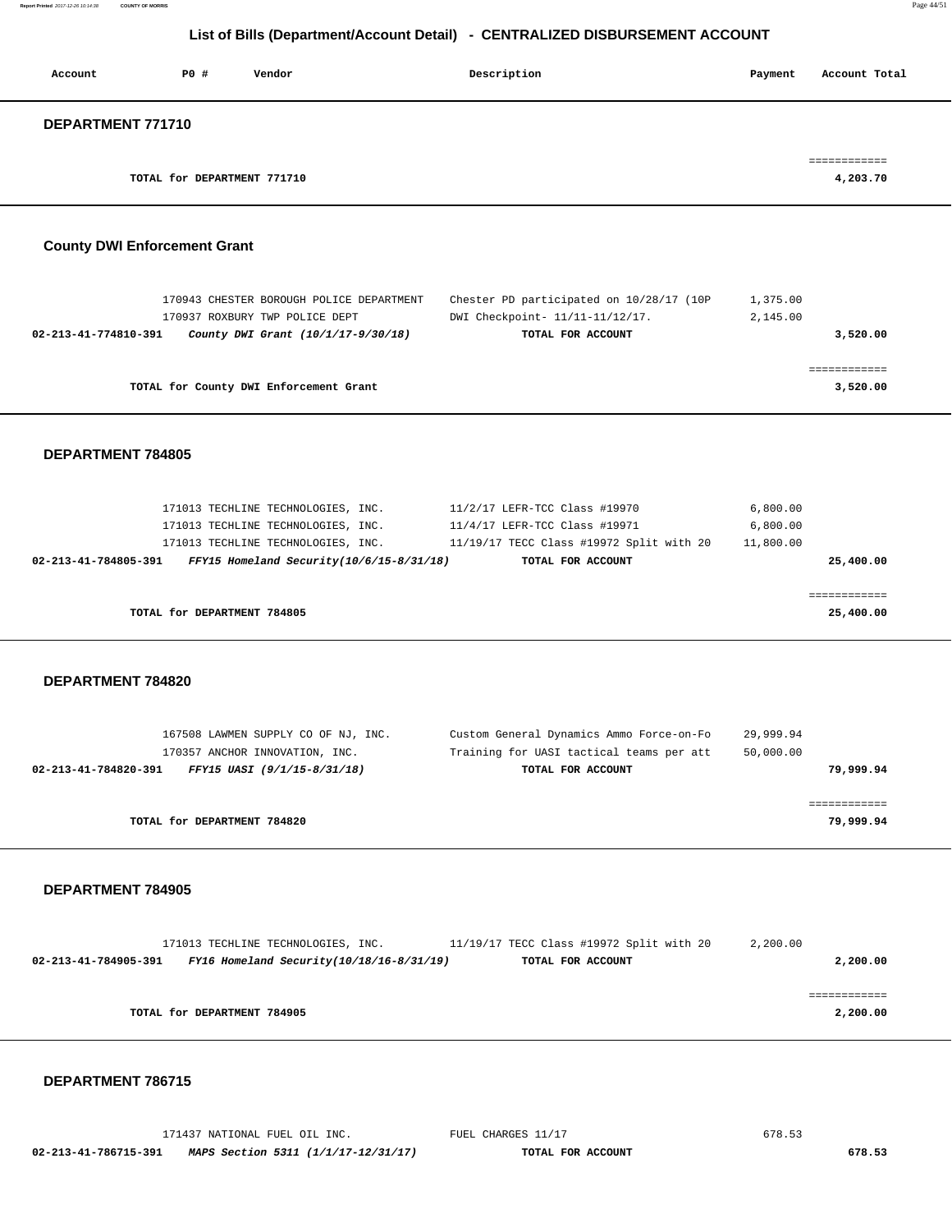| Account           | P0 #                        | Vendor | Description | Account Total<br>Payment             |
|-------------------|-----------------------------|--------|-------------|--------------------------------------|
| DEPARTMENT 771710 |                             |        |             |                                      |
|                   | TOTAL for DEPARTMENT 771710 |        |             | ------------<br>--------<br>4,203.70 |

# **County DWI Enforcement Grant**

|                                        | 170943 CHESTER BOROUGH POLICE DEPARTMENT | Chester PD participated on 10/28/17 (10P) | 1,375.00 |  |
|----------------------------------------|------------------------------------------|-------------------------------------------|----------|--|
|                                        | 170937 ROXBURY TWP POLICE DEPT           | DWI Checkpoint- 11/11-11/12/17.           | 2,145.00 |  |
| 02-213-41-774810-391                   | County DWI Grant (10/1/17-9/30/18)       | TOTAL FOR ACCOUNT                         | 3,520.00 |  |
|                                        |                                          |                                           |          |  |
|                                        |                                          |                                           |          |  |
| TOTAL for County DWI Enforcement Grant |                                          |                                           | 3,520.00 |  |

# **DEPARTMENT 784805**

| 171013 TECHLINE TECHNOLOGIES, INC.<br>171013 TECHLINE TECHNOLOGIES, INC.<br>171013 TECHLINE TECHNOLOGIES, INC. | 11/2/17 LEFR-TCC Class #19970<br>11/4/17 LEFR-TCC Class #19971<br>11/19/17 TECC Class #19972 Split with 20 | 6,800.00<br>6,800.00<br>11,800.00 |
|----------------------------------------------------------------------------------------------------------------|------------------------------------------------------------------------------------------------------------|-----------------------------------|
| $FFY15$ Homeland Security( $10/6/15-8/31/18$ )<br>02-213-41-784805-391                                         | TOTAL FOR ACCOUNT                                                                                          | 25,400.00                         |
| TOTAL for DEPARTMENT 784805                                                                                    |                                                                                                            | 25,400.00                         |

## **DEPARTMENT 784820**

| 167508 LAWMEN SUPPLY CO OF NJ, INC.                 | Custom General Dynamics Ammo Force-on-Fo | 29,999.94 |
|-----------------------------------------------------|------------------------------------------|-----------|
| 170357 ANCHOR INNOVATION, INC.                      | Training for UASI tactical teams per att | 50,000.00 |
| 02-213-41-784820-391<br>FFY15 UASI (9/1/15-8/31/18) | TOTAL FOR ACCOUNT                        | 79,999.94 |
|                                                     |                                          |           |
|                                                     |                                          |           |
| TOTAL for DEPARTMENT 784820                         |                                          | 79,999.94 |
|                                                     |                                          |           |

## **DEPARTMENT 784905**

|                      | 171013 TECHLINE TECHNOLOGIES, INC.             | 11/19/17 TECC Class #19972 Split with 20 | 2,200.00 |
|----------------------|------------------------------------------------|------------------------------------------|----------|
| 02-213-41-784905-391 | $FY16$ Homeland Security( $10/18/16-8/31/19$ ) | TOTAL FOR ACCOUNT                        | 2,200.00 |
|                      |                                                |                                          |          |
|                      |                                                |                                          |          |
|                      | TOTAL for DEPARTMENT 784905                    |                                          | 2,200.00 |
|                      |                                                |                                          |          |

|                      | 171437 NATIONAL FUEL OIL INC.       | FUEL CHARGES 11/17 | 678.53 |
|----------------------|-------------------------------------|--------------------|--------|
| 02-213-41-786715-391 | MAPS Section 5311 (1/1/17-12/31/17) | TOTAL FOR ACCOUNT  | 678.53 |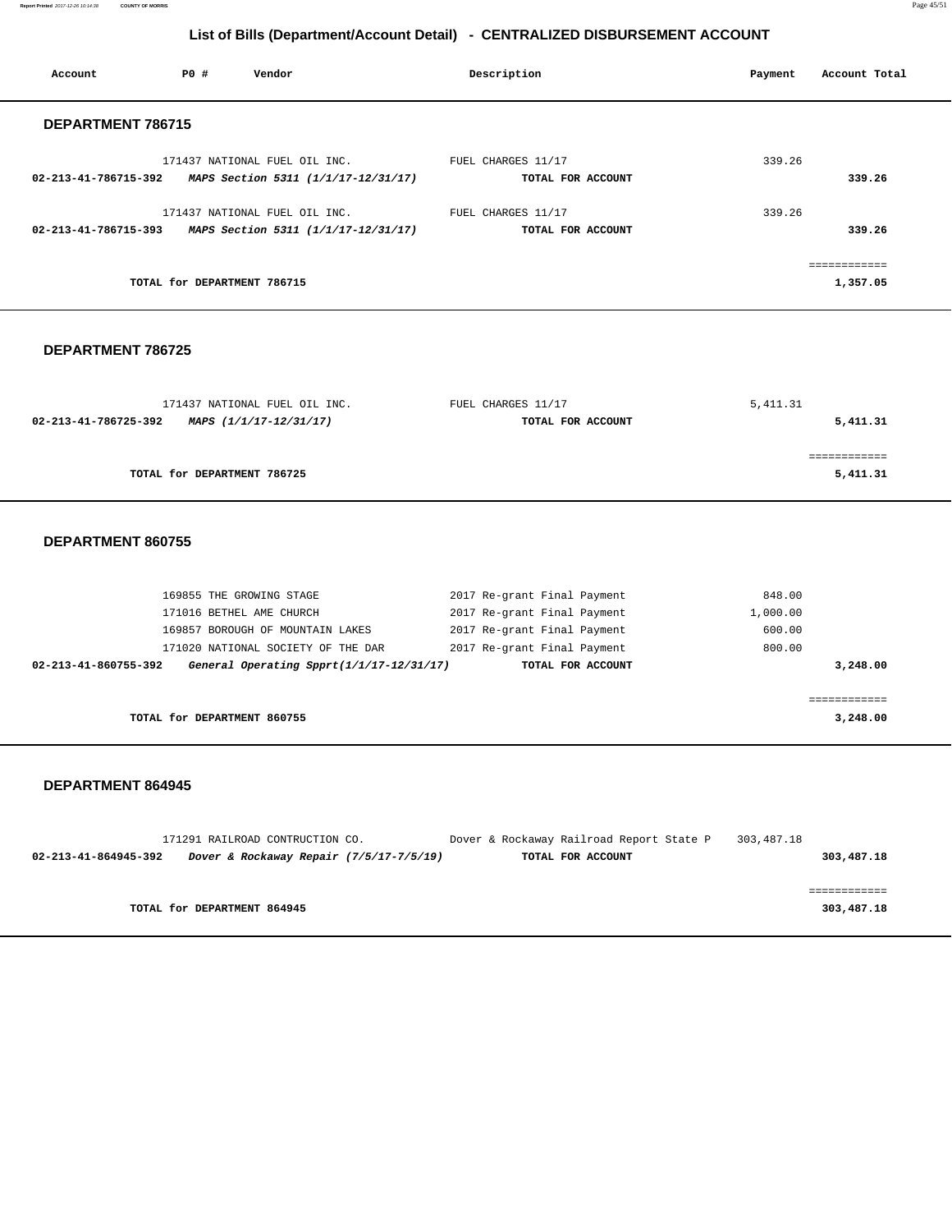**Report Printed** 2017-12-26 10:14:38 **COUNTY OF MORRIS** Page 45/51

# **List of Bills (Department/Account Detail) - CENTRALIZED DISBURSEMENT ACCOUNT**

| Account           | P0#                         | Vendor                                                   | Description        | Payment | Account Total |
|-------------------|-----------------------------|----------------------------------------------------------|--------------------|---------|---------------|
| DEPARTMENT 786715 |                             |                                                          |                    |         |               |
|                   |                             | 171437 NATIONAL FUEL OIL INC.                            | FUEL CHARGES 11/17 | 339.26  |               |
|                   |                             | 02-213-41-786715-392 MAPS Section 5311 (1/1/17-12/31/17) | TOTAL FOR ACCOUNT  |         | 339.26        |
|                   |                             | 171437 NATIONAL FUEL OIL INC.                            | FUEL CHARGES 11/17 | 339.26  |               |
|                   |                             | 02-213-41-786715-393 MAPS Section 5311 (1/1/17-12/31/17) | TOTAL FOR ACCOUNT  |         | 339.26        |
|                   |                             |                                                          |                    |         | ============  |
|                   | TOTAL for DEPARTMENT 786715 |                                                          |                    |         | 1,357.05      |

# **DEPARTMENT 786725**

| 171437 NATIONAL FUEL OIL INC.                  | FUEL CHARGES 11/17 | 5,411.31 |
|------------------------------------------------|--------------------|----------|
| 02-213-41-786725-392<br>MAPS (1/1/17-12/31/17) | TOTAL FOR ACCOUNT  | 5,411.31 |
|                                                |                    |          |
|                                                |                    |          |
| TOTAL for DEPARTMENT 786725                    |                    | 5,411.31 |

## **DEPARTMENT 860755**

| General Operating Spprt(1/1/17-12/31/17)<br>02-213-41-860755-392 | TOTAL FOR ACCOUNT           | 3,248.00 |
|------------------------------------------------------------------|-----------------------------|----------|
| 171020 NATIONAL SOCIETY OF THE DAR                               | 2017 Re-grant Final Payment | 800.00   |
| 169857 BOROUGH OF MOUNTAIN LAKES                                 | 2017 Re-grant Final Payment | 600.00   |
| 171016 BETHEL AME CHURCH                                         | 2017 Re-grant Final Payment | 1,000.00 |
| 169855 THE GROWING STAGE                                         | 2017 Re-grant Final Payment | 848.00   |

|                      | 171291 RAILROAD CONTRUCTION CO. |                                         | Dover & Rockaway Railroad Report State P | 303,487.18 |            |
|----------------------|---------------------------------|-----------------------------------------|------------------------------------------|------------|------------|
| 02-213-41-864945-392 |                                 | Dover & Rockaway Repair (7/5/17-7/5/19) | TOTAL FOR ACCOUNT                        |            | 303,487.18 |
|                      |                                 |                                         |                                          |            |            |
|                      |                                 |                                         |                                          |            |            |
|                      | TOTAL for DEPARTMENT 864945     |                                         |                                          |            | 303,487.18 |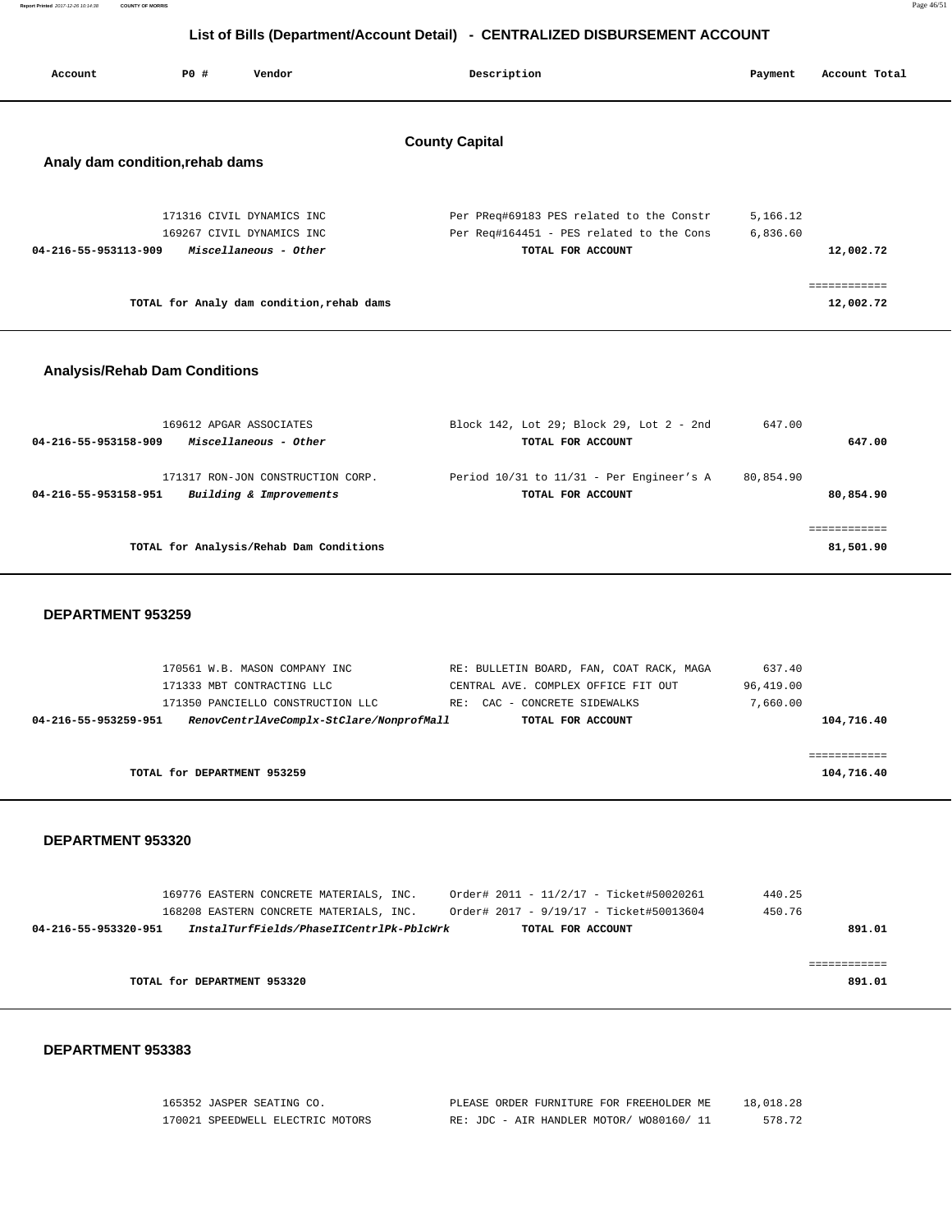|         |     |        | List of Bills (Department/Account Detail) - CENTRALIZED DISBURSEMENT ACCOUNT |         |               |
|---------|-----|--------|------------------------------------------------------------------------------|---------|---------------|
| Account | PO# | Vendor | Description                                                                  | Payment | Account Total |

# **County Capital**

# **Analy dam condition,rehab dams**

| 171316 CIVIL DYNAMICS INC<br>169267 CIVIL DYNAMICS INC | Per PReg#69183 PES related to the Constr<br>Per Reg#164451 - PES related to the Cons | 5,166.12<br>6,836.60 |
|--------------------------------------------------------|--------------------------------------------------------------------------------------|----------------------|
| 04-216-55-953113-909<br>Miscellaneous - Other          | TOTAL FOR ACCOUNT                                                                    | 12,002.72            |
|                                                        |                                                                                      |                      |
| TOTAL for Analy dam condition, rehab dams              |                                                                                      | 12,002.72            |

# **Analysis/Rehab Dam Conditions**

| 169612 APGAR ASSOCIATES                         | Block 142, Lot 29; Block 29, Lot 2 - 2nd     | 647.00    |
|-------------------------------------------------|----------------------------------------------|-----------|
| Miscellaneous - Other<br>04-216-55-953158-909   | TOTAL FOR ACCOUNT                            | 647.00    |
|                                                 |                                              |           |
| 171317 RON-JON CONSTRUCTION CORP.               | Period $10/31$ to $11/31$ - Per Engineer's A | 80,854.90 |
| Building & Improvements<br>04-216-55-953158-951 | TOTAL FOR ACCOUNT                            | 80,854.90 |
|                                                 |                                              |           |
|                                                 |                                              |           |
| TOTAL for Analysis/Rehab Dam Conditions         |                                              | 81,501.90 |
|                                                 |                                              |           |

## **DEPARTMENT 953259**

| 170561 W.B. MASON COMPANY INC                                    | RE: BULLETIN BOARD, FAN, COAT RACK, MAGA | 637.40     |
|------------------------------------------------------------------|------------------------------------------|------------|
| 171333 MBT CONTRACTING LLC                                       | CENTRAL AVE. COMPLEX OFFICE FIT OUT      | 96,419.00  |
| 171350 PANCIELLO CONSTRUCTION LLC                                | - CONCRETE SIDEWALKS<br>CAC<br>RE:       | 7,660.00   |
| RenovCentrlAveComplx-StClare/NonprofMall<br>04-216-55-953259-951 | TOTAL FOR ACCOUNT                        | 104,716.40 |
|                                                                  |                                          |            |
|                                                                  |                                          |            |
| TOTAL for DEPARTMENT 953259                                      |                                          | 104,716.40 |
|                                                                  |                                          |            |

## **DEPARTMENT 953320**

|                             |  | 169776 EASTERN CONCRETE MATERIALS, INC.  |  |                   | Order# 2011 - 11/2/17 - Ticket#50020261 | 440.25 |        |
|-----------------------------|--|------------------------------------------|--|-------------------|-----------------------------------------|--------|--------|
|                             |  | 168208 EASTERN CONCRETE MATERIALS, INC.  |  |                   | Order# 2017 - 9/19/17 - Ticket#50013604 | 450.76 |        |
| 04-216-55-953320-951        |  | InstalTurfFields/PhaseIICentrlPk-PblcWrk |  | TOTAL FOR ACCOUNT |                                         |        | 891.01 |
|                             |  |                                          |  |                   |                                         |        |        |
|                             |  |                                          |  |                   |                                         |        |        |
| TOTAL for DEPARTMENT 953320 |  |                                          |  |                   |                                         |        | 891.01 |
|                             |  |                                          |  |                   |                                         |        |        |

## **DEPARTMENT 953383**

| 165352 JASPER SEATING CO.        | PLEASE ORDER FURNITURE FOR FREEHOLDER ME | 18,018.28 |
|----------------------------------|------------------------------------------|-----------|
| 170021 SPEEDWELL ELECTRIC MOTORS | RE: JDC - AIR HANDLER MOTOR/ WO80160/ 11 | 578.72    |

**Report Printed** 2017-12-26 10:14:38 **COUNTY OF MORRIS** Page 46/51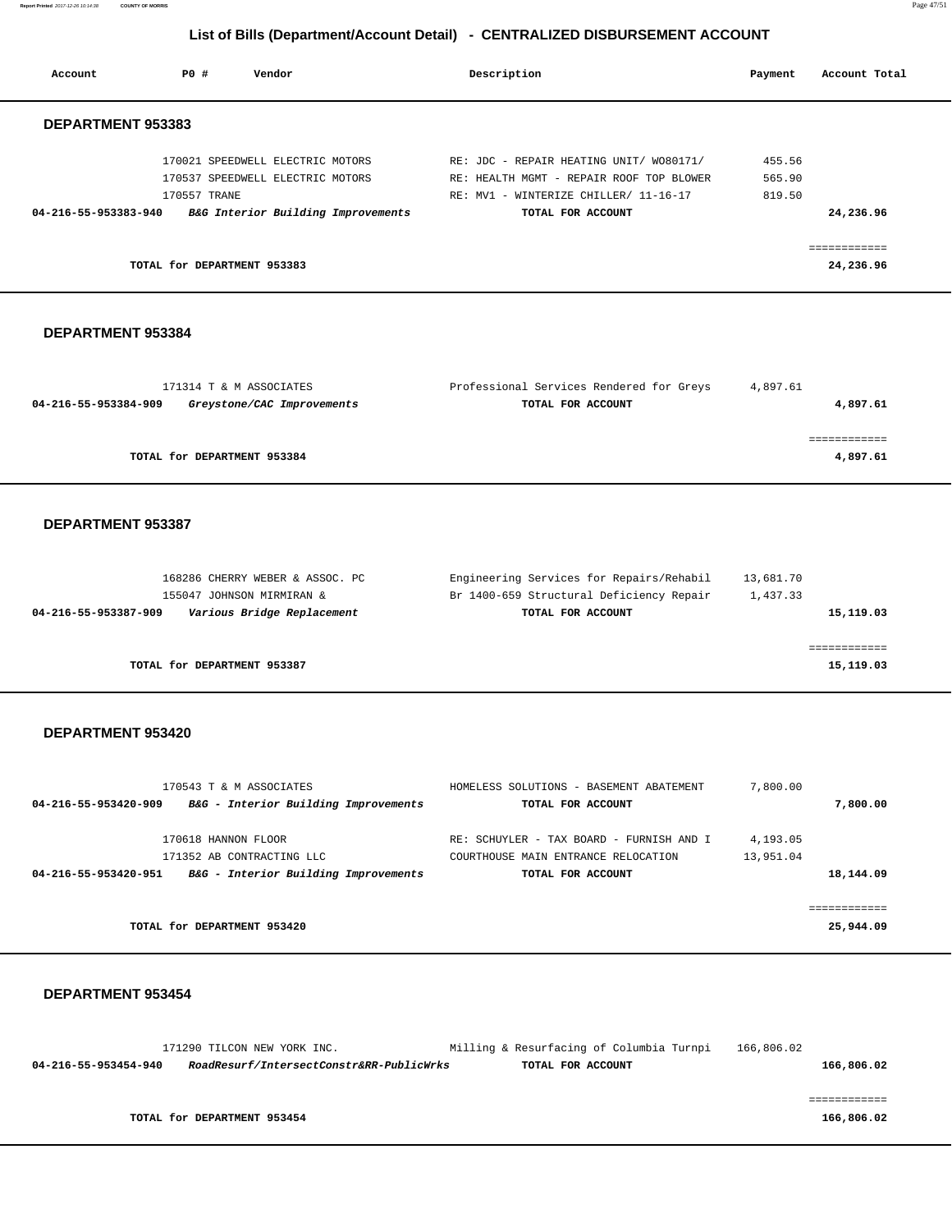**Report Printed** 2017-12-26 10:14:38 **COUNTY OF MORRIS** Page 47/51

# **List of Bills (Department/Account Detail) - CENTRALIZED DISBURSEMENT ACCOUNT**

| Account                  | PO#                         | Vendor                             | Description                              | Payment | Account Total |
|--------------------------|-----------------------------|------------------------------------|------------------------------------------|---------|---------------|
| <b>DEPARTMENT 953383</b> |                             |                                    |                                          |         |               |
|                          |                             | 170021 SPEEDWELL ELECTRIC MOTORS   | RE: JDC - REPAIR HEATING UNIT/ W080171/  | 455.56  |               |
|                          |                             | 170537 SPEEDWELL ELECTRIC MOTORS   | RE: HEALTH MGMT - REPAIR ROOF TOP BLOWER | 565.90  |               |
|                          | 170557 TRANE                |                                    | RE: MV1 - WINTERIZE CHILLER/ 11-16-17    | 819.50  |               |
| 04-216-55-953383-940     |                             | B&G Interior Building Improvements | TOTAL FOR ACCOUNT                        |         | 24,236.96     |
|                          |                             |                                    |                                          |         | ------------  |
|                          | TOTAL for DEPARTMENT 953383 |                                    |                                          |         | 24,236.96     |
|                          |                             |                                    |                                          |         |               |

## **DEPARTMENT 953384**

|                      | 171314 T & M ASSOCIATES     | Professional Services Rendered for Greys | 4,897.61 |
|----------------------|-----------------------------|------------------------------------------|----------|
| 04-216-55-953384-909 | Greystone/CAC Improvements  | TOTAL FOR ACCOUNT                        | 4,897.61 |
|                      |                             |                                          |          |
|                      |                             |                                          |          |
|                      | TOTAL for DEPARTMENT 953384 |                                          | 4,897.61 |
|                      |                             |                                          |          |

## **DEPARTMENT 953387**

| 168286 CHERRY WEBER & ASSOC. PC                    | Engineering Services for Repairs/Rehabil | 13,681.70 |
|----------------------------------------------------|------------------------------------------|-----------|
| 155047 JOHNSON MIRMIRAN &                          | Br 1400-659 Structural Deficiency Repair | 1,437.33  |
| Various Bridge Replacement<br>04-216-55-953387-909 | TOTAL FOR ACCOUNT                        | 15,119.03 |
|                                                    |                                          |           |
|                                                    |                                          |           |
| TOTAL for DEPARTMENT 953387                        |                                          | 15,119.03 |
|                                                    |                                          |           |

## **DEPARTMENT 953420**

| 170543 T & M ASSOCIATES                                      | HOMELESS SOLUTIONS - BASEMENT ABATEMENT  | 7,800.00  |
|--------------------------------------------------------------|------------------------------------------|-----------|
| B&G - Interior Building Improvements<br>04-216-55-953420-909 | TOTAL FOR ACCOUNT                        | 7,800,00  |
| 170618 HANNON FLOOR                                          | RE: SCHUYLER - TAX BOARD - FURNISH AND I | 4,193.05  |
|                                                              |                                          |           |
| 171352 AB CONTRACTING LLC                                    | COURTHOUSE MAIN ENTRANCE RELOCATION      | 13,951.04 |
| B&G - Interior Building Improvements<br>04-216-55-953420-951 | TOTAL FOR ACCOUNT                        | 18,144.09 |
|                                                              |                                          |           |
|                                                              |                                          |           |
| TOTAL for DEPARTMENT 953420                                  |                                          | 25,944.09 |
|                                                              |                                          |           |

|                      | 171290 TILCON NEW YORK INC.              | Milling & Resurfacing of Columbia Turnpi | 166,806.02 |
|----------------------|------------------------------------------|------------------------------------------|------------|
| 04-216-55-953454-940 | RoadResurf/IntersectConstr&RR-PublicWrks | TOTAL FOR ACCOUNT                        | 166,806.02 |
|                      |                                          |                                          |            |
|                      |                                          |                                          |            |
|                      | TOTAL for DEPARTMENT 953454              |                                          | 166,806.02 |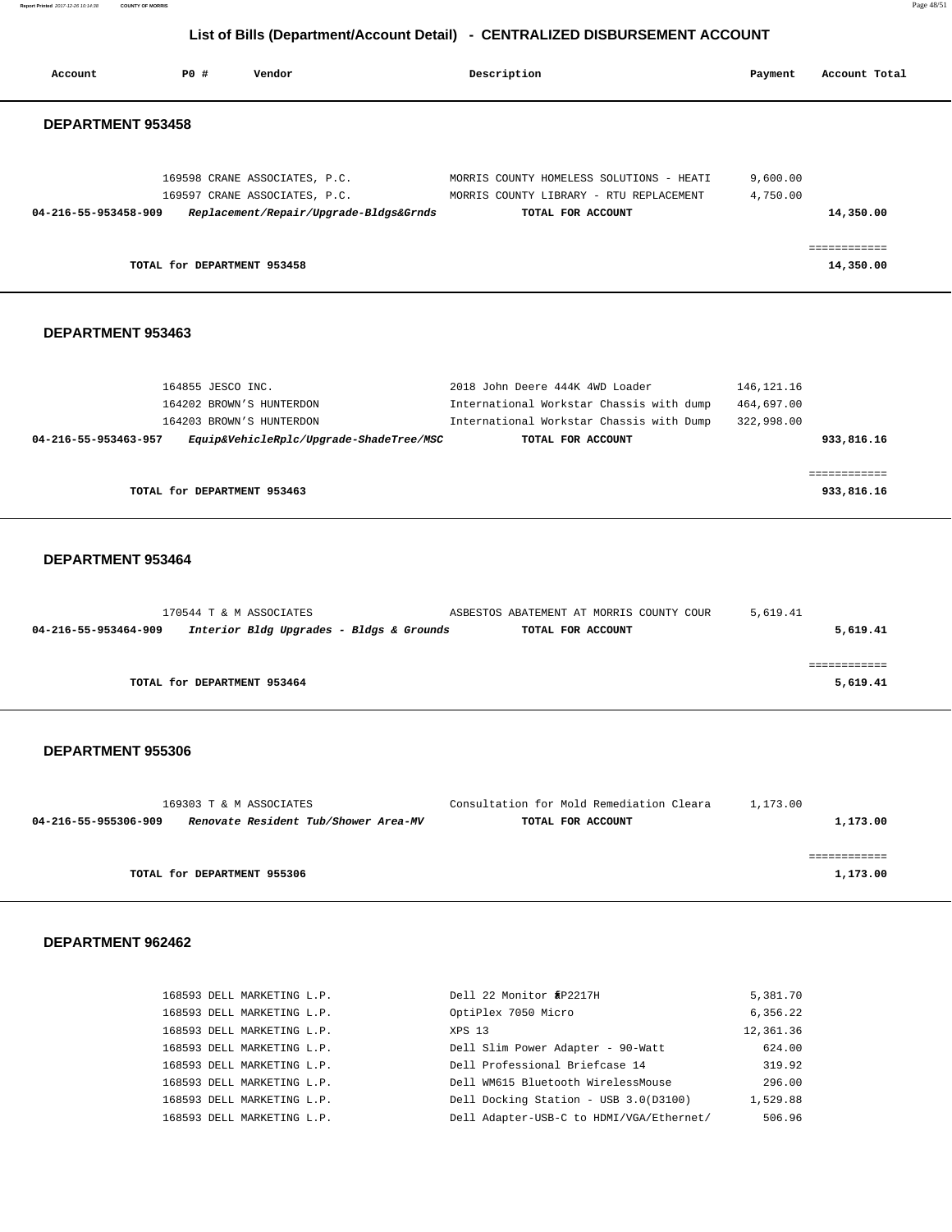**Report Printed** 2017-12-26 10:14:38 **COUNTY OF MORRIS** Page 48/51

## **List of Bills (Department/Account Detail) - CENTRALIZED DISBURSEMENT ACCOUNT**

| Account                  | <b>PO #</b>                                                               | Vendor                                                                                                               | Description                                                                                                                                  | Payment                                     | Account Total              |
|--------------------------|---------------------------------------------------------------------------|----------------------------------------------------------------------------------------------------------------------|----------------------------------------------------------------------------------------------------------------------------------------------|---------------------------------------------|----------------------------|
| DEPARTMENT 953458        |                                                                           |                                                                                                                      |                                                                                                                                              |                                             |                            |
| 04-216-55-953458-909     |                                                                           | 169598 CRANE ASSOCIATES, P.C.<br>169597 CRANE ASSOCIATES, P.C.<br>Replacement/Repair/Upgrade-Bldgs&Grnds             | MORRIS COUNTY HOMELESS SOLUTIONS - HEATI<br>MORRIS COUNTY LIBRARY - RTU REPLACEMENT<br>TOTAL FOR ACCOUNT                                     | 9,600.00<br>4,750.00                        | 14,350.00                  |
|                          | TOTAL for DEPARTMENT 953458                                               |                                                                                                                      |                                                                                                                                              |                                             | ============<br>14,350.00  |
| DEPARTMENT 953463        |                                                                           |                                                                                                                      |                                                                                                                                              |                                             |                            |
| 04-216-55-953463-957     | 164855 JESCO INC.<br>164202 BROWN'S HUNTERDON<br>164203 BROWN'S HUNTERDON | Equip&VehicleRplc/Upgrade-ShadeTree/MSC                                                                              | 2018 John Deere 444K 4WD Loader<br>International Workstar Chassis with dump<br>International Workstar Chassis with Dump<br>TOTAL FOR ACCOUNT | 146, 121. 16<br>464,697.00<br>322,998.00    | 933,816.16                 |
|                          | TOTAL for DEPARTMENT 953463                                               |                                                                                                                      |                                                                                                                                              |                                             | ------------<br>933,816.16 |
| DEPARTMENT 953464        | 170544 T & M ASSOCIATES                                                   |                                                                                                                      | ASBESTOS ABATEMENT AT MORRIS COUNTY COUR                                                                                                     | 5,619.41                                    |                            |
| 04-216-55-953464-909     |                                                                           | Interior Bldg Upgrades - Bldgs & Grounds                                                                             | TOTAL FOR ACCOUNT                                                                                                                            |                                             | 5,619.41                   |
|                          | TOTAL for DEPARTMENT 953464                                               |                                                                                                                      |                                                                                                                                              |                                             | ------------<br>5,619.41   |
| <b>DEPARTMENT 955306</b> |                                                                           |                                                                                                                      |                                                                                                                                              |                                             |                            |
| 04-216-55-955306-909     | 169303 T & M ASSOCIATES                                                   | Renovate Resident Tub/Shower Area-MV                                                                                 | Consultation for Mold Remediation Cleara<br>TOTAL FOR ACCOUNT                                                                                | 1,173.00                                    | 1,173.00                   |
|                          | TOTAL for DEPARTMENT 955306                                               |                                                                                                                      |                                                                                                                                              |                                             | ============<br>1,173.00   |
| DEPARTMENT 962462        |                                                                           |                                                                                                                      |                                                                                                                                              |                                             |                            |
|                          |                                                                           | 168593 DELL MARKETING L.P.<br>168593 DELL MARKETING L.P.<br>168593 DELL MARKETING L.P.<br>168593 DELL MARKETING L.P. | Dell 22 Monitor â.f P2217H<br>OptiPlex 7050 Micro<br>XPS 13<br>Dell Slim Power Adapter - 90-Watt                                             | 5,381.70<br>6,356.22<br>12,361.36<br>624.00 |                            |

 168593 DELL MARKETING L.P. Dell Professional Briefcase 14 319.92 168593 DELL MARKETING L.P. Dell WM615 Bluetooth WirelessMouse 296.00 168593 DELL MARKETING L.P. Dell Docking Station - USB 3.0(D3100) 1,529.88 168593 DELL MARKETING L.P. Dell Adapter-USB-C to HDMI/VGA/Ethernet/ 506.96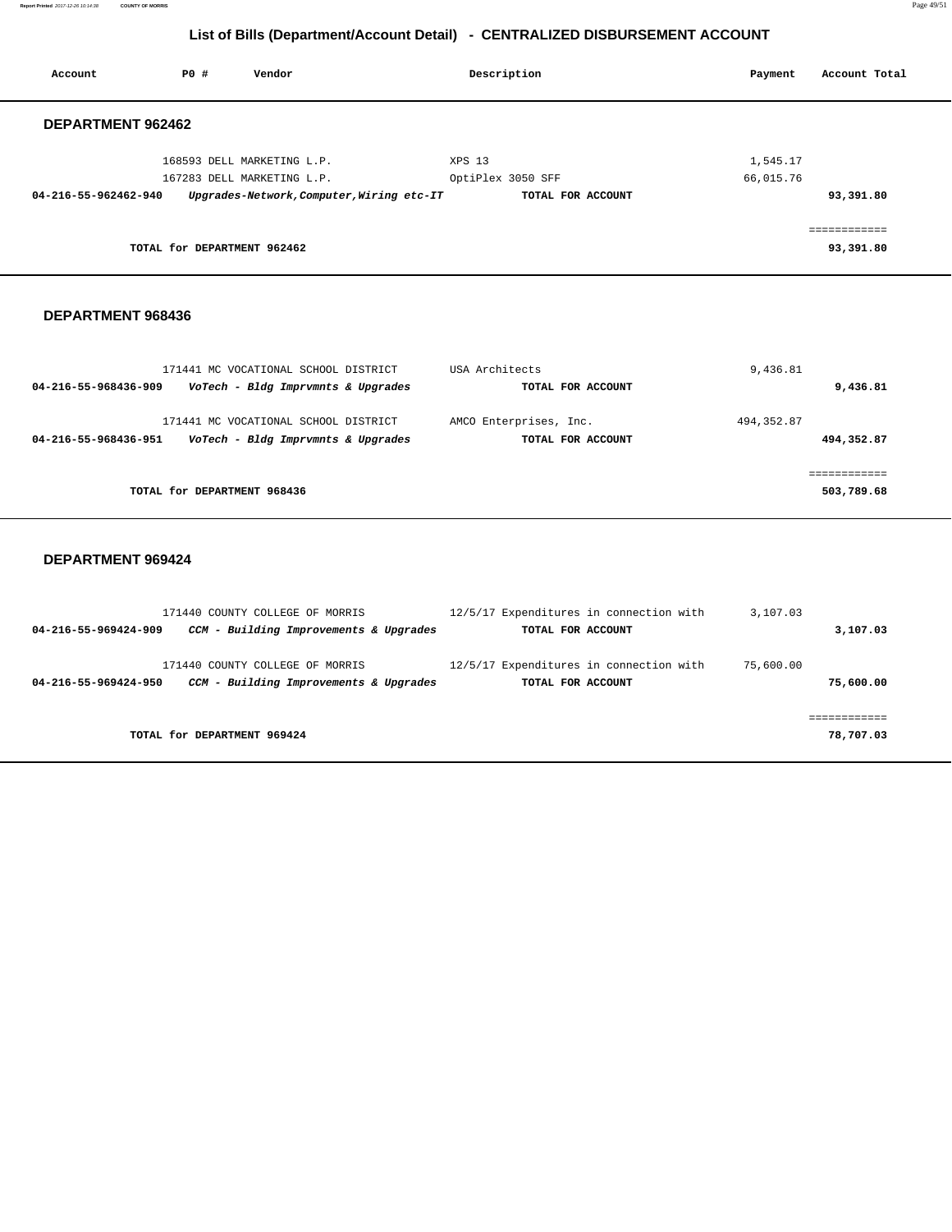**Report Printed** 2017-12-26 10:14:38 **COUNTY OF MORRIS** Page 49/51

# **List of Bills (Department/Account Detail) - CENTRALIZED DISBURSEMENT ACCOUNT**

| Account              | P0 #                        | Vendor                                    | Description       |                   | Payment   | Account Total           |
|----------------------|-----------------------------|-------------------------------------------|-------------------|-------------------|-----------|-------------------------|
| DEPARTMENT 962462    |                             |                                           |                   |                   |           |                         |
|                      |                             | 168593 DELL MARKETING L.P.                | XPS 13            |                   | 1,545.17  |                         |
|                      |                             | 167283 DELL MARKETING L.P.                | OptiPlex 3050 SFF |                   | 66,015.76 |                         |
| 04-216-55-962462-940 |                             | Upgrades-Network, Computer, Wiring etc-IT |                   | TOTAL FOR ACCOUNT |           | 93,391.80               |
|                      |                             |                                           |                   |                   |           | . = = = = = = = = = = = |
|                      | TOTAL for DEPARTMENT 962462 |                                           |                   |                   |           | 93,391.80               |

## **DEPARTMENT 968436**

| 171441 MC VOCATIONAL SCHOOL DISTRICT                                                               | USA Architects                              | 9,436.81                  |
|----------------------------------------------------------------------------------------------------|---------------------------------------------|---------------------------|
| VoTech - Bldg Imprvmnts & Upgrades<br>04-216-55-968436-909                                         | TOTAL FOR ACCOUNT                           | 9,436.81                  |
| 171441 MC VOCATIONAL SCHOOL DISTRICT<br>VoTech - Bldg Imprvmnts & Upgrades<br>04-216-55-968436-951 | AMCO Enterprises, Inc.<br>TOTAL FOR ACCOUNT | 494, 352.87<br>494,352.87 |
|                                                                                                    |                                             |                           |
| TOTAL for DEPARTMENT 968436                                                                        |                                             | 503,789.68                |

| 171440 COUNTY COLLEGE OF MORRIS                                                                   | 12/5/17 Expenditures in connection with                      | 3,107.03               |
|---------------------------------------------------------------------------------------------------|--------------------------------------------------------------|------------------------|
| CCM - Building Improvements & Upgrades<br>04-216-55-969424-909                                    | TOTAL FOR ACCOUNT                                            | 3,107.03               |
| 171440 COUNTY COLLEGE OF MORRIS<br>CCM - Building Improvements & Upgrades<br>04-216-55-969424-950 | 12/5/17 Expenditures in connection with<br>TOTAL FOR ACCOUNT | 75,600.00<br>75,600.00 |
|                                                                                                   |                                                              |                        |
| TOTAL for DEPARTMENT 969424                                                                       |                                                              | 78,707.03              |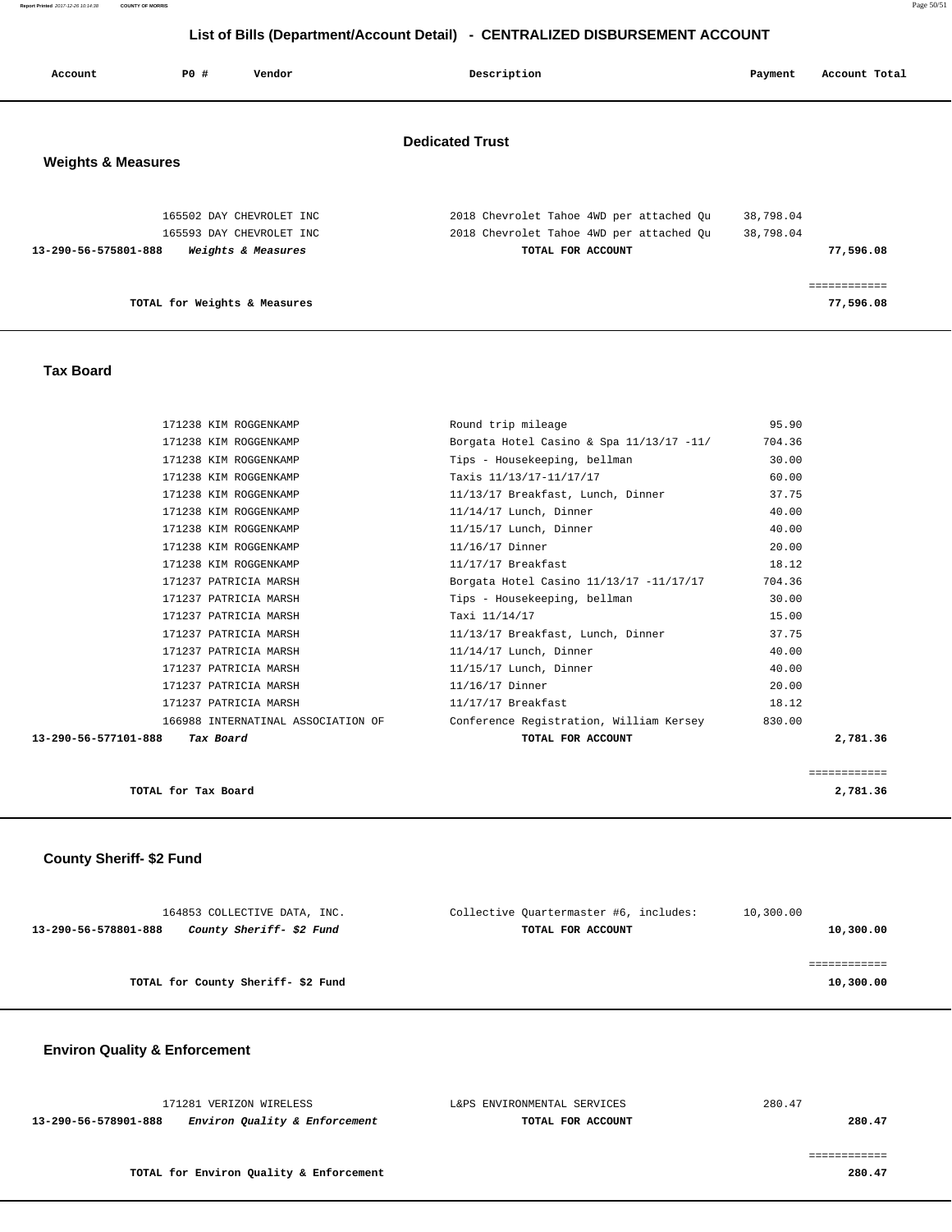**Report Printed** 2017-12-26 10:14:38 **COUNTY OF MORRIS** Page 50/51

# **List of Bills (Department/Account Detail) - CENTRALIZED DISBURSEMENT ACCOUNT**

| Account                       | P0 #                         | Vendor                                                                     | Description                                                                                               | Payment                | Account Total           |
|-------------------------------|------------------------------|----------------------------------------------------------------------------|-----------------------------------------------------------------------------------------------------------|------------------------|-------------------------|
| <b>Weights &amp; Measures</b> |                              |                                                                            | <b>Dedicated Trust</b>                                                                                    |                        |                         |
| 13-290-56-575801-888          |                              | 165502 DAY CHEVROLET INC<br>165593 DAY CHEVROLET INC<br>Weights & Measures | 2018 Chevrolet Tahoe 4WD per attached Qu<br>2018 Chevrolet Tahoe 4WD per attached Qu<br>TOTAL FOR ACCOUNT | 38,798.04<br>38,798.04 | 77,596.08               |
|                               | TOTAL for Weights & Measures |                                                                            |                                                                                                           |                        | ----------<br>77,596.08 |

## **Tax Board**

| 171238 KIM ROGGENKAMP              | Round trip mileage                       | 95.90        |
|------------------------------------|------------------------------------------|--------------|
| 171238 KIM ROGGENKAMP              | Borgata Hotel Casino & Spa 11/13/17 -11/ | 704.36       |
| 171238 KIM ROGGENKAMP              | Tips - Housekeeping, bellman             | 30.00        |
| 171238 KIM ROGGENKAMP              | Taxis 11/13/17-11/17/17                  | 60.00        |
| 171238 KIM ROGGENKAMP              | 11/13/17 Breakfast, Lunch, Dinner        | 37.75        |
| 171238 KIM ROGGENKAMP              | $11/14/17$ Lunch, Dinner                 | 40.00        |
| 171238 KIM ROGGENKAMP              | $11/15/17$ Lunch, Dinner                 | 40.00        |
| 171238 KIM ROGGENKAMP              | 11/16/17 Dinner                          | 20.00        |
| 171238 KIM ROGGENKAMP              | $11/17/17$ Breakfast                     | 18.12        |
| 171237 PATRICIA MARSH              | Borgata Hotel Casino 11/13/17 -11/17/17  | 704.36       |
| 171237 PATRICIA MARSH              | Tips - Housekeeping, bellman             | 30.00        |
| 171237 PATRICIA MARSH              | Taxi 11/14/17                            | 15.00        |
| 171237 PATRICIA MARSH              | 11/13/17 Breakfast, Lunch, Dinner        | 37.75        |
| 171237 PATRICIA MARSH              | 11/14/17 Lunch, Dinner                   | 40.00        |
| 171237 PATRICIA MARSH              | $11/15/17$ Lunch, Dinner                 | 40.00        |
| 171237 PATRICIA MARSH              | 11/16/17 Dinner                          | 20.00        |
| 171237 PATRICIA MARSH              | 11/17/17 Breakfast                       | 18.12        |
| 166988 INTERNATINAL ASSOCIATION OF | Conference Registration, William Kersey  | 830.00       |
| 13-290-56-577101-888 Tax Board     | TOTAL FOR ACCOUNT                        | 2,781.36     |
|                                    |                                          |              |
|                                    |                                          | ============ |

| TOTAL for Tax Board<br>2,781.36 |
|---------------------------------|
|---------------------------------|

**County Sheriff- \$2 Fund** 

| 164853 COLLECTIVE DATA, INC.                     | Collective Ouartermaster #6, includes: | 10,300.00 |
|--------------------------------------------------|----------------------------------------|-----------|
| County Sheriff- \$2 Fund<br>13-290-56-578801-888 | TOTAL FOR ACCOUNT                      | 10,300.00 |
|                                                  |                                        |           |
|                                                  |                                        |           |
| TOTAL for County Sheriff-\$2 Fund                |                                        | 10,300.00 |
|                                                  |                                        |           |

# **Environ Quality & Enforcement**

|                                                       | 171281 VERIZON WIRELESS | L&PS ENVIRONMENTAL SERVICES | 280.47 |
|-------------------------------------------------------|-------------------------|-----------------------------|--------|
| 13-290-56-578901-888<br>Environ Quality & Enforcement |                         | TOTAL FOR ACCOUNT           | 280.47 |
|                                                       |                         |                             |        |

============